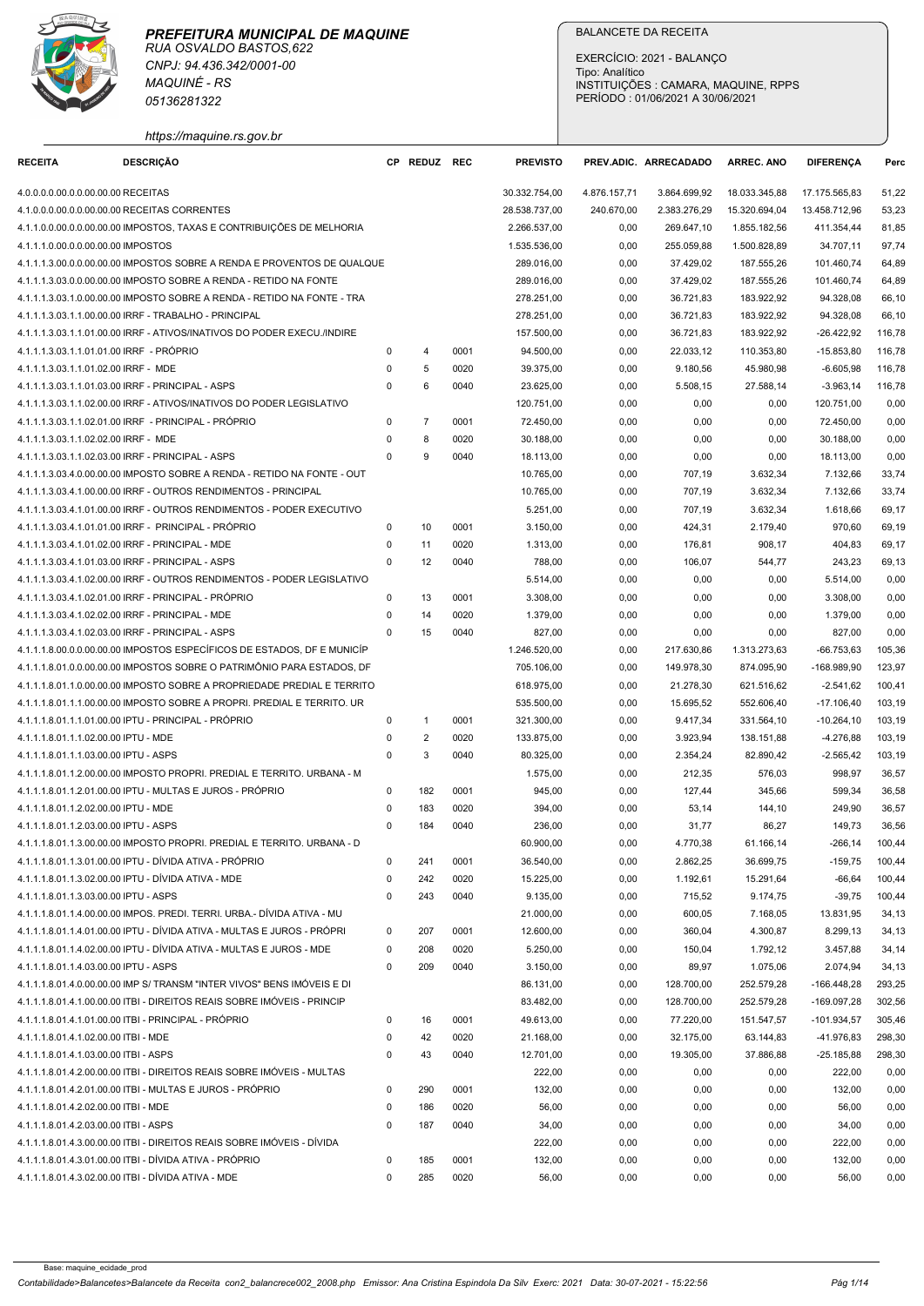

|                                                                               | 05136281322                                                                                                                                       |                              |                     |              |                          | EXERCÍCIO: 2021 - BALANÇO<br>Tipo: Analítico<br>PERÍODO: 01/06/2021 A 30/06/2021 |                         | INSTITUIÇÕES : CAMARA, MAQUINE, RPPS |                               |                  |
|-------------------------------------------------------------------------------|---------------------------------------------------------------------------------------------------------------------------------------------------|------------------------------|---------------------|--------------|--------------------------|----------------------------------------------------------------------------------|-------------------------|--------------------------------------|-------------------------------|------------------|
| <b>RECEITA</b>                                                                | https://maquine.rs.gov.br<br><b>DESCRIÇÃO</b>                                                                                                     |                              | CP REDUZ REC        |              | <b>PREVISTO</b>          |                                                                                  | PREV.ADIC. ARRECADADO   | <b>ARREC. ANO</b>                    | <b>DIFERENCA</b>              | Perc             |
| 4.0.0.0.0.00.0.0.00.00.00 RECEITAS                                            |                                                                                                                                                   |                              |                     |              | 30.332.754,00            | 4.876.157,71                                                                     | 3.864.699,92            | 18.033.345,88                        | 17.175.565,83                 | 51,22            |
| 4.1.0.0.0.00.0.0.00.00.00 RECEITAS CORRENTES                                  |                                                                                                                                                   |                              |                     |              | 28.538.737,00            | 240.670,00                                                                       | 2.383.276,29            | 15.320.694,04                        | 13.458.712,96                 | 53,23            |
|                                                                               | 4.1.1.0.0.00.0.0.00.00.00 IMPOSTOS, TAXAS E CONTRIBUIÇÕES DE MELHORIA                                                                             |                              |                     |              | 2.266.537,00             | 0,00                                                                             | 269.647,10              | 1.855.182,56                         | 411.354,44                    | 81,85            |
| 4.1.1.1.0.00.0.0.00.00.00 IMPOSTOS                                            |                                                                                                                                                   |                              |                     |              | 1.535.536,00             | 0,00                                                                             | 255.059,88              | 1.500.828,89                         | 34.707,11                     | 97,74            |
|                                                                               | 4.1.1.1.3.00.0.0.00.00.00 IMPOSTOS SOBRE A RENDA E PROVENTOS DE QUALQUE<br>4.1.1.1.3.03.0.0.00.00.00 IMPOSTO SOBRE A RENDA - RETIDO NA FONTE      |                              |                     |              | 289.016,00<br>289.016,00 | 0,00<br>0,00                                                                     | 37.429,02<br>37.429,02  | 187.555,26<br>187.555,26             | 101.460,74<br>101.460,74      | 64,89<br>64,89   |
|                                                                               | 4.1.1.1.3.03.1.0.00.00.00 IMPOSTO SOBRE A RENDA - RETIDO NA FONTE - TRA                                                                           |                              |                     |              | 278.251,00               | 0,00                                                                             | 36.721,83               | 183.922,92                           | 94.328,08                     | 66,10            |
|                                                                               | 4.1.1.1.3.03.1.1.00.00.00 IRRF - TRABALHO - PRINCIPAL                                                                                             |                              |                     |              | 278.251,00               | 0,00                                                                             | 36.721,83               | 183.922,92                           | 94.328,08                     | 66,10            |
| 4.1.1.1.3.03.1.1.01.01.00 IRRF - PROPRIO                                      | 4.1.1.1.3.03.1.1.01.00.00 IRRF - ATIVOS/INATIVOS DO PODER EXECU./INDIRE                                                                           | $\Omega$                     |                     | 0001         | 157.500,00<br>94.500,00  | 0,00<br>0,00                                                                     | 36.721,83<br>22.033,12  | 183.922,92<br>110.353,80             | $-26.422,92$<br>$-15.853,80$  | 116,78<br>116,78 |
| 4.1.1.1.3.03.1.1.01.02.00 IRRF - MDE                                          |                                                                                                                                                   | $\mathbf 0$                  | 5                   | 0020         | 39.375,00                | 0,00                                                                             | 9.180,56                | 45.980,98                            | $-6.605,98$                   | 116,78           |
| 4.1.1.1.3.03.1.1.01.03.00 IRRF - PRINCIPAL - ASPS                             |                                                                                                                                                   | $\mathbf{0}$                 | 6                   | 0040         | 23.625,00                | 0,00                                                                             | 5.508,15                | 27.588,14                            | $-3.963,14$                   | 116,78           |
|                                                                               | 4.1.1.1.3.03.1.1.02.00.00 IRRF - ATIVOS/INATIVOS DO PODER LEGISLATIVO                                                                             |                              |                     |              | 120.751,00               | 0,00                                                                             | 0,00                    | 0,00                                 | 120.751,00                    | 0,00             |
| 4.1.1.1.3.03.1.1.02.02.00 IRRF - MDE                                          | 4.1.1.1.3.03.1.1.02.01.00 IRRF - PRINCIPAL - PRÓPRIO                                                                                              | $\mathbf{0}$<br>$\mathbf{0}$ | $\overline{7}$<br>8 | 0001<br>0020 | 72.450,00<br>30.188,00   | 0,00<br>0,00                                                                     | 0,00<br>0,00            | 0,00<br>0,00                         | 72.450,00<br>30.188,00        | 0,00<br>0,00     |
| 4.1.1.1.3.03.1.1.02.03.00 IRRF - PRINCIPAL - ASPS                             |                                                                                                                                                   | $\mathbf{0}$                 | 9                   | 0040         | 18.113,00                | 0,00                                                                             | 0,00                    | 0,00                                 | 18.113,00                     | 0,00             |
|                                                                               | 4.1.1.1.3.03.4.0.00.00.00 IMPOSTO SOBRE A RENDA - RETIDO NA FONTE - OUT                                                                           |                              |                     |              | 10.765,00                | 0,00                                                                             | 707,19                  | 3.632,34                             | 7.132,66                      | 33,74            |
|                                                                               | 4.1.1.1.3.03.4.1.00.00.00 IRRF - OUTROS RENDIMENTOS - PRINCIPAL                                                                                   |                              |                     |              | 10.765,00                | 0,00                                                                             | 707,19                  | 3.632,34                             | 7.132,66                      | 33,74            |
|                                                                               | 4.1.1.1.3.03.4.1.01.00.00 IRRF - OUTROS RENDIMENTOS - PODER EXECUTIVO<br>4.1.1.1.3.03.4.1.01.01.00 IRRF - PRINCIPAL - PRÓPRIO                     | $\mathbf{0}$                 | 10                  | 0001         | 5.251,00<br>3.150,00     | 0,00<br>0,00                                                                     | 707,19<br>424,31        | 3.632,34<br>2.179,40                 | 1.618,66<br>970,60            | 69,17<br>69,19   |
| 4.1.1.1.3.03.4.1.01.02.00 IRRF - PRINCIPAL - MDE                              |                                                                                                                                                   | $^{\circ}$                   | 11                  | 0020         | 1.313,00                 | 0,00                                                                             | 176,81                  | 908,17                               | 404,83                        | 69,17            |
| 4.1.1.1.3.03.4.1.01.03.00 IRRF - PRINCIPAL - ASPS                             |                                                                                                                                                   | $\mathbf{0}$                 | 12                  | 0040         | 788,00                   | 0,00                                                                             | 106,07                  | 544,77                               | 243,23                        | 69,13            |
|                                                                               | 4.1.1.1.3.03.4.1.02.00.00 IRRF - OUTROS RENDIMENTOS - PODER LEGISLATIVO                                                                           |                              |                     |              | 5.514,00                 | 0,00                                                                             | 0,00                    | 0,00                                 | 5.514,00                      | 0,00             |
| 4.1.1.1.3.03.4.1.02.02.00 IRRF - PRINCIPAL - MDE                              | 4.1.1.1.3.03.4.1.02.01.00 IRRF - PRINCIPAL - PRÓPRIO                                                                                              | $\mathbf{0}$<br>$\mathbf{0}$ | 13<br>14            | 0001<br>0020 | 3.308,00<br>1.379,00     | 0,00<br>0,00                                                                     | 0,00<br>0,00            | 0,00<br>0,00                         | 3.308,00<br>1.379,00          | 0,00<br>0,00     |
| 4.1.1.1.3.03.4.1.02.03.00 IRRF - PRINCIPAL - ASPS                             |                                                                                                                                                   | $\mathbf{0}$                 | 15                  | 0040         | 827,00                   | 0,00                                                                             | 0,00                    | 0,00                                 | 827,00                        | 0,00             |
|                                                                               | 4.1.1.1.8.00.0.0.00.00.00 IMPOSTOS ESPECÍFICOS DE ESTADOS, DF E MUNICÍP                                                                           |                              |                     |              | 1.246.520,00             | 0,00                                                                             | 217.630,86              | 1.313.273,63                         | $-66.753,63$                  | 105,36           |
|                                                                               | 4.1.1.1.8.01.0.0.00.00.00 IMPOSTOS SOBRE O PATRIMÕNIO PARA ESTADOS, DF<br>4.1.1.1.8.01.1.0.00.00.00 IMPOSTO SOBRE A PROPRIEDADE PREDIAL E TERRITO |                              |                     |              | 705.106,00<br>618.975,00 | 0,00<br>0,00                                                                     | 149.978,30<br>21.278,30 | 874.095,90<br>621.516,62             | -168.989,90<br>$-2.541,62$    | 123,97<br>100,41 |
|                                                                               | 4.1.1.1.8.01.1.1.00.00.00 IMPOSTO SOBRE A PROPRI. PREDIAL E TERRITO. UR                                                                           |                              |                     |              | 535.500,00               | 0,00                                                                             | 15.695,52               | 552.606,40                           | $-17.106,40$                  | 103,19           |
|                                                                               | 4.1.1.1.8.01.1.1.01.00.00 IPTU - PRINCIPAL - PRÓPRIO                                                                                              | $\mathbf 0$                  | $\overline{1}$      | 0001         | 321.300,00               | 0,00                                                                             | 9.417,34                | 331.564,10                           | $-10.264, 10$                 | 103,19           |
| 4.1.1.1.8.01.1.1.02.00.00 IPTU - MDE                                          |                                                                                                                                                   | $\mathbf 0$                  | 2                   | 0020         | 133.875,00               | 0,00                                                                             | 3.923,94                | 138.151,88                           | -4.276,88                     | 103,19           |
| 4.1.1.1.8.01.1.1.03.00.00 IPTU - ASPS                                         | 4.1.1.1.8.01.1.2.00.00.00 IMPOSTO PROPRI. PREDIAL E TERRITO. URBANA - M                                                                           | $\mathbf{0}$                 | 3                   | 0040         | 80.325,00<br>1.575,00    | 0,00<br>0,00                                                                     | 2.354,24<br>212,35      | 82.890,42<br>576,03                  | $-2.565,42$<br>998,97         | 103,19<br>36,57  |
|                                                                               | 4.1.1.1.8.01.1.2.01.00.00 IPTU - MULTAS E JUROS - PRÓPRIO                                                                                         | $^{\circ}$                   | 182                 | 0001         | 945,00                   | 0,00                                                                             | 127,44                  | 345,66                               | 599,34                        | 36,58            |
| 4.1.1.1.8.01.1.2.02.00.00 IPTU - MDE                                          |                                                                                                                                                   | $\mathbf 0$                  | 183                 | 0020         | 394,00                   | 0,00                                                                             | 53,14                   | 144,10                               | 249,90                        | 36,57            |
| 4.1.1.1.8.01.1.2.03.00.00 IPTU - ASPS                                         |                                                                                                                                                   | $\mathbf{0}$                 | 184                 | 0040         | 236,00                   | 0,00                                                                             | 31,77                   | 86,27                                | 149,73                        | 36,56            |
|                                                                               | 4.1.1.1.8.01.1.3.00.00.00 IMPOSTO PROPRI. PREDIAL E TERRITO. URBANA - D<br>4.1.1.1.8.01.1.3.01.00.00 IPTU - DÍVIDA ATIVA - PRÓPRIO                | $\mathbf 0$                  | 241                 | 0001         | 60.900,00<br>36.540,00   | 0,00<br>0,00                                                                     | 4.770,38<br>2.862,25    | 61.166,14<br>36.699,75               | $-266, 14$<br>-159,75         | 100,44<br>100,44 |
|                                                                               | 4.1.1.1.8.01.1.3.02.00.00 IPTU - DÍVIDA ATIVA - MDE                                                                                               | $\mathbf 0$                  | 242                 | 0020         | 15.225,00                | 0,00                                                                             | 1.192,61                | 15.291,64                            | -66,64                        | 100,44           |
| 4.1.1.1.8.01.1.3.03.00.00 IPTU - ASPS                                         |                                                                                                                                                   | $\mathbf{0}$                 | 243                 | 0040         | 9.135,00                 | 0,00                                                                             | 715,52                  | 9.174,75                             | $-39,75$                      | 100,44           |
|                                                                               | 4.1.1.1.8.01.1.4.00.00.00 IMPOS. PREDI. TERRI. URBA.- DÍVIDA ATIVA - MU                                                                           |                              |                     |              | 21.000,00                | 0,00                                                                             | 600,05                  | 7.168,05                             | 13.831,95                     | 34,13            |
|                                                                               | 4.1.1.1.8.01.1.4.01.00.00 IPTU - DÍVIDA ATIVA - MULTAS E JUROS - PRÓPRI<br>4.1.1.1.8.01.1.4.02.00.00 IPTU - DÍVIDA ATIVA - MULTAS E JUROS - MDE   | $\mathbf{0}$<br>$\mathbf{0}$ | 207<br>208          | 0001<br>0020 | 12.600,00<br>5.250,00    | 0,00<br>0,00                                                                     | 360,04<br>150,04        | 4.300,87<br>1.792,12                 | 8.299,13<br>3.457,88          | 34,13<br>34,14   |
| 4.1.1.1.8.01.1.4.03.00.00 IPTU - ASPS                                         |                                                                                                                                                   | $\mathbf 0$                  | 209                 | 0040         | 3.150,00                 | 0,00                                                                             | 89,97                   | 1.075,06                             | 2.074,94                      | 34,13            |
|                                                                               | 4.1.1.1.8.01.4.0.00.00.00 IMP S/ TRANSM "INTER VIVOS" BENS IMÓVEIS E DI                                                                           |                              |                     |              | 86.131,00                | 0,00                                                                             | 128.700,00              | 252.579,28                           | $-166.448,28$                 | 293,25           |
|                                                                               | 4.1.1.1.8.01.4.1.00.00.00 ITBI - DIREITOS REAIS SOBRE IMÓVEIS - PRINCIP                                                                           |                              |                     |              | 83.482,00                | 0,00                                                                             | 128.700,00              | 252.579,28                           | $-169.097,28$                 | 302,56           |
| 4.1.1.1.8.01.4.1.02.00.00 ITBI - MDE                                          | 4.1.1.1.8.01.4.1.01.00.00 ITBI - PRINCIPAL - PRÓPRIO                                                                                              | $\mathbf{0}$<br>$\mathbf 0$  | 16<br>42            | 0001<br>0020 | 49.613,00<br>21.168,00   | 0,00<br>0,00                                                                     | 77.220,00<br>32.175,00  | 151.547,57<br>63.144,83              | $-101.934,57$<br>$-41.976.83$ | 305,46<br>298,30 |
| 4.1.1.1.8.01.4.1.03.00.00 ITBI - ASPS                                         |                                                                                                                                                   | $\mathbf 0$                  | 43                  | 0040         | 12.701,00                | 0,00                                                                             | 19.305,00               | 37.886,88                            | $-25.185,88$                  | 298,30           |
|                                                                               | 4.1.1.1.8.01.4.2.00.00.00 ITBI - DIREITOS REAIS SOBRE IMÓVEIS - MULTAS                                                                            |                              |                     |              | 222,00                   | 0,00                                                                             | 0,00                    | 0,00                                 | 222,00                        | 0,00             |
|                                                                               | 4.1.1.1.8.01.4.2.01.00.00 ITBI - MULTAS E JUROS - PRÓPRIO                                                                                         | $\mathbf 0$                  | 290                 | 0001         | 132,00                   | 0,00                                                                             | 0,00                    | 0,00                                 | 132,00                        | 0,00             |
| 4.1.1.1.8.01.4.2.02.00.00 ITBI - MDE<br>4.1.1.1.8.01.4.2.03.00.00 ITBI - ASPS |                                                                                                                                                   | $^{\circ}$<br>$\mathbf{0}$   | 186<br>187          | 0020<br>0040 | 56,00<br>34,00           | 0,00<br>0,00                                                                     | 0,00<br>0,00            | 0,00<br>0,00                         | 56,00                         | 0,00<br>0,00     |
|                                                                               | 4.1.1.1.8.01.4.3.00.00.00 ITBI - DIREITOS REAIS SOBRE IMÓVEIS - DÍVIDA                                                                            |                              |                     |              | 222,00                   | 0,00                                                                             | 0,00                    | 0,00                                 | 34,00<br>222,00               | 0,00             |
|                                                                               |                                                                                                                                                   |                              |                     |              |                          |                                                                                  |                         |                                      |                               | 0,00             |
|                                                                               | 4.1.1.1.8.01.4.3.01.00.00 ITBI - DÍVIDA ATIVA - PRÓPRIO                                                                                           |                              | 185                 | 0001         | 132,00                   | 0,00                                                                             | 0,00                    | 0,00                                 | 132,00                        |                  |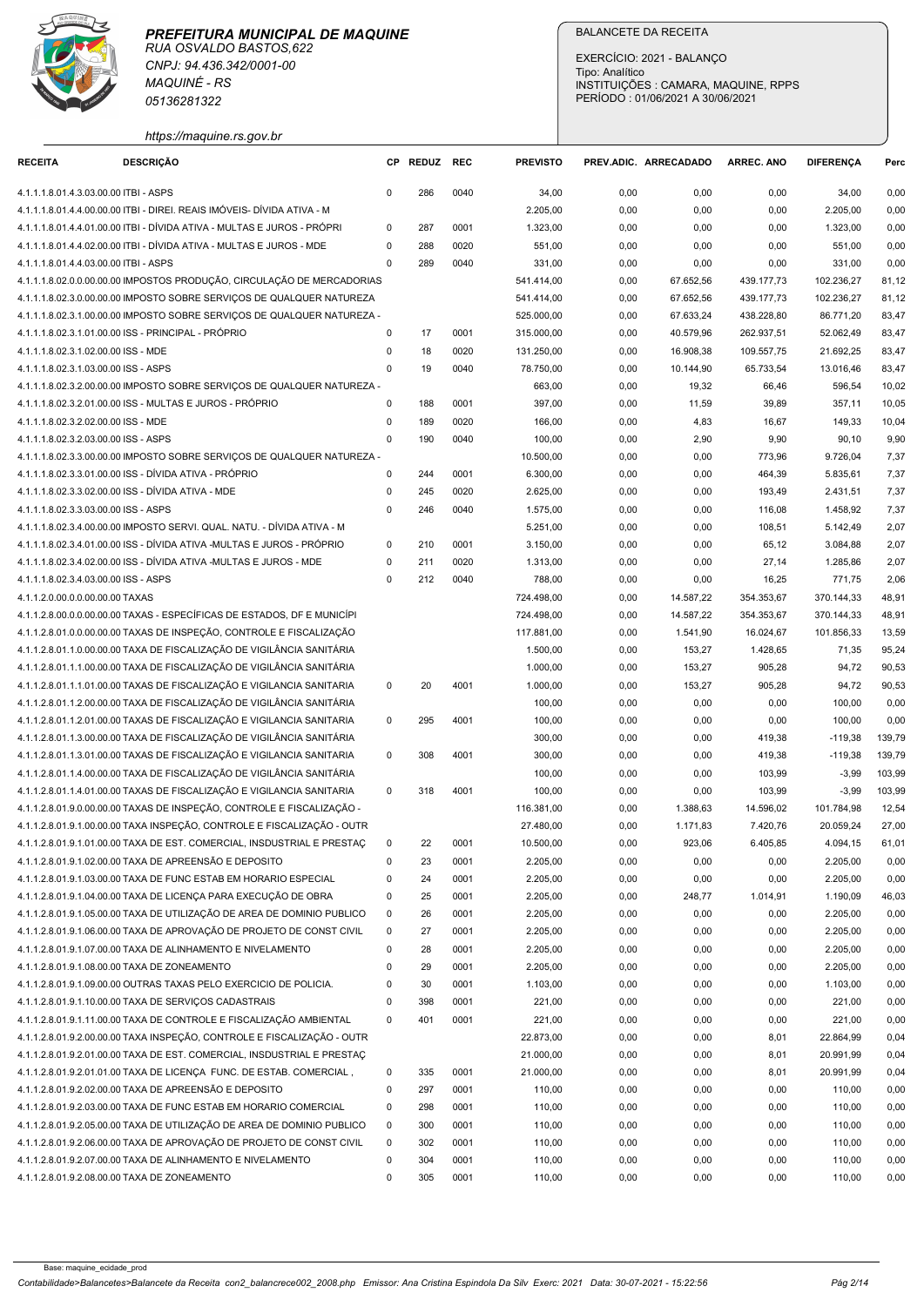

| <b>RECEITA</b>                                                              | 05136281322                                                                                                                                      |                            |              |              |                          | EXERCÍCIO: 2021 - BALANÇO<br>Tipo: Analítico<br>INSTITUIÇÕES : CAMARA, MAQUINE, RPPS<br>PERÍODO: 01/06/2021 A 30/06/2021 |                        |                          |                          |                  |
|-----------------------------------------------------------------------------|--------------------------------------------------------------------------------------------------------------------------------------------------|----------------------------|--------------|--------------|--------------------------|--------------------------------------------------------------------------------------------------------------------------|------------------------|--------------------------|--------------------------|------------------|
|                                                                             | https://maquine.rs.gov.br<br><b>DESCRIÇÃO</b>                                                                                                    |                            | CP REDUZ REC |              | <b>PREVISTO</b>          | PREV.ADIC. ARRECADADO                                                                                                    |                        | ARREC. ANO               | <b>DIFERENCA</b>         | Perc             |
| 4.1.1.1.8.01.4.3.03.00.00 ITBI - ASPS                                       |                                                                                                                                                  | $\Omega$                   | 286          | 0040         | 34,00                    |                                                                                                                          |                        | 0,00                     |                          |                  |
|                                                                             | 4.1.1.1.8.01.4.4.00.00.00 ITBI - DIREI. REAIS IMÓVEIS- DÍVIDA ATIVA - M                                                                          |                            |              |              | 2.205,00                 | 0,00<br>0,00                                                                                                             | 0,00<br>0,00           | 0,00                     | 34,00<br>2.205,00        | 0,00<br>0,00     |
|                                                                             | 4.1.1.1.8.01.4.4.01.00.00 ITBI - DÍVIDA ATIVA - MULTAS E JUROS - PRÓPRI                                                                          | $\Omega$                   | 287          | 0001         | 1.323,00                 | 0,00                                                                                                                     | 0,00                   | 0.00                     | 1.323,00                 | 0,00             |
|                                                                             | 4.1.1.1.8.01.4.4.02.00.00 ITBI - DÍVIDA ATIVA - MULTAS E JUROS - MDE                                                                             | $\Omega$                   | 288          | 0020         | 551,00                   | 0,00                                                                                                                     | 0,00                   | 0,00                     | 551,00                   | 0,00             |
| 4.1.1.1.8.01.4.4.03.00.00 ITBI - ASPS                                       | 4.1.1.1.8.02.0.0.00.00.00 IMPOSTOS PRODUÇÃO, CIRCULAÇÃO DE MERCADORIAS                                                                           | $\Omega$                   | 289          | 0040         | 331,00<br>541.414,00     | 0,00<br>0,00                                                                                                             | 0,00<br>67.652,56      | 0,00<br>439.177,73       | 331,00<br>102.236,27     | 0,00<br>81,12    |
|                                                                             | 4.1.1.1.8.02.3.0.00.00.00 IMPOSTO SOBRE SERVIÇOS DE QUALQUER NATUREZA                                                                            |                            |              |              | 541.414,00               | 0,00                                                                                                                     | 67.652,56              | 439.177,73               | 102.236,27               | 81,12            |
|                                                                             | 4.1.1.1.8.02.3.1.00.00.00 IMPOSTO SOBRE SERVIÇOS DE QUALQUER NATUREZA -                                                                          |                            |              |              | 525.000,00               | 0,00                                                                                                                     | 67.633,24              | 438.228,80               | 86.771,20                | 83,47            |
| 4.1.1.1.8.02.3.1.01.00.00 ISS - PRINCIPAL - PRÓPRIO                         |                                                                                                                                                  | $\Omega$                   | 17           | 0001         | 315.000,00               | 0,00                                                                                                                     | 40.579,96              | 262.937,51               | 52.062,49                | 83,47            |
| 4.1.1.1.8.02.3.1.02.00.00 ISS - MDE<br>4.1.1.1.8.02.3.1.03.00.00 ISS - ASPS |                                                                                                                                                  | 0<br>$\mathbf 0$           | 18<br>19     | 0020<br>0040 | 131.250,00<br>78.750,00  | 0,00<br>0,00                                                                                                             | 16.908,38<br>10.144,90 | 109.557,75<br>65.733,54  | 21.692,25<br>13.016,46   | 83,47<br>83,47   |
|                                                                             | 4.1.1.1.8.02.3.2.00.00.00 IMPOSTO SOBRE SERVIÇOS DE QUALQUER NATUREZA -                                                                          |                            |              |              | 663,00                   | 0,00                                                                                                                     | 19,32                  | 66,46                    | 596,54                   | 10,02            |
|                                                                             | 4.1.1.1.8.02.3.2.01.00.00 ISS - MULTAS E JUROS - PRÓPRIO                                                                                         | $\Omega$                   | 188          | 0001         | 397,00                   | 0,00                                                                                                                     | 11,59                  | 39,89                    | 357,11                   | 10,05            |
| 4.1.1.1.8.02.3.2.02.00.00 ISS - MDE<br>4.1.1.1.8.02.3.2.03.00.00 ISS - ASPS |                                                                                                                                                  | $\Omega$<br>$\Omega$       | 189<br>190   | 0020<br>0040 | 166,00<br>100,00         | 0,00<br>0,00                                                                                                             | 4,83<br>2,90           | 16,67<br>9,90            | 149,33<br>90,10          | 10,04<br>9,90    |
|                                                                             | 4.1.1.1.8.02.3.3.00.00.00 IMPOSTO SOBRE SERVIÇOS DE QUALQUER NATUREZA -                                                                          |                            |              |              | 10.500,00                | 0,00                                                                                                                     | 0,00                   | 773,96                   | 9.726,04                 | 7,37             |
|                                                                             | 4.1.1.1.8.02.3.3.01.00.00 ISS - DÍVIDA ATIVA - PRÓPRIO                                                                                           | 0                          | 244          | 0001         | 6.300,00                 | 0,00                                                                                                                     | 0,00                   | 464,39                   | 5.835,61                 | 7,37             |
| 4.1.1.1.8.02.3.3.02.00.00 ISS - DÍVIDA ATIVA - MDE                          |                                                                                                                                                  | 0                          | 245          | 0020         | 2.625,00                 | 0,00                                                                                                                     | 0,00                   | 193,49                   | 2.431,51                 | 7,37             |
| 4.1.1.1.8.02.3.3.03.00.00 ISS - ASPS                                        | 4.1.1.1.8.02.3.4.00.00.00 IMPOSTO SERVI. QUAL. NATU. - DÍVIDA ATIVA - M                                                                          | 0                          | 246          | 0040         | 1.575,00<br>5.251,00     | 0,00<br>0,00                                                                                                             | 0,00<br>0,00           | 116,08<br>108,51         | 1.458,92<br>5.142,49     | 7,37<br>2,07     |
|                                                                             | 4.1.1.1.8.02.3.4.01.00.00 ISS - DÍVIDA ATIVA -MULTAS E JUROS - PRÓPRIO                                                                           | 0                          | 210          | 0001         | 3.150,00                 | 0,00                                                                                                                     | 0,00                   | 65,12                    | 3.084,88                 | 2,07             |
|                                                                             | 4.1.1.1.8.02.3.4.02.00.00 ISS - DÍVIDA ATIVA -MULTAS E JUROS - MDE                                                                               | 0                          | 211          | 0020         | 1.313,00                 | 0,00                                                                                                                     | 0,00                   | 27,14                    | 1.285,86                 | 2,07             |
| 4.1.1.1.8.02.3.4.03.00.00 ISS - ASPS                                        |                                                                                                                                                  | $\Omega$                   | 212          | 0040         | 788,00                   | 0,00                                                                                                                     | 0,00                   | 16,25                    | 771,75                   | 2,06             |
| 4.1.1.2.0.00.0.0.00.00.00 TAXAS                                             | 4.1.1.2.8.00.0.0.00.00.00 TAXAS - ESPECÍFICAS DE ESTADOS, DF E MUNICÍPI                                                                          |                            |              |              | 724.498,00<br>724.498,00 | 0,00<br>0,00                                                                                                             | 14.587,22<br>14.587,22 | 354.353,67<br>354.353,67 | 370.144,33<br>370.144,33 | 48,91<br>48,91   |
|                                                                             | 4.1.1.2.8.01.0.0.00.00.00 TAXAS DE INSPEÇÃO, CONTROLE E FISCALIZAÇÃO                                                                             |                            |              |              | 117.881,00               | 0,00                                                                                                                     | 1.541,90               | 16.024,67                | 101.856,33               | 13,59            |
|                                                                             | 4.1.1.2.8.01.1.0.00.00.00 TAXA DE FISCALIZAÇÃO DE VIGILÂNCIA SANITÁRIA                                                                           |                            |              |              | 1.500,00                 | 0,00                                                                                                                     | 153,27                 | 1.428,65                 | 71,35                    | 95,24            |
|                                                                             | 4.1.1.2.8.01.1.1.00.00.00 TAXA DE FISCALIZAÇÃO DE VIGILÂNCIA SANITÁRIA                                                                           |                            |              |              | 1.000,00                 | 0,00                                                                                                                     | 153,27                 | 905,28                   | 94,72                    | 90,53            |
|                                                                             | 4.1.1.2.8.01.1.1.01.00.00 TAXAS DE FISCALIZAÇÃO E VIGILANCIA SANITARIA<br>4.1.1.2.8.01.1.2.00.00.00 TAXA DE FISCALIZAÇÃO DE VIGILÂNCIA SANITÁRIA | $\mathbf{0}$               | 20           | 4001         | 1.000,00<br>100,00       | 0,00<br>0,00                                                                                                             | 153,27<br>0,00         | 905,28<br>0,00           | 94,72<br>100,00          | 90,53<br>0,00    |
|                                                                             | 4.1.1.2.8.01.1.2.01.00.00 TAXAS DE FISCALIZAÇÃO E VIGILANCIA SANITARIA                                                                           | $\mathbf{0}$               | 295          | 4001         | 100,00                   | 0,00                                                                                                                     | 0,00                   | 0,00                     | 100,00                   | 0,00             |
|                                                                             | 4.1.1.2.8.01.1.3.00.00.00 TAXA DE FISCALIZAÇÃO DE VIGILÂNCIA SANITÁRIA                                                                           |                            |              |              | 300,00                   | 0,00                                                                                                                     | 0,00                   | 419,38                   | $-119,38$                | 139,79           |
|                                                                             | 4.1.1.2.8.01.1.3.01.00.00 TAXAS DE FISCALIZAÇÃO E VIGILANCIA SANITARIA                                                                           | $\mathbf{0}$               | 308          | 4001         | 300,00                   | 0,00                                                                                                                     | 0,00                   | 419,38                   | $-119,38$                | 139,79           |
|                                                                             | 4.1.1.2.8.01.1.4.00.00.00 TAXA DE FISCALIZAÇÃO DE VIGILÂNCIA SANITÁRIA<br>4.1.1.2.8.01.1.4.01.00.00 TAXAS DE FISCALIZAÇÃO E VIGILANCIA SANITARIA | $\mathbf 0$                | 318          | 4001         | 100,00<br>100,00         | 0,00<br>0,00                                                                                                             | 0,00<br>0,00           | 103,99<br>103,99         | $-3,99$<br>$-3,99$       | 103,99<br>103,99 |
|                                                                             | 4.1.1.2.8.01.9.0.00.00.00 TAXAS DE INSPEÇÃO, CONTROLE E FISCALIZAÇÃO -                                                                           |                            |              |              | 116.381,00               | 0,00                                                                                                                     | 1.388,63               | 14.596,02                | 101.784,98               | 12,54            |
|                                                                             | 4.1.1.2.8.01.9.1.00.00.00 TAXA INSPEÇÃO, CONTROLE E FISCALIZAÇÃO - OUTR                                                                          |                            |              |              | 27.480,00                | 0,00                                                                                                                     | 1.171,83               | 7.420,76                 | 20.059,24                | 27,00            |
|                                                                             | 4.1.1.2.8.01.9.1.01.00.00 TAXA DE EST. COMERCIAL, INSDUSTRIAL E PRESTAC<br>4.1.1.2.8.01.9.1.02.00.00 TAXA DE APREENSÃO E DEPOSITO                | $\mathbf 0$<br>$\mathbf 0$ | 22<br>23     | 0001<br>0001 | 10.500,00<br>2.205,00    | 0,00<br>0,00                                                                                                             | 923,06<br>0,00         | 6.405,85<br>0,00         | 4.094,15                 | 61,01<br>0,00    |
|                                                                             | 4.1.1.2.8.01.9.1.03.00.00 TAXA DE FUNC ESTAB EM HORARIO ESPECIAL                                                                                 | 0                          | 24           | 0001         | 2.205,00                 | 0,00                                                                                                                     | 0,00                   | 0,00                     | 2.205,00<br>2.205,00     | 0,00             |
|                                                                             | 4.1.1.2.8.01.9.1.04.00.00 TAXA DE LICENÇA PARA EXECUÇÃO DE OBRA                                                                                  | 0                          | 25           | 0001         | 2.205,00                 | 0,00                                                                                                                     | 248,77                 | 1.014,91                 | 1.190,09                 | 46,03            |
|                                                                             | 4.1.1.2.8.01.9.1.05.00.00 TAXA DE UTILIZAÇÃO DE AREA DE DOMINIO PUBLICO                                                                          | $\mathbf 0$                | 26           | 0001         | 2.205,00                 | 0,00                                                                                                                     | 0,00                   | 0,00                     | 2.205,00                 | 0,00             |
|                                                                             | 4.1.1.2.8.01.9.1.06.00.00 TAXA DE APROVAÇÃO DE PROJETO DE CONST CIVIL<br>4.1.1.2.8.01.9.1.07.00.00 TAXA DE ALINHAMENTO E NIVELAMENTO             | $\mathbf 0$<br>$\mathbf 0$ | 27<br>28     | 0001<br>0001 | 2.205,00<br>2.205,00     | 0,00<br>0,00                                                                                                             | 0,00<br>0,00           | 0,00<br>0,00             | 2.205,00<br>2.205,00     | 0,00<br>0,00     |
| 4.1.1.2.8.01.9.1.08.00.00 TAXA DE ZONEAMENTO                                |                                                                                                                                                  | $\mathbf 0$                | 29           | 0001         | 2.205,00                 | 0,00                                                                                                                     | 0,00                   | 0,00                     | 2.205,00                 | 0,00             |
|                                                                             | 4.1.1.2.8.01.9.1.09.00.00 OUTRAS TAXAS PELO EXERCICIO DE POLICIA.                                                                                | 0                          | 30           | 0001         | 1.103,00                 | 0,00                                                                                                                     | 0,00                   | 0,00                     | 1.103,00                 | 0,00             |
|                                                                             | 4.1.1.2.8.01.9.1.10.00.00 TAXA DE SERVIÇOS CADASTRAIS                                                                                            | 0                          | 398          | 0001         | 221,00                   | 0,00                                                                                                                     | 0,00                   | 0,00                     | 221,00                   | 0,00             |
|                                                                             | 4.1.1.2.8.01.9.1.11.00.00 TAXA DE CONTROLE E FISCALIZAÇÃO AMBIENTAL<br>4.1.1.2.8.01.9.2.00.00.00 TAXA INSPEÇÃO, CONTROLE E FISCALIZAÇÃO - OUTR   | $\mathbf 0$                | 401          | 0001         | 221,00<br>22.873,00      | 0,00<br>0,00                                                                                                             | 0,00<br>0,00           | 0,00<br>8,01             | 221,00<br>22.864,99      | 0,00<br>0,04     |
|                                                                             | 4.1.1.2.8.01.9.2.01.00.00 TAXA DE EST. COMERCIAL, INSDUSTRIAL E PRESTAC                                                                          |                            |              |              | 21.000,00                | 0,00                                                                                                                     | 0,00                   | 8,01                     | 20.991,99                | 0,04             |
|                                                                             | 4.1.1.2.8.01.9.2.01.01.00 TAXA DE LICENÇA FUNC. DE ESTAB. COMERCIAL                                                                              | $\mathbf 0$                | 335          | 0001         | 21.000,00                | 0,00                                                                                                                     | 0,00                   | 8,01                     | 20.991,99                | 0,04             |
|                                                                             | 4.1.1.2.8.01.9.2.02.00.00 TAXA DE APREENSÃO E DEPOSITO                                                                                           | $\mathbf 0$                | 297          | 0001         | 110,00                   | 0,00                                                                                                                     | 0,00                   | 0,00                     | 110,00                   | 0,00             |
|                                                                             | 4.1.1.2.8.01.9.2.03.00.00 TAXA DE FUNC ESTAB EM HORARIO COMERCIAL                                                                                | 0                          | 298          | 0001         | 110,00                   | 0,00                                                                                                                     | 0,00                   | 0,00                     | 110,00                   | 0,00             |
|                                                                             | 4.1.1.2.8.01.9.2.05.00.00 TAXA DE UTILIZAÇÃO DE AREA DE DOMINIO PUBLICO<br>4.1.1.2.8.01.9.2.06.00.00 TAXA DE APROVAÇÃO DE PROJETO DE CONST CIVIL | $\mathbf 0$<br>$\Omega$    | 300<br>302   | 0001<br>0001 | 110,00<br>110,00         | 0,00<br>0,00                                                                                                             | 0,00<br>0,00           | 0,00<br>0,00             | 110,00<br>110,00         | 0,00<br>0,00     |
|                                                                             | 4.1.1.2.8.01.9.2.07.00.00 TAXA DE ALINHAMENTO E NIVELAMENTO                                                                                      |                            | 304          | 0001         | 110,00                   | 0,00                                                                                                                     | 0,00                   | 0,00                     | 110,00                   | 0,00             |
|                                                                             | 4.1.1.2.8.01.9.2.08.00.00 TAXA DE ZONEAMENTO                                                                                                     |                            |              |              |                          |                                                                                                                          |                        |                          |                          |                  |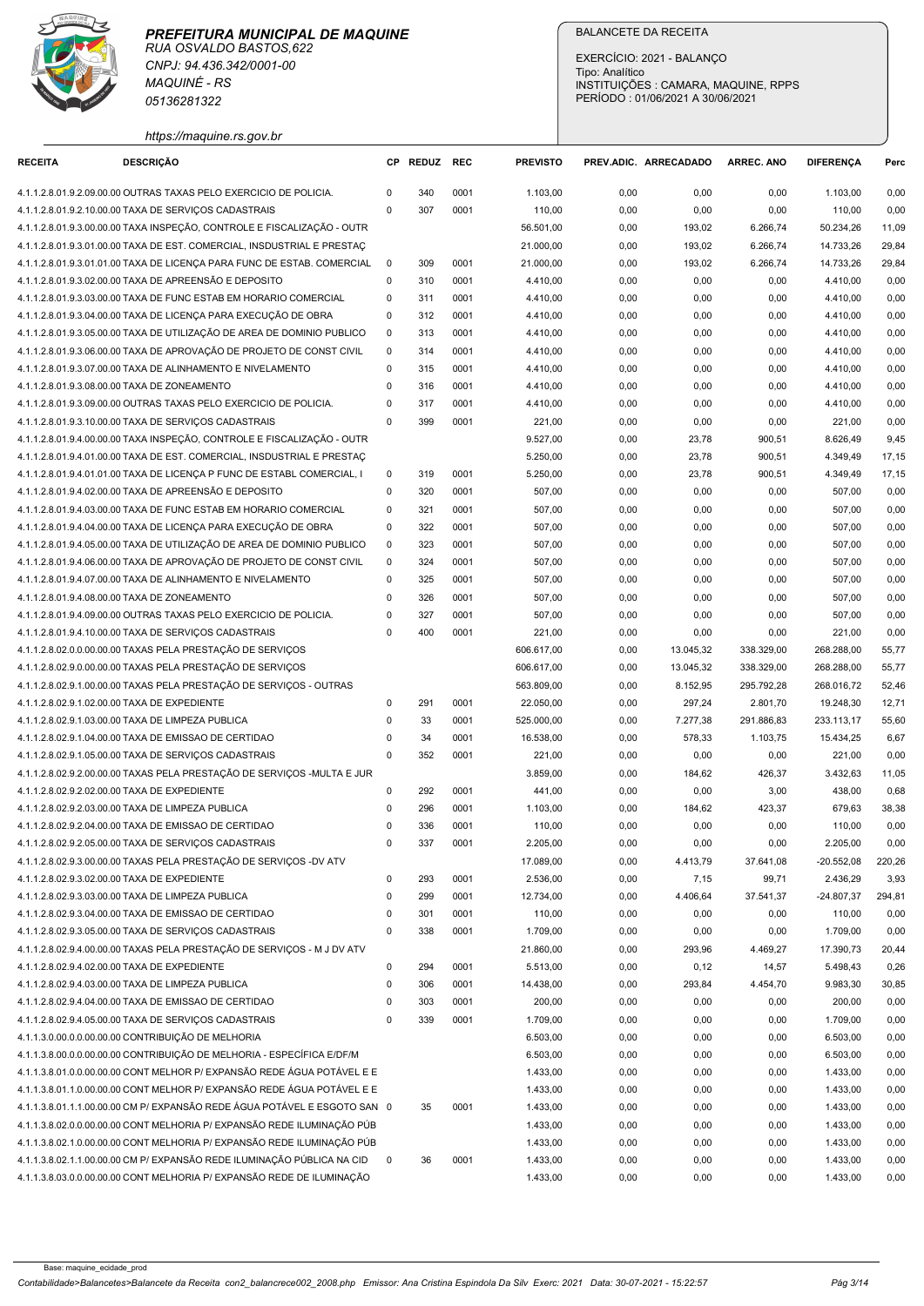

| https://maguine.rs.gov.bi |  |  |
|---------------------------|--|--|
|                           |  |  |

|                                              | <b>MAQUINÉ - RS</b><br>05136281322                                                                                                                 |                            |              |              |                       | EXERCÍCIO: 2021 - BALANÇO<br>Tipo: Analítico<br>INSTITUIÇÕES : CAMARA, MAQUINE, RPPS<br>PERÍODO: 01/06/2021 A 30/06/2021 |                   |                    |                          |                |
|----------------------------------------------|----------------------------------------------------------------------------------------------------------------------------------------------------|----------------------------|--------------|--------------|-----------------------|--------------------------------------------------------------------------------------------------------------------------|-------------------|--------------------|--------------------------|----------------|
| <b>RECEITA</b>                               | https://maquine.rs.gov.br<br><b>DESCRICÃO</b>                                                                                                      |                            | CP REDUZ REC |              | <b>PREVISTO</b>       | PREV.ADIC. ARRECADADO                                                                                                    |                   | <b>ARREC. ANO</b>  | <b>DIFERENCA</b>         | Perc           |
|                                              |                                                                                                                                                    |                            |              |              |                       |                                                                                                                          |                   |                    |                          |                |
|                                              | 4.1.1.2.8.01.9.2.09.00.00 OUTRAS TAXAS PELO EXERCICIO DE POLICIA.<br>4.1.1.2.8.01.9.2.10.00.00 TAXA DE SERVIÇOS CADASTRAIS                         | $\Omega$<br>$\mathbf{0}$   | 340<br>307   | 0001<br>0001 | 1.103,00<br>110,00    | 0,00<br>0,00                                                                                                             | 0,00<br>0,00      | 0,00<br>0,00       | 1.103,00<br>110,00       | 0,00<br>0,00   |
|                                              | 4.1.1.2.8.01.9.3.00.00.00 TAXA INSPEÇÃO, CONTROLE E FISCALIZAÇÃO - OUTR                                                                            |                            |              |              | 56.501,00             | 0,00                                                                                                                     | 193,02            | 6.266,74           | 50.234,26                | 11,09          |
|                                              | 4.1.1.2.8.01.9.3.01.00.00 TAXA DE EST. COMERCIAL, INSDUSTRIAL E PRESTAÇ                                                                            |                            |              |              | 21.000,00             | 0,00                                                                                                                     | 193,02            | 6.266,74           | 14.733,26                | 29,84          |
|                                              | 4.1.1.2.8.01.9.3.01.01.00 TAXA DE LICENÇA PARA FUNC DE ESTAB. COMERCIAL                                                                            | $\Omega$                   | 309          | 0001         | 21.000,00             | 0,00                                                                                                                     | 193,02            | 6.266,74           | 14.733,26                | 29,84          |
|                                              | 4.1.1.2.8.01.9.3.02.00.00 TAXA DE APREENSÃO E DEPOSITO<br>4.1.1.2.8.01.9.3.03.00.00 TAXA DE FUNC ESTAB EM HORARIO COMERCIAL                        | $\mathbf 0$<br>$\Omega$    | 310<br>311   | 0001<br>0001 | 4.410,00<br>4.410,00  | 0,00<br>0,00                                                                                                             | 0,00<br>0,00      | 0,00<br>0,00       | 4.410,00<br>4.410,00     | 0,00<br>0,00   |
|                                              | 4.1.1.2.8.01.9.3.04.00.00 TAXA DE LICENÇA PARA EXECUÇÃO DE OBRA                                                                                    | $\mathbf 0$                | 312          | 0001         | 4.410,00              | 0,00                                                                                                                     | 0,00              | 0,00               | 4.410,00                 | 0,00           |
|                                              | 4.1.1.2.8.01.9.3.05.00.00 TAXA DE UTILIZAÇÃO DE AREA DE DOMINIO PUBLICO                                                                            | $\mathbf 0$                | 313          | 0001         | 4.410,00              | 0,00                                                                                                                     | 0,00              | 0,00               | 4.410,00                 | 0,00           |
|                                              | 4.1.1.2.8.01.9.3.06.00.00 TAXA DE APROVAÇÃO DE PROJETO DE CONST CIVIL                                                                              | $\mathbf 0$                | 314          | 0001         | 4.410,00              | 0,00                                                                                                                     | 0,00              | 0,00               | 4.410,00                 | 0,00           |
|                                              | 4.1.1.2.8.01.9.3.07.00.00 TAXA DE ALINHAMENTO E NIVELAMENTO                                                                                        | $\mathbf 0$                | 315          | 0001         | 4.410,00              | 0,00                                                                                                                     | 0,00              | 0,00               | 4.410,00                 | 0,00           |
| 4.1.1.2.8.01.9.3.08.00.00 TAXA DE ZONEAMENTO | 4.1.1.2.8.01.9.3.09.00.00 OUTRAS TAXAS PELO EXERCICIO DE POLICIA.                                                                                  | 0<br>$\mathbf 0$           | 316<br>317   | 0001<br>0001 | 4.410,00<br>4.410,00  | 0,00<br>0,00                                                                                                             | 0,00<br>0,00      | 0,00<br>0,00       | 4.410,00<br>4.410,00     | 0,00<br>0,00   |
|                                              | 4.1.1.2.8.01.9.3.10.00.00 TAXA DE SERVIÇOS CADASTRAIS                                                                                              | $\Omega$                   | 399          | 0001         | 221,00                | 0,00                                                                                                                     | 0,00              | 0,00               | 221,00                   | 0,00           |
|                                              | 4.1.1.2.8.01.9.4.00.00.00 TAXA INSPEÇÃO, CONTROLE E FISCALIZAÇÃO - OUTR                                                                            |                            |              |              | 9.527,00              | 0,00                                                                                                                     | 23,78             | 900,51             | 8.626,49                 | 9,45           |
|                                              | 4.1.1.2.8.01.9.4.01.00.00 TAXA DE EST. COMERCIAL, INSDUSTRIAL E PRESTAC                                                                            |                            |              |              | 5.250,00              | 0,00                                                                                                                     | 23,78             | 900,51             | 4.349,49                 | 17,15          |
|                                              | 4.1.1.2.8.01.9.4.01.01.00 TAXA DE LICENÇA P FUNC DE ESTABL COMERCIAL, I                                                                            | $\mathbf 0$                | 319          | 0001         | 5.250,00              | 0,00                                                                                                                     | 23,78             | 900,51             | 4.349,49                 | 17,15          |
|                                              | 4.1.1.2.8.01.9.4.02.00.00 TAXA DE APREENSÃO E DEPOSITO                                                                                             | $\mathbf 0$                | 320          | 0001         | 507,00                | 0,00                                                                                                                     | 0,00              | 0,00               | 507,00                   | 0,00           |
|                                              | 4.1.1.2.8.01.9.4.03.00.00 TAXA DE FUNC ESTAB EM HORARIO COMERCIAL<br>4.1.1.2.8.01.9.4.04.00.00 TAXA DE LICENÇA PARA EXECUÇÃO DE OBRA               | $\mathbf 0$<br>$\mathbf 0$ | 321<br>322   | 0001<br>0001 | 507,00<br>507,00      | 0,00<br>0,00                                                                                                             | 0,00<br>0,00      | 0,00<br>0,00       | 507,00<br>507,00         | 0,00<br>0,00   |
|                                              | 4.1.1.2.8.01.9.4.05.00.00 TAXA DE UTILIZAÇÃO DE AREA DE DOMINIO PUBLICO                                                                            | 0                          | 323          | 0001         | 507,00                | 0,00                                                                                                                     | 0,00              | 0,00               | 507,00                   | 0,00           |
|                                              | 4.1.1.2.8.01.9.4.06.00.00 TAXA DE APROVAÇÃO DE PROJETO DE CONST CIVIL                                                                              | $\mathbf 0$                | 324          | 0001         | 507,00                | 0,00                                                                                                                     | 0,00              | 0,00               | 507,00                   | 0,00           |
|                                              | 4.1.1.2.8.01.9.4.07.00.00 TAXA DE ALINHAMENTO E NIVELAMENTO                                                                                        | $\mathbf 0$                | 325          | 0001         | 507,00                | 0,00                                                                                                                     | 0,00              | 0,00               | 507,00                   | 0,00           |
| 4.1.1.2.8.01.9.4.08.00.00 TAXA DE ZONEAMENTO |                                                                                                                                                    | $\mathbf 0$                | 326          | 0001         | 507,00                | 0,00                                                                                                                     | 0,00              | 0,00               | 507,00                   | 0,00           |
|                                              | 4.1.1.2.8.01.9.4.09.00.00 OUTRAS TAXAS PELO EXERCICIO DE POLICIA.                                                                                  | $\Omega$                   | 327          | 0001         | 507,00                | 0,00                                                                                                                     | 0,00              | 0,00               | 507,00                   | 0,00           |
|                                              | 4.1.1.2.8.01.9.4.10.00.00 TAXA DE SERVIÇOS CADASTRAIS<br>4.1.1.2.8.02.0.0.00.00.00 TAXAS PELA PRESTAÇÃO DE SERVIÇOS                                | $\mathbf{0}$               | 400          | 0001         | 221,00<br>606.617,00  | 0,00<br>0,00                                                                                                             | 0,00<br>13.045,32 | 0,00<br>338.329,00 | 221,00<br>268.288,00     | 0,00<br>55,77  |
|                                              | 4.1.1.2.8.02.9.0.00.00.00 TAXAS PELA PRESTAÇÃO DE SERVIÇOS                                                                                         |                            |              |              | 606.617,00            | 0,00                                                                                                                     | 13.045,32         | 338.329,00         | 268.288,00               | 55,77          |
|                                              | 4.1.1.2.8.02.9.1.00.00.00 TAXAS PELA PRESTAÇÃO DE SERVIÇOS - OUTRAS                                                                                |                            |              |              | 563.809,00            | 0,00                                                                                                                     | 8.152,95          | 295.792,28         | 268.016,72               | 52,46          |
| 4.1.1.2.8.02.9.1.02.00.00 TAXA DE EXPEDIENTE |                                                                                                                                                    | $\mathbf 0$                | 291          | 0001         | 22.050,00             | 0,00                                                                                                                     | 297,24            | 2.801,70           | 19.248,30                | 12,71          |
|                                              | 4.1.1.2.8.02.9.1.03.00.00 TAXA DE LIMPEZA PUBLICA                                                                                                  | $\Omega$                   | 33           | 0001         | 525.000,00            | 0,00                                                                                                                     | 7.277,38          | 291.886,83         | 233.113,17               | 55,60          |
|                                              | 4.1.1.2.8.02.9.1.04.00.00 TAXA DE EMISSAO DE CERTIDAO<br>4.1.1.2.8.02.9.1.05.00.00 TAXA DE SERVIÇOS CADASTRAIS                                     | $\mathbf 0$<br>$\mathbf 0$ | 34<br>352    | 0001<br>0001 | 16.538,00<br>221,00   | 0,00<br>0,00                                                                                                             | 578,33<br>0,00    | 1.103,75<br>0,00   | 15.434,25<br>221,00      | 6,67<br>0,00   |
|                                              | 4.1.1.2.8.02.9.2.00.00.00 TAXAS PELA PRESTAÇÃO DE SERVIÇOS - MULTA E JUR                                                                           |                            |              |              | 3.859,00              | 0,00                                                                                                                     | 184,62            | 426,37             | 3.432,63                 | 11,05          |
| 4.1.1.2.8.02.9.2.02.00.00 TAXA DE EXPEDIENTE |                                                                                                                                                    | $\Omega$                   | 292          | 0001         | 441,00                | 0,00                                                                                                                     | 0,00              | 3,00               | 438,00                   | 0,68           |
|                                              | 4.1.1.2.8.02.9.2.03.00.00 TAXA DE LIMPEZA PUBLICA                                                                                                  | $\mathbf 0$                | 296          | 0001         | 1.103,00              | 0,00                                                                                                                     | 184,62            | 423,37             | 679,63                   | 38,38          |
|                                              | 4.1.1.2.8.02.9.2.04.00.00 TAXA DE EMISSAO DE CERTIDAO                                                                                              | $\mathbf 0$                | 336          | 0001         | 110,00                | 0,00                                                                                                                     | 0,00              | 0,00               | 110,00                   | 0,00           |
|                                              | 4.1.1.2.8.02.9.2.05.00.00 TAXA DE SERVIÇOS CADASTRAIS                                                                                              | $\mathbf 0$                | 337          | 0001         | 2.205,00              | 0,00                                                                                                                     | 0,00              | 0,00               | 2.205,00                 | 0,00           |
| 4.1.1.2.8.02.9.3.02.00.00 TAXA DE EXPEDIENTE | 4.1.1.2.8.02.9.3.00.00.00 TAXAS PELA PRESTAÇÃO DE SERVIÇOS -DV ATV                                                                                 | $\mathbf 0$                | 293          | 0001         | 17.089,00<br>2.536,00 | 0,00<br>0,00                                                                                                             | 4.413,79<br>7,15  | 37.641,08<br>99,71 | $-20.552,08$<br>2.436,29 | 220,26<br>3,93 |
|                                              | 4.1.1.2.8.02.9.3.03.00.00 TAXA DE LIMPEZA PUBLICA                                                                                                  | $\mathbf 0$                | 299          | 0001         | 12.734,00             | 0,00                                                                                                                     | 4.406,64          | 37.541,37          | $-24.807,37$             | 294,81         |
|                                              | 4.1.1.2.8.02.9.3.04.00.00 TAXA DE EMISSAO DE CERTIDAO                                                                                              | $\Omega$                   | 301          | 0001         | 110,00                | 0,00                                                                                                                     | 0,00              | 0,00               | 110,00                   | 0,00           |
|                                              | 4.1.1.2.8.02.9.3.05.00.00 TAXA DE SERVIÇOS CADASTRAIS                                                                                              | $\mathbf 0$                | 338          | 0001         | 1.709,00              | 0,00                                                                                                                     | 0,00              | 0,00               | 1.709,00                 | 0,00           |
|                                              | 4.1.1.2.8.02.9.4.00.00.00 TAXAS PELA PRESTAÇÃO DE SERVIÇOS - M J DV ATV                                                                            |                            |              |              | 21.860,00             | 0,00                                                                                                                     | 293,96            | 4.469,27           | 17.390,73                | 20,44          |
| 4.1.1.2.8.02.9.4.02.00.00 TAXA DE EXPEDIENTE | 4.1.1.2.8.02.9.4.03.00.00 TAXA DE LIMPEZA PUBLICA                                                                                                  | $\mathbf 0$<br>$\mathbf 0$ | 294<br>306   | 0001<br>0001 | 5.513,00<br>14.438,00 | 0,00<br>0,00                                                                                                             | 0,12<br>293,84    | 14,57<br>4.454,70  | 5.498,43<br>9.983,30     | 0,26<br>30,85  |
|                                              | 4.1.1.2.8.02.9.4.04.00.00 TAXA DE EMISSAO DE CERTIDAO                                                                                              | $\Omega$                   | 303          | 0001         | 200,00                | 0,00                                                                                                                     | 0,00              | 0,00               | 200,00                   | 0,00           |
|                                              | 4.1.1.2.8.02.9.4.05.00.00 TAXA DE SERVIÇOS CADASTRAIS                                                                                              | $\Omega$                   | 339          | 0001         | 1.709,00              | 0,00                                                                                                                     | 0,00              | 0,00               | 1.709,00                 | 0,00           |
|                                              | 4.1.1.3.0.00.0.0.00.00.00 CONTRIBUIÇÃO DE MELHORIA                                                                                                 |                            |              |              | 6.503,00              | 0,00                                                                                                                     | 0,00              | 0,00               | 6.503,00                 | 0,00           |
|                                              | 4.1.1.3.8.00.0.0.00.00.00 CONTRIBUIÇÃO DE MELHORIA - ESPECÍFICA E/DF/M                                                                             |                            |              |              | 6.503,00              | 0,00                                                                                                                     | 0,00              | 0,00               | 6.503,00                 | 0,00           |
|                                              | 4.1.1.3.8.01.0.0.00.00.00 CONT MELHOR P/ EXPANSÃO REDE ÁGUA POTÁVEL E E<br>4.1.1.3.8.01.1.0.00.00.00 CONT MELHOR P/ EXPANSÃO REDE ÁGUA POTÁVEL E E |                            |              |              | 1.433,00<br>1.433,00  | 0,00<br>0,00                                                                                                             | 0,00<br>0,00      | 0,00<br>0,00       | 1.433,00<br>1.433,00     | 0,00<br>0,00   |
|                                              | 4.1.1.3.8.01.1.1.00.00.00 CM P/ EXPANSÃO REDE ÁGUA POTÁVEL E ESGOTO SAN 0                                                                          |                            | 35           | 0001         | 1.433,00              | 0,00                                                                                                                     | 0,00              | 0,00               | 1.433,00                 | 0,00           |
|                                              | 4.1.1.3.8.02.0.0.00.00.00 CONT MELHORIA P/ EXPANSÃO REDE ILUMINAÇÃO PÚB                                                                            |                            |              |              | 1.433,00              | 0,00                                                                                                                     | 0,00              | 0,00               | 1.433,00                 | 0,00           |
|                                              | 4.1.1.3.8.02.1.0.00.00.00 CONT MELHORIA P/ EXPANSÃO REDE ILUMINAÇÃO PÚB                                                                            |                            |              |              | 1.433,00              | 0,00                                                                                                                     | 0,00              | 0,00               | 1.433,00                 | 0,00           |
|                                              | 4.1.1.3.8.02.1.1.00.00.00 CM P/ EXPANSÃO REDE ILUMINAÇÃO PÚBLICA NA CID                                                                            | 0                          | 36           | 0001         | 1.433,00              | 0,00                                                                                                                     | 0,00              | 0,00               | 1.433,00                 | 0,00           |
|                                              | 4.1.1.3.8.03.0.0.00.00.00 CONT MELHORIA P/ EXPANSÃO REDE DE ILUMINAÇÃO                                                                             |                            |              |              | 1.433,00              |                                                                                                                          |                   |                    |                          | 0,00           |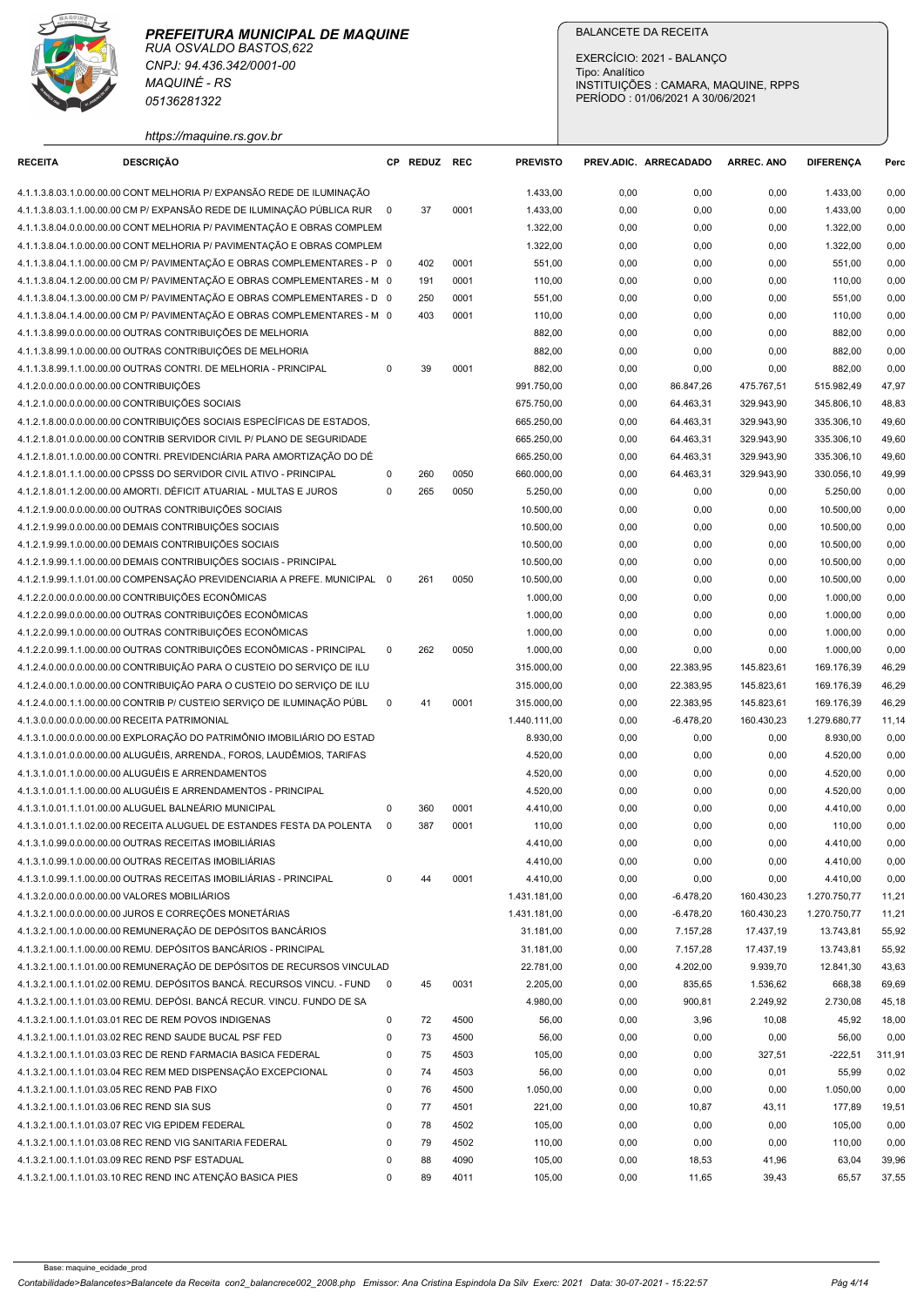

| <b>RECEITA</b><br>4.1.2.0.0.00.0.0.00.00.00 CONTRIBUIÇÕES | CNPJ: 94.436.342/0001-00<br><b>MAQUINÉ - RS</b><br>05136281322<br>https://maquine.rs.gov.br<br><b>DESCRIÇÃO</b><br>4.1.1.3.8.03.1.0.00.00.00 CONT MELHORIA P/ EXPANSÃO REDE DE ILUMINAÇÃO<br>4.1.1.3.8.03.1.1.00.00.00 CM P/ EXPANSÃO REDE DE ILUMINAÇÃO PÚBLICA RUR 0<br>4.1.1.3.8.04.0.0.00.00.00 CONT MELHORIA P/ PAVIMENTAÇÃO E OBRAS COMPLEM<br>4.1.1.3.8.04.1.0.00.00.00 CONT MELHORIA P/ PAVIMENTAÇÃO E OBRAS COMPLEM |                                        |              |              |                           | Tipo: Analítico                                                          |                         |                          |                           |                |
|-----------------------------------------------------------|------------------------------------------------------------------------------------------------------------------------------------------------------------------------------------------------------------------------------------------------------------------------------------------------------------------------------------------------------------------------------------------------------------------------------|----------------------------------------|--------------|--------------|---------------------------|--------------------------------------------------------------------------|-------------------------|--------------------------|---------------------------|----------------|
|                                                           |                                                                                                                                                                                                                                                                                                                                                                                                                              |                                        |              |              |                           | INSTITUIÇÕES : CAMARA, MAQUINE, RPPS<br>PERÍODO: 01/06/2021 A 30/06/2021 |                         |                          |                           |                |
|                                                           |                                                                                                                                                                                                                                                                                                                                                                                                                              |                                        | CP REDUZ REC |              | <b>PREVISTO</b>           | PREV.ADIC. ARRECADADO                                                    |                         | <b>ARREC. ANO</b>        | <b>DIFERENCA</b>          | Perc           |
|                                                           |                                                                                                                                                                                                                                                                                                                                                                                                                              |                                        |              |              | 1.433,00                  | 0,00                                                                     | 0,00                    | 0,00                     | 1.433,00                  | 0,00           |
|                                                           |                                                                                                                                                                                                                                                                                                                                                                                                                              |                                        | 37           | 0001         | 1.433,00                  | 0,00                                                                     | 0,00                    | 0,00                     | 1.433,00                  | 0,00           |
|                                                           |                                                                                                                                                                                                                                                                                                                                                                                                                              |                                        |              |              | 1.322,00                  | 0,00                                                                     | 0,00                    | 0,00                     | 1.322,00                  | 0,00           |
|                                                           |                                                                                                                                                                                                                                                                                                                                                                                                                              |                                        |              |              | 1.322,00                  | 0,00                                                                     | 0,00                    | 0,00                     | 1.322,00                  | 0,00           |
|                                                           | 4.1.1.3.8.04.1.1.00.00.00 CM P/ PAVIMENTAÇÃO E OBRAS COMPLEMENTARES - P 0<br>4.1.1.3.8.04.1.2.00.00.00 CM P/ PAVIMENTAÇÃO E OBRAS COMPLEMENTARES - M 0                                                                                                                                                                                                                                                                       |                                        | 402<br>191   | 0001<br>0001 | 551,00<br>110,00          | 0,00<br>0,00                                                             | 0,00<br>0,00            | 0,00<br>0,00             | 551,00<br>110,00          | 0,00<br>0,00   |
|                                                           | 4.1.1.3.8.04.1.3.00.00.00 CM P/ PAVIMENTAÇÃO E OBRAS COMPLEMENTARES - D 0                                                                                                                                                                                                                                                                                                                                                    |                                        | 250          | 0001         | 551,00                    | 0,00                                                                     | 0,00                    | 0,00                     | 551,00                    | 0,00           |
|                                                           | 4.1.1.3.8.04.1.4.00.00.00 CM P/ PAVIMENTAÇÃO E OBRAS COMPLEMENTARES - M 0                                                                                                                                                                                                                                                                                                                                                    |                                        | 403          | 0001         | 110,00                    | 0,00                                                                     | 0,00                    | 0,00                     | 110,00                    | 0,00           |
|                                                           | 4.1.1.3.8.99.0.0.00.00.00 OUTRAS CONTRIBUIÇÕES DE MELHORIA                                                                                                                                                                                                                                                                                                                                                                   |                                        |              |              | 882,00                    | 0,00                                                                     | 0,00                    | 0,00                     | 882,00                    | 0,00           |
|                                                           | 4.1.1.3.8.99.1.0.00.00.00 OUTRAS CONTRIBUIÇÕES DE MELHORIA                                                                                                                                                                                                                                                                                                                                                                   |                                        |              |              | 882,00                    | 0,00                                                                     | 0,00                    | 0,00                     | 882,00                    | 0,00           |
|                                                           | 4.1.1.3.8.99.1.1.00.00.00 OUTRAS CONTRI. DE MELHORIA - PRINCIPAL                                                                                                                                                                                                                                                                                                                                                             | $\Omega$                               | 39           | 0001         | 882,00<br>991.750,00      | 0,00<br>0,00                                                             | 0,00<br>86.847,26       | 0,00<br>475.767,51       | 882,00<br>515.982,49      | 0,00<br>47,97  |
| 4.1.2.1.0.00.0.0.00.00.00 CONTRIBUIÇÕES SOCIAIS           |                                                                                                                                                                                                                                                                                                                                                                                                                              |                                        |              |              | 675.750,00                | 0,00                                                                     | 64.463,31               | 329.943,90               | 345.806,10                | 48,83          |
|                                                           | 4.1.2.1.8.00.0.0.00.00.00 CONTRIBUIÇÕES SOCIAIS ESPECÍFICAS DE ESTADOS,                                                                                                                                                                                                                                                                                                                                                      |                                        |              |              | 665.250,00                | 0,00                                                                     | 64.463,31               | 329.943,90               | 335.306,10                | 49,60          |
|                                                           | 4.1.2.1.8.01.0.0.00.00.00 CONTRIB SERVIDOR CIVIL P/ PLANO DE SEGURIDADE                                                                                                                                                                                                                                                                                                                                                      |                                        |              |              | 665.250,00                | 0,00                                                                     | 64.463,31               | 329.943,90               | 335.306,10                | 49,60          |
|                                                           | 4.1.2.1.8.01.1.0.00.00.00 CONTRI. PREVIDENCIARIA PARA AMORTIZAÇÃO DO DÊ                                                                                                                                                                                                                                                                                                                                                      |                                        |              |              | 665.250,00                | 0,00                                                                     | 64.463,31               | 329.943,90               | 335.306,10                | 49,60          |
|                                                           | 4.1.2.1.8.01.1.1.00.00.00 CPSSS DO SERVIDOR CIVIL ATIVO - PRINCIPAL<br>4.1.2.1.8.01.1.2.00.00.00 AMORTI. DÉFICIT ATUARIAL - MULTAS E JUROS                                                                                                                                                                                                                                                                                   | 0<br>$\mathbf 0$                       | 260<br>265   | 0050<br>0050 | 660.000,00<br>5.250,00    | 0,00<br>0,00                                                             | 64.463,31<br>0,00       | 329.943,90<br>0,00       | 330.056,10<br>5.250,00    | 49,99<br>0,00  |
|                                                           | 4.1.2.1.9.00.0.0.00.00.00 OUTRAS CONTRIBUIÇÕES SOCIAIS                                                                                                                                                                                                                                                                                                                                                                       |                                        |              |              | 10.500,00                 | 0,00                                                                     | 0,00                    | 0,00                     | 10.500,00                 | 0,00           |
|                                                           | 4.1.2.1.9.99.0.0.00.00.00 DEMAIS CONTRIBUIÇÕES SOCIAIS                                                                                                                                                                                                                                                                                                                                                                       |                                        |              |              | 10.500,00                 | 0,00                                                                     | 0,00                    | 0,00                     | 10.500,00                 | 0,00           |
|                                                           | 4.1.2.1.9.99.1.0.00.00.00 DEMAIS CONTRIBUIÇÕES SOCIAIS                                                                                                                                                                                                                                                                                                                                                                       |                                        |              |              | 10.500,00                 | 0,00                                                                     | 0,00                    | 0,00                     | 10.500,00                 | 0,00           |
|                                                           | 4.1.2.1.9.99.1.1.00.00.00 DEMAIS CONTRIBUIÇÕES SOCIAIS - PRINCIPAL                                                                                                                                                                                                                                                                                                                                                           |                                        |              |              | 10.500,00                 | 0,00                                                                     | 0,00                    | 0,00                     | 10.500,00                 | 0,00           |
|                                                           | 4.1.2.1.9.99.1.1.01.00.00 COMPENSAÇÃO PREVIDENCIARIA A PREFE. MUNICIPAL 0<br>4.1.2.2.0.00.0.0.00.00.00 CONTRIBUIÇÕES ECONÔMICAS                                                                                                                                                                                                                                                                                              |                                        | 261          | 0050         | 10.500,00<br>1.000,00     | 0,00<br>0,00                                                             | 0,00<br>0,00            | 0,00<br>0,00             | 10.500,00                 | 0,00<br>0,00   |
|                                                           | 4.1.2.2.0.99.0.0.00.00.00 OUTRAS CONTRIBUIÇÕES ECONÔMICAS                                                                                                                                                                                                                                                                                                                                                                    |                                        |              |              | 1.000,00                  | 0,00                                                                     | 0,00                    | 0,00                     | 1.000,00<br>1.000,00      | 0,00           |
|                                                           | 4.1.2.2.0.99.1.0.00.00.00 OUTRAS CONTRIBUIÇÕES ECONÔMICAS                                                                                                                                                                                                                                                                                                                                                                    |                                        |              |              | 1.000,00                  | 0,00                                                                     | 0,00                    | 0,00                     | 1.000,00                  | 0,00           |
|                                                           | 4.1.2.2.0.99.1.1.00.00.00 OUTRAS CONTRIBUIÇÕES ECONÔMICAS - PRINCIPAL                                                                                                                                                                                                                                                                                                                                                        | $\mathbf 0$                            | 262          | 0050         | 1.000,00                  | 0,00                                                                     | 0,00                    | 0,00                     | 1.000,00                  | 0,00           |
|                                                           | 4.1.2.4.0.00.0.00.00.00 CONTRIBUIÇÃO PARA O CUSTEIO DO SERVIÇO DE ILU                                                                                                                                                                                                                                                                                                                                                        |                                        |              |              | 315.000,00                | 0,00                                                                     | 22.383,95               | 145.823,61               | 169.176,39                | 46,29          |
|                                                           | 4.1.2.4.0.00.1.0.00.00.00 CONTRIBUIÇÃO PARA O CUSTEIO DO SERVIÇO DE ILU                                                                                                                                                                                                                                                                                                                                                      | $\Omega$                               | 41           | 0001         | 315.000,00<br>315.000,00  | 0,00<br>0,00                                                             | 22.383,95<br>22.383,95  | 145.823,61<br>145.823,61 | 169.176,39<br>169.176,39  | 46,29          |
| 4.1.3.0.0.00.0.0.00.00.00 RECEITA PATRIMONIAL             | 4.1.2.4.0.00.1.1.00.00.00 CONTRIB P/ CUSTEIO SERVIÇO DE ILUMINAÇÃO PÚBL                                                                                                                                                                                                                                                                                                                                                      |                                        |              |              | 1.440.111,00              | 0,00                                                                     | $-6.478,20$             | 160.430,23               | 1.279.680,77              | 46,29<br>11,14 |
|                                                           | 4.1.3.1.0.00.0.00.00.00 EXPLORAÇÃO DO PATRIMÔNIO IMOBILIÁRIO DO ESTAD                                                                                                                                                                                                                                                                                                                                                        |                                        |              |              | 8.930,00                  | 0,00                                                                     | 0,00                    | 0,00                     | 8.930,00                  | 0,00           |
|                                                           | 4.1.3.1.0.01.0.0.00.00.00 ALUGUÉIS, ARRENDA., FOROS, LAUDÊMIOS, TARIFAS                                                                                                                                                                                                                                                                                                                                                      |                                        |              |              | 4.520,00                  | 0,00                                                                     | 0,00                    | 0,00                     | 4.520,00                  | 0,00           |
|                                                           | 4.1.3.1.0.01.1.0.00.00.00 ALUGUÉIS E ARRENDAMENTOS                                                                                                                                                                                                                                                                                                                                                                           |                                        |              |              | 4.520,00                  | 0,00                                                                     | 0,00                    | 0,00                     | 4.520,00                  | 0,00           |
|                                                           | 4.1.3.1.0.01.1.1.00.00.00 ALUGUÉIS E ARRENDAMENTOS - PRINCIPAL                                                                                                                                                                                                                                                                                                                                                               |                                        |              |              | 4.520,00                  | 0,00                                                                     | 0,00                    | 0,00                     | 4.520,00                  | 0,00           |
|                                                           | 4.1.3.1.0.01.1.1.01.00.00 ALUGUEL BALNEÁRIO MUNICIPAL<br>4.1.3.1.0.01.1.1.02.00.00 RECEITA ALUGUEL DE ESTANDES FESTA DA POLENTA                                                                                                                                                                                                                                                                                              | $\mathbf 0$<br>$\overline{\mathbf{0}}$ | 360<br>387   | 0001<br>0001 | 4.410,00<br>110,00        | 0,00<br>0,00                                                             | 0,00<br>0,00            | 0,00<br>0,00             | 4.410,00<br>110,00        | 0,00<br>0,00   |
|                                                           | 4.1.3.1.0.99.0.0.00.00.00 OUTRAS RECEITAS IMOBILIÁRIAS                                                                                                                                                                                                                                                                                                                                                                       |                                        |              |              | 4.410,00                  | 0,00                                                                     | 0,00                    | 0,00                     | 4.410,00                  | 0,00           |
|                                                           | 4.1.3.1.0.99.1.0.00.00.00 OUTRAS RECEITAS IMOBILIÁRIAS                                                                                                                                                                                                                                                                                                                                                                       |                                        |              |              | 4.410,00                  | 0,00                                                                     | 0,00                    | 0,00                     | 4.410,00                  | 0,00           |
|                                                           | 4.1.3.1.0.99.1.1.00.00.00 OUTRAS RECEITAS IMOBILIÁRIAS - PRINCIPAL                                                                                                                                                                                                                                                                                                                                                           | $\mathbf 0$                            | 44           | 0001         | 4.410,00                  | 0,00                                                                     | 0,00                    | 0,00                     | 4.410,00                  | 0,00           |
| 4.1.3.2.0.00.0.0.00.00.00 VALORES MOBILIÁRIOS             |                                                                                                                                                                                                                                                                                                                                                                                                                              |                                        |              |              | 1.431.181,00              | 0,00                                                                     | $-6.478,20$             | 160.430,23               | 1.270.750,77              | 11,21          |
|                                                           | 4.1.3.2.1.00.0.0.00.00.00 JUROS E CORREÇÕES MONETÁRIAS<br>4.1.3.2.1.00.1.0.00.00.00 REMUNERAÇÃO DE DEPÓSITOS BANCÁRIOS                                                                                                                                                                                                                                                                                                       |                                        |              |              | 1.431.181,00<br>31.181,00 | 0,00<br>0,00                                                             | $-6.478,20$<br>7.157,28 | 160.430,23<br>17.437,19  | 1.270.750,77<br>13.743,81 | 11,21<br>55,92 |
|                                                           | 4.1.3.2.1.00.1.1.00.00.00 REMU. DEPÓSITOS BANCÁRIOS - PRINCIPAL                                                                                                                                                                                                                                                                                                                                                              |                                        |              |              | 31.181,00                 | 0,00                                                                     | 7.157,28                | 17.437,19                | 13.743,81                 | 55,92          |
|                                                           | 4.1.3.2.1.00.1.1.01.00.00 REMUNERAÇÃO DE DEPÓSITOS DE RECURSOS VINCULAD                                                                                                                                                                                                                                                                                                                                                      |                                        |              |              | 22.781,00                 | 0,00                                                                     | 4.202,00                | 9.939,70                 | 12.841,30                 | 43,63          |
|                                                           | 4.1.3.2.1.00.1.1.01.02.00 REMU. DEPÓSITOS BANCÁ. RECURSOS VINCU. - FUND<br>$\overline{\phantom{0}}$                                                                                                                                                                                                                                                                                                                          |                                        | 45           | 0031         | 2.205,00                  | 0,00                                                                     | 835,65                  | 1.536,62                 | 668,38                    | 69,69          |
|                                                           | 4.1.3.2.1.00.1.1.01.03.00 REMU. DEPÓSI. BANCÁ RECUR. VINCU. FUNDO DE SA                                                                                                                                                                                                                                                                                                                                                      |                                        |              |              | 4.980,00                  | 0,00                                                                     | 900,81                  | 2.249,92                 | 2.730,08                  | 45,18          |
|                                                           | 4.1.3.2.1.00.1.1.01.03.01 REC DE REM POVOS INDIGENAS<br>4.1.3.2.1.00.1.1.01.03.02 REC REND SAUDE BUCAL PSF FED                                                                                                                                                                                                                                                                                                               | 0                                      | 72           | 4500         | 56,00                     | 0,00                                                                     | 3,96                    | 10,08                    | 45,92                     | 18,00          |
|                                                           | 4.1.3.2.1.00.1.1.01.03.03 REC DE REND FARMACIA BASICA FEDERAL                                                                                                                                                                                                                                                                                                                                                                | 0<br>$\mathbf 0$                       | 73<br>75     | 4500<br>4503 | 56,00<br>105,00           | 0,00<br>0,00                                                             | 0,00<br>0,00            | 0,00<br>327,51           | 56,00<br>$-222,51$        | 0,00<br>311,91 |
|                                                           | 4.1.3.2.1.00.1.1.01.03.04 REC REM MED DISPENSAÇÃO EXCEPCIONAL                                                                                                                                                                                                                                                                                                                                                                | $\mathbf 0$                            | 74           | 4503         | 56,00                     | 0,00                                                                     | 0,00                    | 0,01                     | 55,99                     | 0,02           |
| 4.1.3.2.1.00.1.1.01.03.05 REC REND PAB FIXO               |                                                                                                                                                                                                                                                                                                                                                                                                                              | $\mathbf 0$                            | 76           | 4500         | 1.050,00                  | 0,00                                                                     | 0,00                    | 0,00                     | 1.050,00                  | 0,00           |
| 4.1.3.2.1.00.1.1.01.03.06 REC REND SIA SUS                |                                                                                                                                                                                                                                                                                                                                                                                                                              | $\Omega$                               | 77           | 4501         | 221,00                    | 0,00                                                                     | 10,87                   | 43,11                    | 177,89                    | 19,51          |
| 4.1.3.2.1.00.1.1.01.03.07 REC VIG EPIDEM FEDERAL          |                                                                                                                                                                                                                                                                                                                                                                                                                              | $\Omega$                               | 78           | 4502         | 105,00                    | 0,00                                                                     | 0,00                    | 0,00                     | 105,00                    | 0,00           |
|                                                           | 4.1.3.2.1.00.1.1.01.03.08 REC REND VIG SANITARIA FEDERAL                                                                                                                                                                                                                                                                                                                                                                     | $\Omega$                               | 79           | 4502         | 110,00                    | 0,00                                                                     | 0,00                    | 0,00                     | 110,00                    | 0,00           |
| 4.1.3.2.1.00.1.1.01.03.09 REC REND PSF ESTADUAL           | 4.1.3.2.1.00.1.1.01.03.10 REC REND INC ATENÇÃO BASICA PIES                                                                                                                                                                                                                                                                                                                                                                   | $\Omega$                               | 88<br>89     | 4090<br>4011 | 105,00<br>105,00          | 0,00<br>0,00                                                             | 18,53<br>11,65          | 41,96<br>39,43           | 63,04<br>65,57            | 39,96<br>37,55 |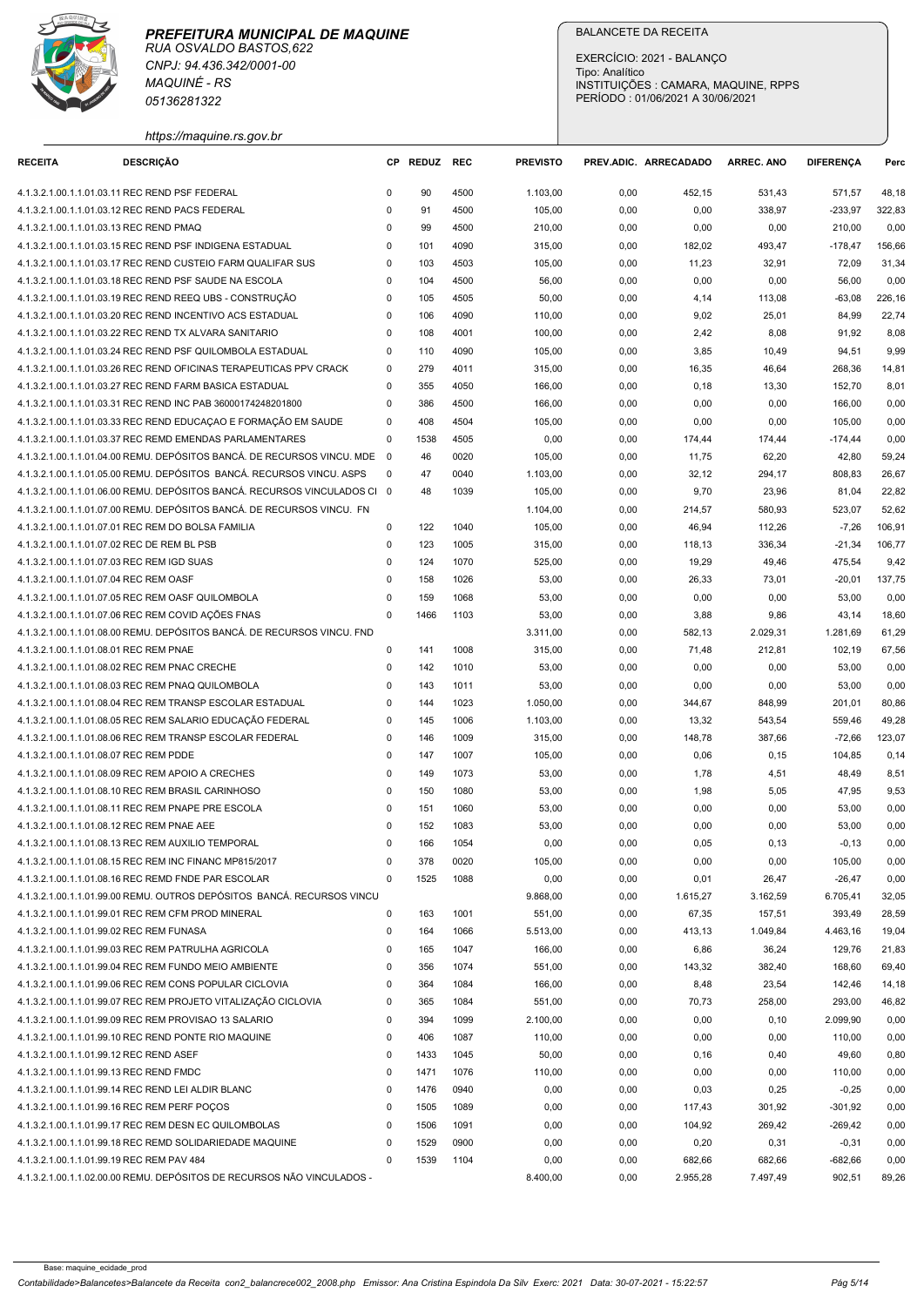

|                                                                                           | <b>MAQUINÉ - RS</b><br>05136281322                                                                                                  |                  |              |              |                    | EXERCÍCIO: 2021 - BALANÇO<br>Tipo: Analítico<br>INSTITUIÇÕES : CAMARA, MAQUINE, RPPS<br>PERÍODO: 01/06/2021 A 30/06/2021 |                  |                   |                      |                 |
|-------------------------------------------------------------------------------------------|-------------------------------------------------------------------------------------------------------------------------------------|------------------|--------------|--------------|--------------------|--------------------------------------------------------------------------------------------------------------------------|------------------|-------------------|----------------------|-----------------|
| <b>RECEITA</b>                                                                            | https://maquine.rs.gov.br<br><b>DESCRIÇÃO</b>                                                                                       |                  | CP REDUZ REC |              | <b>PREVISTO</b>    | PREV.ADIC. ARRECADADO                                                                                                    |                  | <b>ARREC. ANO</b> | <b>DIFERENCA</b>     | Perc            |
| 4.1.3.2.1.00.1.1.01.03.11 REC REND PSF FEDERAL                                            |                                                                                                                                     | $^{\circ}$       | 90           | 4500         | 1.103,00           | 0,00                                                                                                                     | 452,15           | 531,43            | 571,57               | 48,18           |
| 4.1.3.2.1.00.1.1.01.03.12 REC REND PACS FEDERAL                                           |                                                                                                                                     | 0                | 91           | 4500         | 105,00             | 0,00                                                                                                                     | 0,00             | 338,97            | $-233,97$            | 322,83          |
| 4.1.3.2.1.00.1.1.01.03.13 REC REND PMAQ                                                   |                                                                                                                                     | $\Omega$         | 99           | 4500         | 210,00             | 0,00                                                                                                                     | 0,00             | 0,00              | 210,00               | 0,00            |
|                                                                                           | 4.1.3.2.1.00.1.1.01.03.15 REC REND PSF INDIGENA ESTADUAL<br>4.1.3.2.1.00.1.1.01.03.17 REC REND CUSTEIO FARM QUALIFAR SUS            | 0<br>0           | 101<br>103   | 4090<br>4503 | 315,00<br>105,00   | 0,00<br>0,00                                                                                                             | 182,02<br>11,23  | 493,47<br>32,91   | $-178,47$<br>72,09   | 156,66<br>31,34 |
|                                                                                           | 4.1.3.2.1.00.1.1.01.03.18 REC REND PSF SAUDE NA ESCOLA                                                                              | $\mathbf 0$      | 104          | 4500         | 56,00              | 0,00                                                                                                                     | 0,00             | 0,00              | 56,00                | 0,00            |
|                                                                                           | 4.1.3.2.1.00.1.1.01.03.19 REC REND REEQ UBS - CONSTRUÇÃO                                                                            | $\mathbf 0$      | 105          | 4505         | 50,00              | 0,00                                                                                                                     | 4,14             | 113,08            | $-63,08$             | 226,16          |
|                                                                                           | 4.1.3.2.1.00.1.1.01.03.20 REC REND INCENTIVO ACS ESTADUAL                                                                           | 0                | 106          | 4090         | 110,00             | 0,00                                                                                                                     | 9,02             | 25,01             | 84,99                | 22,74           |
|                                                                                           | 4.1.3.2.1.00.1.1.01.03.22 REC REND TX ALVARA SANITARIO                                                                              | 0                | 108          | 4001         | 100,00             | 0,00                                                                                                                     | 2,42             | 8,08              | 91,92                | 8,08            |
|                                                                                           | 4.1.3.2.1.00.1.1.01.03.24 REC REND PSF QUILOMBOLA ESTADUAL<br>4.1.3.2.1.00.1.1.01.03.26 REC REND OFICINAS TERAPEUTICAS PPV CRACK    | 0<br>0           | 110<br>279   | 4090<br>4011 | 105,00<br>315,00   | 0,00<br>0,00                                                                                                             | 3,85<br>16,35    | 10,49<br>46,64    | 94,51<br>268,36      | 9,99<br>14,81   |
|                                                                                           | 4.1.3.2.1.00.1.1.01.03.27 REC REND FARM BASICA ESTADUAL                                                                             | 0                | 355          | 4050         | 166,00             | 0,00                                                                                                                     | 0,18             | 13,30             | 152,70               | 8,01            |
|                                                                                           | 4.1.3.2.1.00.1.1.01.03.31 REC REND INC PAB 36000174248201800                                                                        | 0                | 386          | 4500         | 166,00             | 0,00                                                                                                                     | 0,00             | 0,00              | 166,00               | 0,00            |
|                                                                                           | 4.1.3.2.1.00.1.1.01.03.33 REC REND EDUCAÇÃO E FORMAÇÃO EM SAUDE                                                                     | $^{\circ}$       | 408          | 4504         | 105,00             | 0,00                                                                                                                     | 0,00             | 0,00              | 105,00               | 0,00            |
|                                                                                           | 4.1.3.2.1.00.1.1.01.03.37 REC REMD EMENDAS PARLAMENTARES<br>4.1.3.2.1.00.1.1.01.04.00 REMU. DEPÓSITOS BANCÁ. DE RECURSOS VINCU. MDE | 0<br>- 0         | 1538<br>46   | 4505         | 0,00               | 0,00                                                                                                                     | 174,44           | 174,44            | $-174,44$            | 0,00            |
|                                                                                           | 4.1.3.2.1.00.1.1.01.05.00 REMU. DEPÓSITOS BANCÁ. RECURSOS VINCU. ASPS                                                               | - 0              | 47           | 0020<br>0040 | 105,00<br>1.103,00 | 0,00<br>0,00                                                                                                             | 11,75<br>32,12   | 62,20<br>294,17   | 42,80<br>808,83      | 59,24<br>26,67  |
|                                                                                           | 4.1.3.2.1.00.1.1.01.06.00 REMU. DEPÓSITOS BANCÁ. RECURSOS VINCULADOS CI 0                                                           |                  | 48           | 1039         | 105,00             | 0,00                                                                                                                     | 9,70             | 23,96             | 81,04                | 22,82           |
|                                                                                           | 4.1.3.2.1.00.1.1.01.07.00 REMU. DEPÓSITOS BANCÁ. DE RECURSOS VINCU. FN                                                              |                  |              |              | 1.104,00           | 0,00                                                                                                                     | 214,57           | 580,93            | 523,07               | 52,62           |
|                                                                                           | 4.1.3.2.1.00.1.1.01.07.01 REC REM DO BOLSA FAMILIA                                                                                  | 0                | 122          | 1040         | 105,00             | 0,00                                                                                                                     | 46,94            | 112,26            | $-7,26$              | 106,91          |
| 4.1.3.2.1.00.1.1.01.07.02 REC DE REM BL PSB<br>4.1.3.2.1.00.1.1.01.07.03 REC REM IGD SUAS |                                                                                                                                     | $\mathbf 0$<br>0 | 123<br>124   | 1005<br>1070 | 315,00             | 0,00                                                                                                                     | 118,13           | 336,34            | $-21,34$             | 106,77          |
| 4.1.3.2.1.00.1.1.01.07.04 REC REM OASF                                                    |                                                                                                                                     | 0                | 158          | 1026         | 525,00<br>53,00    | 0,00<br>0,00                                                                                                             | 19,29<br>26,33   | 49,46<br>73,01    | 475,54<br>$-20,01$   | 9,42<br>137,75  |
|                                                                                           | 4.1.3.2.1.00.1.1.01.07.05 REC REM OASF QUILOMBOLA                                                                                   | $\Omega$         | 159          | 1068         | 53,00              | 0,00                                                                                                                     | 0,00             | 0,00              | 53,00                | 0,00            |
|                                                                                           | 4.1.3.2.1.00.1.1.01.07.06 REC REM COVID AÇÕES FNAS                                                                                  | 0                | 1466         | 1103         | 53,00              | 0,00                                                                                                                     | 3,88             | 9,86              | 43,14                | 18,60           |
|                                                                                           | 4.1.3.2.1.00.1.1.01.08.00 REMU. DEPÓSITOS BANCÁ. DE RECURSOS VINCU. FND                                                             |                  |              |              | 3.311,00           | 0,00                                                                                                                     | 582,13           | 2.029,31          | 1.281,69             | 61,29           |
| 4.1.3.2.1.00.1.1.01.08.01 REC REM PNAE                                                    |                                                                                                                                     | 0                | 141          | 1008         | 315,00             | 0,00                                                                                                                     | 71,48            | 212,81            | 102,19               | 67,56           |
| 4.1.3.2.1.00.1.1.01.08.02 REC REM PNAC CRECHE                                             | 4.1.3.2.1.00.1.1.01.08.03 REC REM PNAQ QUILOMBOLA                                                                                   | $\mathbf 0$<br>0 | 142<br>143   | 1010<br>1011 | 53,00<br>53,00     | 0,00<br>0,00                                                                                                             | 0,00<br>0,00     | 0,00<br>0,00      | 53,00<br>53,00       | 0,00<br>0,00    |
|                                                                                           | 4.1.3.2.1.00.1.1.01.08.04 REC REM TRANSP ESCOLAR ESTADUAL                                                                           | 0                | 144          | 1023         | 1.050,00           | 0,00                                                                                                                     | 344,67           | 848,99            | 201,01               | 80,86           |
|                                                                                           | 4.1.3.2.1.00.1.1.01.08.05 REC REM SALARIO EDUCAÇÃO FEDERAL                                                                          | 0                | 145          | 1006         | 1.103,00           | 0,00                                                                                                                     | 13,32            | 543,54            | 559,46               | 49,28           |
|                                                                                           | 4.1.3.2.1.00.1.1.01.08.06 REC REM TRANSP ESCOLAR FEDERAL                                                                            | 0                | 146          | 1009         | 315,00             | 0,00                                                                                                                     | 148,78           | 387,66            | -72,66               | 123,07          |
| 4.1.3.2.1.00.1.1.01.08.07 REC REM PDDE                                                    |                                                                                                                                     | 0                | 147          | 1007         | 105,00             | 0,00                                                                                                                     | 0,06             | 0,15              | 104,85               | 0,14            |
|                                                                                           | 4.1.3.2.1.00.1.1.01.08.09 REC REM APOIO A CRECHES<br>4.1.3.2.1.00.1.1.01.08.10 REC REM BRASIL CARINHOSO                             | 0<br>0           | 149<br>150   | 1073<br>1080 | 53,00<br>53,00     | 0,00<br>0,00                                                                                                             | 1,78<br>1,98     | 4,51<br>5,05      | 48,49<br>47,95       | 8,51<br>9,53    |
|                                                                                           | 4.1.3.2.1.00.1.1.01.08.11 REC REM PNAPE PRE ESCOLA                                                                                  | 0                | 151          | 1060         | 53,00              | 0,00                                                                                                                     | 0,00             | 0,00              | 53,00                | 0,00            |
| 4.1.3.2.1.00.1.1.01.08.12 REC REM PNAE AEE                                                |                                                                                                                                     | $\mathbf 0$      | 152          | 1083         | 53,00              | 0,00                                                                                                                     | 0,00             | 0,00              | 53,00                | 0,00            |
|                                                                                           | 4.1.3.2.1.00.1.1.01.08.13 REC REM AUXILIO TEMPORAL                                                                                  | 0                | 166          | 1054         | 0,00               | 0,00                                                                                                                     | 0,05             | 0,13              | $-0,13$              | 0,00            |
|                                                                                           | 4.1.3.2.1.00.1.1.01.08.15 REC REM INC FINANC MP815/2017                                                                             | $\Omega$         | 378          | 0020         | 105,00             | 0,00                                                                                                                     | 0,00             | 0,00              | 105,00               | 0,00            |
|                                                                                           | 4.1.3.2.1.00.1.1.01.08.16 REC REMD FNDE PAR ESCOLAR<br>4.1.3.2.1.00.1.1.01.99.00 REMU. OUTROS DEPÓSITOS BANCÁ. RECURSOS VINCU       | 0                | 1525         | 1088         | 0,00<br>9.868,00   | 0,00<br>0,00                                                                                                             | 0,01<br>1.615,27 | 26,47<br>3.162,59 | $-26,47$<br>6.705,41 | 0,00<br>32,05   |
|                                                                                           | 4.1.3.2.1.00.1.1.01.99.01 REC REM CFM PROD MINERAL                                                                                  | $\mathbf 0$      | 163          | 1001         | 551,00             | 0,00                                                                                                                     | 67,35            | 157,51            | 393,49               | 28,59           |
| 4.1.3.2.1.00.1.1.01.99.02 REC REM FUNASA                                                  |                                                                                                                                     | $^{\circ}$       | 164          | 1066         | 5.513,00           | 0,00                                                                                                                     | 413,13           | 1.049,84          | 4.463,16             | 19,04           |
|                                                                                           | 4.1.3.2.1.00.1.1.01.99.03 REC REM PATRULHA AGRICOLA                                                                                 | 0                | 165          | 1047         | 166,00             | 0,00                                                                                                                     | 6,86             | 36,24             | 129,76               | 21,83           |
|                                                                                           | 4.1.3.2.1.00.1.1.01.99.04 REC REM FUNDO MEIO AMBIENTE                                                                               | 0                | 356          | 1074         | 551,00             | 0,00                                                                                                                     | 143,32           | 382,40            | 168,60               | 69,40           |
|                                                                                           | 4.1.3.2.1.00.1.1.01.99.06 REC REM CONS POPULAR CICLOVIA<br>4.1.3.2.1.00.1.1.01.99.07 REC REM PROJETO VITALIZAÇÃO CICLOVIA           | 0<br>0           | 364<br>365   | 1084<br>1084 | 166,00<br>551,00   | 0,00<br>0,00                                                                                                             | 8,48<br>70,73    | 23,54<br>258,00   | 142,46<br>293,00     | 14,18<br>46,82  |
|                                                                                           | 4.1.3.2.1.00.1.1.01.99.09 REC REM PROVISAO 13 SALARIO                                                                               | $\mathbf 0$      | 394          | 1099         | 2.100,00           | 0,00                                                                                                                     | 0,00             | 0, 10             | 2.099,90             | 0,00            |
|                                                                                           | 4.1.3.2.1.00.1.1.01.99.10 REC REND PONTE RIO MAQUINE                                                                                | 0                | 406          | 1087         | 110,00             | 0,00                                                                                                                     | 0,00             | 0,00              | 110,00               | 0,00            |
| 4.1.3.2.1.00.1.1.01.99.12 REC REND ASEF                                                   |                                                                                                                                     | 0                | 1433         | 1045         | 50,00              | 0,00                                                                                                                     | 0, 16            | 0,40              | 49,60                | 0,80            |
| 4.1.3.2.1.00.1.1.01.99.13 REC REND FMDC                                                   |                                                                                                                                     | 0                | 1471         | 1076         | 110,00             | 0,00                                                                                                                     | 0,00             | 0,00              | 110,00               | 0,00            |
|                                                                                           | 4.1.3.2.1.00.1.1.01.99.14 REC REND LEI ALDIR BLANC                                                                                  | 0                | 1476         | 0940         | 0,00               | 0,00                                                                                                                     | 0,03             | 0,25              | $-0,25$              | 0,00            |
| 4.1.3.2.1.00.1.1.01.99.16 REC REM PERF POÇOS                                              | 4.1.3.2.1.00.1.1.01.99.17 REC REM DESN EC QUILOMBOLAS                                                                               | $^{\circ}$<br>0  | 1505<br>1506 | 1089<br>1091 | 0,00<br>0,00       | 0,00<br>0,00                                                                                                             | 117,43<br>104,92 | 301,92<br>269,42  | -301,92<br>$-269,42$ | 0,00<br>0,00    |
|                                                                                           | 4.1.3.2.1.00.1.1.01.99.18 REC REMD SOLIDARIEDADE MAQUINE                                                                            | $^{\circ}$       | 1529         | 0900         | 0,00               | 0,00                                                                                                                     | 0,20             | 0,31              | $-0,31$              | 0,00            |
| 4.1.3.2.1.00.1.1.01.99.19 REC REM PAV 484                                                 |                                                                                                                                     | $\mathbf 0$      | 1539         | 1104         | 0,00               | 0,00                                                                                                                     | 682,66           | 682,66            | $-682,66$            | 0,00            |
|                                                                                           | 4.1.3.2.1.00.1.1.02.00.00 REMU. DEPÓSITOS DE RECURSOS NÃO VINCULADOS -                                                              |                  |              |              | 8.400,00           | 0,00                                                                                                                     | 2.955,28         | 7.497,49          | 902,51               | 89,26           |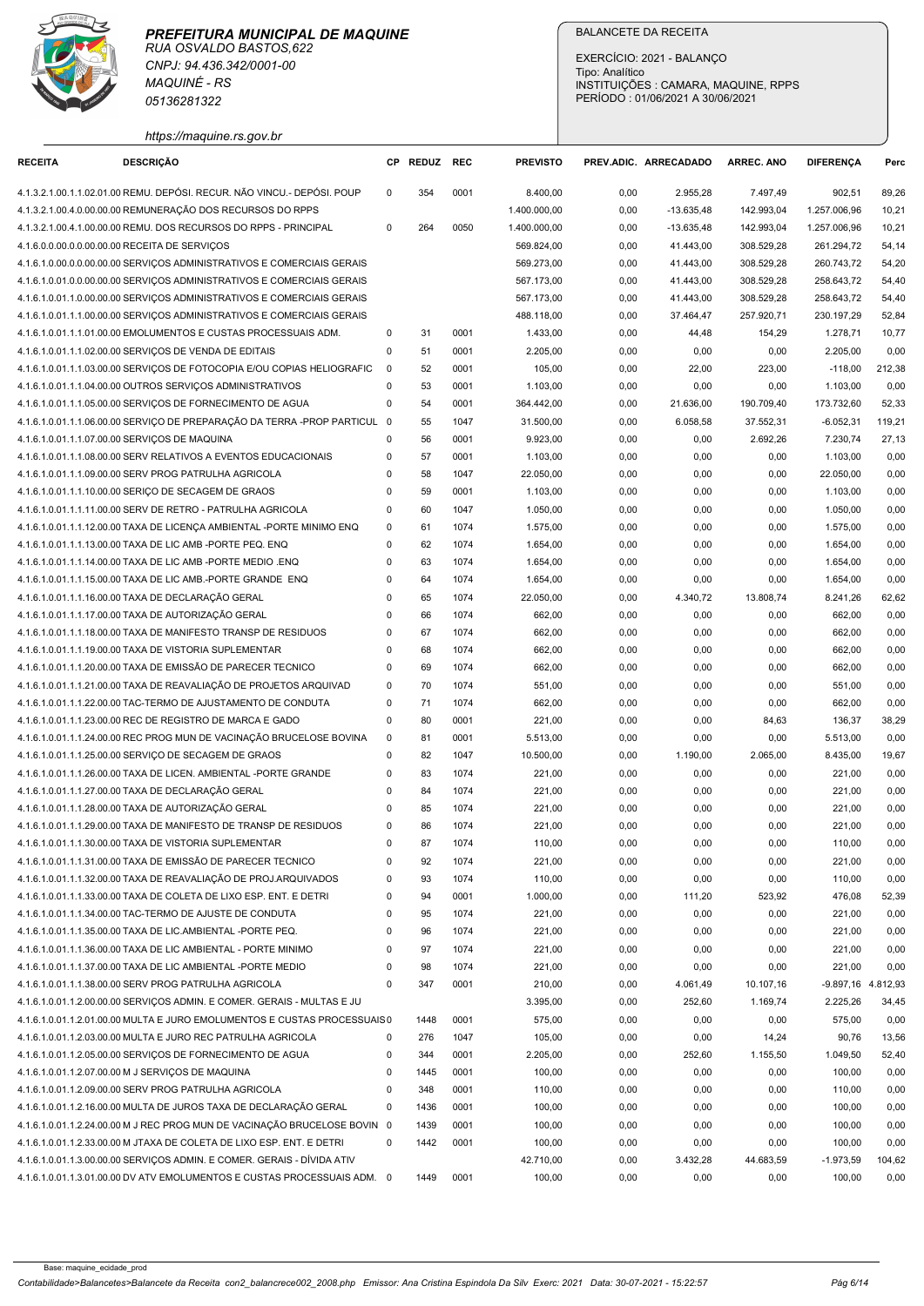# PREFEITURA MUNICIPAL DE MAQUINE

|                                               | <b>MAQUINÉ - RS</b><br>05136281322                                                                                                                |                            |              |              |                          | EXERCÍCIO: 2021 - BALANCO<br>Tipo: Analítico<br>INSTITUIÇÕES : CAMARA, MAQUINE, RPPS<br>PERÍODO: 01/06/2021 A 30/06/2021 |                        |                          |                                |                |
|-----------------------------------------------|---------------------------------------------------------------------------------------------------------------------------------------------------|----------------------------|--------------|--------------|--------------------------|--------------------------------------------------------------------------------------------------------------------------|------------------------|--------------------------|--------------------------------|----------------|
| <b>RECEITA</b>                                | https://maquine.rs.gov.br<br><b>DESCRIÇÃO</b>                                                                                                     |                            | CP REDUZ REC |              | <b>PREVISTO</b>          | PREV.ADIC. ARRECADADO                                                                                                    |                        | <b>ARREC. ANO</b>        | <b>DIFERENCA</b>               | Perc           |
|                                               | 4.1.3.2.1.00.1.1.02.01.00 REMU. DEPÓSI. RECUR. NÃO VINCU.- DEPÓSI. POUP                                                                           | $\Omega$                   | 354          | 0001         | 8.400,00                 | 0,00                                                                                                                     | 2.955,28               | 7.497,49                 | 902,51                         | 89,26          |
|                                               | 4.1.3.2.1.00.4.0.00.00.00 REMUNERAÇÃO DOS RECURSOS DO RPPS                                                                                        |                            |              |              | 1.400.000,00             | 0,00                                                                                                                     | $-13.635,48$           | 142.993,04               | 1.257.006,96                   | 10,21          |
|                                               | 4.1.3.2.1.00.4.1.00.00.00 REMU. DOS RECURSOS DO RPPS - PRINCIPAL                                                                                  | 0                          | 264          | 0050         | 1.400.000,00             | 0,00                                                                                                                     | $-13.635,48$           | 142.993,04               | 1.257.006,96                   | 10,21          |
| 4.1.6.0.0.00.0.0.00.00.00 RECEITA DE SERVIÇOS |                                                                                                                                                   |                            |              |              | 569.824,00               | 0,00                                                                                                                     | 41.443,00              | 308.529,28               | 261.294,72                     | 54,14          |
|                                               | 4.1.6.1.0.00.0.00.00.00.00 SERVIÇOS ADMINISTRATIVOS E COMERCIAIS GERAIS<br>4.1.6.1.0.01.0.0.00.00.00 SERVIÇOS ADMINISTRATIVOS E COMERCIAIS GERAIS |                            |              |              | 569.273,00<br>567.173,00 | 0,00<br>0,00                                                                                                             | 41.443,00<br>41.443,00 | 308.529,28<br>308.529,28 | 260.743,72<br>258.643,72       | 54,20<br>54,40 |
|                                               | 4.1.6.1.0.01.1.0.00.00.00 SERVIÇOS ADMINISTRATIVOS E COMERCIAIS GERAIS                                                                            |                            |              |              | 567.173,00               | 0,00                                                                                                                     | 41.443,00              | 308.529,28               | 258.643,72                     | 54,40          |
|                                               | 4.1.6.1.0.01.1.1.00.00.00 SERVIÇOS ADMINISTRATIVOS E COMERCIAIS GERAIS                                                                            |                            |              |              | 488.118,00               | 0,00                                                                                                                     | 37.464,47              | 257.920,71               | 230.197,29                     | 52,84          |
|                                               | 4.1.6.1.0.01.1.1.01.00.00 EMOLUMENTOS E CUSTAS PROCESSUAIS ADM.                                                                                   | 0                          | 31           | 0001         | 1.433,00                 | 0,00                                                                                                                     | 44,48                  | 154,29                   | 1.278,71                       | 10,77          |
|                                               | 4.1.6.1.0.01.1.1.02.00.00 SERVIÇOS DE VENDA DE EDITAIS<br>4.1.6.1.0.01.1.1.03.00.00 SERVIÇOS DE FOTOCOPIA E/OU COPIAS HELIOGRAFIC                 | 0<br>$\overline{0}$        | 51<br>52     | 0001<br>0001 | 2.205,00<br>105,00       | 0,00<br>0,00                                                                                                             | 0,00<br>22,00          | 0,00<br>223,00           | 2.205,00<br>$-118,00$          | 0,00<br>212,38 |
|                                               | 4.1.6.1.0.01.1.1.04.00.00 OUTROS SERVIÇOS ADMINISTRATIVOS                                                                                         | 0                          | 53           | 0001         | 1.103,00                 | 0,00                                                                                                                     | 0,00                   | 0,00                     | 1.103,00                       | 0,00           |
|                                               | 4.1.6.1.0.01.1.1.05.00.00 SERVIÇOS DE FORNECIMENTO DE AGUA                                                                                        | $\mathbf 0$                | 54           | 0001         | 364.442,00               | 0,00                                                                                                                     | 21.636,00              | 190.709,40               | 173.732,60                     | 52,33          |
|                                               | 4.1.6.1.0.01.1.1.06.00.00 SERVIÇO DE PREPARAÇÃO DA TERRA -PROP PARTICUL 0                                                                         |                            | 55           | 1047         | 31.500,00                | 0,00                                                                                                                     | 6.058,58               | 37.552,31                | $-6.052,31$                    | 119,21         |
| 4.1.6.1.0.01.1.1.07.00.00 SERVIÇOS DE MAQUINA | 4.1.6.1.0.01.1.1.08.00.00 SERV RELATIVOS A EVENTOS EDUCACIONAIS                                                                                   | 0<br>0                     | 56<br>57     | 0001<br>0001 | 9.923,00<br>1.103,00     | 0,00<br>0,00                                                                                                             | 0,00                   | 2.692,26<br>0,00         | 7.230,74                       | 27,13          |
|                                               | 4.1.6.1.0.01.1.1.09.00.00 SERV PROG PATRULHA AGRICOLA                                                                                             | $\mathbf 0$                | 58           | 1047         | 22.050,00                | 0,00                                                                                                                     | 0,00<br>0,00           | 0,00                     | 1.103,00<br>22.050,00          | 0,00<br>0,00   |
|                                               | 4.1.6.1.0.01.1.1.10.00.00 SERICO DE SECAGEM DE GRAOS                                                                                              | 0                          | 59           | 0001         | 1.103,00                 | 0,00                                                                                                                     | 0,00                   | 0,00                     | 1.103,00                       | 0,00           |
|                                               | 4.1.6.1.0.01.1.1.11.00.00 SERV DE RETRO - PATRULHA AGRICOLA                                                                                       | 0                          | 60           | 1047         | 1.050,00                 | 0,00                                                                                                                     | 0,00                   | 0,00                     | 1.050,00                       | 0,00           |
|                                               | 4.1.6.1.0.01.1.1.12.00.00 TAXA DE LICENÇA AMBIENTAL -PORTE MINIMO ENQ                                                                             | $\mathbf 0$                | 61           | 1074         | 1.575,00                 | 0,00                                                                                                                     | 0,00                   | 0,00                     | 1.575,00                       | 0,00           |
|                                               | 4.1.6.1.0.01.1.1.13.00.00 TAXA DE LIC AMB -PORTE PEQ. ENQ<br>4.1.6.1.0.01.1.1.14.00.00 TAXA DE LIC AMB -PORTE MEDIO .ENQ                          | 0<br>$\mathbf 0$           | 62<br>63     | 1074<br>1074 | 1.654,00<br>1.654,00     | 0,00<br>0,00                                                                                                             | 0,00<br>0,00           | 0,00<br>0,00             | 1.654,00<br>1.654,00           | 0,00<br>0,00   |
|                                               | 4.1.6.1.0.01.1.1.15.00.00 TAXA DE LIC AMB.-PORTE GRANDE ENQ                                                                                       | $\mathbf 0$                | 64           | 1074         | 1.654,00                 | 0,00                                                                                                                     | 0,00                   | 0,00                     | 1.654,00                       | 0,00           |
|                                               | 4.1.6.1.0.01.1.1.16.00.00 TAXA DE DECLARAÇÃO GERAL                                                                                                | $\mathbf 0$                | 65           | 1074         | 22.050,00                | 0,00                                                                                                                     | 4.340,72               | 13.808,74                | 8.241,26                       | 62,62          |
|                                               | 4.1.6.1.0.01.1.1.17.00.00 TAXA DE AUTORIZAÇÃO GERAL                                                                                               | $\mathbf 0$                | 66           | 1074         | 662,00                   | 0,00                                                                                                                     | 0,00                   | 0,00                     | 662,00                         | 0,00           |
|                                               | 4.1.6.1.0.01.1.1.18.00.00 TAXA DE MANIFESTO TRANSP DE RESIDUOS                                                                                    | $\mathbf 0$                | 67           | 1074         | 662,00                   | 0,00                                                                                                                     | 0,00                   | 0,00                     | 662,00                         | 0,00           |
|                                               | 4.1.6.1.0.01.1.1.19.00.00 TAXA DE VISTORIA SUPLEMENTAR<br>4.1.6.1.0.01.1.1.20.00.00 TAXA DE EMISSÃO DE PARECER TECNICO                            | $\mathbf 0$<br>0           | 68<br>69     | 1074<br>1074 | 662,00<br>662,00         | 0,00<br>0,00                                                                                                             | 0,00<br>0,00           | 0,00<br>0,00             | 662,00<br>662,00               | 0,00<br>0,00   |
|                                               | 4.1.6.1.0.01.1.1.21.00.00 TAXA DE REAVALIAÇÃO DE PROJETOS ARQUIVAD                                                                                | 0                          | 70           | 1074         | 551,00                   | 0,00                                                                                                                     | 0,00                   | 0,00                     | 551,00                         | 0,00           |
|                                               | 4.1.6.1.0.01.1.1.22.00.00 TAC-TERMO DE AJUSTAMENTO DE CONDUTA                                                                                     | $\mathbf 0$                | 71           | 1074         | 662,00                   | 0,00                                                                                                                     | 0,00                   | 0,00                     | 662,00                         | 0,00           |
|                                               | 4.1.6.1.0.01.1.1.23.00.00 REC DE REGISTRO DE MARCA E GADO                                                                                         | $\mathbf 0$                | 80           | 0001         | 221,00                   | 0,00                                                                                                                     | 0,00                   | 84,63                    | 136,37                         | 38,29          |
|                                               | 4.1.6.1.0.01.1.1.24.00.00 REC PROG MUN DE VACINAÇÃO BRUCELOSE BOVINA                                                                              | $\overline{\mathbf{0}}$    | 81           | 0001         | 5.513,00                 | 0,00                                                                                                                     | 0,00                   | 0,00                     | 5.513,00                       | 0,00           |
|                                               | 4.1.6.1.0.01.1.1.25.00.00 SERVIÇO DE SECAGEM DE GRAOS<br>4.1.6.1.0.01.1.1.26.00.00 TAXA DE LICEN. AMBIENTAL -PORTE GRANDE                         | $\mathbf 0$<br>$\mathbf 0$ | 82<br>83     | 1047<br>1074 | 10.500,00<br>221,00      | 0,00<br>0,00                                                                                                             | 1.190,00<br>0,00       | 2.065,00<br>0,00         | 8.435,00<br>221,00             | 19,67<br>0,00  |
|                                               | 4.1.6.1.0.01.1.1.27.00.00 TAXA DE DECLARAÇÃO GERAL                                                                                                | $\mathbf 0$                | 84           | 1074         | 221,00                   | 0,00                                                                                                                     | 0,00                   | 0,00                     | 221,00                         | 0,00           |
|                                               | 4.1.6.1.0.01.1.1.28.00.00 TAXA DE AUTORIZAÇÃO GERAL                                                                                               | 0                          | 85           | 1074         | 221,00                   | 0,00                                                                                                                     | 0,00                   | 0,00                     | 221,00                         | 0,00           |
|                                               | 4.1.6.1.0.01.1.1.29.00.00 TAXA DE MANIFESTO DE TRANSP DE RESIDUOS                                                                                 | $\mathbf 0$                | 86           | 1074         | 221,00                   | 0,00                                                                                                                     | 0,00                   | 0,00                     | 221,00                         | 0,00           |
|                                               | 4.1.6.1.0.01.1.1.30.00.00 TAXA DE VISTORIA SUPLEMENTAR                                                                                            | $\mathbf 0$                | 87           | 1074         | 110,00                   | 0,00                                                                                                                     | 0,00                   | 0,00                     | 110,00                         | 0,00           |
|                                               | 4.1.6.1.0.01.1.1.31.00.00 TAXA DE EMISSÃO DE PARECER TECNICO                                                                                      | $\mathbf 0$                | 92           | 1074         | 221,00                   | 0,00                                                                                                                     | 0,00                   | 0,00                     | 221,00                         | 0,00           |
|                                               | 4.1.6.1.0.01.1.1.32.00.00 TAXA DE REAVALIAÇÃO DE PROJ.ARQUIVADOS<br>4.1.6.1.0.01.1.1.33.00.00 TAXA DE COLETA DE LIXO ESP. ENT. E DETRI            | $\mathbf 0$<br>$\mathbf 0$ | 93<br>94     | 1074<br>0001 | 110,00<br>1.000,00       | 0,00<br>0,00                                                                                                             | 0,00<br>111,20         | 0,00<br>523,92           | 110,00<br>476,08               | 0,00<br>52,39  |
|                                               | 4.1.6.1.0.01.1.1.34.00.00 TAC-TERMO DE AJUSTE DE CONDUTA                                                                                          | 0                          | 95           | 1074         | 221,00                   | 0,00                                                                                                                     | 0,00                   | 0,00                     | 221,00                         | 0,00           |
|                                               | 4.1.6.1.0.01.1.1.35.00.00 TAXA DE LIC.AMBIENTAL -PORTE PEQ.                                                                                       | $\mathbf 0$                | 96           | 1074         | 221,00                   | 0,00                                                                                                                     | 0,00                   | 0,00                     | 221,00                         | 0,00           |
|                                               | 4.1.6.1.0.01.1.1.36.00.00 TAXA DE LIC AMBIENTAL - PORTE MINIMO                                                                                    | $\mathbf 0$                | 97           | 1074         | 221,00                   | 0,00                                                                                                                     | 0,00                   | 0,00                     | 221,00                         | 0,00           |
|                                               | 4.1.6.1.0.01.1.1.37.00.00 TAXA DE LIC AMBIENTAL -PORTE MEDIO                                                                                      | $\mathbf 0$                | 98           | 1074         | 221,00                   | 0,00                                                                                                                     | 0,00                   | 0,00                     | 221,00                         | 0,00           |
|                                               | 4.1.6.1.0.01.1.1.38.00.00 SERV PROG PATRULHA AGRICOLA<br>4.1.6.1.0.01.1.2.00.00.00 SERVIÇOS ADMIN. E COMER. GERAIS - MULTAS E JU                  | $\mathbf 0$                | 347          | 0001         | 210,00<br>3.395,00       | 0,00<br>0,00                                                                                                             | 4.061,49<br>252,60     | 10.107,16<br>1.169,74    | -9.897,16 4.812,93<br>2.225,26 | 34,45          |
|                                               | 4.1.6.1.0.01.1.2.01.00.00 MULTA E JURO EMOLUMENTOS E CUSTAS PROCESSUAIS0                                                                          |                            | 1448         | 0001         | 575,00                   | 0,00                                                                                                                     | 0,00                   | 0,00                     | 575,00                         | 0,00           |
|                                               | 4.1.6.1.0.01.1.2.03.00.00 MULTA E JURO REC PATRULHA AGRICOLA                                                                                      | 0                          | 276          | 1047         | 105,00                   | 0,00                                                                                                                     | 0,00                   | 14,24                    | 90,76                          | 13,56          |
|                                               | 4.1.6.1.0.01.1.2.05.00.00 SERVIÇOS DE FORNECIMENTO DE AGUA                                                                                        | $\mathbf 0$                | 344          | 0001         | 2.205,00                 | 0,00                                                                                                                     | 252,60                 | 1.155,50                 | 1.049,50                       | 52,40          |
|                                               | 4.1.6.1.0.01.1.2.07.00.00 M J SERVIÇOS DE MAQUINA                                                                                                 | $\mathbf 0$                | 1445         | 0001         | 100,00                   | 0,00                                                                                                                     | 0,00                   | 0,00                     | 100,00                         | 0,00           |
|                                               | 4.1.6.1.0.01.1.2.09.00.00 SERV PROG PATRULHA AGRICOLA                                                                                             | $\mathbf 0$                | 348          | 0001         | 110,00                   | 0,00                                                                                                                     | 0,00                   | 0,00                     | 110,00                         | 0,00           |
|                                               | 4.1.6.1.0.01.1.2.16.00.00 MULTA DE JUROS TAXA DE DECLARAÇÃO GERAL<br>4.1.6.1.0.01.1.2.24.00.00 M J REC PROG MUN DE VACINAÇÃO BRUCELOSE BOVIN 0    | $\mathbf 0$                | 1436<br>1439 | 0001<br>0001 | 100,00<br>100,00         | 0,00<br>0,00                                                                                                             | 0,00<br>0,00           | 0,00<br>0,00             | 100,00<br>100,00               | 0,00<br>0,00   |
|                                               | 4.1.6.1.0.01.1.2.33.00.00 M JTAXA DE COLETA DE LIXO ESP. ENT. E DETRI                                                                             | $\Omega$                   | 1442         | 0001         | 100,00                   | 0,00                                                                                                                     | 0,00                   | 0,00                     | 100,00                         | 0,00           |
|                                               | 4.1.6.1.0.01.1.3.00.00.00 SERVIÇOS ADMIN. E COMER. GERAIS - DÍVIDA ATIV                                                                           |                            |              |              | 42.710,00                | 0,00                                                                                                                     | 3.432,28               | 44.683,59                | $-1.973,59$                    | 104,62         |
|                                               | 4.1.6.1.0.01.1.3.01.00.00 DV ATV EMOLUMENTOS E CUSTAS PROCESSUAIS ADM. 0                                                                          |                            | 1449         | 0001         | 100,00                   | 0,00                                                                                                                     | 0,00                   | 0,00                     | 100,00                         | 0,00           |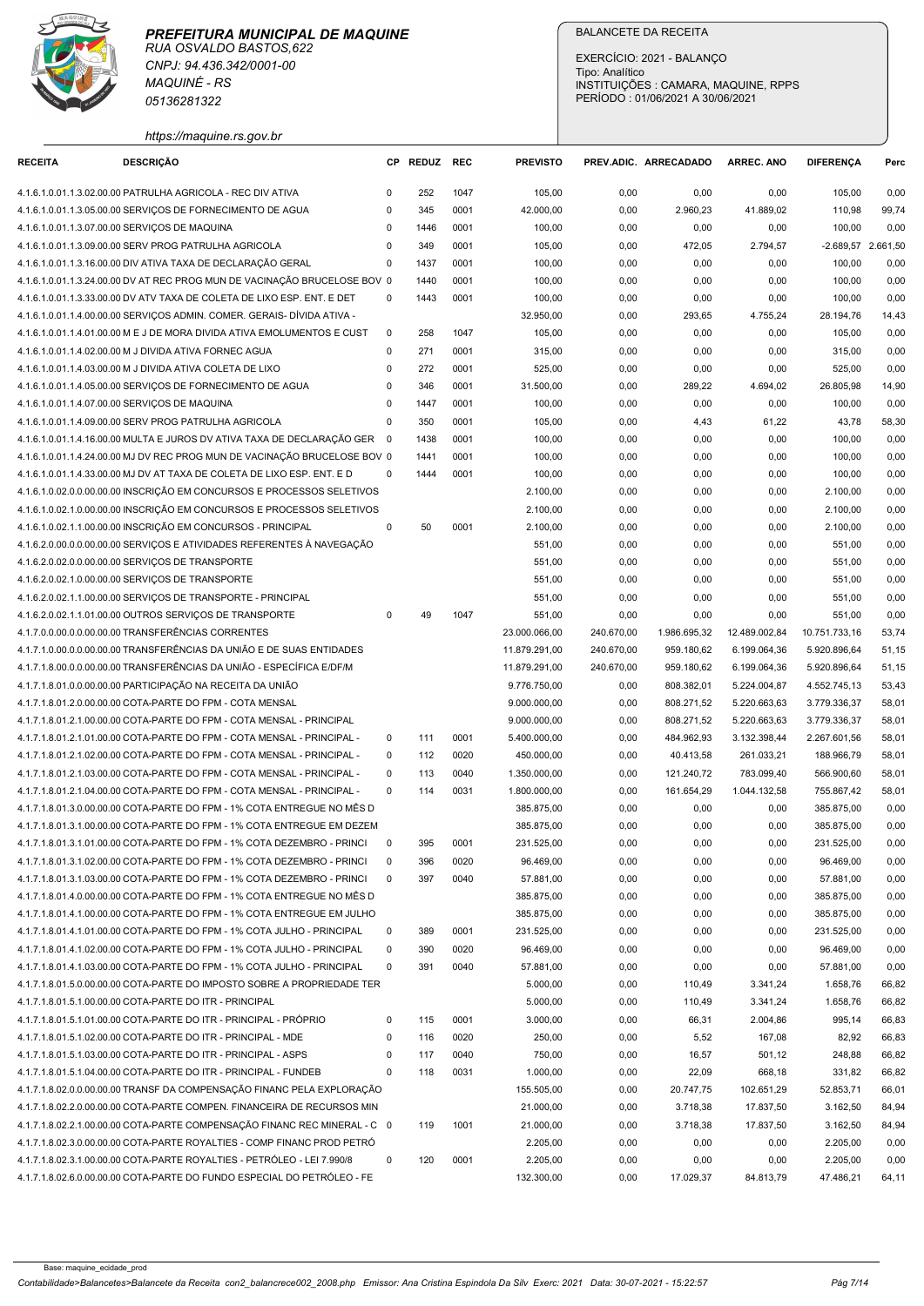

| https://maguine.rs.gov.b |  |
|--------------------------|--|

|                                               | <b>MAQUINÉ - RS</b><br>05136281322                                                                                                                     |                            |              |              |                                | EXERCÍCIO: 2021 - BALANÇO<br>Tipo: Analítico<br>INSTITUIÇÕES : CAMARA, MAQUINE, RPPS<br>PERÍODO: 01/06/2021 A 30/06/2021 |                          |                              |                              |                |  |  |
|-----------------------------------------------|--------------------------------------------------------------------------------------------------------------------------------------------------------|----------------------------|--------------|--------------|--------------------------------|--------------------------------------------------------------------------------------------------------------------------|--------------------------|------------------------------|------------------------------|----------------|--|--|
| <b>RECEITA</b>                                | https://maquine.rs.gov.br<br><b>DESCRIÇÃO</b>                                                                                                          | CP.                        | REDUZ REC    |              | <b>PREVISTO</b>                |                                                                                                                          | PREV.ADIC. ARRECADADO    | <b>ARREC. ANO</b>            | <b>DIFERENCA</b>             | Perc           |  |  |
|                                               | 4.1.6.1.0.01.1.3.02.00.00 PATRULHA AGRICOLA - REC DIV ATIVA                                                                                            | $\Omega$                   | 252          | 1047         | 105,00                         | 0,00                                                                                                                     | 0,00                     | 0,00                         | 105,00                       | 0,00           |  |  |
|                                               | 4.1.6.1.0.01.1.3.05.00.00 SERVIÇOS DE FORNECIMENTO DE AGUA                                                                                             | $\Omega$                   | 345          | 0001         | 42.000,00                      | 0,00                                                                                                                     | 2.960,23                 | 41.889,02                    | 110,98                       | 99,74          |  |  |
| 4.1.6.1.0.01.1.3.07.00.00 SERVIÇOS DE MAQUINA |                                                                                                                                                        | $\mathbf 0$                | 1446         | 0001         | 100,00                         | 0,00                                                                                                                     | 0,00                     | 0,00                         | 100,00                       | 0,00           |  |  |
|                                               | 4.1.6.1.0.01.1.3.09.00.00 SERV PROG PATRULHA AGRICOLA                                                                                                  | $\mathbf 0$                | 349          | 0001         | 105,00                         | 0,00                                                                                                                     | 472,05                   | 2.794,57                     | -2.689,57 2.661,50           |                |  |  |
|                                               | 4.1.6.1.0.01.1.3.16.00.00 DIV ATIVA TAXA DE DECLARAÇÃO GERAL<br>4.1.6.1.0.01.1.3.24.00.00 DV AT REC PROG MUN DE VACINAÇÃO BRUCELOSE BOV 0              | $\mathbf 0$                | 1437<br>1440 | 0001<br>0001 | 100,00<br>100,00               | 0,00<br>0,00                                                                                                             | 0,00<br>0,00             | 0,00<br>0,00                 | 100,00<br>100,00             | 0,00<br>0,00   |  |  |
|                                               | 4.1.6.1.0.01.1.3.33.00.00 DV ATV TAXA DE COLETA DE LIXO ESP. ENT. E DET                                                                                | $\Omega$                   | 1443         | 0001         | 100,00                         | 0,00                                                                                                                     | 0,00                     | 0,00                         | 100,00                       | 0,00           |  |  |
|                                               | 4.1.6.1.0.01.1.4.00.00.00 SERVIÇOS ADMIN. COMER. GERAIS- DÍVIDA ATIVA -                                                                                |                            |              |              | 32.950,00                      | 0,00                                                                                                                     | 293,65                   | 4.755,24                     | 28.194,76                    | 14,43          |  |  |
|                                               | 4.1.6.1.0.01.1.4.01.00.00 M E J DE MORA DIVIDA ATIVA EMOLUMENTOS E CUST                                                                                | $\Omega$                   | 258          | 1047<br>0001 | 105,00                         | 0,00                                                                                                                     | 0,00                     | 0,00                         | 105,00                       | 0,00           |  |  |
|                                               | 4.1.6.1.0.01.1.4.02.00.00 M J DIVIDA ATIVA FORNEC AGUA<br>4.1.6.1.0.01.1.4.03.00.00 M J DIVIDA ATIVA COLETA DE LIXO                                    | $\mathbf 0$<br>$\mathbf 0$ | 271<br>272   | 0001         | 315,00<br>525,00               | 0,00<br>0,00                                                                                                             | 0,00<br>0,00             | 0,00<br>0,00                 | 315,00<br>525,00             | 0,00<br>0,00   |  |  |
|                                               | 4.1.6.1.0.01.1.4.05.00.00 SERVIÇOS DE FORNECIMENTO DE AGUA                                                                                             | $\mathbf 0$                | 346          | 0001         | 31.500,00                      | 0,00                                                                                                                     | 289,22                   | 4.694,02                     | 26.805,98                    | 14,90          |  |  |
| 4.1.6.1.0.01.1.4.07.00.00 SERVIÇOS DE MAQUINA |                                                                                                                                                        | $\mathbf 0$                | 1447         | 0001         | 100,00                         | 0,00                                                                                                                     | 0,00                     | 0,00                         | 100,00                       | 0,00           |  |  |
|                                               | 4.1.6.1.0.01.1.4.09.00.00 SERV PROG PATRULHA AGRICOLA                                                                                                  | $\Omega$                   | 350          | 0001         | 105,00                         | 0,00                                                                                                                     | 4,43                     | 61,22                        | 43,78                        | 58,30          |  |  |
|                                               | 4.1.6.1.0.01.1.4.16.00.00 MULTA E JUROS DV ATIVA TAXA DE DECLARAÇÃO GER 0<br>4.1.6.1.0.01.1.4.24.00.00 MJ DV REC PROG MUN DE VACINAÇÃO BRUCELOSE BOV 0 |                            | 1438<br>1441 | 0001<br>0001 | 100,00<br>100,00               | 0,00<br>0,00                                                                                                             | 0,00<br>0,00             | 0,00<br>0,00                 | 100,00<br>100,00             | 0,00<br>0,00   |  |  |
|                                               | 4.1.6.1.0.01.1.4.33.00.00 MJ DV AT TAXA DE COLETA DE LIXO ESP. ENT. E D                                                                                | $^{\circ}$                 | 1444         | 0001         | 100,00                         | 0,00                                                                                                                     | 0,00                     | 0,00                         | 100,00                       | 0,00           |  |  |
|                                               | 4.1.6.1.0.02.0.0.00.00.00 INSCRICÃO EM CONCURSOS E PROCESSOS SELETIVOS                                                                                 |                            |              |              | 2.100,00                       | 0,00                                                                                                                     | 0,00                     | 0,00                         | 2.100,00                     | 0,00           |  |  |
|                                               | 4.1.6.1.0.02.1.0.00.00.00 INSCRIÇÃO EM CONCURSOS E PROCESSOS SELETIVOS                                                                                 |                            |              |              | 2.100,00                       | 0,00                                                                                                                     | 0,00                     | 0,00                         | 2.100,00                     | 0,00           |  |  |
|                                               | 4.1.6.1.0.02.1.1.00.00.00 INSCRIÇÃO EM CONCURSOS - PRINCIPAL                                                                                           | $\mathbf 0$                | 50           | 0001         | 2.100,00                       | 0,00                                                                                                                     | 0,00                     | 0,00                         | 2.100,00                     | 0,00           |  |  |
|                                               | 4.1.6.2.0.00.0.0.00.00.00 SERVIÇOS E ATIVIDADES REFERENTES À NAVEGAÇÃO<br>4.1.6.2.0.02.0.0.00.00.00 SERVICOS DE TRANSPORTE                             |                            |              |              | 551,00<br>551,00               | 0,00<br>0,00                                                                                                             | 0,00<br>0,00             | 0,00<br>0,00                 | 551,00<br>551,00             | 0,00<br>0,00   |  |  |
|                                               | 4.1.6.2.0.02.1.0.00.00.00 SERVICOS DE TRANSPORTE                                                                                                       |                            |              |              | 551,00                         | 0,00                                                                                                                     | 0,00                     | 0,00                         | 551,00                       | 0,00           |  |  |
|                                               | 4.1.6.2.0.02.1.1.00.00.00 SERVIÇOS DE TRANSPORTE - PRINCIPAL                                                                                           |                            |              |              | 551,00                         | 0,00                                                                                                                     | 0,00                     | 0,00                         | 551,00                       | 0,00           |  |  |
|                                               | 4.1.6.2.0.02.1.1.01.00.00 OUTROS SERVIÇOS DE TRANSPORTE                                                                                                | $\Omega$                   | 49           | 1047         | 551,00                         | 0,00                                                                                                                     | 0,00                     | 0,00                         | 551,00                       | 0,00           |  |  |
|                                               | 4.1.7.0.0.00.0.0.00.00.00 TRANSFERÊNCIAS CORRENTES                                                                                                     |                            |              |              | 23.000.066,00                  | 240.670,00                                                                                                               | 1.986.695,32             | 12.489.002,84                | 10.751.733,16                | 53,74          |  |  |
|                                               | 4.1.7.1.0.00.0.0.00.00.00 TRANSFERÊNCIAS DA UNIÃO E DE SUAS ENTIDADES<br>4.1.7.1.8.00.0.0.0.00.00 TRANSFERÊNCIAS DA UNIÃO - ESPECÍFICA E/DF/M          |                            |              |              | 11.879.291,00<br>11.879.291,00 | 240.670,00<br>240.670,00                                                                                                 | 959.180,62<br>959.180,62 | 6.199.064,36<br>6.199.064,36 | 5.920.896,64<br>5.920.896,64 | 51,15<br>51,15 |  |  |
|                                               | 4.1.7.1.8.01.0.0.00.00.00 PARTICIPAÇÃO NA RECEITA DA UNIÃO                                                                                             |                            |              |              | 9.776.750,00                   | 0,00                                                                                                                     | 808.382,01               | 5.224.004,87                 | 4.552.745,13                 | 53,43          |  |  |
|                                               | 4.1.7.1.8.01.2.0.00.00.00 COTA-PARTE DO FPM - COTA MENSAL                                                                                              |                            |              |              | 9.000.000,00                   | 0,00                                                                                                                     | 808.271,52               | 5.220.663,63                 | 3.779.336,37                 | 58,01          |  |  |
|                                               | 4.1.7.1.8.01.2.1.00.00.00 COTA-PARTE DO FPM - COTA MENSAL - PRINCIPAL                                                                                  |                            |              |              | 9.000.000,00                   | 0,00                                                                                                                     | 808.271,52               | 5.220.663,63                 | 3.779.336,37                 | 58,01          |  |  |
|                                               | 4.1.7.1.8.01.2.1.01.00.00 COTA-PARTE DO FPM - COTA MENSAL - PRINCIPAL -                                                                                | $\mathbf 0$                | 111          | 0001         | 5.400.000,00                   | 0,00                                                                                                                     | 484.962,93               | 3.132.398,44                 | 2.267.601,56                 | 58,01          |  |  |
|                                               | 4.1.7.1.8.01.2.1.02.00.00 COTA-PARTE DO FPM - COTA MENSAL - PRINCIPAL -<br>4.1.7.1.8.01.2.1.03.00.00 COTA-PARTE DO FPM - COTA MENSAL - PRINCIPAL -     | $\mathbf 0$<br>$\mathbf 0$ | 112<br>113   | 0020<br>0040 | 450.000,00<br>1.350.000,00     | 0,00<br>0,00                                                                                                             | 40.413,58<br>121.240,72  | 261.033,21<br>783.099,40     | 188.966,79<br>566.900,60     | 58,01<br>58,01 |  |  |
|                                               | 4.1.7.1.8.01.2.1.04.00.00 COTA-PARTE DO FPM - COTA MENSAL - PRINCIPAL -                                                                                | $\Omega$                   | 114          | 0031         | 1.800.000,00                   | 0,00                                                                                                                     | 161.654,29               | 1.044.132,58                 | 755.867,42                   | 58,01          |  |  |
|                                               | 4.1.7.1.8.01.3.0.00.00.00 COTA-PARTE DO FPM - 1% COTA ENTREGUE NO MÊS D                                                                                |                            |              |              | 385.875,00                     | 0,00                                                                                                                     | 0,00                     | 0,00                         | 385.875,00                   | 0,00           |  |  |
|                                               | 4.1.7.1.8.01.3.1.00.00.00 COTA-PARTE DO FPM - 1% COTA ENTREGUE EM DEZEM                                                                                |                            |              |              | 385.875,00                     | 0,00                                                                                                                     | 0,00                     | 0,00                         | 385.875,00                   | 0,00           |  |  |
|                                               | 4.1.7.1.8.01.3.1.01.00.00 COTA-PARTE DO FPM - 1% COTA DEZEMBRO - PRINCI                                                                                | $\mathbf{0}$               | 395          | 0001         | 231.525,00                     | 0,00                                                                                                                     | 0,00                     | 0,00                         | 231.525,00                   | 0,00           |  |  |
|                                               | 4.1.7.1.8.01.3.1.02.00.00 COTA-PARTE DO FPM - 1% COTA DEZEMBRO - PRINCI<br>4.1.7.1.8.01.3.1.03.00.00 COTA-PARTE DO FPM - 1% COTA DEZEMBRO - PRINCI     | $\mathbf 0$<br>$\mathbf 0$ | 396<br>397   | 0020<br>0040 | 96.469,00<br>57.881,00         | 0,00<br>0,00                                                                                                             | 0,00<br>0,00             | 0,00<br>0,00                 | 96.469,00<br>57.881,00       | 0,00<br>0,00   |  |  |
|                                               | 4.1.7.1.8.01.4.0.00.00.00 COTA-PARTE DO FPM - 1% COTA ENTREGUE NO MÊS D                                                                                |                            |              |              | 385.875,00                     | 0,00                                                                                                                     | 0,00                     | 0,00                         | 385.875,00                   | 0,00           |  |  |
|                                               | 4.1.7.1.8.01.4.1.00.00.00 COTA-PARTE DO FPM - 1% COTA ENTREGUE EM JULHO                                                                                |                            |              |              | 385.875,00                     | 0,00                                                                                                                     | 0,00                     | 0,00                         | 385.875,00                   | 0,00           |  |  |
|                                               | 4.1.7.1.8.01.4.1.01.00.00 COTA-PARTE DO FPM - 1% COTA JULHO - PRINCIPAL                                                                                | $^{\circ}$                 | 389          | 0001         | 231.525,00                     | 0,00                                                                                                                     | 0,00                     | 0,00                         | 231.525,00                   | 0,00           |  |  |
|                                               | 4.1.7.1.8.01.4.1.02.00.00 COTA-PARTE DO FPM - 1% COTA JULHO - PRINCIPAL                                                                                | $\Omega$                   | 390          | 0020         | 96.469,00                      | 0,00                                                                                                                     | 0,00                     | 0,00                         | 96.469,00                    | 0,00           |  |  |
|                                               | 4.1.7.1.8.01.4.1.03.00.00 COTA-PARTE DO FPM - 1% COTA JULHO - PRINCIPAL<br>4.1.7.1.8.01.5.0.00.00.00 COTA-PARTE DO IMPOSTO SOBRE A PROPRIEDADE TER     | $\overline{0}$             | 391          | 0040         | 57.881,00<br>5.000,00          | 0,00<br>0,00                                                                                                             | 0,00<br>110,49           | 0,00<br>3.341,24             | 57.881,00<br>1.658,76        | 0,00<br>66,82  |  |  |
|                                               | 4.1.7.1.8.01.5.1.00.00.00 COTA-PARTE DO ITR - PRINCIPAL                                                                                                |                            |              |              | 5.000,00                       | 0,00                                                                                                                     | 110,49                   | 3.341,24                     | 1.658,76                     | 66,82          |  |  |
|                                               | 4.1.7.1.8.01.5.1.01.00.00 COTA-PARTE DO ITR - PRINCIPAL - PRÓPRIO                                                                                      | $\Omega$                   | 115          | 0001         | 3.000,00                       | 0,00                                                                                                                     | 66,31                    | 2.004,86                     | 995,14                       | 66,83          |  |  |
|                                               | 4.1.7.1.8.01.5.1.02.00.00 COTA-PARTE DO ITR - PRINCIPAL - MDE                                                                                          | $\Omega$                   | 116          | 0020         | 250,00                         | 0,00                                                                                                                     | 5,52                     | 167,08                       | 82,92                        | 66,83          |  |  |
|                                               | 4.1.7.1.8.01.5.1.03.00.00 COTA-PARTE DO ITR - PRINCIPAL - ASPS                                                                                         | $\mathbf 0$                | 117          | 0040         | 750,00                         | 0,00                                                                                                                     | 16,57                    | 501,12                       | 248,88                       | 66,82          |  |  |
|                                               | 4.1.7.1.8.01.5.1.04.00.00 COTA-PARTE DO ITR - PRINCIPAL - FUNDEB                                                                                       | $\mathbf 0$                | 118          | 0031         | 1.000,00                       | 0,00                                                                                                                     | 22,09                    | 668,18                       | 331,82                       | 66,82          |  |  |
|                                               | 4.1.7.1.8.02.0.0.00.00.00 TRANSF DA COMPENSAÇÃO FINANC PELA EXPLORAÇÃO<br>4.1.7.1.8.02.2.0.00.00.00 COTA-PARTE COMPEN. FINANCEIRA DE RECURSOS MIN      |                            |              |              | 155.505,00<br>21.000,00        | 0,00<br>0,00                                                                                                             | 20.747,75<br>3.718,38    | 102.651,29<br>17.837,50      | 52.853,71<br>3.162,50        | 66,01<br>84,94 |  |  |
|                                               | 4.1.7.1.8.02.2.1.00.00.00 COTA-PARTE COMPENSACÃO FINANC REC MINERAL - C 0                                                                              |                            | 119          | 1001         | 21.000,00                      | 0,00                                                                                                                     | 3.718,38                 | 17.837,50                    | 3.162,50                     | 84,94          |  |  |
|                                               | 4.1.7.1.8.02.3.0.00.00.00 COTA-PARTE ROYALTIES - COMP FINANC PROD PETRÓ                                                                                |                            |              |              | 2.205,00                       | 0,00                                                                                                                     | 0,00                     | 0,00                         | 2.205,00                     | 0,00           |  |  |
|                                               | 4.1.7.1.8.02.3.1.00.00.00 COTA-PARTE ROYALTIES - PETRÓLEO - LEI 7.990/8                                                                                | $\Omega$                   | 120          | 0001         | 2.205,00                       | 0,00                                                                                                                     | 0,00                     | 0,00<br>84.813,79            | 2.205,00                     | 0,00           |  |  |
|                                               | 4.1.7.1.8.02.6.0.00.00.00 COTA-PARTE DO FUNDO ESPECIAL DO PETRÓLEO - FE                                                                                |                            |              |              |                                |                                                                                                                          |                          |                              |                              |                |  |  |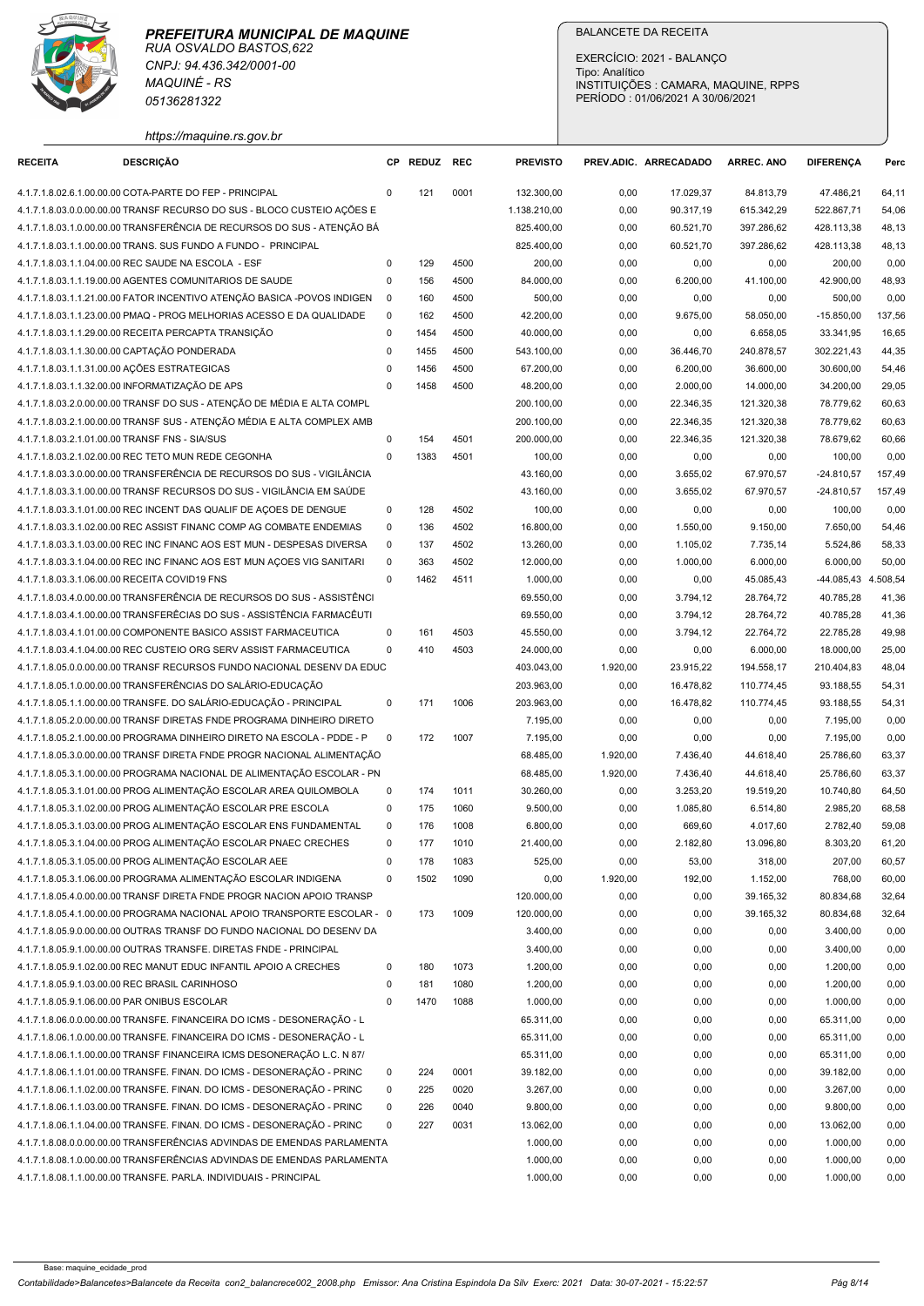

| https://maquine.rs.gov.br<br><b>DESCRIÇÃO</b><br>REDUZ REC<br><b>PREVISTO</b><br><b>RECEITA</b><br><b>CP</b><br>PREV.ADIC. ARRECADADO<br><b>ARREC. ANO</b><br><b>DIFERENCA</b><br>Perc<br>4.1.7.1.8.02.6.1.00.00.00 COTA-PARTE DO FEP - PRINCIPAL<br>0001<br>17.029,37<br>47.486,21<br>$\Omega$<br>121<br>132.300,00<br>0,00<br>84.813,79<br>64,11<br>4.1.7.1.8.03.0.0.00.00.00 TRANSF RECURSO DO SUS - BLOCO CUSTEIO AÇÕES E<br>1.138.210,00<br>0,00<br>90.317,19<br>615.342,29<br>522.867,71<br>54,06<br>4.1.7.1.8.03.1.0.00.00.00 TRANSFERÊNCIA DE RECURSOS DO SUS - ATENÇÃO BÁ<br>825.400,00<br>60.521,70<br>397.286,62<br>48,13<br>0,00<br>428.113,38<br>4.1.7.1.8.03.1.1.00.00.00 TRANS. SUS FUNDO A FUNDO - PRINCIPAL<br>825.400,00<br>0,00<br>60.521,70<br>397.286,62<br>428.113,38<br>48,13<br>4500<br>200,00<br>4.1.7.1.8.03.1.1.04.00.00 REC SAUDE NA ESCOLA - ESF<br>$\Omega$<br>129<br>0,00<br>0,00<br>0,00<br>200,00<br>0,00<br>84.000,00<br>4.1.7.1.8.03.1.1.19.00.00 AGENTES COMUNITARIOS DE SAUDE<br>156<br>4500<br>6.200,00<br>41.100,00<br>42.900,00<br>48,93<br>$\mathbf 0$<br>0,00<br>4.1.7.1.8.03.1.1.21.00.00 FATOR INCENTIVO ATENÇÃO BASICA -POVOS INDIGEN<br>160<br>4500<br>500,00<br>0,00<br>0,00<br>0,00<br>$\overline{\phantom{0}}$<br>0,00<br>500,00<br>42.200,00<br>137,56<br>4.1.7.1.8.03.1.1.23.00.00 PMAQ - PROG MELHORIAS ACESSO E DA QUALIDADE<br>162<br>4500<br>0,00<br>9.675,00<br>58.050,00<br>$-15.850,00$<br>$\overline{0}$<br>4.1.7.1.8.03.1.1.29.00.00 RECEITA PERCAPTA TRANSIÇÃO<br>1454<br>4500<br>40.000,00<br>0,00<br>0,00<br>6.658,05<br>33.341,95<br>16,65<br>$\mathbf 0$<br>4.1.7.1.8.03.1.1.30.00.00 CAPTAÇÃO PONDERADA<br>1455<br>4500<br>543.100,00<br>0,00<br>36.446,70<br>240.878,57<br>302.221,43<br>44,35<br>0<br>4.1.7.1.8.03.1.1.31.00.00 AÇÕES ESTRATEGICAS<br>4500<br>67.200,00<br>36.600,00<br>1456<br>0,00<br>6.200,00<br>30.600,00<br>54,46<br>0<br>4.1.7.1.8.03.1.1.32.00.00 INFORMATIZAÇÃO DE APS<br>$\Omega$<br>1458<br>4500<br>48.200,00<br>0,00<br>2.000,00<br>14.000,00<br>34.200,00<br>29,05<br>4.1.7.1.8.03.2.0.00.00.00 TRANSF DO SUS - ATENÇÃO DE MÉDIA E ALTA COMPL<br>200.100,00<br>22.346,35<br>121.320,38<br>60,63<br>0,00<br>78.779,62<br>4.1.7.1.8.03.2.1.00.00.00 TRANSF SUS - ATENÇÃO MÉDIA E ALTA COMPLEX AMB<br>200.100,00<br>22.346,35<br>121.320,38<br>60,63<br>0,00<br>78.779,62<br>4.1.7.1.8.03.2.1.01.00.00 TRANSF FNS - SIA/SUS<br>4501<br>200.000,00<br>22.346,35<br>121.320,38<br>$\Omega$<br>154<br>0,00<br>78.679,62<br>60,66<br>1383<br>4501<br>0,00<br>4.1.7.1.8.03.2.1.02.00.00 REC TETO MUN REDE CEGONHA<br>$\mathbf{0}$<br>100,00<br>0,00<br>0,00<br>100,00<br>0,00<br>4.1.7.1.8.03.3.0.00.00.00 TRANSFERÊNCIA DE RECURSOS DO SUS - VIGILÂNCIA<br>43.160,00<br>0,00<br>3.655,02<br>67.970,57<br>$-24.810,57$<br>157,49<br>4.1.7.1.8.03.3.1.00.00.00 TRANSF RECURSOS DO SUS - VIGILÂNCIA EM SAÚDE<br>43.160,00<br>0,00<br>3.655,02<br>67.970,57<br>$-24.810,57$<br>157,49<br>4.1.7.1.8.03.3.1.01.00.00 REC INCENT DAS QUALIF DE AÇOES DE DENGUE<br>128<br>4502<br>100,00<br>0,00<br>0,00<br>$\mathbf 0$<br>0,00<br>100,00<br>0,00<br>136<br>4502<br>4.1.7.1.8.03.3.1.02.00.00 REC ASSIST FINANC COMP AG COMBATE ENDEMIAS<br>$\mathbf 0$<br>16.800,00<br>0,00<br>1.550,00<br>9.150,00<br>7.650,00<br>54,46<br>4.1.7.1.8.03.3.1.03.00.00 REC INC FINANC AOS EST MUN - DESPESAS DIVERSA<br>137<br>4502<br>13.260,00<br>5.524,86<br>58,33<br>$\overline{0}$<br>0,00<br>1.105,02<br>7.735,14<br>4502<br>4.1.7.1.8.03.3.1.04.00.00 REC INC FINANC AOS EST MUN AÇOES VIG SANITARI<br>363<br>12.000,00<br>0,00<br>1.000,00<br>6.000,00<br>50,00<br>0<br>6.000,00<br>4.1.7.1.8.03.3.1.06.00.00 RECEITA COVID19 FNS<br>$\mathbf 0$<br>1462<br>4511<br>1.000,00<br>0,00<br>45.085,43<br>-44.085,43 4.508,54<br>0,00<br>4.1.7.1.8.03.4.0.00.00.00 TRANSFERÊNCIA DE RECURSOS DO SUS - ASSISTÊNCI<br>69.550,00<br>28.764,72<br>40.785,28<br>41,36<br>0,00<br>3.794,12<br>4.1.7.1.8.03.4.1.00.00.00 TRANSFERÊCIAS DO SUS - ASSISTÊNCIA FARMACÊUTI<br>69.550,00<br>0,00<br>3.794,12<br>28.764,72<br>40.785,28<br>41,36<br>4.1.7.1.8.03.4.1.01.00.00 COMPONENTE BASICO ASSIST FARMACEUTICA<br>161<br>4503<br>45.550,00<br>$\Omega$<br>0,00<br>3.794,12<br>22.764,72<br>22.785,28<br>49,98<br>4.1.7.1.8.03.4.1.04.00.00 REC CUSTEIO ORG SERV ASSIST FARMACEUTICA<br>$\mathbf 0$<br>410<br>4503<br>24.000,00<br>0,00<br>0,00<br>6.000,00<br>18.000,00<br>25,00<br>4.1.7.1.8.05.0.0.00.00.00 TRANSF RECURSOS FUNDO NACIONAL DESENV DA EDUC<br>403.043,00<br>1.920,00<br>23.915,22<br>194.558,17<br>210.404,83<br>48,04<br>4.1.7.1.8.05.1.0.00.00.00 TRANSFERÊNCIAS DO SALÁRIO-EDUCAÇÃO<br>203.963,00<br>0,00<br>16.478,82<br>110.774,45<br>93.188,55<br>54,31<br>4.1.7.1.8.05.1.1.00.00.00 TRANSFE. DO SALÁRIO-EDUCAÇÃO - PRINCIPAL<br>171<br>1006<br>203.963,00<br>0,00<br>16.478,82<br>110.774,45<br>93.188,55<br>54,31<br>$\mathbf 0$<br>0,00<br>4.1.7.1.8.05.2.0.00.00.00 TRANSF DIRETAS FNDE PROGRAMA DINHEIRO DIRETO<br>7.195,00<br>0,00<br>0,00<br>7.195,00<br>0,00<br>4.1.7.1.8.05.2.1.00.00.00 PROGRAMA DINHEIRO DIRETO NA ESCOLA - PDDE - P<br>172<br>1007<br>7.195,00<br>0,00<br>0,00<br>0,00<br>0,00<br>$\overline{0}$<br>7.195,00<br>4.1.7.1.8.05.3.0.00.00.00 TRANSF DIRETA FNDE PROGR NACIONAL ALIMENTAÇÃO<br>68.485,00<br>1.920,00<br>44.618,40<br>63,37<br>7.436,40<br>25.786,60<br>68.485,00<br>4.1.7.1.8.05.3.1.00.00.00 PROGRAMA NACIONAL DE ALIMENTAÇÃO ESCOLAR - PN<br>1.920,00<br>7.436,40<br>44.618,40<br>25.786,60<br>63,37<br>4.1.7.1.8.05.3.1.01.00.00 PROG ALIMENTAÇÃO ESCOLAR AREA QUILOMBOLA<br>174<br>30.260,00<br>1011<br>3.253,20<br>19.519,20<br>64,50<br>$\mathbf 0$<br>0,00<br>10.740,80<br>1060<br>9.500,00<br>4.1.7.1.8.05.3.1.02.00.00 PROG ALIMENTAÇÃO ESCOLAR PRE ESCOLA<br>175<br>0,00<br>1.085,80<br>6.514,80<br>2.985,20<br>68,58<br>$\mathbf 0$<br>4.1.7.1.8.05.3.1.03.00.00 PROG ALIMENTAÇÃO ESCOLAR ENS FUNDAMENTAL<br>176<br>1008<br>6.800,00<br>4.017,60<br>59,08<br>0<br>0,00<br>669,60<br>2.782,40<br>4.1.7.1.8.05.3.1.04.00.00 PROG ALIMENTAÇÃO ESCOLAR PNAEC CRECHES<br>177<br>1010<br>21.400,00<br>0,00<br>2.182,80<br>13.096,80<br>8.303,20<br>$\mathbf 0$<br>61,20<br>4.1.7.1.8.05.3.1.05.00.00 PROG ALIMENTAÇÃO ESCOLAR AEE<br>178<br>1083<br>525,00<br>53,00<br>318,00<br>60,57<br>$\mathbf 0$<br>0,00<br>207,00<br>4.1.7.1.8.05.3.1.06.00.00 PROGRAMA ALIMENTAÇÃO ESCOLAR INDIGENA<br>1502<br>1090<br>1.920,00<br>192,00<br>1.152,00<br>768,00<br>60,00<br>0,00<br>0<br>4.1.7.1.8.05.4.0.00.00.00 TRANSF DIRETA FNDE PROGR NACION APOIO TRANSP<br>120.000,00<br>0,00<br>0,00<br>39.165,32<br>80.834,68<br>32,64<br>120.000,00<br>4.1.7.1.8.05.4.1.00.00.00 PROGRAMA NACIONAL APOIO TRANSPORTE ESCOLAR - 0<br>173<br>1009<br>0,00<br>0,00<br>39.165,32<br>80.834,68<br>32,64<br>4.1.7.1.8.05.9.0.00.00.00 OUTRAS TRANSF DO FUNDO NACIONAL DO DESENV DA<br>3.400,00<br>0,00<br>0,00<br>3.400,00<br>0,00<br>0,00<br>3.400,00<br>4.1.7.1.8.05.9.1.00.00.00 OUTRAS TRANSFE, DIRETAS FNDE - PRINCIPAL<br>0,00<br>0,00<br>0,00<br>3.400,00<br>0,00<br>4.1.7.1.8.05.9.1.02.00.00 REC MANUT EDUC INFANTIL APOIO A CRECHES<br>180<br>1073<br>1.200,00<br>0,00<br>0,00<br>0,00<br>1.200,00<br>0,00<br>$\Omega$<br>4.1.7.1.8.05.9.1.03.00.00 REC BRASIL CARINHOSO<br>181<br>1080<br>1.200,00<br>0,00<br>0,00<br>0,00<br>1.200,00<br>0,00<br>$\mathbf 0$<br>4.1.7.1.8.05.9.1.06.00.00 PAR ONIBUS ESCOLAR<br>1470<br>1088<br>1.000,00<br>0,00<br>0,00<br>0,00<br>1.000,00<br>0,00<br>$\Omega$<br>4.1.7.1.8.06.0.0.00.00.00 TRANSFE. FINANCEIRA DO ICMS - DESONERAÇÃO - L<br>65.311,00<br>0,00<br>0,00<br>0,00<br>0,00<br>65.311,00<br>4.1.7.1.8.06.1.0.00.00.00 TRANSFE. FINANCEIRA DO ICMS - DESONERAÇÃO - L<br>65.311,00<br>0,00<br>0,00<br>0,00<br>0,00<br>65.311,00<br>4.1.7.1.8.06.1.1.00.00.00 TRANSF FINANCEIRA ICMS DESONERAÇÃO L.C. N 87/<br>65.311,00<br>0,00<br>0,00<br>0,00<br>65.311,00<br>0,00<br>0001<br>4.1.7.1.8.06.1.1.01.00.00 TRANSFE. FINAN. DO ICMS - DESONERAÇÃO - PRINC<br>224<br>39.182,00<br>0,00<br>0,00<br>$\mathbf 0$<br>0,00<br>39.182,00<br>0,00<br>4.1.7.1.8.06.1.1.02.00.00 TRANSFE. FINAN. DO ICMS - DESONERAÇÃO - PRINC<br>225<br>0020<br>3.267,00<br>0,00<br>0,00<br>0,00<br>3.267,00<br>0,00<br>$\mathbf 0$<br>9.800,00<br>4.1.7.1.8.06.1.1.03.00.00 TRANSFE. FINAN. DO ICMS - DESONERAÇÃO - PRINC<br>226<br>0,00<br>$\mathbf 0$<br>0040<br>0,00<br>0,00<br>9.800,00<br>0,00<br>4.1.7.1.8.06.1.1.04.00.00 TRANSFE. FINAN. DO ICMS - DESONERAÇÃO - PRINC<br>227<br>0031<br>13.062,00<br>0,00<br>0,00<br>0,00<br>13.062,00<br>0<br>0,00<br>4.1.7.1.8.08.0.0.00.00.00 TRANSFERÊNCIAS ADVINDAS DE EMENDAS PARLAMENTA<br>1.000,00<br>0,00<br>0,00<br>0,00<br>1.000,00<br>0,00<br>4.1.7.1.8.08.1.0.00.00.00 TRANSFERÊNCIAS ADVINDAS DE EMENDAS PARLAMENTA<br>1.000,00<br>0,00<br>0,00<br>0,00<br>1.000,00<br>0,00<br>4.1.7.1.8.08.1.1.00.00.00 TRANSFE, PARLA, INDIVIDUAIS - PRINCIPAL | <b>MAQUINÉ - RS</b><br>05136281322 |  |          | EXERCÍCIO: 2021 - BALANÇO<br>Tipo: Analítico<br>PERÍODO: 01/06/2021 A 30/06/2021 |      | INSTITUIÇÕES : CAMARA, MAQUINE, RPPS |          |      |
|-------------------------------------------------------------------------------------------------------------------------------------------------------------------------------------------------------------------------------------------------------------------------------------------------------------------------------------------------------------------------------------------------------------------------------------------------------------------------------------------------------------------------------------------------------------------------------------------------------------------------------------------------------------------------------------------------------------------------------------------------------------------------------------------------------------------------------------------------------------------------------------------------------------------------------------------------------------------------------------------------------------------------------------------------------------------------------------------------------------------------------------------------------------------------------------------------------------------------------------------------------------------------------------------------------------------------------------------------------------------------------------------------------------------------------------------------------------------------------------------------------------------------------------------------------------------------------------------------------------------------------------------------------------------------------------------------------------------------------------------------------------------------------------------------------------------------------------------------------------------------------------------------------------------------------------------------------------------------------------------------------------------------------------------------------------------------------------------------------------------------------------------------------------------------------------------------------------------------------------------------------------------------------------------------------------------------------------------------------------------------------------------------------------------------------------------------------------------------------------------------------------------------------------------------------------------------------------------------------------------------------------------------------------------------------------------------------------------------------------------------------------------------------------------------------------------------------------------------------------------------------------------------------------------------------------------------------------------------------------------------------------------------------------------------------------------------------------------------------------------------------------------------------------------------------------------------------------------------------------------------------------------------------------------------------------------------------------------------------------------------------------------------------------------------------------------------------------------------------------------------------------------------------------------------------------------------------------------------------------------------------------------------------------------------------------------------------------------------------------------------------------------------------------------------------------------------------------------------------------------------------------------------------------------------------------------------------------------------------------------------------------------------------------------------------------------------------------------------------------------------------------------------------------------------------------------------------------------------------------------------------------------------------------------------------------------------------------------------------------------------------------------------------------------------------------------------------------------------------------------------------------------------------------------------------------------------------------------------------------------------------------------------------------------------------------------------------------------------------------------------------------------------------------------------------------------------------------------------------------------------------------------------------------------------------------------------------------------------------------------------------------------------------------------------------------------------------------------------------------------------------------------------------------------------------------------------------------------------------------------------------------------------------------------------------------------------------------------------------------------------------------------------------------------------------------------------------------------------------------------------------------------------------------------------------------------------------------------------------------------------------------------------------------------------------------------------------------------------------------------------------------------------------------------------------------------------------------------------------------------------------------------------------------------------------------------------------------------------------------------------------------------------------------------------------------------------------------------------------------------------------------------------------------------------------------------------------------------------------------------------------------------------------------------------------------------------------------------------------------------------------------------------------------------------------------------------------------------------------------------------------------------------------------------------------------------------------------------------------------------------------------------------------------------------------------------------------------------------------------------------------------------------------------------------------------------------------------------------------------------------------------------------------------------------------------------------------------------------------------------------------------------------------------------------------------------------------------------------------------------------------------------------------------------------------------------------------------------------------------------------------------------------------------------------------------------------------------------------------------------------------------------------------------------------------------------------------------------------------------------------------------------------------------------------------------------------------------------------------------------------------------------------------------------------------------------------------------------------------------------------------------------------------------------------------------------------------------------------------------------------------------------------------------------------------------------------------------------------------------------------------------------------------------------------------------------------------------------------------------------------------------------------------------------------------------------------------------------------------------------------------------------------------------------------------------------------------------------------------------------------------------------------------------------------------------------------------------------------------------------------------------------------------------------------------------------------------------------------------------------------------------------------------------------------------------------------------------------------------------------------------------------------------------------------------------------------------------------------------------------------------------------------------------------------------------------------|------------------------------------|--|----------|----------------------------------------------------------------------------------|------|--------------------------------------|----------|------|
|                                                                                                                                                                                                                                                                                                                                                                                                                                                                                                                                                                                                                                                                                                                                                                                                                                                                                                                                                                                                                                                                                                                                                                                                                                                                                                                                                                                                                                                                                                                                                                                                                                                                                                                                                                                                                                                                                                                                                                                                                                                                                                                                                                                                                                                                                                                                                                                                                                                                                                                                                                                                                                                                                                                                                                                                                                                                                                                                                                                                                                                                                                                                                                                                                                                                                                                                                                                                                                                                                                                                                                                                                                                                                                                                                                                                                                                                                                                                                                                                                                                                                                                                                                                                                                                                                                                                                                                                                                                                                                                                                                                                                                                                                                                                                                                                                                                                                                                                                                                                                                                                                                                                                                                                                                                                                                                                                                                                                                                                                                                                                                                                                                                                                                                                                                                                                                                                                                                                                                                                                                                                                                                                                                                                                                                                                                                                                                                                                                                                                                                                                                                                                                                                                                                                                                                                                                                                                                                                                                                                                                                                                                                                                                                                                                                                                                                                                                                                                                                                                                                                                                                                                                                                                                                                                                                                                                                                                                                                                                                                                                                                                                                                                                                                                                                                                                                                                                                                                                                                                                                                                                                                                                                                                                                                                                                                                                                                                                                                                 |                                    |  |          |                                                                                  |      |                                      |          |      |
|                                                                                                                                                                                                                                                                                                                                                                                                                                                                                                                                                                                                                                                                                                                                                                                                                                                                                                                                                                                                                                                                                                                                                                                                                                                                                                                                                                                                                                                                                                                                                                                                                                                                                                                                                                                                                                                                                                                                                                                                                                                                                                                                                                                                                                                                                                                                                                                                                                                                                                                                                                                                                                                                                                                                                                                                                                                                                                                                                                                                                                                                                                                                                                                                                                                                                                                                                                                                                                                                                                                                                                                                                                                                                                                                                                                                                                                                                                                                                                                                                                                                                                                                                                                                                                                                                                                                                                                                                                                                                                                                                                                                                                                                                                                                                                                                                                                                                                                                                                                                                                                                                                                                                                                                                                                                                                                                                                                                                                                                                                                                                                                                                                                                                                                                                                                                                                                                                                                                                                                                                                                                                                                                                                                                                                                                                                                                                                                                                                                                                                                                                                                                                                                                                                                                                                                                                                                                                                                                                                                                                                                                                                                                                                                                                                                                                                                                                                                                                                                                                                                                                                                                                                                                                                                                                                                                                                                                                                                                                                                                                                                                                                                                                                                                                                                                                                                                                                                                                                                                                                                                                                                                                                                                                                                                                                                                                                                                                                                                                 |                                    |  |          |                                                                                  |      |                                      |          |      |
|                                                                                                                                                                                                                                                                                                                                                                                                                                                                                                                                                                                                                                                                                                                                                                                                                                                                                                                                                                                                                                                                                                                                                                                                                                                                                                                                                                                                                                                                                                                                                                                                                                                                                                                                                                                                                                                                                                                                                                                                                                                                                                                                                                                                                                                                                                                                                                                                                                                                                                                                                                                                                                                                                                                                                                                                                                                                                                                                                                                                                                                                                                                                                                                                                                                                                                                                                                                                                                                                                                                                                                                                                                                                                                                                                                                                                                                                                                                                                                                                                                                                                                                                                                                                                                                                                                                                                                                                                                                                                                                                                                                                                                                                                                                                                                                                                                                                                                                                                                                                                                                                                                                                                                                                                                                                                                                                                                                                                                                                                                                                                                                                                                                                                                                                                                                                                                                                                                                                                                                                                                                                                                                                                                                                                                                                                                                                                                                                                                                                                                                                                                                                                                                                                                                                                                                                                                                                                                                                                                                                                                                                                                                                                                                                                                                                                                                                                                                                                                                                                                                                                                                                                                                                                                                                                                                                                                                                                                                                                                                                                                                                                                                                                                                                                                                                                                                                                                                                                                                                                                                                                                                                                                                                                                                                                                                                                                                                                                                                                 |                                    |  |          |                                                                                  |      |                                      |          |      |
|                                                                                                                                                                                                                                                                                                                                                                                                                                                                                                                                                                                                                                                                                                                                                                                                                                                                                                                                                                                                                                                                                                                                                                                                                                                                                                                                                                                                                                                                                                                                                                                                                                                                                                                                                                                                                                                                                                                                                                                                                                                                                                                                                                                                                                                                                                                                                                                                                                                                                                                                                                                                                                                                                                                                                                                                                                                                                                                                                                                                                                                                                                                                                                                                                                                                                                                                                                                                                                                                                                                                                                                                                                                                                                                                                                                                                                                                                                                                                                                                                                                                                                                                                                                                                                                                                                                                                                                                                                                                                                                                                                                                                                                                                                                                                                                                                                                                                                                                                                                                                                                                                                                                                                                                                                                                                                                                                                                                                                                                                                                                                                                                                                                                                                                                                                                                                                                                                                                                                                                                                                                                                                                                                                                                                                                                                                                                                                                                                                                                                                                                                                                                                                                                                                                                                                                                                                                                                                                                                                                                                                                                                                                                                                                                                                                                                                                                                                                                                                                                                                                                                                                                                                                                                                                                                                                                                                                                                                                                                                                                                                                                                                                                                                                                                                                                                                                                                                                                                                                                                                                                                                                                                                                                                                                                                                                                                                                                                                                                                 |                                    |  |          |                                                                                  |      |                                      |          |      |
|                                                                                                                                                                                                                                                                                                                                                                                                                                                                                                                                                                                                                                                                                                                                                                                                                                                                                                                                                                                                                                                                                                                                                                                                                                                                                                                                                                                                                                                                                                                                                                                                                                                                                                                                                                                                                                                                                                                                                                                                                                                                                                                                                                                                                                                                                                                                                                                                                                                                                                                                                                                                                                                                                                                                                                                                                                                                                                                                                                                                                                                                                                                                                                                                                                                                                                                                                                                                                                                                                                                                                                                                                                                                                                                                                                                                                                                                                                                                                                                                                                                                                                                                                                                                                                                                                                                                                                                                                                                                                                                                                                                                                                                                                                                                                                                                                                                                                                                                                                                                                                                                                                                                                                                                                                                                                                                                                                                                                                                                                                                                                                                                                                                                                                                                                                                                                                                                                                                                                                                                                                                                                                                                                                                                                                                                                                                                                                                                                                                                                                                                                                                                                                                                                                                                                                                                                                                                                                                                                                                                                                                                                                                                                                                                                                                                                                                                                                                                                                                                                                                                                                                                                                                                                                                                                                                                                                                                                                                                                                                                                                                                                                                                                                                                                                                                                                                                                                                                                                                                                                                                                                                                                                                                                                                                                                                                                                                                                                                                                 |                                    |  |          |                                                                                  |      |                                      |          |      |
|                                                                                                                                                                                                                                                                                                                                                                                                                                                                                                                                                                                                                                                                                                                                                                                                                                                                                                                                                                                                                                                                                                                                                                                                                                                                                                                                                                                                                                                                                                                                                                                                                                                                                                                                                                                                                                                                                                                                                                                                                                                                                                                                                                                                                                                                                                                                                                                                                                                                                                                                                                                                                                                                                                                                                                                                                                                                                                                                                                                                                                                                                                                                                                                                                                                                                                                                                                                                                                                                                                                                                                                                                                                                                                                                                                                                                                                                                                                                                                                                                                                                                                                                                                                                                                                                                                                                                                                                                                                                                                                                                                                                                                                                                                                                                                                                                                                                                                                                                                                                                                                                                                                                                                                                                                                                                                                                                                                                                                                                                                                                                                                                                                                                                                                                                                                                                                                                                                                                                                                                                                                                                                                                                                                                                                                                                                                                                                                                                                                                                                                                                                                                                                                                                                                                                                                                                                                                                                                                                                                                                                                                                                                                                                                                                                                                                                                                                                                                                                                                                                                                                                                                                                                                                                                                                                                                                                                                                                                                                                                                                                                                                                                                                                                                                                                                                                                                                                                                                                                                                                                                                                                                                                                                                                                                                                                                                                                                                                                                                 |                                    |  |          |                                                                                  |      |                                      |          |      |
|                                                                                                                                                                                                                                                                                                                                                                                                                                                                                                                                                                                                                                                                                                                                                                                                                                                                                                                                                                                                                                                                                                                                                                                                                                                                                                                                                                                                                                                                                                                                                                                                                                                                                                                                                                                                                                                                                                                                                                                                                                                                                                                                                                                                                                                                                                                                                                                                                                                                                                                                                                                                                                                                                                                                                                                                                                                                                                                                                                                                                                                                                                                                                                                                                                                                                                                                                                                                                                                                                                                                                                                                                                                                                                                                                                                                                                                                                                                                                                                                                                                                                                                                                                                                                                                                                                                                                                                                                                                                                                                                                                                                                                                                                                                                                                                                                                                                                                                                                                                                                                                                                                                                                                                                                                                                                                                                                                                                                                                                                                                                                                                                                                                                                                                                                                                                                                                                                                                                                                                                                                                                                                                                                                                                                                                                                                                                                                                                                                                                                                                                                                                                                                                                                                                                                                                                                                                                                                                                                                                                                                                                                                                                                                                                                                                                                                                                                                                                                                                                                                                                                                                                                                                                                                                                                                                                                                                                                                                                                                                                                                                                                                                                                                                                                                                                                                                                                                                                                                                                                                                                                                                                                                                                                                                                                                                                                                                                                                                                                 |                                    |  |          |                                                                                  |      |                                      |          |      |
|                                                                                                                                                                                                                                                                                                                                                                                                                                                                                                                                                                                                                                                                                                                                                                                                                                                                                                                                                                                                                                                                                                                                                                                                                                                                                                                                                                                                                                                                                                                                                                                                                                                                                                                                                                                                                                                                                                                                                                                                                                                                                                                                                                                                                                                                                                                                                                                                                                                                                                                                                                                                                                                                                                                                                                                                                                                                                                                                                                                                                                                                                                                                                                                                                                                                                                                                                                                                                                                                                                                                                                                                                                                                                                                                                                                                                                                                                                                                                                                                                                                                                                                                                                                                                                                                                                                                                                                                                                                                                                                                                                                                                                                                                                                                                                                                                                                                                                                                                                                                                                                                                                                                                                                                                                                                                                                                                                                                                                                                                                                                                                                                                                                                                                                                                                                                                                                                                                                                                                                                                                                                                                                                                                                                                                                                                                                                                                                                                                                                                                                                                                                                                                                                                                                                                                                                                                                                                                                                                                                                                                                                                                                                                                                                                                                                                                                                                                                                                                                                                                                                                                                                                                                                                                                                                                                                                                                                                                                                                                                                                                                                                                                                                                                                                                                                                                                                                                                                                                                                                                                                                                                                                                                                                                                                                                                                                                                                                                                                                 |                                    |  |          |                                                                                  |      |                                      |          |      |
|                                                                                                                                                                                                                                                                                                                                                                                                                                                                                                                                                                                                                                                                                                                                                                                                                                                                                                                                                                                                                                                                                                                                                                                                                                                                                                                                                                                                                                                                                                                                                                                                                                                                                                                                                                                                                                                                                                                                                                                                                                                                                                                                                                                                                                                                                                                                                                                                                                                                                                                                                                                                                                                                                                                                                                                                                                                                                                                                                                                                                                                                                                                                                                                                                                                                                                                                                                                                                                                                                                                                                                                                                                                                                                                                                                                                                                                                                                                                                                                                                                                                                                                                                                                                                                                                                                                                                                                                                                                                                                                                                                                                                                                                                                                                                                                                                                                                                                                                                                                                                                                                                                                                                                                                                                                                                                                                                                                                                                                                                                                                                                                                                                                                                                                                                                                                                                                                                                                                                                                                                                                                                                                                                                                                                                                                                                                                                                                                                                                                                                                                                                                                                                                                                                                                                                                                                                                                                                                                                                                                                                                                                                                                                                                                                                                                                                                                                                                                                                                                                                                                                                                                                                                                                                                                                                                                                                                                                                                                                                                                                                                                                                                                                                                                                                                                                                                                                                                                                                                                                                                                                                                                                                                                                                                                                                                                                                                                                                                                                 |                                    |  |          |                                                                                  |      |                                      |          |      |
|                                                                                                                                                                                                                                                                                                                                                                                                                                                                                                                                                                                                                                                                                                                                                                                                                                                                                                                                                                                                                                                                                                                                                                                                                                                                                                                                                                                                                                                                                                                                                                                                                                                                                                                                                                                                                                                                                                                                                                                                                                                                                                                                                                                                                                                                                                                                                                                                                                                                                                                                                                                                                                                                                                                                                                                                                                                                                                                                                                                                                                                                                                                                                                                                                                                                                                                                                                                                                                                                                                                                                                                                                                                                                                                                                                                                                                                                                                                                                                                                                                                                                                                                                                                                                                                                                                                                                                                                                                                                                                                                                                                                                                                                                                                                                                                                                                                                                                                                                                                                                                                                                                                                                                                                                                                                                                                                                                                                                                                                                                                                                                                                                                                                                                                                                                                                                                                                                                                                                                                                                                                                                                                                                                                                                                                                                                                                                                                                                                                                                                                                                                                                                                                                                                                                                                                                                                                                                                                                                                                                                                                                                                                                                                                                                                                                                                                                                                                                                                                                                                                                                                                                                                                                                                                                                                                                                                                                                                                                                                                                                                                                                                                                                                                                                                                                                                                                                                                                                                                                                                                                                                                                                                                                                                                                                                                                                                                                                                                                                 |                                    |  |          |                                                                                  |      |                                      |          |      |
|                                                                                                                                                                                                                                                                                                                                                                                                                                                                                                                                                                                                                                                                                                                                                                                                                                                                                                                                                                                                                                                                                                                                                                                                                                                                                                                                                                                                                                                                                                                                                                                                                                                                                                                                                                                                                                                                                                                                                                                                                                                                                                                                                                                                                                                                                                                                                                                                                                                                                                                                                                                                                                                                                                                                                                                                                                                                                                                                                                                                                                                                                                                                                                                                                                                                                                                                                                                                                                                                                                                                                                                                                                                                                                                                                                                                                                                                                                                                                                                                                                                                                                                                                                                                                                                                                                                                                                                                                                                                                                                                                                                                                                                                                                                                                                                                                                                                                                                                                                                                                                                                                                                                                                                                                                                                                                                                                                                                                                                                                                                                                                                                                                                                                                                                                                                                                                                                                                                                                                                                                                                                                                                                                                                                                                                                                                                                                                                                                                                                                                                                                                                                                                                                                                                                                                                                                                                                                                                                                                                                                                                                                                                                                                                                                                                                                                                                                                                                                                                                                                                                                                                                                                                                                                                                                                                                                                                                                                                                                                                                                                                                                                                                                                                                                                                                                                                                                                                                                                                                                                                                                                                                                                                                                                                                                                                                                                                                                                                                                 |                                    |  |          |                                                                                  |      |                                      |          |      |
|                                                                                                                                                                                                                                                                                                                                                                                                                                                                                                                                                                                                                                                                                                                                                                                                                                                                                                                                                                                                                                                                                                                                                                                                                                                                                                                                                                                                                                                                                                                                                                                                                                                                                                                                                                                                                                                                                                                                                                                                                                                                                                                                                                                                                                                                                                                                                                                                                                                                                                                                                                                                                                                                                                                                                                                                                                                                                                                                                                                                                                                                                                                                                                                                                                                                                                                                                                                                                                                                                                                                                                                                                                                                                                                                                                                                                                                                                                                                                                                                                                                                                                                                                                                                                                                                                                                                                                                                                                                                                                                                                                                                                                                                                                                                                                                                                                                                                                                                                                                                                                                                                                                                                                                                                                                                                                                                                                                                                                                                                                                                                                                                                                                                                                                                                                                                                                                                                                                                                                                                                                                                                                                                                                                                                                                                                                                                                                                                                                                                                                                                                                                                                                                                                                                                                                                                                                                                                                                                                                                                                                                                                                                                                                                                                                                                                                                                                                                                                                                                                                                                                                                                                                                                                                                                                                                                                                                                                                                                                                                                                                                                                                                                                                                                                                                                                                                                                                                                                                                                                                                                                                                                                                                                                                                                                                                                                                                                                                                                                 |                                    |  |          |                                                                                  |      |                                      |          |      |
|                                                                                                                                                                                                                                                                                                                                                                                                                                                                                                                                                                                                                                                                                                                                                                                                                                                                                                                                                                                                                                                                                                                                                                                                                                                                                                                                                                                                                                                                                                                                                                                                                                                                                                                                                                                                                                                                                                                                                                                                                                                                                                                                                                                                                                                                                                                                                                                                                                                                                                                                                                                                                                                                                                                                                                                                                                                                                                                                                                                                                                                                                                                                                                                                                                                                                                                                                                                                                                                                                                                                                                                                                                                                                                                                                                                                                                                                                                                                                                                                                                                                                                                                                                                                                                                                                                                                                                                                                                                                                                                                                                                                                                                                                                                                                                                                                                                                                                                                                                                                                                                                                                                                                                                                                                                                                                                                                                                                                                                                                                                                                                                                                                                                                                                                                                                                                                                                                                                                                                                                                                                                                                                                                                                                                                                                                                                                                                                                                                                                                                                                                                                                                                                                                                                                                                                                                                                                                                                                                                                                                                                                                                                                                                                                                                                                                                                                                                                                                                                                                                                                                                                                                                                                                                                                                                                                                                                                                                                                                                                                                                                                                                                                                                                                                                                                                                                                                                                                                                                                                                                                                                                                                                                                                                                                                                                                                                                                                                                                                 |                                    |  |          |                                                                                  |      |                                      |          |      |
|                                                                                                                                                                                                                                                                                                                                                                                                                                                                                                                                                                                                                                                                                                                                                                                                                                                                                                                                                                                                                                                                                                                                                                                                                                                                                                                                                                                                                                                                                                                                                                                                                                                                                                                                                                                                                                                                                                                                                                                                                                                                                                                                                                                                                                                                                                                                                                                                                                                                                                                                                                                                                                                                                                                                                                                                                                                                                                                                                                                                                                                                                                                                                                                                                                                                                                                                                                                                                                                                                                                                                                                                                                                                                                                                                                                                                                                                                                                                                                                                                                                                                                                                                                                                                                                                                                                                                                                                                                                                                                                                                                                                                                                                                                                                                                                                                                                                                                                                                                                                                                                                                                                                                                                                                                                                                                                                                                                                                                                                                                                                                                                                                                                                                                                                                                                                                                                                                                                                                                                                                                                                                                                                                                                                                                                                                                                                                                                                                                                                                                                                                                                                                                                                                                                                                                                                                                                                                                                                                                                                                                                                                                                                                                                                                                                                                                                                                                                                                                                                                                                                                                                                                                                                                                                                                                                                                                                                                                                                                                                                                                                                                                                                                                                                                                                                                                                                                                                                                                                                                                                                                                                                                                                                                                                                                                                                                                                                                                                                                 |                                    |  |          |                                                                                  |      |                                      |          |      |
|                                                                                                                                                                                                                                                                                                                                                                                                                                                                                                                                                                                                                                                                                                                                                                                                                                                                                                                                                                                                                                                                                                                                                                                                                                                                                                                                                                                                                                                                                                                                                                                                                                                                                                                                                                                                                                                                                                                                                                                                                                                                                                                                                                                                                                                                                                                                                                                                                                                                                                                                                                                                                                                                                                                                                                                                                                                                                                                                                                                                                                                                                                                                                                                                                                                                                                                                                                                                                                                                                                                                                                                                                                                                                                                                                                                                                                                                                                                                                                                                                                                                                                                                                                                                                                                                                                                                                                                                                                                                                                                                                                                                                                                                                                                                                                                                                                                                                                                                                                                                                                                                                                                                                                                                                                                                                                                                                                                                                                                                                                                                                                                                                                                                                                                                                                                                                                                                                                                                                                                                                                                                                                                                                                                                                                                                                                                                                                                                                                                                                                                                                                                                                                                                                                                                                                                                                                                                                                                                                                                                                                                                                                                                                                                                                                                                                                                                                                                                                                                                                                                                                                                                                                                                                                                                                                                                                                                                                                                                                                                                                                                                                                                                                                                                                                                                                                                                                                                                                                                                                                                                                                                                                                                                                                                                                                                                                                                                                                                                                 |                                    |  |          |                                                                                  |      |                                      |          |      |
|                                                                                                                                                                                                                                                                                                                                                                                                                                                                                                                                                                                                                                                                                                                                                                                                                                                                                                                                                                                                                                                                                                                                                                                                                                                                                                                                                                                                                                                                                                                                                                                                                                                                                                                                                                                                                                                                                                                                                                                                                                                                                                                                                                                                                                                                                                                                                                                                                                                                                                                                                                                                                                                                                                                                                                                                                                                                                                                                                                                                                                                                                                                                                                                                                                                                                                                                                                                                                                                                                                                                                                                                                                                                                                                                                                                                                                                                                                                                                                                                                                                                                                                                                                                                                                                                                                                                                                                                                                                                                                                                                                                                                                                                                                                                                                                                                                                                                                                                                                                                                                                                                                                                                                                                                                                                                                                                                                                                                                                                                                                                                                                                                                                                                                                                                                                                                                                                                                                                                                                                                                                                                                                                                                                                                                                                                                                                                                                                                                                                                                                                                                                                                                                                                                                                                                                                                                                                                                                                                                                                                                                                                                                                                                                                                                                                                                                                                                                                                                                                                                                                                                                                                                                                                                                                                                                                                                                                                                                                                                                                                                                                                                                                                                                                                                                                                                                                                                                                                                                                                                                                                                                                                                                                                                                                                                                                                                                                                                                                                 |                                    |  |          |                                                                                  |      |                                      |          |      |
|                                                                                                                                                                                                                                                                                                                                                                                                                                                                                                                                                                                                                                                                                                                                                                                                                                                                                                                                                                                                                                                                                                                                                                                                                                                                                                                                                                                                                                                                                                                                                                                                                                                                                                                                                                                                                                                                                                                                                                                                                                                                                                                                                                                                                                                                                                                                                                                                                                                                                                                                                                                                                                                                                                                                                                                                                                                                                                                                                                                                                                                                                                                                                                                                                                                                                                                                                                                                                                                                                                                                                                                                                                                                                                                                                                                                                                                                                                                                                                                                                                                                                                                                                                                                                                                                                                                                                                                                                                                                                                                                                                                                                                                                                                                                                                                                                                                                                                                                                                                                                                                                                                                                                                                                                                                                                                                                                                                                                                                                                                                                                                                                                                                                                                                                                                                                                                                                                                                                                                                                                                                                                                                                                                                                                                                                                                                                                                                                                                                                                                                                                                                                                                                                                                                                                                                                                                                                                                                                                                                                                                                                                                                                                                                                                                                                                                                                                                                                                                                                                                                                                                                                                                                                                                                                                                                                                                                                                                                                                                                                                                                                                                                                                                                                                                                                                                                                                                                                                                                                                                                                                                                                                                                                                                                                                                                                                                                                                                                                                 |                                    |  |          |                                                                                  |      |                                      |          |      |
|                                                                                                                                                                                                                                                                                                                                                                                                                                                                                                                                                                                                                                                                                                                                                                                                                                                                                                                                                                                                                                                                                                                                                                                                                                                                                                                                                                                                                                                                                                                                                                                                                                                                                                                                                                                                                                                                                                                                                                                                                                                                                                                                                                                                                                                                                                                                                                                                                                                                                                                                                                                                                                                                                                                                                                                                                                                                                                                                                                                                                                                                                                                                                                                                                                                                                                                                                                                                                                                                                                                                                                                                                                                                                                                                                                                                                                                                                                                                                                                                                                                                                                                                                                                                                                                                                                                                                                                                                                                                                                                                                                                                                                                                                                                                                                                                                                                                                                                                                                                                                                                                                                                                                                                                                                                                                                                                                                                                                                                                                                                                                                                                                                                                                                                                                                                                                                                                                                                                                                                                                                                                                                                                                                                                                                                                                                                                                                                                                                                                                                                                                                                                                                                                                                                                                                                                                                                                                                                                                                                                                                                                                                                                                                                                                                                                                                                                                                                                                                                                                                                                                                                                                                                                                                                                                                                                                                                                                                                                                                                                                                                                                                                                                                                                                                                                                                                                                                                                                                                                                                                                                                                                                                                                                                                                                                                                                                                                                                                                                 |                                    |  |          |                                                                                  |      |                                      |          |      |
|                                                                                                                                                                                                                                                                                                                                                                                                                                                                                                                                                                                                                                                                                                                                                                                                                                                                                                                                                                                                                                                                                                                                                                                                                                                                                                                                                                                                                                                                                                                                                                                                                                                                                                                                                                                                                                                                                                                                                                                                                                                                                                                                                                                                                                                                                                                                                                                                                                                                                                                                                                                                                                                                                                                                                                                                                                                                                                                                                                                                                                                                                                                                                                                                                                                                                                                                                                                                                                                                                                                                                                                                                                                                                                                                                                                                                                                                                                                                                                                                                                                                                                                                                                                                                                                                                                                                                                                                                                                                                                                                                                                                                                                                                                                                                                                                                                                                                                                                                                                                                                                                                                                                                                                                                                                                                                                                                                                                                                                                                                                                                                                                                                                                                                                                                                                                                                                                                                                                                                                                                                                                                                                                                                                                                                                                                                                                                                                                                                                                                                                                                                                                                                                                                                                                                                                                                                                                                                                                                                                                                                                                                                                                                                                                                                                                                                                                                                                                                                                                                                                                                                                                                                                                                                                                                                                                                                                                                                                                                                                                                                                                                                                                                                                                                                                                                                                                                                                                                                                                                                                                                                                                                                                                                                                                                                                                                                                                                                                                                 |                                    |  |          |                                                                                  |      |                                      |          |      |
|                                                                                                                                                                                                                                                                                                                                                                                                                                                                                                                                                                                                                                                                                                                                                                                                                                                                                                                                                                                                                                                                                                                                                                                                                                                                                                                                                                                                                                                                                                                                                                                                                                                                                                                                                                                                                                                                                                                                                                                                                                                                                                                                                                                                                                                                                                                                                                                                                                                                                                                                                                                                                                                                                                                                                                                                                                                                                                                                                                                                                                                                                                                                                                                                                                                                                                                                                                                                                                                                                                                                                                                                                                                                                                                                                                                                                                                                                                                                                                                                                                                                                                                                                                                                                                                                                                                                                                                                                                                                                                                                                                                                                                                                                                                                                                                                                                                                                                                                                                                                                                                                                                                                                                                                                                                                                                                                                                                                                                                                                                                                                                                                                                                                                                                                                                                                                                                                                                                                                                                                                                                                                                                                                                                                                                                                                                                                                                                                                                                                                                                                                                                                                                                                                                                                                                                                                                                                                                                                                                                                                                                                                                                                                                                                                                                                                                                                                                                                                                                                                                                                                                                                                                                                                                                                                                                                                                                                                                                                                                                                                                                                                                                                                                                                                                                                                                                                                                                                                                                                                                                                                                                                                                                                                                                                                                                                                                                                                                                                                 |                                    |  |          |                                                                                  |      |                                      |          |      |
|                                                                                                                                                                                                                                                                                                                                                                                                                                                                                                                                                                                                                                                                                                                                                                                                                                                                                                                                                                                                                                                                                                                                                                                                                                                                                                                                                                                                                                                                                                                                                                                                                                                                                                                                                                                                                                                                                                                                                                                                                                                                                                                                                                                                                                                                                                                                                                                                                                                                                                                                                                                                                                                                                                                                                                                                                                                                                                                                                                                                                                                                                                                                                                                                                                                                                                                                                                                                                                                                                                                                                                                                                                                                                                                                                                                                                                                                                                                                                                                                                                                                                                                                                                                                                                                                                                                                                                                                                                                                                                                                                                                                                                                                                                                                                                                                                                                                                                                                                                                                                                                                                                                                                                                                                                                                                                                                                                                                                                                                                                                                                                                                                                                                                                                                                                                                                                                                                                                                                                                                                                                                                                                                                                                                                                                                                                                                                                                                                                                                                                                                                                                                                                                                                                                                                                                                                                                                                                                                                                                                                                                                                                                                                                                                                                                                                                                                                                                                                                                                                                                                                                                                                                                                                                                                                                                                                                                                                                                                                                                                                                                                                                                                                                                                                                                                                                                                                                                                                                                                                                                                                                                                                                                                                                                                                                                                                                                                                                                                                 |                                    |  |          |                                                                                  |      |                                      |          |      |
|                                                                                                                                                                                                                                                                                                                                                                                                                                                                                                                                                                                                                                                                                                                                                                                                                                                                                                                                                                                                                                                                                                                                                                                                                                                                                                                                                                                                                                                                                                                                                                                                                                                                                                                                                                                                                                                                                                                                                                                                                                                                                                                                                                                                                                                                                                                                                                                                                                                                                                                                                                                                                                                                                                                                                                                                                                                                                                                                                                                                                                                                                                                                                                                                                                                                                                                                                                                                                                                                                                                                                                                                                                                                                                                                                                                                                                                                                                                                                                                                                                                                                                                                                                                                                                                                                                                                                                                                                                                                                                                                                                                                                                                                                                                                                                                                                                                                                                                                                                                                                                                                                                                                                                                                                                                                                                                                                                                                                                                                                                                                                                                                                                                                                                                                                                                                                                                                                                                                                                                                                                                                                                                                                                                                                                                                                                                                                                                                                                                                                                                                                                                                                                                                                                                                                                                                                                                                                                                                                                                                                                                                                                                                                                                                                                                                                                                                                                                                                                                                                                                                                                                                                                                                                                                                                                                                                                                                                                                                                                                                                                                                                                                                                                                                                                                                                                                                                                                                                                                                                                                                                                                                                                                                                                                                                                                                                                                                                                                                                 |                                    |  |          |                                                                                  |      |                                      |          |      |
|                                                                                                                                                                                                                                                                                                                                                                                                                                                                                                                                                                                                                                                                                                                                                                                                                                                                                                                                                                                                                                                                                                                                                                                                                                                                                                                                                                                                                                                                                                                                                                                                                                                                                                                                                                                                                                                                                                                                                                                                                                                                                                                                                                                                                                                                                                                                                                                                                                                                                                                                                                                                                                                                                                                                                                                                                                                                                                                                                                                                                                                                                                                                                                                                                                                                                                                                                                                                                                                                                                                                                                                                                                                                                                                                                                                                                                                                                                                                                                                                                                                                                                                                                                                                                                                                                                                                                                                                                                                                                                                                                                                                                                                                                                                                                                                                                                                                                                                                                                                                                                                                                                                                                                                                                                                                                                                                                                                                                                                                                                                                                                                                                                                                                                                                                                                                                                                                                                                                                                                                                                                                                                                                                                                                                                                                                                                                                                                                                                                                                                                                                                                                                                                                                                                                                                                                                                                                                                                                                                                                                                                                                                                                                                                                                                                                                                                                                                                                                                                                                                                                                                                                                                                                                                                                                                                                                                                                                                                                                                                                                                                                                                                                                                                                                                                                                                                                                                                                                                                                                                                                                                                                                                                                                                                                                                                                                                                                                                                                                 |                                    |  |          |                                                                                  |      |                                      |          |      |
|                                                                                                                                                                                                                                                                                                                                                                                                                                                                                                                                                                                                                                                                                                                                                                                                                                                                                                                                                                                                                                                                                                                                                                                                                                                                                                                                                                                                                                                                                                                                                                                                                                                                                                                                                                                                                                                                                                                                                                                                                                                                                                                                                                                                                                                                                                                                                                                                                                                                                                                                                                                                                                                                                                                                                                                                                                                                                                                                                                                                                                                                                                                                                                                                                                                                                                                                                                                                                                                                                                                                                                                                                                                                                                                                                                                                                                                                                                                                                                                                                                                                                                                                                                                                                                                                                                                                                                                                                                                                                                                                                                                                                                                                                                                                                                                                                                                                                                                                                                                                                                                                                                                                                                                                                                                                                                                                                                                                                                                                                                                                                                                                                                                                                                                                                                                                                                                                                                                                                                                                                                                                                                                                                                                                                                                                                                                                                                                                                                                                                                                                                                                                                                                                                                                                                                                                                                                                                                                                                                                                                                                                                                                                                                                                                                                                                                                                                                                                                                                                                                                                                                                                                                                                                                                                                                                                                                                                                                                                                                                                                                                                                                                                                                                                                                                                                                                                                                                                                                                                                                                                                                                                                                                                                                                                                                                                                                                                                                                                                 |                                    |  |          |                                                                                  |      |                                      |          |      |
|                                                                                                                                                                                                                                                                                                                                                                                                                                                                                                                                                                                                                                                                                                                                                                                                                                                                                                                                                                                                                                                                                                                                                                                                                                                                                                                                                                                                                                                                                                                                                                                                                                                                                                                                                                                                                                                                                                                                                                                                                                                                                                                                                                                                                                                                                                                                                                                                                                                                                                                                                                                                                                                                                                                                                                                                                                                                                                                                                                                                                                                                                                                                                                                                                                                                                                                                                                                                                                                                                                                                                                                                                                                                                                                                                                                                                                                                                                                                                                                                                                                                                                                                                                                                                                                                                                                                                                                                                                                                                                                                                                                                                                                                                                                                                                                                                                                                                                                                                                                                                                                                                                                                                                                                                                                                                                                                                                                                                                                                                                                                                                                                                                                                                                                                                                                                                                                                                                                                                                                                                                                                                                                                                                                                                                                                                                                                                                                                                                                                                                                                                                                                                                                                                                                                                                                                                                                                                                                                                                                                                                                                                                                                                                                                                                                                                                                                                                                                                                                                                                                                                                                                                                                                                                                                                                                                                                                                                                                                                                                                                                                                                                                                                                                                                                                                                                                                                                                                                                                                                                                                                                                                                                                                                                                                                                                                                                                                                                                                                 |                                    |  |          |                                                                                  |      |                                      |          |      |
|                                                                                                                                                                                                                                                                                                                                                                                                                                                                                                                                                                                                                                                                                                                                                                                                                                                                                                                                                                                                                                                                                                                                                                                                                                                                                                                                                                                                                                                                                                                                                                                                                                                                                                                                                                                                                                                                                                                                                                                                                                                                                                                                                                                                                                                                                                                                                                                                                                                                                                                                                                                                                                                                                                                                                                                                                                                                                                                                                                                                                                                                                                                                                                                                                                                                                                                                                                                                                                                                                                                                                                                                                                                                                                                                                                                                                                                                                                                                                                                                                                                                                                                                                                                                                                                                                                                                                                                                                                                                                                                                                                                                                                                                                                                                                                                                                                                                                                                                                                                                                                                                                                                                                                                                                                                                                                                                                                                                                                                                                                                                                                                                                                                                                                                                                                                                                                                                                                                                                                                                                                                                                                                                                                                                                                                                                                                                                                                                                                                                                                                                                                                                                                                                                                                                                                                                                                                                                                                                                                                                                                                                                                                                                                                                                                                                                                                                                                                                                                                                                                                                                                                                                                                                                                                                                                                                                                                                                                                                                                                                                                                                                                                                                                                                                                                                                                                                                                                                                                                                                                                                                                                                                                                                                                                                                                                                                                                                                                                                                 |                                    |  |          |                                                                                  |      |                                      |          |      |
|                                                                                                                                                                                                                                                                                                                                                                                                                                                                                                                                                                                                                                                                                                                                                                                                                                                                                                                                                                                                                                                                                                                                                                                                                                                                                                                                                                                                                                                                                                                                                                                                                                                                                                                                                                                                                                                                                                                                                                                                                                                                                                                                                                                                                                                                                                                                                                                                                                                                                                                                                                                                                                                                                                                                                                                                                                                                                                                                                                                                                                                                                                                                                                                                                                                                                                                                                                                                                                                                                                                                                                                                                                                                                                                                                                                                                                                                                                                                                                                                                                                                                                                                                                                                                                                                                                                                                                                                                                                                                                                                                                                                                                                                                                                                                                                                                                                                                                                                                                                                                                                                                                                                                                                                                                                                                                                                                                                                                                                                                                                                                                                                                                                                                                                                                                                                                                                                                                                                                                                                                                                                                                                                                                                                                                                                                                                                                                                                                                                                                                                                                                                                                                                                                                                                                                                                                                                                                                                                                                                                                                                                                                                                                                                                                                                                                                                                                                                                                                                                                                                                                                                                                                                                                                                                                                                                                                                                                                                                                                                                                                                                                                                                                                                                                                                                                                                                                                                                                                                                                                                                                                                                                                                                                                                                                                                                                                                                                                                                                 |                                    |  |          |                                                                                  |      |                                      |          |      |
|                                                                                                                                                                                                                                                                                                                                                                                                                                                                                                                                                                                                                                                                                                                                                                                                                                                                                                                                                                                                                                                                                                                                                                                                                                                                                                                                                                                                                                                                                                                                                                                                                                                                                                                                                                                                                                                                                                                                                                                                                                                                                                                                                                                                                                                                                                                                                                                                                                                                                                                                                                                                                                                                                                                                                                                                                                                                                                                                                                                                                                                                                                                                                                                                                                                                                                                                                                                                                                                                                                                                                                                                                                                                                                                                                                                                                                                                                                                                                                                                                                                                                                                                                                                                                                                                                                                                                                                                                                                                                                                                                                                                                                                                                                                                                                                                                                                                                                                                                                                                                                                                                                                                                                                                                                                                                                                                                                                                                                                                                                                                                                                                                                                                                                                                                                                                                                                                                                                                                                                                                                                                                                                                                                                                                                                                                                                                                                                                                                                                                                                                                                                                                                                                                                                                                                                                                                                                                                                                                                                                                                                                                                                                                                                                                                                                                                                                                                                                                                                                                                                                                                                                                                                                                                                                                                                                                                                                                                                                                                                                                                                                                                                                                                                                                                                                                                                                                                                                                                                                                                                                                                                                                                                                                                                                                                                                                                                                                                                                                 |                                    |  |          |                                                                                  |      |                                      |          |      |
|                                                                                                                                                                                                                                                                                                                                                                                                                                                                                                                                                                                                                                                                                                                                                                                                                                                                                                                                                                                                                                                                                                                                                                                                                                                                                                                                                                                                                                                                                                                                                                                                                                                                                                                                                                                                                                                                                                                                                                                                                                                                                                                                                                                                                                                                                                                                                                                                                                                                                                                                                                                                                                                                                                                                                                                                                                                                                                                                                                                                                                                                                                                                                                                                                                                                                                                                                                                                                                                                                                                                                                                                                                                                                                                                                                                                                                                                                                                                                                                                                                                                                                                                                                                                                                                                                                                                                                                                                                                                                                                                                                                                                                                                                                                                                                                                                                                                                                                                                                                                                                                                                                                                                                                                                                                                                                                                                                                                                                                                                                                                                                                                                                                                                                                                                                                                                                                                                                                                                                                                                                                                                                                                                                                                                                                                                                                                                                                                                                                                                                                                                                                                                                                                                                                                                                                                                                                                                                                                                                                                                                                                                                                                                                                                                                                                                                                                                                                                                                                                                                                                                                                                                                                                                                                                                                                                                                                                                                                                                                                                                                                                                                                                                                                                                                                                                                                                                                                                                                                                                                                                                                                                                                                                                                                                                                                                                                                                                                                                                 |                                    |  |          |                                                                                  |      |                                      |          |      |
|                                                                                                                                                                                                                                                                                                                                                                                                                                                                                                                                                                                                                                                                                                                                                                                                                                                                                                                                                                                                                                                                                                                                                                                                                                                                                                                                                                                                                                                                                                                                                                                                                                                                                                                                                                                                                                                                                                                                                                                                                                                                                                                                                                                                                                                                                                                                                                                                                                                                                                                                                                                                                                                                                                                                                                                                                                                                                                                                                                                                                                                                                                                                                                                                                                                                                                                                                                                                                                                                                                                                                                                                                                                                                                                                                                                                                                                                                                                                                                                                                                                                                                                                                                                                                                                                                                                                                                                                                                                                                                                                                                                                                                                                                                                                                                                                                                                                                                                                                                                                                                                                                                                                                                                                                                                                                                                                                                                                                                                                                                                                                                                                                                                                                                                                                                                                                                                                                                                                                                                                                                                                                                                                                                                                                                                                                                                                                                                                                                                                                                                                                                                                                                                                                                                                                                                                                                                                                                                                                                                                                                                                                                                                                                                                                                                                                                                                                                                                                                                                                                                                                                                                                                                                                                                                                                                                                                                                                                                                                                                                                                                                                                                                                                                                                                                                                                                                                                                                                                                                                                                                                                                                                                                                                                                                                                                                                                                                                                                                                 |                                    |  |          |                                                                                  |      |                                      |          |      |
|                                                                                                                                                                                                                                                                                                                                                                                                                                                                                                                                                                                                                                                                                                                                                                                                                                                                                                                                                                                                                                                                                                                                                                                                                                                                                                                                                                                                                                                                                                                                                                                                                                                                                                                                                                                                                                                                                                                                                                                                                                                                                                                                                                                                                                                                                                                                                                                                                                                                                                                                                                                                                                                                                                                                                                                                                                                                                                                                                                                                                                                                                                                                                                                                                                                                                                                                                                                                                                                                                                                                                                                                                                                                                                                                                                                                                                                                                                                                                                                                                                                                                                                                                                                                                                                                                                                                                                                                                                                                                                                                                                                                                                                                                                                                                                                                                                                                                                                                                                                                                                                                                                                                                                                                                                                                                                                                                                                                                                                                                                                                                                                                                                                                                                                                                                                                                                                                                                                                                                                                                                                                                                                                                                                                                                                                                                                                                                                                                                                                                                                                                                                                                                                                                                                                                                                                                                                                                                                                                                                                                                                                                                                                                                                                                                                                                                                                                                                                                                                                                                                                                                                                                                                                                                                                                                                                                                                                                                                                                                                                                                                                                                                                                                                                                                                                                                                                                                                                                                                                                                                                                                                                                                                                                                                                                                                                                                                                                                                                                 |                                    |  |          |                                                                                  |      |                                      |          |      |
|                                                                                                                                                                                                                                                                                                                                                                                                                                                                                                                                                                                                                                                                                                                                                                                                                                                                                                                                                                                                                                                                                                                                                                                                                                                                                                                                                                                                                                                                                                                                                                                                                                                                                                                                                                                                                                                                                                                                                                                                                                                                                                                                                                                                                                                                                                                                                                                                                                                                                                                                                                                                                                                                                                                                                                                                                                                                                                                                                                                                                                                                                                                                                                                                                                                                                                                                                                                                                                                                                                                                                                                                                                                                                                                                                                                                                                                                                                                                                                                                                                                                                                                                                                                                                                                                                                                                                                                                                                                                                                                                                                                                                                                                                                                                                                                                                                                                                                                                                                                                                                                                                                                                                                                                                                                                                                                                                                                                                                                                                                                                                                                                                                                                                                                                                                                                                                                                                                                                                                                                                                                                                                                                                                                                                                                                                                                                                                                                                                                                                                                                                                                                                                                                                                                                                                                                                                                                                                                                                                                                                                                                                                                                                                                                                                                                                                                                                                                                                                                                                                                                                                                                                                                                                                                                                                                                                                                                                                                                                                                                                                                                                                                                                                                                                                                                                                                                                                                                                                                                                                                                                                                                                                                                                                                                                                                                                                                                                                                                                 |                                    |  |          |                                                                                  |      |                                      |          |      |
|                                                                                                                                                                                                                                                                                                                                                                                                                                                                                                                                                                                                                                                                                                                                                                                                                                                                                                                                                                                                                                                                                                                                                                                                                                                                                                                                                                                                                                                                                                                                                                                                                                                                                                                                                                                                                                                                                                                                                                                                                                                                                                                                                                                                                                                                                                                                                                                                                                                                                                                                                                                                                                                                                                                                                                                                                                                                                                                                                                                                                                                                                                                                                                                                                                                                                                                                                                                                                                                                                                                                                                                                                                                                                                                                                                                                                                                                                                                                                                                                                                                                                                                                                                                                                                                                                                                                                                                                                                                                                                                                                                                                                                                                                                                                                                                                                                                                                                                                                                                                                                                                                                                                                                                                                                                                                                                                                                                                                                                                                                                                                                                                                                                                                                                                                                                                                                                                                                                                                                                                                                                                                                                                                                                                                                                                                                                                                                                                                                                                                                                                                                                                                                                                                                                                                                                                                                                                                                                                                                                                                                                                                                                                                                                                                                                                                                                                                                                                                                                                                                                                                                                                                                                                                                                                                                                                                                                                                                                                                                                                                                                                                                                                                                                                                                                                                                                                                                                                                                                                                                                                                                                                                                                                                                                                                                                                                                                                                                                                                 |                                    |  |          |                                                                                  |      |                                      |          |      |
|                                                                                                                                                                                                                                                                                                                                                                                                                                                                                                                                                                                                                                                                                                                                                                                                                                                                                                                                                                                                                                                                                                                                                                                                                                                                                                                                                                                                                                                                                                                                                                                                                                                                                                                                                                                                                                                                                                                                                                                                                                                                                                                                                                                                                                                                                                                                                                                                                                                                                                                                                                                                                                                                                                                                                                                                                                                                                                                                                                                                                                                                                                                                                                                                                                                                                                                                                                                                                                                                                                                                                                                                                                                                                                                                                                                                                                                                                                                                                                                                                                                                                                                                                                                                                                                                                                                                                                                                                                                                                                                                                                                                                                                                                                                                                                                                                                                                                                                                                                                                                                                                                                                                                                                                                                                                                                                                                                                                                                                                                                                                                                                                                                                                                                                                                                                                                                                                                                                                                                                                                                                                                                                                                                                                                                                                                                                                                                                                                                                                                                                                                                                                                                                                                                                                                                                                                                                                                                                                                                                                                                                                                                                                                                                                                                                                                                                                                                                                                                                                                                                                                                                                                                                                                                                                                                                                                                                                                                                                                                                                                                                                                                                                                                                                                                                                                                                                                                                                                                                                                                                                                                                                                                                                                                                                                                                                                                                                                                                                                 |                                    |  |          |                                                                                  |      |                                      |          |      |
|                                                                                                                                                                                                                                                                                                                                                                                                                                                                                                                                                                                                                                                                                                                                                                                                                                                                                                                                                                                                                                                                                                                                                                                                                                                                                                                                                                                                                                                                                                                                                                                                                                                                                                                                                                                                                                                                                                                                                                                                                                                                                                                                                                                                                                                                                                                                                                                                                                                                                                                                                                                                                                                                                                                                                                                                                                                                                                                                                                                                                                                                                                                                                                                                                                                                                                                                                                                                                                                                                                                                                                                                                                                                                                                                                                                                                                                                                                                                                                                                                                                                                                                                                                                                                                                                                                                                                                                                                                                                                                                                                                                                                                                                                                                                                                                                                                                                                                                                                                                                                                                                                                                                                                                                                                                                                                                                                                                                                                                                                                                                                                                                                                                                                                                                                                                                                                                                                                                                                                                                                                                                                                                                                                                                                                                                                                                                                                                                                                                                                                                                                                                                                                                                                                                                                                                                                                                                                                                                                                                                                                                                                                                                                                                                                                                                                                                                                                                                                                                                                                                                                                                                                                                                                                                                                                                                                                                                                                                                                                                                                                                                                                                                                                                                                                                                                                                                                                                                                                                                                                                                                                                                                                                                                                                                                                                                                                                                                                                                                 |                                    |  |          |                                                                                  |      |                                      |          |      |
|                                                                                                                                                                                                                                                                                                                                                                                                                                                                                                                                                                                                                                                                                                                                                                                                                                                                                                                                                                                                                                                                                                                                                                                                                                                                                                                                                                                                                                                                                                                                                                                                                                                                                                                                                                                                                                                                                                                                                                                                                                                                                                                                                                                                                                                                                                                                                                                                                                                                                                                                                                                                                                                                                                                                                                                                                                                                                                                                                                                                                                                                                                                                                                                                                                                                                                                                                                                                                                                                                                                                                                                                                                                                                                                                                                                                                                                                                                                                                                                                                                                                                                                                                                                                                                                                                                                                                                                                                                                                                                                                                                                                                                                                                                                                                                                                                                                                                                                                                                                                                                                                                                                                                                                                                                                                                                                                                                                                                                                                                                                                                                                                                                                                                                                                                                                                                                                                                                                                                                                                                                                                                                                                                                                                                                                                                                                                                                                                                                                                                                                                                                                                                                                                                                                                                                                                                                                                                                                                                                                                                                                                                                                                                                                                                                                                                                                                                                                                                                                                                                                                                                                                                                                                                                                                                                                                                                                                                                                                                                                                                                                                                                                                                                                                                                                                                                                                                                                                                                                                                                                                                                                                                                                                                                                                                                                                                                                                                                                                                 |                                    |  |          |                                                                                  |      |                                      |          |      |
|                                                                                                                                                                                                                                                                                                                                                                                                                                                                                                                                                                                                                                                                                                                                                                                                                                                                                                                                                                                                                                                                                                                                                                                                                                                                                                                                                                                                                                                                                                                                                                                                                                                                                                                                                                                                                                                                                                                                                                                                                                                                                                                                                                                                                                                                                                                                                                                                                                                                                                                                                                                                                                                                                                                                                                                                                                                                                                                                                                                                                                                                                                                                                                                                                                                                                                                                                                                                                                                                                                                                                                                                                                                                                                                                                                                                                                                                                                                                                                                                                                                                                                                                                                                                                                                                                                                                                                                                                                                                                                                                                                                                                                                                                                                                                                                                                                                                                                                                                                                                                                                                                                                                                                                                                                                                                                                                                                                                                                                                                                                                                                                                                                                                                                                                                                                                                                                                                                                                                                                                                                                                                                                                                                                                                                                                                                                                                                                                                                                                                                                                                                                                                                                                                                                                                                                                                                                                                                                                                                                                                                                                                                                                                                                                                                                                                                                                                                                                                                                                                                                                                                                                                                                                                                                                                                                                                                                                                                                                                                                                                                                                                                                                                                                                                                                                                                                                                                                                                                                                                                                                                                                                                                                                                                                                                                                                                                                                                                                                                 |                                    |  |          |                                                                                  |      |                                      |          |      |
|                                                                                                                                                                                                                                                                                                                                                                                                                                                                                                                                                                                                                                                                                                                                                                                                                                                                                                                                                                                                                                                                                                                                                                                                                                                                                                                                                                                                                                                                                                                                                                                                                                                                                                                                                                                                                                                                                                                                                                                                                                                                                                                                                                                                                                                                                                                                                                                                                                                                                                                                                                                                                                                                                                                                                                                                                                                                                                                                                                                                                                                                                                                                                                                                                                                                                                                                                                                                                                                                                                                                                                                                                                                                                                                                                                                                                                                                                                                                                                                                                                                                                                                                                                                                                                                                                                                                                                                                                                                                                                                                                                                                                                                                                                                                                                                                                                                                                                                                                                                                                                                                                                                                                                                                                                                                                                                                                                                                                                                                                                                                                                                                                                                                                                                                                                                                                                                                                                                                                                                                                                                                                                                                                                                                                                                                                                                                                                                                                                                                                                                                                                                                                                                                                                                                                                                                                                                                                                                                                                                                                                                                                                                                                                                                                                                                                                                                                                                                                                                                                                                                                                                                                                                                                                                                                                                                                                                                                                                                                                                                                                                                                                                                                                                                                                                                                                                                                                                                                                                                                                                                                                                                                                                                                                                                                                                                                                                                                                                                                 |                                    |  |          |                                                                                  |      |                                      |          |      |
|                                                                                                                                                                                                                                                                                                                                                                                                                                                                                                                                                                                                                                                                                                                                                                                                                                                                                                                                                                                                                                                                                                                                                                                                                                                                                                                                                                                                                                                                                                                                                                                                                                                                                                                                                                                                                                                                                                                                                                                                                                                                                                                                                                                                                                                                                                                                                                                                                                                                                                                                                                                                                                                                                                                                                                                                                                                                                                                                                                                                                                                                                                                                                                                                                                                                                                                                                                                                                                                                                                                                                                                                                                                                                                                                                                                                                                                                                                                                                                                                                                                                                                                                                                                                                                                                                                                                                                                                                                                                                                                                                                                                                                                                                                                                                                                                                                                                                                                                                                                                                                                                                                                                                                                                                                                                                                                                                                                                                                                                                                                                                                                                                                                                                                                                                                                                                                                                                                                                                                                                                                                                                                                                                                                                                                                                                                                                                                                                                                                                                                                                                                                                                                                                                                                                                                                                                                                                                                                                                                                                                                                                                                                                                                                                                                                                                                                                                                                                                                                                                                                                                                                                                                                                                                                                                                                                                                                                                                                                                                                                                                                                                                                                                                                                                                                                                                                                                                                                                                                                                                                                                                                                                                                                                                                                                                                                                                                                                                                                                 |                                    |  |          |                                                                                  |      |                                      |          |      |
|                                                                                                                                                                                                                                                                                                                                                                                                                                                                                                                                                                                                                                                                                                                                                                                                                                                                                                                                                                                                                                                                                                                                                                                                                                                                                                                                                                                                                                                                                                                                                                                                                                                                                                                                                                                                                                                                                                                                                                                                                                                                                                                                                                                                                                                                                                                                                                                                                                                                                                                                                                                                                                                                                                                                                                                                                                                                                                                                                                                                                                                                                                                                                                                                                                                                                                                                                                                                                                                                                                                                                                                                                                                                                                                                                                                                                                                                                                                                                                                                                                                                                                                                                                                                                                                                                                                                                                                                                                                                                                                                                                                                                                                                                                                                                                                                                                                                                                                                                                                                                                                                                                                                                                                                                                                                                                                                                                                                                                                                                                                                                                                                                                                                                                                                                                                                                                                                                                                                                                                                                                                                                                                                                                                                                                                                                                                                                                                                                                                                                                                                                                                                                                                                                                                                                                                                                                                                                                                                                                                                                                                                                                                                                                                                                                                                                                                                                                                                                                                                                                                                                                                                                                                                                                                                                                                                                                                                                                                                                                                                                                                                                                                                                                                                                                                                                                                                                                                                                                                                                                                                                                                                                                                                                                                                                                                                                                                                                                                                                 |                                    |  |          |                                                                                  |      |                                      |          |      |
|                                                                                                                                                                                                                                                                                                                                                                                                                                                                                                                                                                                                                                                                                                                                                                                                                                                                                                                                                                                                                                                                                                                                                                                                                                                                                                                                                                                                                                                                                                                                                                                                                                                                                                                                                                                                                                                                                                                                                                                                                                                                                                                                                                                                                                                                                                                                                                                                                                                                                                                                                                                                                                                                                                                                                                                                                                                                                                                                                                                                                                                                                                                                                                                                                                                                                                                                                                                                                                                                                                                                                                                                                                                                                                                                                                                                                                                                                                                                                                                                                                                                                                                                                                                                                                                                                                                                                                                                                                                                                                                                                                                                                                                                                                                                                                                                                                                                                                                                                                                                                                                                                                                                                                                                                                                                                                                                                                                                                                                                                                                                                                                                                                                                                                                                                                                                                                                                                                                                                                                                                                                                                                                                                                                                                                                                                                                                                                                                                                                                                                                                                                                                                                                                                                                                                                                                                                                                                                                                                                                                                                                                                                                                                                                                                                                                                                                                                                                                                                                                                                                                                                                                                                                                                                                                                                                                                                                                                                                                                                                                                                                                                                                                                                                                                                                                                                                                                                                                                                                                                                                                                                                                                                                                                                                                                                                                                                                                                                                                                 |                                    |  |          |                                                                                  |      |                                      |          |      |
|                                                                                                                                                                                                                                                                                                                                                                                                                                                                                                                                                                                                                                                                                                                                                                                                                                                                                                                                                                                                                                                                                                                                                                                                                                                                                                                                                                                                                                                                                                                                                                                                                                                                                                                                                                                                                                                                                                                                                                                                                                                                                                                                                                                                                                                                                                                                                                                                                                                                                                                                                                                                                                                                                                                                                                                                                                                                                                                                                                                                                                                                                                                                                                                                                                                                                                                                                                                                                                                                                                                                                                                                                                                                                                                                                                                                                                                                                                                                                                                                                                                                                                                                                                                                                                                                                                                                                                                                                                                                                                                                                                                                                                                                                                                                                                                                                                                                                                                                                                                                                                                                                                                                                                                                                                                                                                                                                                                                                                                                                                                                                                                                                                                                                                                                                                                                                                                                                                                                                                                                                                                                                                                                                                                                                                                                                                                                                                                                                                                                                                                                                                                                                                                                                                                                                                                                                                                                                                                                                                                                                                                                                                                                                                                                                                                                                                                                                                                                                                                                                                                                                                                                                                                                                                                                                                                                                                                                                                                                                                                                                                                                                                                                                                                                                                                                                                                                                                                                                                                                                                                                                                                                                                                                                                                                                                                                                                                                                                                                                 |                                    |  |          |                                                                                  |      |                                      |          |      |
|                                                                                                                                                                                                                                                                                                                                                                                                                                                                                                                                                                                                                                                                                                                                                                                                                                                                                                                                                                                                                                                                                                                                                                                                                                                                                                                                                                                                                                                                                                                                                                                                                                                                                                                                                                                                                                                                                                                                                                                                                                                                                                                                                                                                                                                                                                                                                                                                                                                                                                                                                                                                                                                                                                                                                                                                                                                                                                                                                                                                                                                                                                                                                                                                                                                                                                                                                                                                                                                                                                                                                                                                                                                                                                                                                                                                                                                                                                                                                                                                                                                                                                                                                                                                                                                                                                                                                                                                                                                                                                                                                                                                                                                                                                                                                                                                                                                                                                                                                                                                                                                                                                                                                                                                                                                                                                                                                                                                                                                                                                                                                                                                                                                                                                                                                                                                                                                                                                                                                                                                                                                                                                                                                                                                                                                                                                                                                                                                                                                                                                                                                                                                                                                                                                                                                                                                                                                                                                                                                                                                                                                                                                                                                                                                                                                                                                                                                                                                                                                                                                                                                                                                                                                                                                                                                                                                                                                                                                                                                                                                                                                                                                                                                                                                                                                                                                                                                                                                                                                                                                                                                                                                                                                                                                                                                                                                                                                                                                                                                 |                                    |  |          |                                                                                  |      |                                      |          |      |
|                                                                                                                                                                                                                                                                                                                                                                                                                                                                                                                                                                                                                                                                                                                                                                                                                                                                                                                                                                                                                                                                                                                                                                                                                                                                                                                                                                                                                                                                                                                                                                                                                                                                                                                                                                                                                                                                                                                                                                                                                                                                                                                                                                                                                                                                                                                                                                                                                                                                                                                                                                                                                                                                                                                                                                                                                                                                                                                                                                                                                                                                                                                                                                                                                                                                                                                                                                                                                                                                                                                                                                                                                                                                                                                                                                                                                                                                                                                                                                                                                                                                                                                                                                                                                                                                                                                                                                                                                                                                                                                                                                                                                                                                                                                                                                                                                                                                                                                                                                                                                                                                                                                                                                                                                                                                                                                                                                                                                                                                                                                                                                                                                                                                                                                                                                                                                                                                                                                                                                                                                                                                                                                                                                                                                                                                                                                                                                                                                                                                                                                                                                                                                                                                                                                                                                                                                                                                                                                                                                                                                                                                                                                                                                                                                                                                                                                                                                                                                                                                                                                                                                                                                                                                                                                                                                                                                                                                                                                                                                                                                                                                                                                                                                                                                                                                                                                                                                                                                                                                                                                                                                                                                                                                                                                                                                                                                                                                                                                                                 |                                    |  |          |                                                                                  |      |                                      |          |      |
|                                                                                                                                                                                                                                                                                                                                                                                                                                                                                                                                                                                                                                                                                                                                                                                                                                                                                                                                                                                                                                                                                                                                                                                                                                                                                                                                                                                                                                                                                                                                                                                                                                                                                                                                                                                                                                                                                                                                                                                                                                                                                                                                                                                                                                                                                                                                                                                                                                                                                                                                                                                                                                                                                                                                                                                                                                                                                                                                                                                                                                                                                                                                                                                                                                                                                                                                                                                                                                                                                                                                                                                                                                                                                                                                                                                                                                                                                                                                                                                                                                                                                                                                                                                                                                                                                                                                                                                                                                                                                                                                                                                                                                                                                                                                                                                                                                                                                                                                                                                                                                                                                                                                                                                                                                                                                                                                                                                                                                                                                                                                                                                                                                                                                                                                                                                                                                                                                                                                                                                                                                                                                                                                                                                                                                                                                                                                                                                                                                                                                                                                                                                                                                                                                                                                                                                                                                                                                                                                                                                                                                                                                                                                                                                                                                                                                                                                                                                                                                                                                                                                                                                                                                                                                                                                                                                                                                                                                                                                                                                                                                                                                                                                                                                                                                                                                                                                                                                                                                                                                                                                                                                                                                                                                                                                                                                                                                                                                                                                                 |                                    |  |          |                                                                                  |      |                                      |          |      |
|                                                                                                                                                                                                                                                                                                                                                                                                                                                                                                                                                                                                                                                                                                                                                                                                                                                                                                                                                                                                                                                                                                                                                                                                                                                                                                                                                                                                                                                                                                                                                                                                                                                                                                                                                                                                                                                                                                                                                                                                                                                                                                                                                                                                                                                                                                                                                                                                                                                                                                                                                                                                                                                                                                                                                                                                                                                                                                                                                                                                                                                                                                                                                                                                                                                                                                                                                                                                                                                                                                                                                                                                                                                                                                                                                                                                                                                                                                                                                                                                                                                                                                                                                                                                                                                                                                                                                                                                                                                                                                                                                                                                                                                                                                                                                                                                                                                                                                                                                                                                                                                                                                                                                                                                                                                                                                                                                                                                                                                                                                                                                                                                                                                                                                                                                                                                                                                                                                                                                                                                                                                                                                                                                                                                                                                                                                                                                                                                                                                                                                                                                                                                                                                                                                                                                                                                                                                                                                                                                                                                                                                                                                                                                                                                                                                                                                                                                                                                                                                                                                                                                                                                                                                                                                                                                                                                                                                                                                                                                                                                                                                                                                                                                                                                                                                                                                                                                                                                                                                                                                                                                                                                                                                                                                                                                                                                                                                                                                                                                 |                                    |  |          |                                                                                  |      |                                      |          |      |
|                                                                                                                                                                                                                                                                                                                                                                                                                                                                                                                                                                                                                                                                                                                                                                                                                                                                                                                                                                                                                                                                                                                                                                                                                                                                                                                                                                                                                                                                                                                                                                                                                                                                                                                                                                                                                                                                                                                                                                                                                                                                                                                                                                                                                                                                                                                                                                                                                                                                                                                                                                                                                                                                                                                                                                                                                                                                                                                                                                                                                                                                                                                                                                                                                                                                                                                                                                                                                                                                                                                                                                                                                                                                                                                                                                                                                                                                                                                                                                                                                                                                                                                                                                                                                                                                                                                                                                                                                                                                                                                                                                                                                                                                                                                                                                                                                                                                                                                                                                                                                                                                                                                                                                                                                                                                                                                                                                                                                                                                                                                                                                                                                                                                                                                                                                                                                                                                                                                                                                                                                                                                                                                                                                                                                                                                                                                                                                                                                                                                                                                                                                                                                                                                                                                                                                                                                                                                                                                                                                                                                                                                                                                                                                                                                                                                                                                                                                                                                                                                                                                                                                                                                                                                                                                                                                                                                                                                                                                                                                                                                                                                                                                                                                                                                                                                                                                                                                                                                                                                                                                                                                                                                                                                                                                                                                                                                                                                                                                                                 |                                    |  | 1.000,00 | 0,00                                                                             | 0,00 | 0,00                                 | 1.000,00 | 0,00 |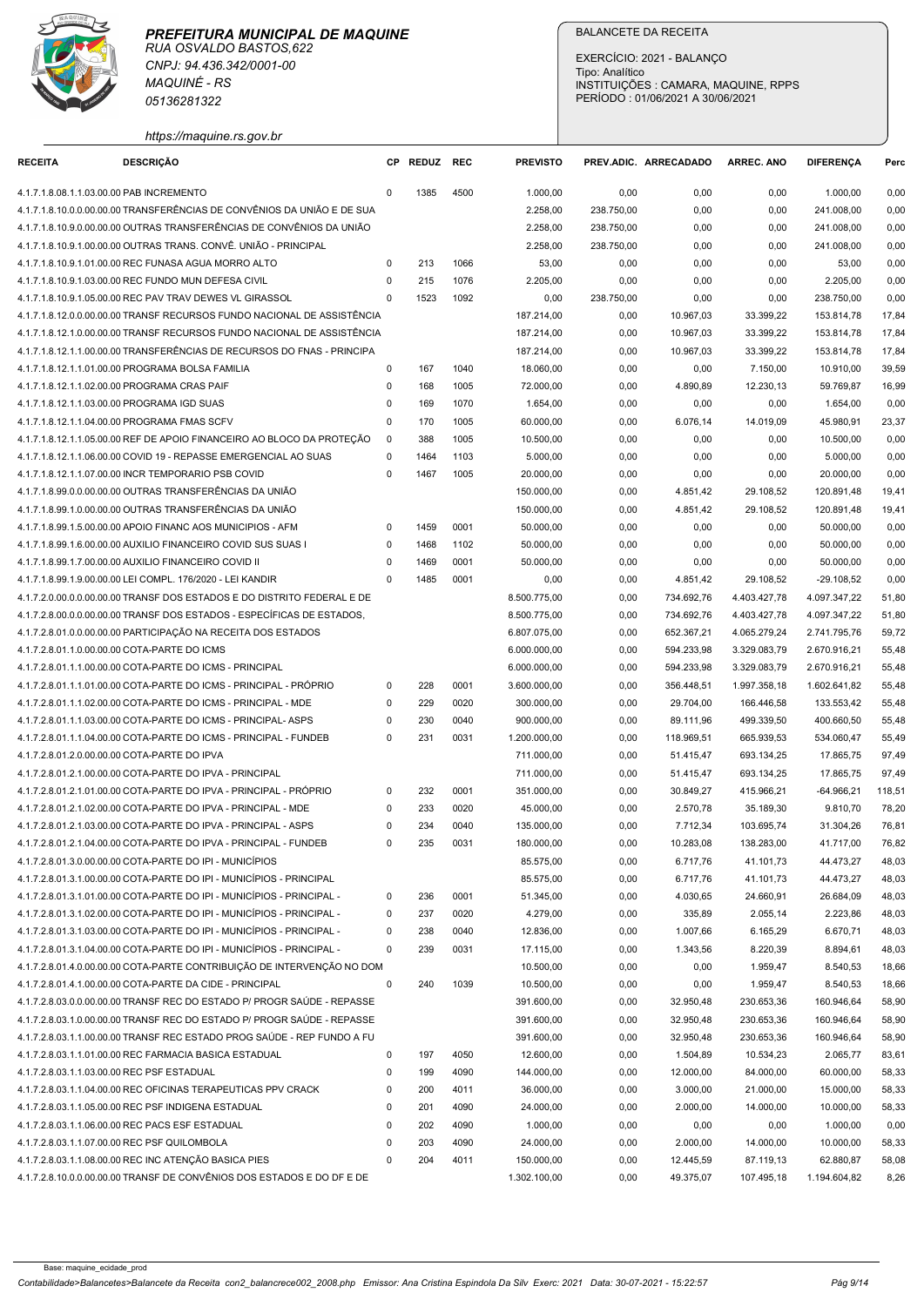

|                                                 | <b>MAQUINÉ - RS</b><br>05136281322                                                                                                               |                         |              |              |                          | EXERCÍCIO: 2021 - BALANÇO<br>Tipo: Analítico<br>PERÍODO: 01/06/2021 A 30/06/2021 |                        | INSTITUIÇÕES : CAMARA, MAQUINE, RPPS |                              |                |
|-------------------------------------------------|--------------------------------------------------------------------------------------------------------------------------------------------------|-------------------------|--------------|--------------|--------------------------|----------------------------------------------------------------------------------|------------------------|--------------------------------------|------------------------------|----------------|
| <b>RECEITA</b>                                  | https://maquine.rs.gov.br<br><b>DESCRIÇÃO</b>                                                                                                    |                         | CP REDUZ REC |              | <b>PREVISTO</b>          |                                                                                  | PREV.ADIC. ARRECADADO  | <b>ARREC, ANO</b>                    | <b>DIFERENCA</b>             | Perc           |
| 4.1.7.1.8.08.1.1.03.00.00 PAB INCREMENTO        |                                                                                                                                                  | $\Omega$                | 1385         | 4500         | 1.000,00                 | 0,00                                                                             | 0,00                   | 0,00                                 | 1.000,00                     | 0,00           |
|                                                 | 4.1.7.1.8.10.0.0.00.00.00 TRANSFERÊNCIAS DE CONVÊNIOS DA UNIÃO E DE SUA                                                                          |                         |              |              | 2.258,00                 | 238.750,00                                                                       | 0,00                   | 0,00                                 | 241.008,00                   | 0,00           |
|                                                 | 4.1.7.1.8.10.9.0.00.00.00 OUTRAS TRANSFERÊNCIAS DE CONVÊNIOS DA UNIÃO                                                                            |                         |              |              | 2.258,00                 | 238.750,00                                                                       | 0,00                   | 0,00                                 | 241.008,00                   | 0,00           |
|                                                 | 4.1.7.1.8.10.9.1.00.00.00 OUTRAS TRANS. CONVÊ. UNIÃO - PRINCIPAL                                                                                 |                         |              |              | 2.258,00                 | 238.750,00                                                                       | 0,00                   | 0,00                                 | 241.008,00                   | 0,00           |
|                                                 | 4.1.7.1.8.10.9.1.01.00.00 REC FUNASA AGUA MORRO ALTO<br>4.1.7.1.8.10.9.1.03.00.00 REC FUNDO MUN DEFESA CIVIL                                     | $\Omega$<br>$\Omega$    | 213<br>215   | 1066<br>1076 | 53,00<br>2.205,00        | 0,00<br>0,00                                                                     | 0,00<br>0,00           | 0,00<br>0,00                         | 53,00<br>2.205,00            | 0,00<br>0,00   |
|                                                 | 4.1.7.1.8.10.9.1.05.00.00 REC PAV TRAV DEWES VL GIRASSOL                                                                                         | $\Omega$                | 1523         | 1092         | 0,00                     | 238.750,00                                                                       | 0,00                   | 0,00                                 | 238.750,00                   | 0,00           |
|                                                 | 4.1.7.1.8.12.0.0.00.00.00 TRANSF RECURSOS FUNDO NACIONAL DE ASSISTÊNCIA                                                                          |                         |              |              | 187.214,00               | 0,00                                                                             | 10.967,03              | 33.399,22                            | 153.814,78                   | 17,84          |
|                                                 | 4.1.7.1.8.12.1.0.00.00.00 TRANSF RECURSOS FUNDO NACIONAL DE ASSISTÊNCIA                                                                          |                         |              |              | 187.214,00               | 0,00                                                                             | 10.967,03              | 33.399,22                            | 153.814,78                   | 17,84          |
|                                                 | 4.1.7.1.8.12.1.1.00.00.00 TRANSFERÊNCIAS DE RECURSOS DO FNAS - PRINCIPA                                                                          |                         |              |              | 187.214,00               | 0,00                                                                             | 10.967,03              | 33.399,22                            | 153.814,78                   | 17,84          |
| 4.1.7.1.8.12.1.1.02.00.00 PROGRAMA CRAS PAIF    | 4.1.7.1.8.12.1.1.01.00.00 PROGRAMA BOLSA FAMILIA                                                                                                 | 0<br>0                  | 167<br>168   | 1040<br>1005 | 18.060,00<br>72.000,00   | 0,00<br>0,00                                                                     | 0,00<br>4.890,89       | 7.150,00<br>12.230,13                | 10.910,00<br>59.769,87       | 39,59<br>16,99 |
| 4.1.7.1.8.12.1.1.03.00.00 PROGRAMA IGD SUAS     |                                                                                                                                                  | $\mathbf 0$             | 169          | 1070         | 1.654,00                 | 0,00                                                                             | 0,00                   | 0,00                                 | 1.654,00                     | 0,00           |
| 4.1.7.1.8.12.1.1.04.00.00 PROGRAMA FMAS SCFV    |                                                                                                                                                  | $\Omega$                | 170          | 1005         | 60.000,00                | 0,00                                                                             | 6.076,14               | 14.019,09                            | 45.980,91                    | 23,37          |
|                                                 | 4.1.7.1.8.12.1.1.05.00.00 REF DE APOIO FINANCEIRO AO BLOCO DA PROTEÇÃO                                                                           | - 0                     | 388          | 1005         | 10.500,00                | 0,00                                                                             | 0,00                   | 0,00                                 | 10.500,00                    | 0,00           |
|                                                 | 4.1.7.1.8.12.1.1.06.00.00 COVID 19 - REPASSE EMERGENCIAL AO SUAS                                                                                 | $\Omega$                | 1464         | 1103         | 5.000,00                 | 0,00                                                                             | 0,00                   | 0,00                                 | 5.000,00                     | 0,00           |
|                                                 | 4.1.7.1.8.12.1.1.07.00.00 INCR TEMPORARIO PSB COVID<br>4.1.7.1.8.99.0.0.00.00.00 OUTRAS TRANSFERÊNCIAS DA UNIÃO                                  | $\Omega$                | 1467         | 1005         | 20.000,00<br>150.000,00  | 0,00<br>0,00                                                                     | 0,00<br>4.851,42       | 0,00<br>29.108,52                    | 20.000,00<br>120.891,48      | 0,00<br>19,41  |
|                                                 | 4.1.7.1.8.99.1.0.00.00.00 OUTRAS TRANSFERÊNCIAS DA UNIÃO                                                                                         |                         |              |              | 150.000,00               | 0,00                                                                             | 4.851,42               | 29.108,52                            | 120.891,48                   | 19,41          |
|                                                 | 4.1.7.1.8.99.1.5.00.00.00 APOIO FINANC AOS MUNICIPIOS - AFM                                                                                      | $\Omega$                | 1459         | 0001         | 50.000,00                | 0,00                                                                             | 0,00                   | 0,00                                 | 50.000,00                    | 0,00           |
|                                                 | 4.1.7.1.8.99.1.6.00.00.00 AUXILIO FINANCEIRO COVID SUS SUAS I                                                                                    | $\Omega$                | 1468         | 1102         | 50.000,00                | 0,00                                                                             | 0,00                   | 0,00                                 | 50.000,00                    | 0,00           |
|                                                 | 4.1.7.1.8.99.1.7.00.00.00 AUXILIO FINANCEIRO COVID II                                                                                            | $\Omega$                | 1469         | 0001         | 50.000,00                | 0,00                                                                             | 0,00                   | 0,00                                 | 50.000,00                    | 0,00           |
|                                                 | 4.1.7.1.8.99.1.9.00.00.00 LEI COMPL. 176/2020 - LEI KANDIR<br>4.1.7.2.0.00.0.0.00.00.00 TRANSF DOS ESTADOS E DO DISTRITO FEDERAL E DE            | $\Omega$                | 1485         | 0001         | 0,00<br>8.500.775,00     | 0,00<br>0,00                                                                     | 4.851,42<br>734.692,76 | 29.108,52<br>4.403.427,78            | $-29.108,52$<br>4.097.347,22 | 0,00<br>51,80  |
|                                                 | 4.1.7.2.8.00.0.0.00.00.00 TRANSF DOS ESTADOS - ESPECÍFICAS DE ESTADOS.                                                                           |                         |              |              | 8.500.775,00             | 0,00                                                                             | 734.692,76             | 4.403.427,78                         | 4.097.347,22                 | 51,80          |
|                                                 | 4.1.7.2.8.01.0.0.00.00.00 PARTICIPAÇÃO NA RECEITA DOS ESTADOS                                                                                    |                         |              |              | 6.807.075.00             | 0,00                                                                             | 652.367,21             | 4.065.279,24                         | 2.741.795,76                 | 59,72          |
| 4.1.7.2.8.01.1.0.00.00.00 COTA-PARTE DO ICMS    |                                                                                                                                                  |                         |              |              | 6.000.000,00             | 0,00                                                                             | 594.233,98             | 3.329.083,79                         | 2.670.916,21                 | 55,48          |
|                                                 | 4.1.7.2.8.01.1.1.00.00.00 COTA-PARTE DO ICMS - PRINCIPAL                                                                                         |                         |              |              | 6.000.000,00             | 0,00                                                                             | 594.233,98             | 3.329.083,79                         | 2.670.916,21                 | 55,48          |
|                                                 | 4.1.7.2.8.01.1.1.01.00.00 COTA-PARTE DO ICMS - PRINCIPAL - PRÓPRIO<br>4.1.7.2.8.01.1.1.02.00.00 COTA-PARTE DO ICMS - PRINCIPAL - MDE             | $\mathbf 0$<br>$\Omega$ | 228<br>229   | 0001<br>0020 | 3.600.000,00             | 0,00                                                                             | 356.448,51             | 1.997.358,18<br>166.446,58           | 1.602.641,82<br>133.553,42   | 55,48<br>55,48 |
|                                                 | 4.1.7.2.8.01.1.1.03.00.00 COTA-PARTE DO ICMS - PRINCIPAL- ASPS                                                                                   | $\Omega$                | 230          | 0040         | 300.000,00<br>900.000,00 | 0,00<br>0,00                                                                     | 29.704,00<br>89.111,96 | 499.339,50                           | 400.660,50                   | 55,48          |
|                                                 | 4.1.7.2.8.01.1.1.04.00.00 COTA-PARTE DO ICMS - PRINCIPAL - FUNDEB                                                                                | $\Omega$                | 231          | 0031         | 1.200.000,00             | 0,00                                                                             | 118.969,51             | 665.939,53                           | 534.060,47                   | 55,49          |
| 4.1.7.2.8.01.2.0.00.00.00 COTA-PARTE DO IPVA    |                                                                                                                                                  |                         |              |              | 711.000,00               | 0,00                                                                             | 51.415,47              | 693.134,25                           | 17.865,75                    | 97,49          |
|                                                 | 4.1.7.2.8.01.2.1.00.00.00 COTA-PARTE DO IPVA - PRINCIPAL                                                                                         |                         |              |              | 711.000,00               | 0,00                                                                             | 51.415,47              | 693.134,25                           | 17.865,75                    | 97,49          |
|                                                 | 4.1.7.2.8.01.2.1.01.00.00 COTA-PARTE DO IPVA - PRINCIPAL - PRÓPRIO                                                                               | $\Omega$                | 232          | 0001         | 351.000,00               | 0,00                                                                             | 30.849,27              | 415.966,21                           | -64.966,21                   | 118,51         |
|                                                 | 4.1.7.2.8.01.2.1.02.00.00 COTA-PARTE DO IPVA - PRINCIPAL - MDE<br>4.1.7.2.8.01.2.1.03.00.00 COTA-PARTE DO IPVA - PRINCIPAL - ASPS                | $\mathbf 0$<br>$\Omega$ | 233<br>234   | 0020<br>0040 | 45.000,00<br>135.000,00  | 0,00<br>0,00                                                                     | 2.570,78<br>7.712,34   | 35.189,30<br>103.695,74              | 9.810,70<br>31.304,26        | 78,20<br>76,81 |
|                                                 | 4.1.7.2.8.01.2.1.04.00.00 COTA-PARTE DO IPVA - PRINCIPAL - FUNDEB                                                                                | 0                       | 235          | 0031         | 180.000,00               | 0,00                                                                             | 10.283,08              | 138.283,00                           | 41.717,00                    | 76,82          |
|                                                 | 4.1.7.2.8.01.3.0.00.00.00 COTA-PARTE DO IPI - MUNICÍPIOS                                                                                         |                         |              |              | 85.575,00                | 0,00                                                                             | 6.717,76               | 41.101,73                            | 44.473,27                    | 48,03          |
|                                                 | 4.1.7.2.8.01.3.1.00.00.00 COTA-PARTE DO IPI - MUNICÍPIOS - PRINCIPAL                                                                             |                         |              |              | 85.575,00                | 0,00                                                                             | 6.717,76               | 41.101,73                            | 44.473,27                    | 48,03          |
|                                                 | 4.1.7.2.8.01.3.1.01.00.00 COTA-PARTE DO IPI - MUNICÍPIOS - PRINCIPAL -                                                                           | $\mathbf 0$             | 236          | 0001         | 51.345,00                | 0,00                                                                             | 4.030,65               | 24.660,91                            | 26.684,09                    | 48,03          |
|                                                 | 4.1.7.2.8.01.3.1.02.00.00 COTA-PARTE DO IPI - MUNICÍPIOS - PRINCIPAL -<br>4.1.7.2.8.01.3.1.03.00.00 COTA-PARTE DO IPI - MUNICÍPIOS - PRINCIPAL - | $\Omega$<br>$^{\circ}$  | 237<br>238   | 0020<br>0040 | 4.279,00<br>12.836,00    | 0,00<br>0,00                                                                     | 335,89<br>1.007,66     | 2.055,14<br>6.165,29                 | 2.223,86<br>6.670,71         | 48,03<br>48,03 |
|                                                 | 4.1.7.2.8.01.3.1.04.00.00 COTA-PARTE DO IPI - MUNICÍPIOS - PRINCIPAL -                                                                           | $\Omega$                | 239          | 0031         | 17.115,00                | 0,00                                                                             | 1.343,56               | 8.220,39                             | 8.894,61                     | 48,03          |
|                                                 | 4.1.7.2.8.01.4.0.00.00.00 COTA-PARTE CONTRIBUICÃO DE INTERVENÇÃO NO DOM                                                                          |                         |              |              | 10.500,00                | 0,00                                                                             | 0,00                   | 1.959,47                             | 8.540,53                     | 18,66          |
|                                                 | 4.1.7.2.8.01.4.1.00.00.00 COTA-PARTE DA CIDE - PRINCIPAL                                                                                         | $^{\circ}$              | 240          | 1039         | 10.500,00                | 0,00                                                                             | 0,00                   | 1.959,47                             | 8.540,53                     | 18,66          |
|                                                 | 4.1.7.2.8.03.0.0.00.00.00 TRANSF REC DO ESTADO P/ PROGR SAÚDE - REPASSE                                                                          |                         |              |              | 391.600,00               | 0,00                                                                             | 32.950,48              | 230.653,36                           | 160.946,64                   | 58,90          |
|                                                 | 4.1.7.2.8.03.1.0.00.00.00 TRANSF REC DO ESTADO P/ PROGR SAÚDE - REPASSE                                                                          |                         |              |              | 391.600,00               | 0,00                                                                             | 32.950,48              | 230.653,36                           | 160.946,64                   | 58,90          |
|                                                 | 4.1.7.2.8.03.1.1.00.00.00 TRANSF REC ESTADO PROG SAÚDE - REP FUNDO A FU<br>4.1.7.2.8.03.1.1.01.00.00 REC FARMACIA BASICA ESTADUAL                | $\mathbf 0$             | 197          | 4050         | 391.600,00<br>12.600,00  | 0,00<br>0,00                                                                     | 32.950,48<br>1.504,89  | 230.653,36<br>10.534,23              | 160.946,64<br>2.065,77       | 58,90<br>83,61 |
| 4.1.7.2.8.03.1.1.03.00.00 REC PSF ESTADUAL      |                                                                                                                                                  | $\Omega$                | 199          | 4090         | 144.000,00               | 0,00                                                                             | 12.000,00              | 84.000,00                            | 60.000,00                    | 58,33          |
|                                                 | 4.1.7.2.8.03.1.1.04.00.00 REC OFICINAS TERAPEUTICAS PPV CRACK                                                                                    | $\mathbf 0$             | 200          | 4011         | 36.000,00                | 0,00                                                                             | 3.000,00               | 21.000,00                            | 15.000,00                    | 58,33          |
|                                                 | 4.1.7.2.8.03.1.1.05.00.00 REC PSF INDIGENA ESTADUAL                                                                                              | $\Omega$                | 201          | 4090         | 24.000,00                | 0,00                                                                             | 2.000,00               | 14.000,00                            | 10.000,00                    | 58,33          |
| 4.1.7.2.8.03.1.1.06.00.00 REC PACS ESF ESTADUAL |                                                                                                                                                  | $\Omega$                | 202          | 4090         | 1.000,00                 | 0,00                                                                             | 0,00                   | 0,00                                 | 1.000,00                     | 0,00           |
| 4.1.7.2.8.03.1.1.07.00.00 REC PSF QUILOMBOLA    | 4.1.7.2.8.03.1.1.08.00.00 REC INC ATENÇÃO BASICA PIES                                                                                            | $^{\circ}$              | 203<br>204   | 4090         | 24.000,00                | 0,00                                                                             | 2.000,00               | 14.000,00                            | 10.000,00                    | 58,33<br>58,08 |
|                                                 | 4.1.7.2.8.10.0.0.00.00.00 TRANSF DE CONVÊNIOS DOS ESTADOS E DO DF E DE                                                                           |                         |              | 4011         | 150.000,00               | 0,00                                                                             | 12.445,59              | 87.119,13<br>107.495,18              | 62.880,87                    | 8,26           |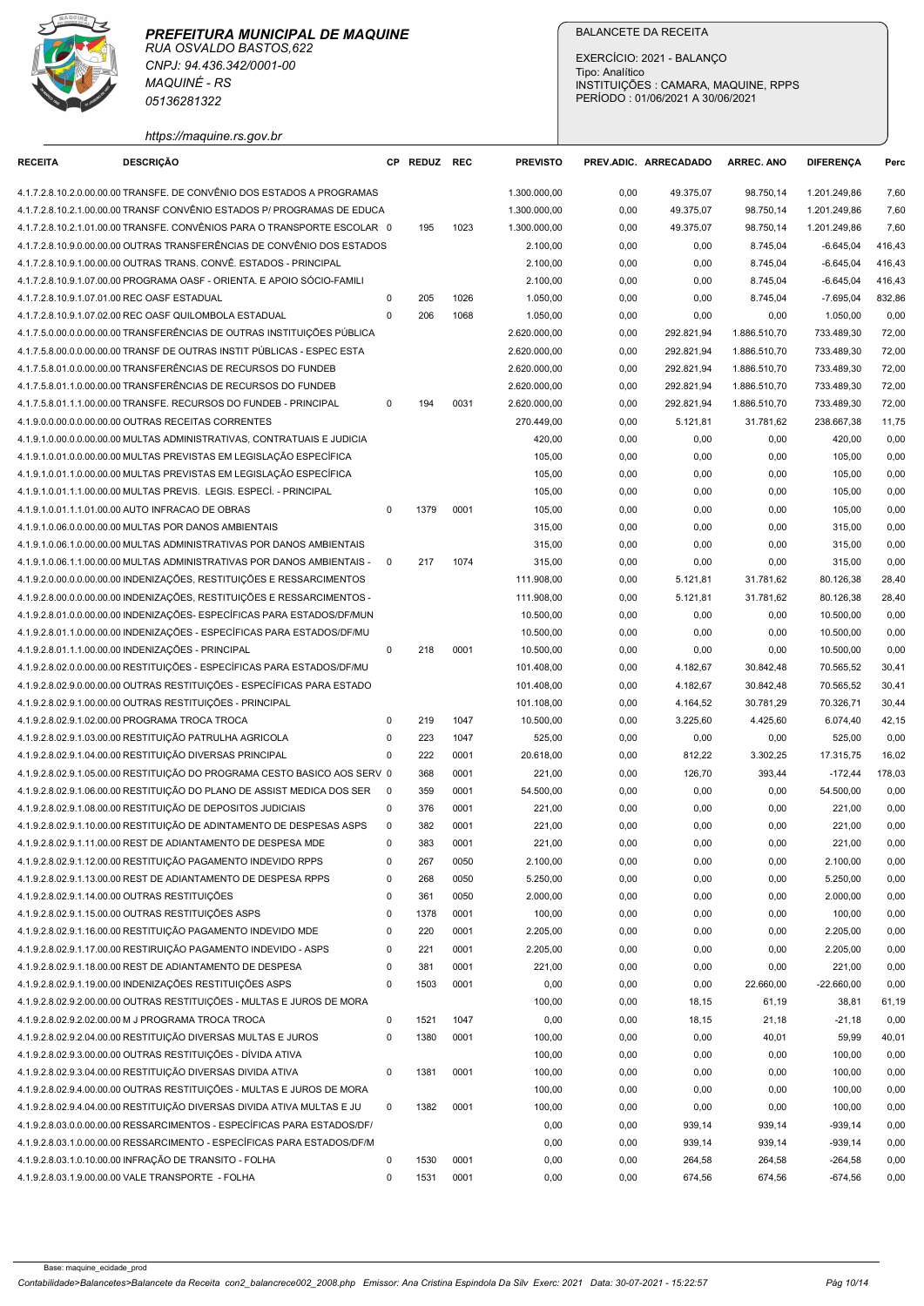

| <b>RECEITA</b>                                | https://maquine.rs.gov.br<br><b>DESCRIÇÃO</b>                                                                                                        |                         |              |              |                              | EXERCÍCIO: 2021 - BALANÇO<br>Tipo: Analítico<br>PERÍODO: 01/06/2021 A 30/06/2021 |                          | INSTITUIÇÕES : CAMARA, MAQUINE, RPPS |                              |                  |
|-----------------------------------------------|------------------------------------------------------------------------------------------------------------------------------------------------------|-------------------------|--------------|--------------|------------------------------|----------------------------------------------------------------------------------|--------------------------|--------------------------------------|------------------------------|------------------|
|                                               |                                                                                                                                                      |                         |              |              |                              |                                                                                  |                          |                                      |                              |                  |
|                                               |                                                                                                                                                      |                         | CP REDUZ REC |              | <b>PREVISTO</b>              | PREV.ADIC. ARRECADADO                                                            |                          | <b>ARREC. ANO</b>                    | <b>DIFERENCA</b>             | Perc             |
|                                               | 4.1.7.2.8.10.2.0.00.00.00 TRANSFE. DE CONVÊNIO DOS ESTADOS A PROGRAMAS<br>4.1.7.2.8.10.2.1.00.00.00 TRANSF CONVÊNIO ESTADOS P/ PROGRAMAS DE EDUCA    |                         |              |              | 1.300.000,00<br>1.300.000,00 | 0,00<br>0,00                                                                     | 49.375,07<br>49.375,07   | 98.750,14<br>98.750,14               | 1.201.249,86<br>1.201.249,86 | 7,60<br>7,60     |
|                                               | 4.1.7.2.8.10.2.1.01.00.00 TRANSFE. CONVÊNIOS PARA O TRANSPORTE ESCOLAR 0                                                                             |                         | 195          | 1023         | 1.300.000,00                 | 0,00                                                                             | 49.375,07                | 98.750,14                            | 1.201.249,86                 | 7,60             |
|                                               | 4.1.7.2.8.10.9.0.00.00.00 OUTRAS TRANSFERÊNCIAS DE CONVÊNIO DOS ESTADOS                                                                              |                         |              |              | 2.100,00                     | 0,00                                                                             | 0,00                     | 8.745,04                             | $-6.645,04$                  | 416,43           |
|                                               | 4.1.7.2.8.10.9.1.00.00.00 OUTRAS TRANS. CONVÊ. ESTADOS - PRINCIPAL                                                                                   |                         |              |              | 2.100,00                     | 0,00                                                                             | 0,00                     | 8.745,04                             | $-6.645.04$                  | 416,43           |
| 4.1.7.2.8.10.9.1.07.01.00 REC OASF ESTADUAL   | 4.1.7.2.8.10.9.1.07.00.00 PROGRAMA OASF - ORIENTA. E APOIO SÓCIO-FAMILI                                                                              | $\Omega$                | 205          | 1026         | 2.100,00<br>1.050,00         | 0,00<br>0,00                                                                     | 0,00<br>0,00             | 8.745,04<br>8.745,04                 | $-6.645.04$<br>$-7.695,04$   | 416,43<br>832,86 |
|                                               | 4.1.7.2.8.10.9.1.07.02.00 REC OASF QUILOMBOLA ESTADUAL                                                                                               | $\Omega$                | 206          | 1068         | 1.050,00                     | 0,00                                                                             | 0,00                     | 0,00                                 | 1.050,00                     | 0,00             |
|                                               | 4.1.7.5.0.00.0.0.00.00.00 TRANSFERÊNCIAS DE OUTRAS INSTITUIÇÕES PÚBLICA                                                                              |                         |              |              | 2.620.000,00                 | 0,00                                                                             | 292.821,94               | 1.886.510,70                         | 733.489,30                   | 72,00            |
|                                               | 4.1.7.5.8.00.0.0.00.00.00 TRANSF DE OUTRAS INSTIT PUBLICAS - ESPEC ESTA<br>4.1.7.5.8.01.0.0.00.00.00 TRANSFERÊNCIAS DE RECURSOS DO FUNDEB            |                         |              |              | 2.620.000,00<br>2.620.000,00 | 0,00<br>0,00                                                                     | 292.821,94<br>292.821,94 | 1.886.510,70<br>1.886.510,70         | 733.489,30<br>733.489,30     | 72,00<br>72,00   |
|                                               | 4.1.7.5.8.01.1.0.00.00.00 TRANSFERÊNCIAS DE RECURSOS DO FUNDEB                                                                                       |                         |              |              | 2.620.000.00                 | 0,00                                                                             | 292.821,94               | 1.886.510,70                         | 733.489,30                   | 72,00            |
|                                               | 4.1.7.5.8.01.1.1.00.00.00 TRANSFE. RECURSOS DO FUNDEB - PRINCIPAL                                                                                    | $\Omega$                | 194          | 0031         | 2.620.000,00                 | 0,00                                                                             | 292.821,94               | 1.886.510,70                         | 733.489,30                   | 72,00            |
|                                               | 4.1.9.0.0.00.0.0.00.00.00 OUTRAS RECEITAS CORRENTES                                                                                                  |                         |              |              | 270.449,00                   | 0,00                                                                             | 5.121,81                 | 31.781,62                            | 238.667,38                   | 11,75            |
|                                               | 4.1.9.1.0.00.0.0.00.00.00 MULTAS ADMINISTRATIVAS, CONTRATUAIS E JUDICIA<br>4.1.9.1.0.01.0.0.00.00.00 MULTAS PREVISTAS EM LEGISLAÇÃO ESPECÍFICA       |                         |              |              | 420,00<br>105,00             | 0,00<br>0,00                                                                     | 0,00<br>0,00             | 0,00<br>0,00                         | 420,00<br>105,00             | 0,00<br>0,00     |
|                                               | 4.1.9.1.0.01.1.0.00.00.00 MULTAS PREVISTAS EM LEGISLAÇÃO ESPECÍFICA                                                                                  |                         |              |              | 105,00                       | 0,00                                                                             | 0,00                     | 0,00                                 | 105,00                       | 0,00             |
|                                               | 4.1.9.1.0.01.1.1.00.00.00 MULTAS PREVIS. LEGIS. ESPECÍ. - PRINCIPAL                                                                                  |                         |              |              | 105,00                       | 0,00                                                                             | 0,00                     | 0,00                                 | 105,00                       | 0,00             |
|                                               | 4.1.9.1.0.01.1.1.01.00.00 AUTO INFRACAO DE OBRAS                                                                                                     | $\mathbf 0$             | 1379         | 0001         | 105,00                       | 0,00                                                                             | 0,00                     | 0,00                                 | 105,00                       | 0,00             |
|                                               | 4.1.9.1.0.06.0.0.00.00.00 MULTAS POR DANOS AMBIENTAIS<br>4.1.9.1.0.06.1.0.00.00.00 MULTAS ADMINISTRATIVAS POR DANOS AMBIENTAIS                       |                         |              |              | 315,00<br>315,00             | 0,00<br>0,00                                                                     | 0,00<br>0,00             | 0,00<br>0,00                         | 315,00<br>315,00             | 0,00<br>0,00     |
|                                               | 4.1.9.1.0.06.1.1.00.00.00 MULTAS ADMINISTRATIVAS POR DANOS AMBIENTAIS -                                                                              | $\mathbf 0$             | 217          | 1074         | 315,00                       | 0,00                                                                             | 0,00                     | 0,00                                 | 315,00                       | 0,00             |
|                                               | 4.1.9.2.0.00.0.0.00.00.00 INDENIZAÇÕES, RESTITUIÇÕES E RESSARCIMENTOS                                                                                |                         |              |              | 111.908,00                   | 0,00                                                                             | 5.121,81                 | 31.781,62                            | 80.126,38                    | 28,40            |
|                                               | 4.1.9.2.8.00.0.0.00.00.00 INDENIZAÇÕES, RESTITUIÇÕES E RESSARCIMENTOS -<br>4.1.9.2.8.01.0.0.00.00.00 INDENIZAÇÕES- ESPECÍFICAS PARA ESTADOS/DF/MUN   |                         |              |              | 111.908,00                   | 0,00                                                                             | 5.121,81                 | 31.781,62                            | 80.126,38                    | 28,40            |
|                                               | 4.1.9.2.8.01.1.0.00.00.00 INDENIZAÇÕES - ESPECÍFICAS PARA ESTADOS/DF/MU                                                                              |                         |              |              | 10.500,00<br>10.500,00       | 0,00<br>0,00                                                                     | 0,00<br>0,00             | 0,00<br>0,00                         | 10.500,00<br>10.500,00       | 0,00<br>0,00     |
|                                               | 4.1.9.2.8.01.1.1.00.00.00 INDENIZAÇÕES - PRINCIPAL                                                                                                   | $\mathbf 0$             | 218          | 0001         | 10.500,00                    | 0,00                                                                             | 0,00                     | 0,00                                 | 10.500,00                    | 0,00             |
|                                               | 4.1.9.2.8.02.0.0.00.00.00 RESTITUIÇÕES - ESPECÍFICAS PARA ESTADOS/DF/MU                                                                              |                         |              |              | 101.408,00                   | 0,00                                                                             | 4.182,67                 | 30.842,48                            | 70.565,52                    | 30,41            |
|                                               | 4.1.9.2.8.02.9.0.00.00.00 OUTRAS RESTITUIÇÕES - ESPECÍFICAS PARA ESTADO<br>4.1.9.2.8.02.9.1.00.00.00 OUTRAS RESTITUIÇÕES - PRINCIPAL                 |                         |              |              | 101.408,00<br>101.108,00     | 0,00<br>0,00                                                                     | 4.182,67<br>4.164,52     | 30.842,48<br>30.781,29               | 70.565,52<br>70.326,71       | 30,41<br>30,44   |
|                                               | 4.1.9.2.8.02.9.1.02.00.00 PROGRAMA TROCA TROCA                                                                                                       | $\mathbf 0$             | 219          | 1047         | 10.500,00                    | 0,00                                                                             | 3.225,60                 | 4.425,60                             | 6.074,40                     | 42,15            |
|                                               | 4.1.9.2.8.02.9.1.03.00.00 RESTITUIÇÃO PATRULHA AGRICOLA                                                                                              | $\mathbf 0$             | 223          | 1047         | 525,00                       | 0,00                                                                             | 0,00                     | 0,00                                 | 525,00                       | 0,00             |
|                                               | 4.1.9.2.8.02.9.1.04.00.00 RESTITUIÇÃO DIVERSAS PRINCIPAL                                                                                             | $\mathbf 0$             | 222          | 0001         | 20.618,00                    | 0,00                                                                             | 812,22                   | 3.302,25                             | 17.315,75                    | 16,02            |
|                                               | 4.1.9.2.8.02.9.1.05.00.00 RESTITUIÇÃO DO PROGRAMA CESTO BASICO AOS SERV 0<br>4.1.9.2.8.02.9.1.06.00.00 RESTITUIÇÃO DO PLANO DE ASSIST MEDICA DOS SER | $\overline{\mathbf{0}}$ | 368<br>359   | 0001<br>0001 | 221,00<br>54.500,00          | 0,00<br>0,00                                                                     | 126,70<br>0,00           | 393,44<br>0,00                       | $-172,44$<br>54.500,00       | 178,03<br>0,00   |
|                                               | 4.1.9.2.8.02.9.1.08.00.00 RESTITUIÇÃO DE DEPOSITOS JUDICIAIS                                                                                         | $\mathbf 0$             | 376          | 0001         | 221,00                       | 0,00                                                                             | 0,00                     | 0,00                                 | 221,00                       | 0,00             |
|                                               | 4.1.9.2.8.02.9.1.10.00.00 RESTITUIÇÃO DE ADINTAMENTO DE DESPESAS ASPS                                                                                | $\mathbf 0$             | 382          | 0001         | 221,00                       | 0,00                                                                             | 0,00                     | 0,00                                 | 221,00                       | 0,00             |
|                                               | 4.1.9.2.8.02.9.1.11.00.00 REST DE ADIANTAMENTO DE DESPESA MDE                                                                                        | $\mathbf 0$             | 383          | 0001         | 221,00                       | 0,00                                                                             | 0,00                     | 0,00                                 | 221,00                       | 0,00             |
|                                               | 4.1.9.2.8.02.9.1.12.00.00 RESTITUIÇÃO PAGAMENTO INDEVIDO RPPS<br>4.1.9.2.8.02.9.1.13.00.00 REST DE ADIANTAMENTO DE DESPESA RPPS                      | 0<br>$\mathbf 0$        | 267<br>268   | 0050<br>0050 | 2.100,00<br>5.250,00         | 0,00<br>0,00                                                                     | 0,00<br>0,00             | 0,00<br>0,00                         | 2.100,00<br>5.250,00         | 0,00<br>0,00     |
| 4.1.9.2.8.02.9.1.14.00.00 OUTRAS RESTITUIÇÕES |                                                                                                                                                      | $\mathbf 0$             | 361          | 0050         | 2.000,00                     | 0,00                                                                             | 0,00                     | 0,00                                 | 2.000,00                     | 0,00             |
|                                               | 4.1.9.2.8.02.9.1.15.00.00 OUTRAS RESTITUIÇÕES ASPS                                                                                                   | $^{\circ}$              | 1378         | 0001         | 100,00                       | 0,00                                                                             | 0,00                     | 0,00                                 | 100,00                       | 0,00             |
|                                               | 4.1.9.2.8.02.9.1.16.00.00 RESTITUIÇÃO PAGAMENTO INDEVIDO MDE                                                                                         | $^{\circ}$              | 220          | 0001         | 2.205,00                     | 0,00                                                                             | 0,00                     | 0,00                                 | 2.205,00                     | 0,00             |
|                                               | 4.1.9.2.8.02.9.1.17.00.00 RESTIRUIÇÃO PAGAMENTO INDEVIDO - ASPS<br>4.1.9.2.8.02.9.1.18.00.00 REST DE ADIANTAMENTO DE DESPESA                         | $\mathbf 0$<br>$\Omega$ | 221<br>381   | 0001<br>0001 | 2.205,00<br>221,00           | 0,00<br>0,00                                                                     | 0,00<br>0,00             | 0,00<br>0,00                         | 2.205,00<br>221,00           | 0,00<br>0,00     |
|                                               | 4.1.9.2.8.02.9.1.19.00.00 INDENIZAÇÕES RESTITUIÇÕES ASPS                                                                                             | $\mathbf 0$             | 1503         | 0001         | 0,00                         | 0,00                                                                             | 0,00                     | 22.660,00                            | $-22.660,00$                 | 0,00             |
|                                               | 4.1.9.2.8.02.9.2.00.00.00 OUTRAS RESTITUIÇÕES - MULTAS E JUROS DE MORA                                                                               |                         |              |              | 100,00                       | 0,00                                                                             | 18,15                    | 61,19                                | 38,81                        | 61,19            |
|                                               | 4.1.9.2.8.02.9.2.02.00.00 M J PROGRAMA TROCA TROCA                                                                                                   | $\mathbf 0$             | 1521         | 1047         | 0,00                         | 0,00                                                                             | 18,15                    | 21,18                                | $-21,18$                     | 0,00             |
|                                               | 4.1.9.2.8.02.9.2.04.00.00 RESTITUIÇÃO DIVERSAS MULTAS E JUROS                                                                                        | 0                       | 1380         | 0001         | 100,00                       | 0,00                                                                             | 0,00                     | 40,01                                | 59,99                        | 40,01            |
|                                               | 4.1.9.2.8.02.9.3.00.00.00 OUTRAS RESTITUIÇÕES - DÍVIDA ATIVA<br>4.1.9.2.8.02.9.3.04.00.00 RESTITUIÇÃO DIVERSAS DIVIDA ATIVA                          | $\mathbf 0$             | 1381         | 0001         | 100,00<br>100,00             | 0,00<br>0,00                                                                     | 0,00<br>0,00             | 0,00<br>0,00                         | 100,00<br>100,00             | 0,00<br>0,00     |
|                                               | 4.1.9.2.8.02.9.4.00.00.00 OUTRAS RESTITUIÇÕES - MULTAS E JUROS DE MORA                                                                               |                         |              |              | 100,00                       | 0,00                                                                             | 0,00                     | 0,00                                 | 100,00                       | 0,00             |
|                                               | 4.1.9.2.8.02.9.4.04.00.00 RESTITUIÇÃO DIVERSAS DIVIDA ATIVA MULTAS E JU                                                                              | $\mathbf 0$             | 1382         | 0001         | 100,00                       | 0,00                                                                             | 0,00                     | 0,00                                 | 100,00                       | 0,00             |
|                                               | 4.1.9.2.8.03.0.0.00.00.00 RESSARCIMENTOS - ESPECÍFICAS PARA ESTADOS/DF/                                                                              |                         |              |              | 0,00                         | 0,00                                                                             | 939,14                   | 939,14                               | $-939, 14$                   | 0,00             |
|                                               | 4.1.9.2.8.03.1.0.00.00.00 RESSARCIMENTO - ESPECÍFICAS PARA ESTADOS/DF/M                                                                              |                         |              |              | 0,00                         | 0,00                                                                             | 939,14                   | 939,14                               | $-939, 14$                   | 0,00             |
|                                               | 4.1.9.2.8.03.1.0.10.00.00 INFRAÇÃO DE TRANSITO - FOLHA<br>4.1.9.2.8.03.1.9.00.00.00 VALE TRANSPORTE - FOLHA                                          | $^{\circ}$              | 1530<br>1531 | 0001<br>0001 | 0,00<br>0,00                 | 0,00<br>0,00                                                                     | 264,58<br>674,56         | 264,58<br>674,56                     | $-264,58$<br>$-674,56$       | 0,00<br>0,00     |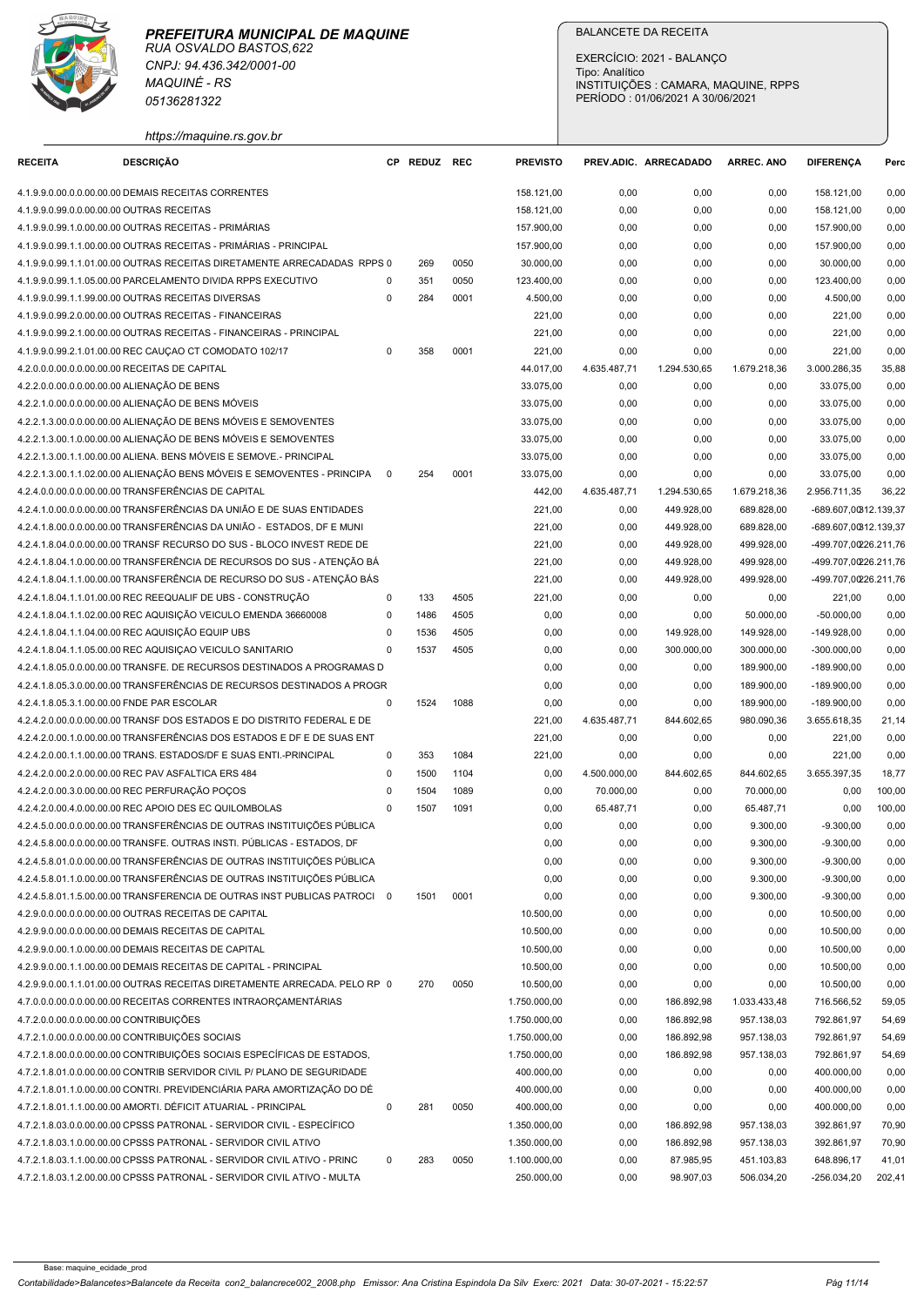# PREFEITURA MUNICIPAL DE MAQUINE



|                                                                                            | <b>MAQUINÉ - RS</b><br>05136281322                                                                                                                   |                          |              | Tipo: Analítico | EXERCÍCIO: 2021 - BALANÇO<br>PERÍODO: 01/06/2021 A 30/06/2021 | INSTITUIÇÕES : CAMARA, MAQUINE, RPPS |                          |                          |                                                |                 |
|--------------------------------------------------------------------------------------------|------------------------------------------------------------------------------------------------------------------------------------------------------|--------------------------|--------------|-----------------|---------------------------------------------------------------|--------------------------------------|--------------------------|--------------------------|------------------------------------------------|-----------------|
|                                                                                            | https://maquine.rs.gov.br                                                                                                                            |                          |              |                 |                                                               |                                      |                          |                          |                                                |                 |
| <b>RECEITA</b>                                                                             | <b>DESCRIÇÃO</b>                                                                                                                                     |                          | CP REDUZ REC |                 | <b>PREVISTO</b>                                               |                                      | PREV.ADIC. ARRECADADO    | <b>ARREC. ANO</b>        | <b>DIFERENCA</b>                               | Perc            |
| 4.1.9.9.0.99.0.0.00.00.00 OUTRAS RECEITAS                                                  | 4.1.9.9.0.00.0.0.00.00.00 DEMAIS RECEITAS CORRENTES                                                                                                  |                          |              |                 | 158.121,00<br>158.121,00                                      | 0,00<br>0,00                         | 0,00<br>0,00             | 0,00<br>0,00             | 158.121,00<br>158.121,00                       | 0,00<br>0,00    |
|                                                                                            | 4.1.9.9.0.99.1.0.00.00.00 OUTRAS RECEITAS - PRIMÁRIAS                                                                                                |                          |              |                 | 157.900,00                                                    | 0,00                                 | 0,00                     | 0,00                     | 157.900,00                                     | 0,00            |
|                                                                                            | 4.1.9.9.0.99.1.1.00.00.00 OUTRAS RECEITAS - PRIMÁRIAS - PRINCIPAL                                                                                    |                          |              |                 | 157.900,00                                                    | 0,00                                 | 0,00                     | 0,00                     | 157.900,00                                     | 0,00            |
|                                                                                            | 4.1.9.9.0.99.1.1.01.00.00 OUTRAS RECEITAS DIRETAMENTE ARRECADADAS RPPS 0                                                                             |                          | 269          | 0050            | 30.000,00                                                     | 0,00                                 | 0,00                     | 0,00                     | 30.000,00                                      | 0,00            |
|                                                                                            | 4.1.9.9.0.99.1.1.05.00.00 PARCELAMENTO DIVIDA RPPS EXECUTIVO                                                                                         | $\Omega$                 | 351          | 0050            | 123.400,00                                                    | 0,00                                 | 0,00                     | 0,00                     | 123.400,00                                     | 0,00            |
|                                                                                            | 4.1.9.9.0.99.1.1.99.00.00 OUTRAS RECEITAS DIVERSAS<br>4.1.9.9.0.99.2.0.00.00.00 OUTRAS RECEITAS - FINANCEIRAS                                        | $\Omega$                 | 284          | 0001            | 4.500,00<br>221,00                                            | 0,00<br>0,00                         | 0,00<br>0,00             | 0,00<br>0,00             | 4.500,00<br>221,00                             | 0,00<br>0,00    |
|                                                                                            | 4.1.9.9.0.99.2.1.00.00.00 OUTRAS RECEITAS - FINANCEIRAS - PRINCIPAL                                                                                  |                          |              |                 | 221,00                                                        | 0,00                                 | 0,00                     | 0,00                     | 221,00                                         | 0,00            |
|                                                                                            | 4.1.9.9.0.99.2.1.01.00.00 REC CAUÇAO CT COMODATO 102/17                                                                                              | $\Omega$                 | 358          | 0001            | 221,00                                                        | 0,00                                 | 0,00                     | 0,00                     | 221,00                                         | 0,00            |
| 4.2.0.0.0.00.0.0.00.00.00 RECEITAS DE CAPITAL                                              |                                                                                                                                                      |                          |              |                 | 44.017,00                                                     | 4.635.487,71                         | 1.294.530,65             | 1.679.218,36             | 3.000.286,35                                   | 35,88           |
| 4.2.2.0.0.00.0.0.00.00.00 ALIENAÇÃO DE BENS                                                |                                                                                                                                                      |                          |              |                 | 33.075,00                                                     | 0,00                                 | 0,00                     | 0,00                     | 33.075,00                                      | 0,00            |
|                                                                                            | 4.2.2.1.0.00.0.0.00.00.00 ALIENAÇÃO DE BENS MÓVEIS                                                                                                   |                          |              |                 | 33.075,00                                                     | 0,00                                 | 0,00                     | 0,00                     | 33.075,00                                      | 0,00            |
|                                                                                            | 4.2.2.1.3.00.0.0.00.00.00 ALIENAÇÃO DE BENS MÓVEIS E SEMOVENTES<br>4.2.2.1.3.00.1.0.00.00.00 ALIENAÇÃO DE BENS MÓVEIS E SEMOVENTES                   |                          |              |                 | 33.075,00<br>33.075,00                                        | 0,00<br>0,00                         | 0,00<br>0,00             | 0,00<br>0,00             | 33.075,00<br>33.075,00                         | 0,00<br>0,00    |
|                                                                                            | 4.2.2.1.3.00.1.1.00.00.00 ALIENA. BENS MÓVEIS E SEMOVE.- PRINCIPAL                                                                                   |                          |              |                 | 33.075,00                                                     | 0,00                                 | 0,00                     | 0,00                     | 33.075,00                                      | 0,00            |
|                                                                                            | 4.2.2.1.3.00.1.1.02.00.00 ALIENAÇÃO BENS MÓVEIS E SEMOVENTES - PRINCIPA                                                                              | $\overline{\phantom{0}}$ | 254          | 0001            | 33.075,00                                                     | 0,00                                 | 0,00                     | 0,00                     | 33.075,00                                      | 0,00            |
|                                                                                            | 4.2.4.0.0.00.0.0.00.00.00 TRANSFERÊNCIAS DE CAPITAL                                                                                                  |                          |              |                 | 442,00                                                        | 4.635.487,71                         | 1.294.530,65             | 1.679.218,36             | 2.956.711,35                                   | 36,22           |
|                                                                                            | 4.2.4.1.0.00.0.0.00.00.00 TRANSFERÊNCIAS DA UNIÃO E DE SUAS ENTIDADES                                                                                |                          |              |                 | 221,00                                                        | 0,00                                 | 449.928,00               | 689.828,00               | -689.607,00312.139,37                          |                 |
|                                                                                            | 4.2.4.1.8.00.0.0.00.00.00 TRANSFERÊNCIAS DA UNIÃO - ESTADOS, DF E MUNI<br>4.2.4.1.8.04.0.0.00.00.00 TRANSF RECURSO DO SUS - BLOCO INVEST REDE DE     |                          |              |                 | 221,00<br>221,00                                              | 0,00<br>0,00                         | 449.928,00<br>449.928,00 | 689.828,00<br>499.928,00 | -689.607,00312.139,37<br>-499.707,00226.211,76 |                 |
|                                                                                            | 4.2.4.1.8.04.1.0.00.00.00 TRANSFERÊNCIA DE RECURSOS DO SUS - ATENÇÃO BÁ                                                                              |                          |              |                 | 221,00                                                        | 0,00                                 | 449.928,00               | 499.928,00               | -499.707,00226.211,76                          |                 |
|                                                                                            | 4.2.4.1.8.04.1.1.00.00.00 TRANSFERÊNCIA DE RECURSO DO SUS - ATENÇÃO BÁS                                                                              |                          |              |                 | 221,00                                                        | 0,00                                 | 449.928,00               | 499.928,00               | -499.707,00226.211,76                          |                 |
|                                                                                            | 4.2.4.1.8.04.1.1.01.00.00 REC REEQUALIF DE UBS - CONSTRUÇÃO                                                                                          | $\mathbf 0$              | 133          | 4505            | 221,00                                                        | 0,00                                 | 0,00                     | 0,00                     | 221,00                                         | 0,00            |
|                                                                                            | 4.2.4.1.8.04.1.1.02.00.00 REC AQUISIÇÃO VEICULO EMENDA 36660008                                                                                      | $\Omega$                 | 1486         | 4505            | 0,00                                                          | 0,00                                 | 0,00                     | 50.000,00                | $-50.000,00$                                   | 0,00            |
|                                                                                            | 4.2.4.1.8.04.1.1.04.00.00 REC AQUISIÇÃO EQUIP UBS                                                                                                    | $\Omega$<br>$\Omega$     | 1536         | 4505            | 0,00                                                          | 0,00                                 | 149.928,00               | 149.928,00               | -149.928,00                                    | 0,00            |
|                                                                                            | 4.2.4.1.8.04.1.1.05.00.00 REC AQUISIÇAO VEICULO SANITARIO<br>4.2.4.1.8.05.0.0.00.00.00 TRANSFE. DE RECURSOS DESTINADOS A PROGRAMAS D                 |                          | 1537         | 4505            | 0,00<br>0,00                                                  | 0,00<br>0,00                         | 300.000,00<br>0,00       | 300.000,00<br>189.900,00 | $-300.000,00$<br>$-189.900,00$                 | 0,00<br>0,00    |
|                                                                                            | 4.2.4.1.8.05.3.0.00.00.00 TRANSFERÊNCIAS DE RECURSOS DESTINADOS A PROGR                                                                              |                          |              |                 | 0,00                                                          | 0,00                                 | 0,00                     | 189.900,00               | $-189.900,00$                                  | 0,00            |
| 4.2.4.1.8.05.3.1.00.00.00 FNDE PAR ESCOLAR                                                 |                                                                                                                                                      | $\mathbf 0$              | 1524         | 1088            | 0,00                                                          | 0,00                                 | 0,00                     | 189.900,00               | $-189.900,00$                                  | 0,00            |
|                                                                                            | 4.2.4.2.0.00.0.0.00.00.00 TRANSF DOS ESTADOS E DO DISTRITO FEDERAL E DE                                                                              |                          |              |                 | 221,00                                                        | 4.635.487,71                         | 844.602,65               | 980.090,36               | 3.655.618,35                                   | 21,14           |
|                                                                                            | 4.2.4.2.0.00.1.0.00.00.00 TRANSFERÊNCIAS DOS ESTADOS E DF E DE SUAS ENT                                                                              |                          |              |                 | 221,00                                                        | 0,00                                 | 0,00                     | 0,00                     | 221,00                                         | 0,00            |
|                                                                                            | 4.2.4.2.0.00.1.1.00.00.00 TRANS. ESTADOS/DF E SUAS ENTI.-PRINCIPAL                                                                                   | $\mathbf 0$              | 353          | 1084            | 221,00                                                        | 0,00                                 | 0,00                     | 0,00                     | 221,00                                         | 0,00            |
|                                                                                            | 4.2.4.2.0.00.2.0.00.00.00 REC PAV ASFALTICA ERS 484<br>4.2.4.2.0.00.3.0.00.00.00 REC PERFURAÇÃO POÇOS                                                | $\mathbf 0$<br>$\Omega$  | 1500<br>1504 | 1104<br>1089    | 0,00<br>0,00                                                  | 4.500.000,00<br>70.000,00            | 844.602,65<br>0,00       | 844.602,65<br>70.000,00  | 3.655.397,35<br>0,00                           | 18,77<br>100,00 |
|                                                                                            | 4.2.4.2.0.00.4.0.00.00.00 REC APOIO DES EC QUILOMBOLAS                                                                                               | $\Omega$                 | 1507         | 1091            | 0,00                                                          | 65.487,71                            | 0,00                     | 65.487,71                | 0,00                                           | 100,00          |
|                                                                                            | 4.2.4.5.0.00.0.00.00.00.00 TRANSFERÊNCIAS DE OUTRAS INSTITUIÇÕES PÚBLICA                                                                             |                          |              |                 | 0,00                                                          | 0,00                                 | 0,00                     | 9.300,00                 | $-9.300,00$                                    | 0,00            |
|                                                                                            | 4.2.4.5.8.00.0.0.00.00.00 TRANSFE. OUTRAS INSTI. PÚBLICAS - ESTADOS, DF                                                                              |                          |              |                 | 0,00                                                          | 0,00                                 | 0,00                     | 9.300,00                 | $-9.300,00$                                    | 0,00            |
|                                                                                            | 4.2.4.5.8.01.0.0.00.00.00 TRANSFERÊNCIAS DE OUTRAS INSTITUIÇÕES PÚBLICA                                                                              |                          |              |                 | 0,00                                                          | 0,00                                 | 0,00                     | 9.300,00                 | $-9.300,00$                                    | 0,00            |
|                                                                                            | 4.2.4.5.8.01.1.0.00.00.00 TRANSFERÊNCIAS DE OUTRAS INSTITUIÇÕES PÚBLICA<br>4.2.4.5.8.01.1.5.00.00.00 TRANSFERENCIA DE OUTRAS INST PUBLICAS PATROCI 0 |                          | 1501         | 0001            | 0,00<br>0,00                                                  | 0,00<br>0,00                         | 0,00<br>0,00             | 9.300,00<br>9.300,00     | $-9.300,00$<br>$-9.300,00$                     | 0,00<br>0,00    |
|                                                                                            | 4.2.9.0.0.00.0.0.00.00.00 OUTRAS RECEITAS DE CAPITAL                                                                                                 |                          |              |                 | 10.500,00                                                     | 0,00                                 | 0,00                     | 0,00                     | 10.500,00                                      | 0,00            |
|                                                                                            | 4.2.9.9.0.00.0.0.00.00.00 DEMAIS RECEITAS DE CAPITAL                                                                                                 |                          |              |                 | 10.500,00                                                     | 0,00                                 | 0,00                     | 0,00                     | 10.500,00                                      | 0,00            |
|                                                                                            | 4.2.9.9.0.00.1.0.00.00.00 DEMAIS RECEITAS DE CAPITAL                                                                                                 |                          |              |                 | 10.500,00                                                     | 0,00                                 | 0,00                     | 0,00                     | 10.500,00                                      | 0,00            |
|                                                                                            | 4.2.9.9.0.00.1.1.00.00.00 DEMAIS RECEITAS DE CAPITAL - PRINCIPAL                                                                                     |                          |              |                 | 10.500,00                                                     | 0,00                                 | 0,00                     | 0,00                     | 10.500,00                                      | 0,00            |
|                                                                                            | 4.2.9.9.0.00.1.1.01.00.00 OUTRAS RECEITAS DIRETAMENTE ARRECADA. PELO RP 0                                                                            |                          | 270          | 0050            | 10.500,00                                                     | 0,00                                 | 0,00                     | 0,00                     | 10.500,00                                      | 0,00            |
|                                                                                            | 4.7.0.0.0.00.0.0.00.00.00 RECEITAS CORRENTES INTRAORÇAMENTÁRIAS                                                                                      |                          |              |                 | 1.750.000,00                                                  | 0,00                                 | 186.892,98               | 1.033.433,48             | 716.566,52                                     | 59,05           |
| 4.7.2.0.0.00.0.0.00.00.00 CONTRIBUIÇÕES<br>4.7.2.1.0.00.0.0.00.00.00 CONTRIBUIÇÕES SOCIAIS |                                                                                                                                                      |                          |              |                 | 1.750.000,00<br>1.750.000,00                                  | 0,00<br>0,00                         | 186.892,98<br>186.892,98 | 957.138,03<br>957.138,03 | 792.861,97<br>792.861,97                       | 54,69<br>54,69  |
|                                                                                            | 4.7.2.1.8.00.0.0.00.00.00 CONTRIBUIÇÕES SOCIAIS ESPECÍFICAS DE ESTADOS,                                                                              |                          |              |                 | 1.750.000,00                                                  | 0,00                                 | 186.892,98               | 957.138,03               | 792.861,97                                     | 54,69           |
|                                                                                            | 4.7.2.1.8.01.0.0.00.00.00 CONTRIB SERVIDOR CIVIL P/ PLANO DE SEGURIDADE                                                                              |                          |              |                 | 400.000,00                                                    | 0,00                                 | 0,00                     | 0,00                     | 400.000,00                                     | 0,00            |
|                                                                                            | 4.7.2.1.8.01.1.0.00.00.00 CONTRI. PREVIDENCIÁRIA PARA AMORTIZAÇÃO DO DÉ                                                                              |                          |              |                 | 400.000,00                                                    | 0,00                                 | 0,00                     | 0,00                     | 400.000,00                                     | 0,00            |
|                                                                                            | 4.7.2.1.8.01.1.1.00.00.00 AMORTI. DÉFICIT ATUARIAL - PRINCIPAL                                                                                       | 0                        | 281          | 0050            | 400.000,00                                                    | 0,00                                 | 0,00                     | 0,00                     | 400.000,00                                     | 0,00            |
|                                                                                            | 4.7.2.1.8.03.0.0.00.00.00 CPSSS PATRONAL - SERVIDOR CIVIL - ESPECÍFICO                                                                               |                          |              |                 | 1.350.000,00                                                  | 0,00                                 | 186.892,98               | 957.138,03               | 392.861,97                                     | 70,90<br>70,90  |
|                                                                                            | 4.7.2.1.8.03.1.0.00.00.00 CPSSS PATRONAL - SERVIDOR CIVIL ATIVO<br>4.7.2.1.8.03.1.1.00.00.00 CPSSS PATRONAL - SERVIDOR CIVIL ATIVO - PRINC           | -0                       | 283          | 0050            | 1.350.000,00<br>1.100.000,00                                  | 0,00<br>0,00                         | 186.892,98<br>87.985,95  | 957.138,03<br>451.103,83 | 392.861,97<br>648.896,17                       | 41,01           |
|                                                                                            | 4.7.2.1.8.03.1.2.00.00.00 CPSSS PATRONAL - SERVIDOR CIVIL ATIVO - MULTA                                                                              |                          |              |                 |                                                               |                                      |                          |                          |                                                |                 |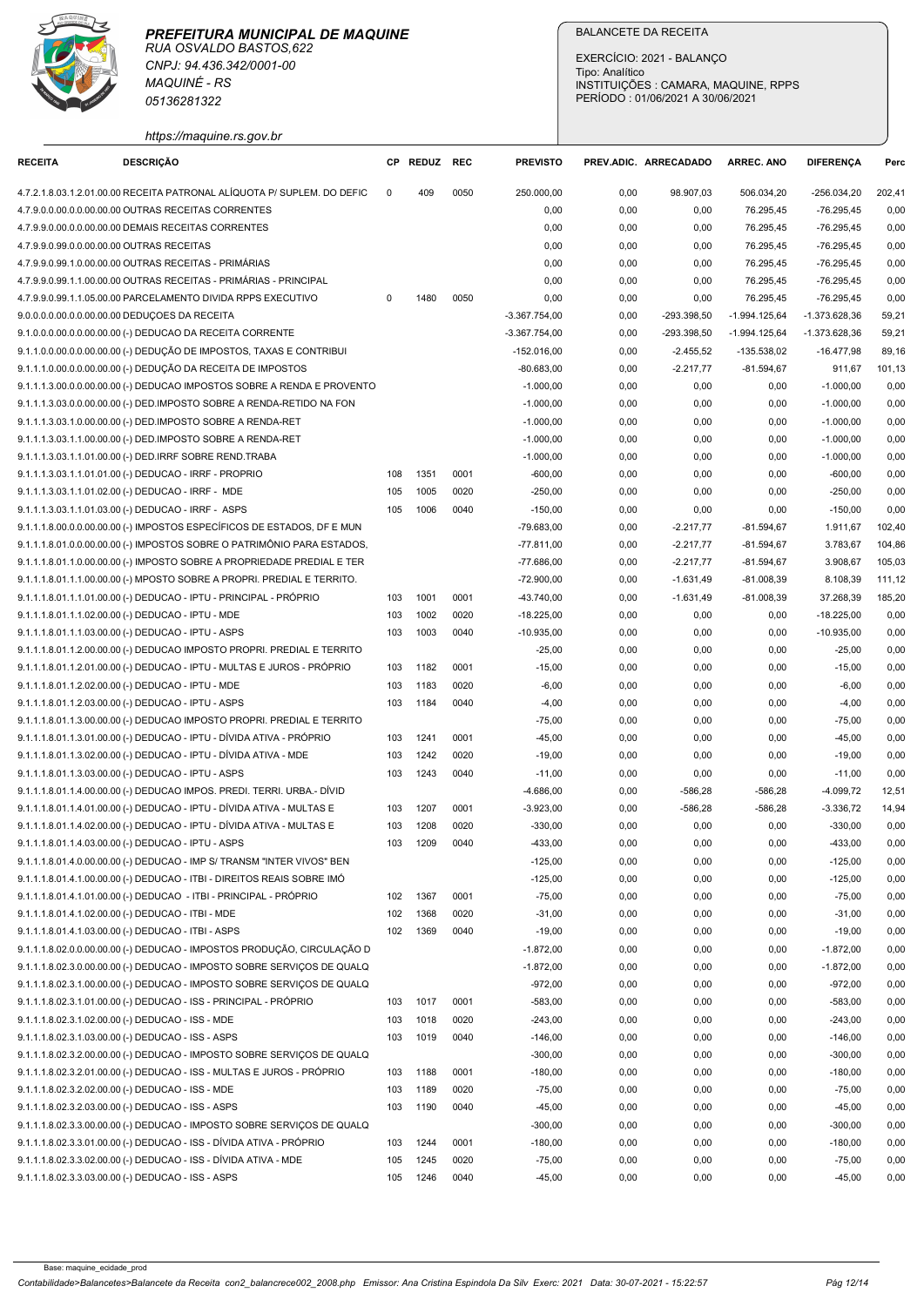| https://maquine.rs.gov.br |  |  |  |
|---------------------------|--|--|--|
|                           |  |  |  |

| https://maquine.rs.gov.br<br><b>RECEITA</b><br><b>DESCRIÇÃO</b><br>CP REDUZ REC<br><b>PREVISTO</b><br><b>DIFERENCA</b><br>PREV.ADIC. ARRECADADO<br><b>ARREC. ANO</b><br>Perc<br>4.7.2.1.8.03.1.2.01.00.00 RECEITA PATRONAL ALÍQUOTA P/ SUPLEM. DO DEFIC<br>0050<br>250.000,00<br>98.907,03<br>506.034,20<br>$-256.034,20$<br>202,41<br>409<br>0,00<br>$^{\circ}$<br>4.7.9.0.0.00.0.0.00.00.00 OUTRAS RECEITAS CORRENTES<br>0,00<br>0,00<br>76.295,45<br>$-76.295,45$<br>0,00<br>0,00<br>0,00<br>4.7.9.9.0.00.0.0.00.00.00 DEMAIS RECEITAS CORRENTES<br>0,00<br>0,00<br>0,00<br>76.295,45<br>-76.295,45<br>76.295,45<br>$-76.295,45$<br>0,00<br>4.7.9.9.0.99.0.0.00.00.00 OUTRAS RECEITAS<br>0,00<br>0,00<br>0,00<br>4.7.9.9.0.99.1.0.00.00.00 OUTRAS RECEITAS - PRIMÁRIAS<br>0,00<br>0,00<br>0,00<br>76.295,45<br>-76.295,45<br>0,00<br>4.7.9.9.0.99.1.1.00.00.00 OUTRAS RECEITAS - PRIMÁRIAS - PRINCIPAL<br>0,00<br>76.295,45<br>$-76.295,45$<br>0,00<br>0,00<br>0,00<br>4.7.9.9.0.99.1.1.05.00.00 PARCELAMENTO DIVIDA RPPS EXECUTIVO<br>0050<br>0,00<br>0,00<br>76.295,45<br>$-76.295,45$<br>0,00<br>$\Omega$<br>1480<br>0,00<br>9.0.0.0.0.00.0.0.00.00.00 DEDUÇOES DA RECEITA<br>$-3.367.754,00$<br>-293.398,50<br>$-1.994.125.64$<br>-1.373.628,36<br>59,21<br>0,00<br>9.1.0.0.0.00.0.00.00.00 (-) DEDUCAO DA RECEITA CORRENTE<br>-293.398,50<br>$-1.994.125,64$<br>$-1.373.628,36$<br>59,21<br>$-3.367.754,00$<br>0,00<br>9.1.1.0.0.00.0.0.00.00.00 (-) DEDUÇÃO DE IMPOSTOS, TAXAS E CONTRIBUI<br>$-16.477,98$<br>$-152.016,00$<br>0,00<br>$-2.455,52$<br>-135.538,02<br>89,16<br>9.1.1.1.0.00.0.0.00.00.00 (-) DEDUÇÃO DA RECEITA DE IMPOSTOS<br>$-80.683,00$<br>0,00<br>$-2.217,77$<br>$-81.594,67$<br>101,13<br>911,67<br>9.1.1.1.3.00.0.0.00.00.00 (-) DEDUCAO IMPOSTOS SOBRE A RENDA E PROVENTO<br>$-1.000,00$<br>0,00<br>0,00<br>0,00<br>$-1.000,00$<br>0,00<br>$-1.000,00$<br>0,00<br>9.1.1.1.3.03.0.0.00.00.00 (-) DED.IMPOSTO SOBRE A RENDA-RETIDO NA FON<br>$-1.000,00$<br>0,00<br>0,00<br>0,00<br>0,00<br>9.1.1.1.3.03.1.0.00.00.00 (-) DED.IMPOSTO SOBRE A RENDA-RET<br>$-1.000,00$<br>0,00<br>0,00<br>0,00<br>$-1.000,00$<br>9.1.1.1.3.03.1.1.00.00.00 (-) DED.IMPOSTO SOBRE A RENDA-RET<br>0,00<br>$-1.000,00$<br>0,00<br>$-1.000,00$<br>0,00<br>0,00<br>9.1.1.1.3.03.1.1.01.00.00 (-) DED.IRRF SOBRE REND.TRABA<br>$-1.000,00$<br>0,00<br>0,00<br>0,00<br>-1.000,00<br>0,00<br>0001<br>$-600,00$<br>9.1.1.1.3.03.1.1.01.01.00 (-) DEDUCAO - IRRF - PROPRIO<br>1351<br>0,00<br>0,00<br>0,00<br>$-600,00$<br>0,00<br>108<br>9.1.1.1.3.03.1.1.01.02.00 (-) DEDUCAO - IRRF - MDE<br>1005<br>0020<br>$-250,00$<br>0,00<br>0,00<br>0,00<br>$-250,00$<br>0,00<br>105<br>$-150,00$<br>9.1.1.1.3.03.1.1.01.03.00 (-) DEDUCAO - IRRF - ASPS<br>105<br>1006<br>0040<br>0,00<br>0,00<br>0,00<br>$-150,00$<br>0,00<br>9.1.1.1.8.00.0.0.00.00.00 (-) IMPOSTOS ESPECÍFICOS DE ESTADOS, DF E MUN<br>-79.683,00<br>0,00<br>$-2.217,77$<br>$-81.594,67$<br>102,40<br>1.911,67<br>9.1.1.1.8.01.0.0.00.00.00 (-) IMPOSTOS SOBRE O PATRIMÔNIO PARA ESTADOS,<br>$-77.811,00$<br>0,00<br>$-2.217,77$<br>$-81.594,67$<br>3.783,67<br>104,86<br>9.1.1.1.8.01.1.0.00.00.00 (-) IMPOSTO SOBRE A PROPRIEDADE PREDIAL E TER<br>$-2.217,77$<br>-77.686,00<br>0,00<br>$-81.594,67$<br>3.908,67<br>105,03<br>9.1.1.1.8.01.1.1.00.00.00 (-) MPOSTO SOBRE A PROPRI. PREDIAL E TERRITO.<br>$-72.900,00$<br>0,00<br>$-1.631,49$<br>$-81.008,39$<br>8.108,39<br>111,12<br>9.1.1.1.8.01.1.1.01.00.00 (-) DEDUCAO - IPTU - PRINCIPAL - PRÓPRIO<br>1001<br>0001<br>-43.740,00<br>103<br>0,00<br>$-1.631,49$<br>$-81.008,39$<br>37.268,39<br>185,20<br>1002<br>0020<br>$-18.225,00$<br>9.1.1.1.8.01.1.1.02.00.00 (-) DEDUCAO - IPTU - MDE<br>103<br>$-18.225,00$<br>0,00<br>0,00<br>0,00<br>0,00<br>9.1.1.1.8.01.1.1.03.00.00 (-) DEDUCAO - IPTU - ASPS<br>$-10.935,00$<br>103<br>1003<br>0040<br>0,00<br>0,00<br>0,00<br>$-10.935,00$<br>0,00<br>9.1.1.1.8.01.1.2.00.00.00 (-) DEDUCAO IMPOSTO PROPRI. PREDIAL E TERRITO<br>$-25,00$<br>0,00<br>0,00<br>0,00<br>$-25,00$<br>0,00<br>9.1.1.1.8.01.1.2.01.00.00 (-) DEDUCAO - IPTU - MULTAS E JUROS - PRÓPRIO<br>103<br>1182<br>0001<br>$-15,00$<br>0,00<br>0,00<br>0,00<br>$-15,00$<br>0,00<br>0020<br>0,00<br>0,00<br>9.1.1.1.8.01.1.2.02.00.00 (-) DEDUCAO - IPTU - MDE<br>103<br>1183<br>$-6,00$<br>0,00<br>$-6,00$<br>0,00<br>9.1.1.1.8.01.1.2.03.00.00 (-) DEDUCAO - IPTU - ASPS<br>0040<br>$-4,00$<br>0,00<br>0,00<br>103<br>1184<br>0,00<br>0,00<br>-4,00<br>9.1.1.1.8.01.1.3.00.00.00 (-) DEDUCAO IMPOSTO PROPRI. PREDIAL E TERRITO<br>$-75,00$<br>0,00<br>$-75,00$<br>0,00<br>0,00<br>0,00<br>9.1.1.1.8.01.1.3.01.00.00 (-) DEDUCAO - IPTU - DÍVIDA ATIVA - PRÓPRIO<br>1241<br>0001<br>$-45,00$<br>0,00<br>$-45,00$<br>0,00<br>103<br>0,00<br>0,00<br>9.1.1.1.8.01.1.3.02.00.00 (-) DEDUCAO - IPTU - DÍVIDA ATIVA - MDE<br>0020<br>0,00<br>0,00<br>103<br>1242<br>$-19,00$<br>0,00<br>0,00<br>$-19,00$<br>9.1.1.1.8.01.1.3.03.00.00 (-) DEDUCAO - IPTU - ASPS<br>1243<br>0040<br>$-11,00$<br>0,00<br>103<br>$-11,00$<br>0,00<br>0,00<br>0,00<br>9.1.1.1.8.01.1.4.00.00.00 (-) DEDUCAO IMPOS. PREDI. TERRI. URBA.- DÍVID<br>$-4.686,00$<br>0,00<br>$-586,28$<br>-586,28<br>-4.099,72<br>12,51<br>9.1.1.1.8.01.1.4.01.00.00 (-) DEDUCAO - IPTU - DÍVIDA ATIVA - MULTAS E<br>1207<br>0001<br>$-3.923,00$<br>0,00<br>$-586,28$<br>$-586,28$<br>$-3.336,72$<br>103<br>14,94<br>9.1.1.1.8.01.1.4.02.00.00 (-) DEDUCAO - IPTU - DÍVIDA ATIVA - MULTAS E<br>103<br>1208<br>0020<br>$-330,00$<br>0,00<br>0,00<br>0,00<br>$-330,00$<br>0,00<br>9.1.1.1.8.01.1.4.03.00.00 (-) DEDUCAO - IPTU - ASPS<br>1209<br>0040<br>0,00<br>$-433,00$<br>103<br>-433,00<br>0,00<br>0,00<br>0,00<br>9.1.1.1.8.01.4.0.00.00.00 (-) DEDUCAO - IMP S/ TRANSM "INTER VIVOS" BEN<br>$-125,00$<br>0,00<br>$-125,00$<br>0,00<br>0,00<br>0,00<br>9.1.1.1.8.01.4.1.00.00.00 (-) DEDUCAO - ITBI - DIREITOS REAIS SOBRE IMÓ<br>$-125,00$<br>0,00<br>$-125,00$<br>0,00<br>0,00<br>0,00<br>9.1.1.1.8.01.4.1.01.00.00 (-) DEDUCAO - ITBI - PRINCIPAL - PRÓPRIO<br>1367<br>0001<br>$-75,00$<br>0,00<br>0,00<br>102<br>0,00<br>0,00<br>$-75,00$<br>9.1.1.1.8.01.4.1.02.00.00 (-) DEDUCAO - ITBI - MDE<br>102<br>1368<br>0020<br>$-31,00$<br>0,00<br>0,00<br>0,00<br>-31,00<br>0,00<br>102 1369<br>0040<br>$-19,00$<br>0,00<br>$-19,00$<br>9.1.1.1.8.01.4.1.03.00.00 (-) DEDUCAO - ITBI - ASPS<br>0,00<br>0,00<br>0,00<br>$-1.872,00$<br>9.1.1.1.8.02.0.0.00.00.00 (-) DEDUCAO - IMPOSTOS PRODUÇÃO, CIRCULAÇÃO D<br>$-1.872,00$<br>0,00<br>0,00<br>0,00<br>0,00<br>9.1.1.1.8.02.3.0.00.00.00 (-) DEDUCAO - IMPOSTO SOBRE SERVIÇOS DE QUALQ<br>$-1.872,00$<br>0,00<br>0,00<br>$-1.872,00$<br>0,00<br>0,00<br>9.1.1.1.8.02.3.1.00.00.00 (-) DEDUCAO - IMPOSTO SOBRE SERVIÇOS DE QUALQ<br>$-972,00$<br>0,00<br>0,00<br>0,00<br>$-972,00$<br>0,00<br>9.1.1.1.8.02.3.1.01.00.00 (-) DEDUCAO - ISS - PRINCIPAL - PRÓPRIO<br>0001<br>103<br>1017<br>-583,00<br>0,00<br>0,00<br>0,00<br>$-583,00$<br>0,00<br>$-243,00$<br>0,00<br>9.1.1.1.8.02.3.1.02.00.00 (-) DEDUCAO - ISS - MDE<br>103<br>1018<br>0020<br>0,00<br>0,00<br>$-243,00$<br>0,00<br>0,00<br>9.1.1.1.8.02.3.1.03.00.00 (-) DEDUCAO - ISS - ASPS<br>103<br>0040<br>$-146,00$<br>0,00<br>0,00<br>0,00<br>$-146,00$<br>1019<br>9.1.1.1.8.02.3.2.00.00.00 (-) DEDUCAO - IMPOSTO SOBRE SERVIÇOS DE QUALQ<br>$-300,00$<br>0,00<br>0,00<br>$-300,00$<br>0,00<br>0,00<br>9.1.1.1.8.02.3.2.01.00.00 (-) DEDUCAO - ISS - MULTAS E JUROS - PRÓPRIO<br>0001<br>103<br>1188<br>$-180,00$<br>0,00<br>0,00<br>0,00<br>$-180,00$<br>0,00<br>9.1.1.1.8.02.3.2.02.00.00 (-) DEDUCAO - ISS - MDE<br>1189<br>0020<br>$-75,00$<br>0,00<br>0,00<br>103<br>0,00<br>0,00<br>$-75,00$<br>9.1.1.1.8.02.3.2.03.00.00 (-) DEDUCAO - ISS - ASPS<br>0040<br>103 1190<br>$-45,00$<br>0,00<br>0,00<br>0,00<br>$-45,00$<br>0,00<br>9.1.1.1.8.02.3.3.00.00.00 (-) DEDUCAO - IMPOSTO SOBRE SERVIÇOS DE QUALQ<br>$-300,00$<br>0,00<br>0,00<br>0,00<br>$-300,00$<br>0,00<br>9.1.1.1.8.02.3.3.01.00.00 (-) DEDUCAO - ISS - DÍVIDA ATIVA - PRÓPRIO<br>0001<br>$-180,00$<br>0,00<br>0,00<br>$-180,00$<br>0,00<br>103<br>1244<br>0,00<br>9.1.1.1.8.02.3.3.02.00.00 (-) DEDUCAO - ISS - DÍVIDA ATIVA - MDE<br>$-75,00$<br>0,00<br>0,00<br>$-75,00$<br>0,00<br>1245<br>0020<br>0,00<br>105<br>9.1.1.1.8.02.3.3.03.00.00 (-) DEDUCAO - ISS - ASPS<br>$-45,00$<br>0,00<br>0,00<br>0,00<br>$-45,00$<br>0,00<br>105<br>1246<br>0040 | PREFEITURA MUNICIPAL DE MAQUINE<br>RUA OSVALDO BASTOS, 622<br>CNPJ: 94.436.342/0001-00<br><b>MAQUINÉ - RS</b><br>05136281322 |  |  | <b>BALANCETE DA RECEITA</b><br>EXERCÍCIO: 2021 - BALANÇO<br>Tipo: Analítico<br>INSTITUIÇÕES : CAMARA, MAQUINE, RPPS<br>PERÍODO: 01/06/2021 A 30/06/2021 |  |  |  |  |  |
|--------------------------------------------------------------------------------------------------------------------------------------------------------------------------------------------------------------------------------------------------------------------------------------------------------------------------------------------------------------------------------------------------------------------------------------------------------------------------------------------------------------------------------------------------------------------------------------------------------------------------------------------------------------------------------------------------------------------------------------------------------------------------------------------------------------------------------------------------------------------------------------------------------------------------------------------------------------------------------------------------------------------------------------------------------------------------------------------------------------------------------------------------------------------------------------------------------------------------------------------------------------------------------------------------------------------------------------------------------------------------------------------------------------------------------------------------------------------------------------------------------------------------------------------------------------------------------------------------------------------------------------------------------------------------------------------------------------------------------------------------------------------------------------------------------------------------------------------------------------------------------------------------------------------------------------------------------------------------------------------------------------------------------------------------------------------------------------------------------------------------------------------------------------------------------------------------------------------------------------------------------------------------------------------------------------------------------------------------------------------------------------------------------------------------------------------------------------------------------------------------------------------------------------------------------------------------------------------------------------------------------------------------------------------------------------------------------------------------------------------------------------------------------------------------------------------------------------------------------------------------------------------------------------------------------------------------------------------------------------------------------------------------------------------------------------------------------------------------------------------------------------------------------------------------------------------------------------------------------------------------------------------------------------------------------------------------------------------------------------------------------------------------------------------------------------------------------------------------------------------------------------------------------------------------------------------------------------------------------------------------------------------------------------------------------------------------------------------------------------------------------------------------------------------------------------------------------------------------------------------------------------------------------------------------------------------------------------------------------------------------------------------------------------------------------------------------------------------------------------------------------------------------------------------------------------------------------------------------------------------------------------------------------------------------------------------------------------------------------------------------------------------------------------------------------------------------------------------------------------------------------------------------------------------------------------------------------------------------------------------------------------------------------------------------------------------------------------------------------------------------------------------------------------------------------------------------------------------------------------------------------------------------------------------------------------------------------------------------------------------------------------------------------------------------------------------------------------------------------------------------------------------------------------------------------------------------------------------------------------------------------------------------------------------------------------------------------------------------------------------------------------------------------------------------------------------------------------------------------------------------------------------------------------------------------------------------------------------------------------------------------------------------------------------------------------------------------------------------------------------------------------------------------------------------------------------------------------------------------------------------------------------------------------------------------------------------------------------------------------------------------------------------------------------------------------------------------------------------------------------------------------------------------------------------------------------------------------------------------------------------------------------------------------------------------------------------------------------------------------------------------------------------------------------------------------------------------------------------------------------------------------------------------------------------------------------------------------------------------------------------------------------------------------------------------------------------------------------------------------------------------------------------------------------------------------------------------------------------------------------------------------------------------------------------------------------------------------------------------------------------------------------------------------------------------------------------------------------------------------------------------------------------------------------------------------------------------------------------------------------------------------------------------------------------------------------------------------------------------------------------------------------------------------------------------------------------------------------------------------------------------------------------------------------------------------------------------------------------------------------------------------------------------------------------------------------------------------------------------------------------------------------------------------------------------------------------------------------------------------------------------------------------------------------------------------------------------------------------------------------------------------------------------------------------------------------------------------------------------------------------------------------------------------------------------------------------------------------------------------------------------------------------------------------------------------------------------------------------------------------------------------------------------------------------------------|------------------------------------------------------------------------------------------------------------------------------|--|--|---------------------------------------------------------------------------------------------------------------------------------------------------------|--|--|--|--|--|
|                                                                                                                                                                                                                                                                                                                                                                                                                                                                                                                                                                                                                                                                                                                                                                                                                                                                                                                                                                                                                                                                                                                                                                                                                                                                                                                                                                                                                                                                                                                                                                                                                                                                                                                                                                                                                                                                                                                                                                                                                                                                                                                                                                                                                                                                                                                                                                                                                                                                                                                                                                                                                                                                                                                                                                                                                                                                                                                                                                                                                                                                                                                                                                                                                                                                                                                                                                                                                                                                                                                                                                                                                                                                                                                                                                                                                                                                                                                                                                                                                                                                                                                                                                                                                                                                                                                                                                                                                                                                                                                                                                                                                                                                                                                                                                                                                                                                                                                                                                                                                                                                                                                                                                                                                                                                                                                                                                                                                                                                                                                                                                                                                                                                                                                                                                                                                                                                                                                                                                                                                                                                                                                                                                                                                                                                                                                                                                                                                                                                                                                                                                                                                                                                                                                                                                                                                                                                                                                                                                                                                                                                                                                                                                                                                                                                                                                                                                                                                                                                                                                                                                                                                                                                                                                                                                                                                                                                                                                                                                                                                                                                                                                                                                                                                                                                                                                                                                                                                                      |                                                                                                                              |  |  |                                                                                                                                                         |  |  |  |  |  |
|                                                                                                                                                                                                                                                                                                                                                                                                                                                                                                                                                                                                                                                                                                                                                                                                                                                                                                                                                                                                                                                                                                                                                                                                                                                                                                                                                                                                                                                                                                                                                                                                                                                                                                                                                                                                                                                                                                                                                                                                                                                                                                                                                                                                                                                                                                                                                                                                                                                                                                                                                                                                                                                                                                                                                                                                                                                                                                                                                                                                                                                                                                                                                                                                                                                                                                                                                                                                                                                                                                                                                                                                                                                                                                                                                                                                                                                                                                                                                                                                                                                                                                                                                                                                                                                                                                                                                                                                                                                                                                                                                                                                                                                                                                                                                                                                                                                                                                                                                                                                                                                                                                                                                                                                                                                                                                                                                                                                                                                                                                                                                                                                                                                                                                                                                                                                                                                                                                                                                                                                                                                                                                                                                                                                                                                                                                                                                                                                                                                                                                                                                                                                                                                                                                                                                                                                                                                                                                                                                                                                                                                                                                                                                                                                                                                                                                                                                                                                                                                                                                                                                                                                                                                                                                                                                                                                                                                                                                                                                                                                                                                                                                                                                                                                                                                                                                                                                                                                                                      |                                                                                                                              |  |  |                                                                                                                                                         |  |  |  |  |  |
|                                                                                                                                                                                                                                                                                                                                                                                                                                                                                                                                                                                                                                                                                                                                                                                                                                                                                                                                                                                                                                                                                                                                                                                                                                                                                                                                                                                                                                                                                                                                                                                                                                                                                                                                                                                                                                                                                                                                                                                                                                                                                                                                                                                                                                                                                                                                                                                                                                                                                                                                                                                                                                                                                                                                                                                                                                                                                                                                                                                                                                                                                                                                                                                                                                                                                                                                                                                                                                                                                                                                                                                                                                                                                                                                                                                                                                                                                                                                                                                                                                                                                                                                                                                                                                                                                                                                                                                                                                                                                                                                                                                                                                                                                                                                                                                                                                                                                                                                                                                                                                                                                                                                                                                                                                                                                                                                                                                                                                                                                                                                                                                                                                                                                                                                                                                                                                                                                                                                                                                                                                                                                                                                                                                                                                                                                                                                                                                                                                                                                                                                                                                                                                                                                                                                                                                                                                                                                                                                                                                                                                                                                                                                                                                                                                                                                                                                                                                                                                                                                                                                                                                                                                                                                                                                                                                                                                                                                                                                                                                                                                                                                                                                                                                                                                                                                                                                                                                                                                      |                                                                                                                              |  |  |                                                                                                                                                         |  |  |  |  |  |
|                                                                                                                                                                                                                                                                                                                                                                                                                                                                                                                                                                                                                                                                                                                                                                                                                                                                                                                                                                                                                                                                                                                                                                                                                                                                                                                                                                                                                                                                                                                                                                                                                                                                                                                                                                                                                                                                                                                                                                                                                                                                                                                                                                                                                                                                                                                                                                                                                                                                                                                                                                                                                                                                                                                                                                                                                                                                                                                                                                                                                                                                                                                                                                                                                                                                                                                                                                                                                                                                                                                                                                                                                                                                                                                                                                                                                                                                                                                                                                                                                                                                                                                                                                                                                                                                                                                                                                                                                                                                                                                                                                                                                                                                                                                                                                                                                                                                                                                                                                                                                                                                                                                                                                                                                                                                                                                                                                                                                                                                                                                                                                                                                                                                                                                                                                                                                                                                                                                                                                                                                                                                                                                                                                                                                                                                                                                                                                                                                                                                                                                                                                                                                                                                                                                                                                                                                                                                                                                                                                                                                                                                                                                                                                                                                                                                                                                                                                                                                                                                                                                                                                                                                                                                                                                                                                                                                                                                                                                                                                                                                                                                                                                                                                                                                                                                                                                                                                                                                                      |                                                                                                                              |  |  |                                                                                                                                                         |  |  |  |  |  |
|                                                                                                                                                                                                                                                                                                                                                                                                                                                                                                                                                                                                                                                                                                                                                                                                                                                                                                                                                                                                                                                                                                                                                                                                                                                                                                                                                                                                                                                                                                                                                                                                                                                                                                                                                                                                                                                                                                                                                                                                                                                                                                                                                                                                                                                                                                                                                                                                                                                                                                                                                                                                                                                                                                                                                                                                                                                                                                                                                                                                                                                                                                                                                                                                                                                                                                                                                                                                                                                                                                                                                                                                                                                                                                                                                                                                                                                                                                                                                                                                                                                                                                                                                                                                                                                                                                                                                                                                                                                                                                                                                                                                                                                                                                                                                                                                                                                                                                                                                                                                                                                                                                                                                                                                                                                                                                                                                                                                                                                                                                                                                                                                                                                                                                                                                                                                                                                                                                                                                                                                                                                                                                                                                                                                                                                                                                                                                                                                                                                                                                                                                                                                                                                                                                                                                                                                                                                                                                                                                                                                                                                                                                                                                                                                                                                                                                                                                                                                                                                                                                                                                                                                                                                                                                                                                                                                                                                                                                                                                                                                                                                                                                                                                                                                                                                                                                                                                                                                                                      |                                                                                                                              |  |  |                                                                                                                                                         |  |  |  |  |  |
|                                                                                                                                                                                                                                                                                                                                                                                                                                                                                                                                                                                                                                                                                                                                                                                                                                                                                                                                                                                                                                                                                                                                                                                                                                                                                                                                                                                                                                                                                                                                                                                                                                                                                                                                                                                                                                                                                                                                                                                                                                                                                                                                                                                                                                                                                                                                                                                                                                                                                                                                                                                                                                                                                                                                                                                                                                                                                                                                                                                                                                                                                                                                                                                                                                                                                                                                                                                                                                                                                                                                                                                                                                                                                                                                                                                                                                                                                                                                                                                                                                                                                                                                                                                                                                                                                                                                                                                                                                                                                                                                                                                                                                                                                                                                                                                                                                                                                                                                                                                                                                                                                                                                                                                                                                                                                                                                                                                                                                                                                                                                                                                                                                                                                                                                                                                                                                                                                                                                                                                                                                                                                                                                                                                                                                                                                                                                                                                                                                                                                                                                                                                                                                                                                                                                                                                                                                                                                                                                                                                                                                                                                                                                                                                                                                                                                                                                                                                                                                                                                                                                                                                                                                                                                                                                                                                                                                                                                                                                                                                                                                                                                                                                                                                                                                                                                                                                                                                                                                      |                                                                                                                              |  |  |                                                                                                                                                         |  |  |  |  |  |
|                                                                                                                                                                                                                                                                                                                                                                                                                                                                                                                                                                                                                                                                                                                                                                                                                                                                                                                                                                                                                                                                                                                                                                                                                                                                                                                                                                                                                                                                                                                                                                                                                                                                                                                                                                                                                                                                                                                                                                                                                                                                                                                                                                                                                                                                                                                                                                                                                                                                                                                                                                                                                                                                                                                                                                                                                                                                                                                                                                                                                                                                                                                                                                                                                                                                                                                                                                                                                                                                                                                                                                                                                                                                                                                                                                                                                                                                                                                                                                                                                                                                                                                                                                                                                                                                                                                                                                                                                                                                                                                                                                                                                                                                                                                                                                                                                                                                                                                                                                                                                                                                                                                                                                                                                                                                                                                                                                                                                                                                                                                                                                                                                                                                                                                                                                                                                                                                                                                                                                                                                                                                                                                                                                                                                                                                                                                                                                                                                                                                                                                                                                                                                                                                                                                                                                                                                                                                                                                                                                                                                                                                                                                                                                                                                                                                                                                                                                                                                                                                                                                                                                                                                                                                                                                                                                                                                                                                                                                                                                                                                                                                                                                                                                                                                                                                                                                                                                                                                                      |                                                                                                                              |  |  |                                                                                                                                                         |  |  |  |  |  |
|                                                                                                                                                                                                                                                                                                                                                                                                                                                                                                                                                                                                                                                                                                                                                                                                                                                                                                                                                                                                                                                                                                                                                                                                                                                                                                                                                                                                                                                                                                                                                                                                                                                                                                                                                                                                                                                                                                                                                                                                                                                                                                                                                                                                                                                                                                                                                                                                                                                                                                                                                                                                                                                                                                                                                                                                                                                                                                                                                                                                                                                                                                                                                                                                                                                                                                                                                                                                                                                                                                                                                                                                                                                                                                                                                                                                                                                                                                                                                                                                                                                                                                                                                                                                                                                                                                                                                                                                                                                                                                                                                                                                                                                                                                                                                                                                                                                                                                                                                                                                                                                                                                                                                                                                                                                                                                                                                                                                                                                                                                                                                                                                                                                                                                                                                                                                                                                                                                                                                                                                                                                                                                                                                                                                                                                                                                                                                                                                                                                                                                                                                                                                                                                                                                                                                                                                                                                                                                                                                                                                                                                                                                                                                                                                                                                                                                                                                                                                                                                                                                                                                                                                                                                                                                                                                                                                                                                                                                                                                                                                                                                                                                                                                                                                                                                                                                                                                                                                                                      |                                                                                                                              |  |  |                                                                                                                                                         |  |  |  |  |  |
|                                                                                                                                                                                                                                                                                                                                                                                                                                                                                                                                                                                                                                                                                                                                                                                                                                                                                                                                                                                                                                                                                                                                                                                                                                                                                                                                                                                                                                                                                                                                                                                                                                                                                                                                                                                                                                                                                                                                                                                                                                                                                                                                                                                                                                                                                                                                                                                                                                                                                                                                                                                                                                                                                                                                                                                                                                                                                                                                                                                                                                                                                                                                                                                                                                                                                                                                                                                                                                                                                                                                                                                                                                                                                                                                                                                                                                                                                                                                                                                                                                                                                                                                                                                                                                                                                                                                                                                                                                                                                                                                                                                                                                                                                                                                                                                                                                                                                                                                                                                                                                                                                                                                                                                                                                                                                                                                                                                                                                                                                                                                                                                                                                                                                                                                                                                                                                                                                                                                                                                                                                                                                                                                                                                                                                                                                                                                                                                                                                                                                                                                                                                                                                                                                                                                                                                                                                                                                                                                                                                                                                                                                                                                                                                                                                                                                                                                                                                                                                                                                                                                                                                                                                                                                                                                                                                                                                                                                                                                                                                                                                                                                                                                                                                                                                                                                                                                                                                                                                      |                                                                                                                              |  |  |                                                                                                                                                         |  |  |  |  |  |
|                                                                                                                                                                                                                                                                                                                                                                                                                                                                                                                                                                                                                                                                                                                                                                                                                                                                                                                                                                                                                                                                                                                                                                                                                                                                                                                                                                                                                                                                                                                                                                                                                                                                                                                                                                                                                                                                                                                                                                                                                                                                                                                                                                                                                                                                                                                                                                                                                                                                                                                                                                                                                                                                                                                                                                                                                                                                                                                                                                                                                                                                                                                                                                                                                                                                                                                                                                                                                                                                                                                                                                                                                                                                                                                                                                                                                                                                                                                                                                                                                                                                                                                                                                                                                                                                                                                                                                                                                                                                                                                                                                                                                                                                                                                                                                                                                                                                                                                                                                                                                                                                                                                                                                                                                                                                                                                                                                                                                                                                                                                                                                                                                                                                                                                                                                                                                                                                                                                                                                                                                                                                                                                                                                                                                                                                                                                                                                                                                                                                                                                                                                                                                                                                                                                                                                                                                                                                                                                                                                                                                                                                                                                                                                                                                                                                                                                                                                                                                                                                                                                                                                                                                                                                                                                                                                                                                                                                                                                                                                                                                                                                                                                                                                                                                                                                                                                                                                                                                                      |                                                                                                                              |  |  |                                                                                                                                                         |  |  |  |  |  |
|                                                                                                                                                                                                                                                                                                                                                                                                                                                                                                                                                                                                                                                                                                                                                                                                                                                                                                                                                                                                                                                                                                                                                                                                                                                                                                                                                                                                                                                                                                                                                                                                                                                                                                                                                                                                                                                                                                                                                                                                                                                                                                                                                                                                                                                                                                                                                                                                                                                                                                                                                                                                                                                                                                                                                                                                                                                                                                                                                                                                                                                                                                                                                                                                                                                                                                                                                                                                                                                                                                                                                                                                                                                                                                                                                                                                                                                                                                                                                                                                                                                                                                                                                                                                                                                                                                                                                                                                                                                                                                                                                                                                                                                                                                                                                                                                                                                                                                                                                                                                                                                                                                                                                                                                                                                                                                                                                                                                                                                                                                                                                                                                                                                                                                                                                                                                                                                                                                                                                                                                                                                                                                                                                                                                                                                                                                                                                                                                                                                                                                                                                                                                                                                                                                                                                                                                                                                                                                                                                                                                                                                                                                                                                                                                                                                                                                                                                                                                                                                                                                                                                                                                                                                                                                                                                                                                                                                                                                                                                                                                                                                                                                                                                                                                                                                                                                                                                                                                                                      |                                                                                                                              |  |  |                                                                                                                                                         |  |  |  |  |  |
|                                                                                                                                                                                                                                                                                                                                                                                                                                                                                                                                                                                                                                                                                                                                                                                                                                                                                                                                                                                                                                                                                                                                                                                                                                                                                                                                                                                                                                                                                                                                                                                                                                                                                                                                                                                                                                                                                                                                                                                                                                                                                                                                                                                                                                                                                                                                                                                                                                                                                                                                                                                                                                                                                                                                                                                                                                                                                                                                                                                                                                                                                                                                                                                                                                                                                                                                                                                                                                                                                                                                                                                                                                                                                                                                                                                                                                                                                                                                                                                                                                                                                                                                                                                                                                                                                                                                                                                                                                                                                                                                                                                                                                                                                                                                                                                                                                                                                                                                                                                                                                                                                                                                                                                                                                                                                                                                                                                                                                                                                                                                                                                                                                                                                                                                                                                                                                                                                                                                                                                                                                                                                                                                                                                                                                                                                                                                                                                                                                                                                                                                                                                                                                                                                                                                                                                                                                                                                                                                                                                                                                                                                                                                                                                                                                                                                                                                                                                                                                                                                                                                                                                                                                                                                                                                                                                                                                                                                                                                                                                                                                                                                                                                                                                                                                                                                                                                                                                                                                      |                                                                                                                              |  |  |                                                                                                                                                         |  |  |  |  |  |
|                                                                                                                                                                                                                                                                                                                                                                                                                                                                                                                                                                                                                                                                                                                                                                                                                                                                                                                                                                                                                                                                                                                                                                                                                                                                                                                                                                                                                                                                                                                                                                                                                                                                                                                                                                                                                                                                                                                                                                                                                                                                                                                                                                                                                                                                                                                                                                                                                                                                                                                                                                                                                                                                                                                                                                                                                                                                                                                                                                                                                                                                                                                                                                                                                                                                                                                                                                                                                                                                                                                                                                                                                                                                                                                                                                                                                                                                                                                                                                                                                                                                                                                                                                                                                                                                                                                                                                                                                                                                                                                                                                                                                                                                                                                                                                                                                                                                                                                                                                                                                                                                                                                                                                                                                                                                                                                                                                                                                                                                                                                                                                                                                                                                                                                                                                                                                                                                                                                                                                                                                                                                                                                                                                                                                                                                                                                                                                                                                                                                                                                                                                                                                                                                                                                                                                                                                                                                                                                                                                                                                                                                                                                                                                                                                                                                                                                                                                                                                                                                                                                                                                                                                                                                                                                                                                                                                                                                                                                                                                                                                                                                                                                                                                                                                                                                                                                                                                                                                                      |                                                                                                                              |  |  |                                                                                                                                                         |  |  |  |  |  |
|                                                                                                                                                                                                                                                                                                                                                                                                                                                                                                                                                                                                                                                                                                                                                                                                                                                                                                                                                                                                                                                                                                                                                                                                                                                                                                                                                                                                                                                                                                                                                                                                                                                                                                                                                                                                                                                                                                                                                                                                                                                                                                                                                                                                                                                                                                                                                                                                                                                                                                                                                                                                                                                                                                                                                                                                                                                                                                                                                                                                                                                                                                                                                                                                                                                                                                                                                                                                                                                                                                                                                                                                                                                                                                                                                                                                                                                                                                                                                                                                                                                                                                                                                                                                                                                                                                                                                                                                                                                                                                                                                                                                                                                                                                                                                                                                                                                                                                                                                                                                                                                                                                                                                                                                                                                                                                                                                                                                                                                                                                                                                                                                                                                                                                                                                                                                                                                                                                                                                                                                                                                                                                                                                                                                                                                                                                                                                                                                                                                                                                                                                                                                                                                                                                                                                                                                                                                                                                                                                                                                                                                                                                                                                                                                                                                                                                                                                                                                                                                                                                                                                                                                                                                                                                                                                                                                                                                                                                                                                                                                                                                                                                                                                                                                                                                                                                                                                                                                                                      |                                                                                                                              |  |  |                                                                                                                                                         |  |  |  |  |  |
|                                                                                                                                                                                                                                                                                                                                                                                                                                                                                                                                                                                                                                                                                                                                                                                                                                                                                                                                                                                                                                                                                                                                                                                                                                                                                                                                                                                                                                                                                                                                                                                                                                                                                                                                                                                                                                                                                                                                                                                                                                                                                                                                                                                                                                                                                                                                                                                                                                                                                                                                                                                                                                                                                                                                                                                                                                                                                                                                                                                                                                                                                                                                                                                                                                                                                                                                                                                                                                                                                                                                                                                                                                                                                                                                                                                                                                                                                                                                                                                                                                                                                                                                                                                                                                                                                                                                                                                                                                                                                                                                                                                                                                                                                                                                                                                                                                                                                                                                                                                                                                                                                                                                                                                                                                                                                                                                                                                                                                                                                                                                                                                                                                                                                                                                                                                                                                                                                                                                                                                                                                                                                                                                                                                                                                                                                                                                                                                                                                                                                                                                                                                                                                                                                                                                                                                                                                                                                                                                                                                                                                                                                                                                                                                                                                                                                                                                                                                                                                                                                                                                                                                                                                                                                                                                                                                                                                                                                                                                                                                                                                                                                                                                                                                                                                                                                                                                                                                                                                      |                                                                                                                              |  |  |                                                                                                                                                         |  |  |  |  |  |
|                                                                                                                                                                                                                                                                                                                                                                                                                                                                                                                                                                                                                                                                                                                                                                                                                                                                                                                                                                                                                                                                                                                                                                                                                                                                                                                                                                                                                                                                                                                                                                                                                                                                                                                                                                                                                                                                                                                                                                                                                                                                                                                                                                                                                                                                                                                                                                                                                                                                                                                                                                                                                                                                                                                                                                                                                                                                                                                                                                                                                                                                                                                                                                                                                                                                                                                                                                                                                                                                                                                                                                                                                                                                                                                                                                                                                                                                                                                                                                                                                                                                                                                                                                                                                                                                                                                                                                                                                                                                                                                                                                                                                                                                                                                                                                                                                                                                                                                                                                                                                                                                                                                                                                                                                                                                                                                                                                                                                                                                                                                                                                                                                                                                                                                                                                                                                                                                                                                                                                                                                                                                                                                                                                                                                                                                                                                                                                                                                                                                                                                                                                                                                                                                                                                                                                                                                                                                                                                                                                                                                                                                                                                                                                                                                                                                                                                                                                                                                                                                                                                                                                                                                                                                                                                                                                                                                                                                                                                                                                                                                                                                                                                                                                                                                                                                                                                                                                                                                                      |                                                                                                                              |  |  |                                                                                                                                                         |  |  |  |  |  |
|                                                                                                                                                                                                                                                                                                                                                                                                                                                                                                                                                                                                                                                                                                                                                                                                                                                                                                                                                                                                                                                                                                                                                                                                                                                                                                                                                                                                                                                                                                                                                                                                                                                                                                                                                                                                                                                                                                                                                                                                                                                                                                                                                                                                                                                                                                                                                                                                                                                                                                                                                                                                                                                                                                                                                                                                                                                                                                                                                                                                                                                                                                                                                                                                                                                                                                                                                                                                                                                                                                                                                                                                                                                                                                                                                                                                                                                                                                                                                                                                                                                                                                                                                                                                                                                                                                                                                                                                                                                                                                                                                                                                                                                                                                                                                                                                                                                                                                                                                                                                                                                                                                                                                                                                                                                                                                                                                                                                                                                                                                                                                                                                                                                                                                                                                                                                                                                                                                                                                                                                                                                                                                                                                                                                                                                                                                                                                                                                                                                                                                                                                                                                                                                                                                                                                                                                                                                                                                                                                                                                                                                                                                                                                                                                                                                                                                                                                                                                                                                                                                                                                                                                                                                                                                                                                                                                                                                                                                                                                                                                                                                                                                                                                                                                                                                                                                                                                                                                                                      |                                                                                                                              |  |  |                                                                                                                                                         |  |  |  |  |  |
|                                                                                                                                                                                                                                                                                                                                                                                                                                                                                                                                                                                                                                                                                                                                                                                                                                                                                                                                                                                                                                                                                                                                                                                                                                                                                                                                                                                                                                                                                                                                                                                                                                                                                                                                                                                                                                                                                                                                                                                                                                                                                                                                                                                                                                                                                                                                                                                                                                                                                                                                                                                                                                                                                                                                                                                                                                                                                                                                                                                                                                                                                                                                                                                                                                                                                                                                                                                                                                                                                                                                                                                                                                                                                                                                                                                                                                                                                                                                                                                                                                                                                                                                                                                                                                                                                                                                                                                                                                                                                                                                                                                                                                                                                                                                                                                                                                                                                                                                                                                                                                                                                                                                                                                                                                                                                                                                                                                                                                                                                                                                                                                                                                                                                                                                                                                                                                                                                                                                                                                                                                                                                                                                                                                                                                                                                                                                                                                                                                                                                                                                                                                                                                                                                                                                                                                                                                                                                                                                                                                                                                                                                                                                                                                                                                                                                                                                                                                                                                                                                                                                                                                                                                                                                                                                                                                                                                                                                                                                                                                                                                                                                                                                                                                                                                                                                                                                                                                                                                      |                                                                                                                              |  |  |                                                                                                                                                         |  |  |  |  |  |
|                                                                                                                                                                                                                                                                                                                                                                                                                                                                                                                                                                                                                                                                                                                                                                                                                                                                                                                                                                                                                                                                                                                                                                                                                                                                                                                                                                                                                                                                                                                                                                                                                                                                                                                                                                                                                                                                                                                                                                                                                                                                                                                                                                                                                                                                                                                                                                                                                                                                                                                                                                                                                                                                                                                                                                                                                                                                                                                                                                                                                                                                                                                                                                                                                                                                                                                                                                                                                                                                                                                                                                                                                                                                                                                                                                                                                                                                                                                                                                                                                                                                                                                                                                                                                                                                                                                                                                                                                                                                                                                                                                                                                                                                                                                                                                                                                                                                                                                                                                                                                                                                                                                                                                                                                                                                                                                                                                                                                                                                                                                                                                                                                                                                                                                                                                                                                                                                                                                                                                                                                                                                                                                                                                                                                                                                                                                                                                                                                                                                                                                                                                                                                                                                                                                                                                                                                                                                                                                                                                                                                                                                                                                                                                                                                                                                                                                                                                                                                                                                                                                                                                                                                                                                                                                                                                                                                                                                                                                                                                                                                                                                                                                                                                                                                                                                                                                                                                                                                                      |                                                                                                                              |  |  |                                                                                                                                                         |  |  |  |  |  |
|                                                                                                                                                                                                                                                                                                                                                                                                                                                                                                                                                                                                                                                                                                                                                                                                                                                                                                                                                                                                                                                                                                                                                                                                                                                                                                                                                                                                                                                                                                                                                                                                                                                                                                                                                                                                                                                                                                                                                                                                                                                                                                                                                                                                                                                                                                                                                                                                                                                                                                                                                                                                                                                                                                                                                                                                                                                                                                                                                                                                                                                                                                                                                                                                                                                                                                                                                                                                                                                                                                                                                                                                                                                                                                                                                                                                                                                                                                                                                                                                                                                                                                                                                                                                                                                                                                                                                                                                                                                                                                                                                                                                                                                                                                                                                                                                                                                                                                                                                                                                                                                                                                                                                                                                                                                                                                                                                                                                                                                                                                                                                                                                                                                                                                                                                                                                                                                                                                                                                                                                                                                                                                                                                                                                                                                                                                                                                                                                                                                                                                                                                                                                                                                                                                                                                                                                                                                                                                                                                                                                                                                                                                                                                                                                                                                                                                                                                                                                                                                                                                                                                                                                                                                                                                                                                                                                                                                                                                                                                                                                                                                                                                                                                                                                                                                                                                                                                                                                                                      |                                                                                                                              |  |  |                                                                                                                                                         |  |  |  |  |  |
|                                                                                                                                                                                                                                                                                                                                                                                                                                                                                                                                                                                                                                                                                                                                                                                                                                                                                                                                                                                                                                                                                                                                                                                                                                                                                                                                                                                                                                                                                                                                                                                                                                                                                                                                                                                                                                                                                                                                                                                                                                                                                                                                                                                                                                                                                                                                                                                                                                                                                                                                                                                                                                                                                                                                                                                                                                                                                                                                                                                                                                                                                                                                                                                                                                                                                                                                                                                                                                                                                                                                                                                                                                                                                                                                                                                                                                                                                                                                                                                                                                                                                                                                                                                                                                                                                                                                                                                                                                                                                                                                                                                                                                                                                                                                                                                                                                                                                                                                                                                                                                                                                                                                                                                                                                                                                                                                                                                                                                                                                                                                                                                                                                                                                                                                                                                                                                                                                                                                                                                                                                                                                                                                                                                                                                                                                                                                                                                                                                                                                                                                                                                                                                                                                                                                                                                                                                                                                                                                                                                                                                                                                                                                                                                                                                                                                                                                                                                                                                                                                                                                                                                                                                                                                                                                                                                                                                                                                                                                                                                                                                                                                                                                                                                                                                                                                                                                                                                                                                      |                                                                                                                              |  |  |                                                                                                                                                         |  |  |  |  |  |
|                                                                                                                                                                                                                                                                                                                                                                                                                                                                                                                                                                                                                                                                                                                                                                                                                                                                                                                                                                                                                                                                                                                                                                                                                                                                                                                                                                                                                                                                                                                                                                                                                                                                                                                                                                                                                                                                                                                                                                                                                                                                                                                                                                                                                                                                                                                                                                                                                                                                                                                                                                                                                                                                                                                                                                                                                                                                                                                                                                                                                                                                                                                                                                                                                                                                                                                                                                                                                                                                                                                                                                                                                                                                                                                                                                                                                                                                                                                                                                                                                                                                                                                                                                                                                                                                                                                                                                                                                                                                                                                                                                                                                                                                                                                                                                                                                                                                                                                                                                                                                                                                                                                                                                                                                                                                                                                                                                                                                                                                                                                                                                                                                                                                                                                                                                                                                                                                                                                                                                                                                                                                                                                                                                                                                                                                                                                                                                                                                                                                                                                                                                                                                                                                                                                                                                                                                                                                                                                                                                                                                                                                                                                                                                                                                                                                                                                                                                                                                                                                                                                                                                                                                                                                                                                                                                                                                                                                                                                                                                                                                                                                                                                                                                                                                                                                                                                                                                                                                                      |                                                                                                                              |  |  |                                                                                                                                                         |  |  |  |  |  |
|                                                                                                                                                                                                                                                                                                                                                                                                                                                                                                                                                                                                                                                                                                                                                                                                                                                                                                                                                                                                                                                                                                                                                                                                                                                                                                                                                                                                                                                                                                                                                                                                                                                                                                                                                                                                                                                                                                                                                                                                                                                                                                                                                                                                                                                                                                                                                                                                                                                                                                                                                                                                                                                                                                                                                                                                                                                                                                                                                                                                                                                                                                                                                                                                                                                                                                                                                                                                                                                                                                                                                                                                                                                                                                                                                                                                                                                                                                                                                                                                                                                                                                                                                                                                                                                                                                                                                                                                                                                                                                                                                                                                                                                                                                                                                                                                                                                                                                                                                                                                                                                                                                                                                                                                                                                                                                                                                                                                                                                                                                                                                                                                                                                                                                                                                                                                                                                                                                                                                                                                                                                                                                                                                                                                                                                                                                                                                                                                                                                                                                                                                                                                                                                                                                                                                                                                                                                                                                                                                                                                                                                                                                                                                                                                                                                                                                                                                                                                                                                                                                                                                                                                                                                                                                                                                                                                                                                                                                                                                                                                                                                                                                                                                                                                                                                                                                                                                                                                                                      |                                                                                                                              |  |  |                                                                                                                                                         |  |  |  |  |  |
|                                                                                                                                                                                                                                                                                                                                                                                                                                                                                                                                                                                                                                                                                                                                                                                                                                                                                                                                                                                                                                                                                                                                                                                                                                                                                                                                                                                                                                                                                                                                                                                                                                                                                                                                                                                                                                                                                                                                                                                                                                                                                                                                                                                                                                                                                                                                                                                                                                                                                                                                                                                                                                                                                                                                                                                                                                                                                                                                                                                                                                                                                                                                                                                                                                                                                                                                                                                                                                                                                                                                                                                                                                                                                                                                                                                                                                                                                                                                                                                                                                                                                                                                                                                                                                                                                                                                                                                                                                                                                                                                                                                                                                                                                                                                                                                                                                                                                                                                                                                                                                                                                                                                                                                                                                                                                                                                                                                                                                                                                                                                                                                                                                                                                                                                                                                                                                                                                                                                                                                                                                                                                                                                                                                                                                                                                                                                                                                                                                                                                                                                                                                                                                                                                                                                                                                                                                                                                                                                                                                                                                                                                                                                                                                                                                                                                                                                                                                                                                                                                                                                                                                                                                                                                                                                                                                                                                                                                                                                                                                                                                                                                                                                                                                                                                                                                                                                                                                                                                      |                                                                                                                              |  |  |                                                                                                                                                         |  |  |  |  |  |
|                                                                                                                                                                                                                                                                                                                                                                                                                                                                                                                                                                                                                                                                                                                                                                                                                                                                                                                                                                                                                                                                                                                                                                                                                                                                                                                                                                                                                                                                                                                                                                                                                                                                                                                                                                                                                                                                                                                                                                                                                                                                                                                                                                                                                                                                                                                                                                                                                                                                                                                                                                                                                                                                                                                                                                                                                                                                                                                                                                                                                                                                                                                                                                                                                                                                                                                                                                                                                                                                                                                                                                                                                                                                                                                                                                                                                                                                                                                                                                                                                                                                                                                                                                                                                                                                                                                                                                                                                                                                                                                                                                                                                                                                                                                                                                                                                                                                                                                                                                                                                                                                                                                                                                                                                                                                                                                                                                                                                                                                                                                                                                                                                                                                                                                                                                                                                                                                                                                                                                                                                                                                                                                                                                                                                                                                                                                                                                                                                                                                                                                                                                                                                                                                                                                                                                                                                                                                                                                                                                                                                                                                                                                                                                                                                                                                                                                                                                                                                                                                                                                                                                                                                                                                                                                                                                                                                                                                                                                                                                                                                                                                                                                                                                                                                                                                                                                                                                                                                                      |                                                                                                                              |  |  |                                                                                                                                                         |  |  |  |  |  |
|                                                                                                                                                                                                                                                                                                                                                                                                                                                                                                                                                                                                                                                                                                                                                                                                                                                                                                                                                                                                                                                                                                                                                                                                                                                                                                                                                                                                                                                                                                                                                                                                                                                                                                                                                                                                                                                                                                                                                                                                                                                                                                                                                                                                                                                                                                                                                                                                                                                                                                                                                                                                                                                                                                                                                                                                                                                                                                                                                                                                                                                                                                                                                                                                                                                                                                                                                                                                                                                                                                                                                                                                                                                                                                                                                                                                                                                                                                                                                                                                                                                                                                                                                                                                                                                                                                                                                                                                                                                                                                                                                                                                                                                                                                                                                                                                                                                                                                                                                                                                                                                                                                                                                                                                                                                                                                                                                                                                                                                                                                                                                                                                                                                                                                                                                                                                                                                                                                                                                                                                                                                                                                                                                                                                                                                                                                                                                                                                                                                                                                                                                                                                                                                                                                                                                                                                                                                                                                                                                                                                                                                                                                                                                                                                                                                                                                                                                                                                                                                                                                                                                                                                                                                                                                                                                                                                                                                                                                                                                                                                                                                                                                                                                                                                                                                                                                                                                                                                                                      |                                                                                                                              |  |  |                                                                                                                                                         |  |  |  |  |  |
|                                                                                                                                                                                                                                                                                                                                                                                                                                                                                                                                                                                                                                                                                                                                                                                                                                                                                                                                                                                                                                                                                                                                                                                                                                                                                                                                                                                                                                                                                                                                                                                                                                                                                                                                                                                                                                                                                                                                                                                                                                                                                                                                                                                                                                                                                                                                                                                                                                                                                                                                                                                                                                                                                                                                                                                                                                                                                                                                                                                                                                                                                                                                                                                                                                                                                                                                                                                                                                                                                                                                                                                                                                                                                                                                                                                                                                                                                                                                                                                                                                                                                                                                                                                                                                                                                                                                                                                                                                                                                                                                                                                                                                                                                                                                                                                                                                                                                                                                                                                                                                                                                                                                                                                                                                                                                                                                                                                                                                                                                                                                                                                                                                                                                                                                                                                                                                                                                                                                                                                                                                                                                                                                                                                                                                                                                                                                                                                                                                                                                                                                                                                                                                                                                                                                                                                                                                                                                                                                                                                                                                                                                                                                                                                                                                                                                                                                                                                                                                                                                                                                                                                                                                                                                                                                                                                                                                                                                                                                                                                                                                                                                                                                                                                                                                                                                                                                                                                                                                      |                                                                                                                              |  |  |                                                                                                                                                         |  |  |  |  |  |
|                                                                                                                                                                                                                                                                                                                                                                                                                                                                                                                                                                                                                                                                                                                                                                                                                                                                                                                                                                                                                                                                                                                                                                                                                                                                                                                                                                                                                                                                                                                                                                                                                                                                                                                                                                                                                                                                                                                                                                                                                                                                                                                                                                                                                                                                                                                                                                                                                                                                                                                                                                                                                                                                                                                                                                                                                                                                                                                                                                                                                                                                                                                                                                                                                                                                                                                                                                                                                                                                                                                                                                                                                                                                                                                                                                                                                                                                                                                                                                                                                                                                                                                                                                                                                                                                                                                                                                                                                                                                                                                                                                                                                                                                                                                                                                                                                                                                                                                                                                                                                                                                                                                                                                                                                                                                                                                                                                                                                                                                                                                                                                                                                                                                                                                                                                                                                                                                                                                                                                                                                                                                                                                                                                                                                                                                                                                                                                                                                                                                                                                                                                                                                                                                                                                                                                                                                                                                                                                                                                                                                                                                                                                                                                                                                                                                                                                                                                                                                                                                                                                                                                                                                                                                                                                                                                                                                                                                                                                                                                                                                                                                                                                                                                                                                                                                                                                                                                                                                                      |                                                                                                                              |  |  |                                                                                                                                                         |  |  |  |  |  |
|                                                                                                                                                                                                                                                                                                                                                                                                                                                                                                                                                                                                                                                                                                                                                                                                                                                                                                                                                                                                                                                                                                                                                                                                                                                                                                                                                                                                                                                                                                                                                                                                                                                                                                                                                                                                                                                                                                                                                                                                                                                                                                                                                                                                                                                                                                                                                                                                                                                                                                                                                                                                                                                                                                                                                                                                                                                                                                                                                                                                                                                                                                                                                                                                                                                                                                                                                                                                                                                                                                                                                                                                                                                                                                                                                                                                                                                                                                                                                                                                                                                                                                                                                                                                                                                                                                                                                                                                                                                                                                                                                                                                                                                                                                                                                                                                                                                                                                                                                                                                                                                                                                                                                                                                                                                                                                                                                                                                                                                                                                                                                                                                                                                                                                                                                                                                                                                                                                                                                                                                                                                                                                                                                                                                                                                                                                                                                                                                                                                                                                                                                                                                                                                                                                                                                                                                                                                                                                                                                                                                                                                                                                                                                                                                                                                                                                                                                                                                                                                                                                                                                                                                                                                                                                                                                                                                                                                                                                                                                                                                                                                                                                                                                                                                                                                                                                                                                                                                                                      |                                                                                                                              |  |  |                                                                                                                                                         |  |  |  |  |  |
|                                                                                                                                                                                                                                                                                                                                                                                                                                                                                                                                                                                                                                                                                                                                                                                                                                                                                                                                                                                                                                                                                                                                                                                                                                                                                                                                                                                                                                                                                                                                                                                                                                                                                                                                                                                                                                                                                                                                                                                                                                                                                                                                                                                                                                                                                                                                                                                                                                                                                                                                                                                                                                                                                                                                                                                                                                                                                                                                                                                                                                                                                                                                                                                                                                                                                                                                                                                                                                                                                                                                                                                                                                                                                                                                                                                                                                                                                                                                                                                                                                                                                                                                                                                                                                                                                                                                                                                                                                                                                                                                                                                                                                                                                                                                                                                                                                                                                                                                                                                                                                                                                                                                                                                                                                                                                                                                                                                                                                                                                                                                                                                                                                                                                                                                                                                                                                                                                                                                                                                                                                                                                                                                                                                                                                                                                                                                                                                                                                                                                                                                                                                                                                                                                                                                                                                                                                                                                                                                                                                                                                                                                                                                                                                                                                                                                                                                                                                                                                                                                                                                                                                                                                                                                                                                                                                                                                                                                                                                                                                                                                                                                                                                                                                                                                                                                                                                                                                                                                      |                                                                                                                              |  |  |                                                                                                                                                         |  |  |  |  |  |
|                                                                                                                                                                                                                                                                                                                                                                                                                                                                                                                                                                                                                                                                                                                                                                                                                                                                                                                                                                                                                                                                                                                                                                                                                                                                                                                                                                                                                                                                                                                                                                                                                                                                                                                                                                                                                                                                                                                                                                                                                                                                                                                                                                                                                                                                                                                                                                                                                                                                                                                                                                                                                                                                                                                                                                                                                                                                                                                                                                                                                                                                                                                                                                                                                                                                                                                                                                                                                                                                                                                                                                                                                                                                                                                                                                                                                                                                                                                                                                                                                                                                                                                                                                                                                                                                                                                                                                                                                                                                                                                                                                                                                                                                                                                                                                                                                                                                                                                                                                                                                                                                                                                                                                                                                                                                                                                                                                                                                                                                                                                                                                                                                                                                                                                                                                                                                                                                                                                                                                                                                                                                                                                                                                                                                                                                                                                                                                                                                                                                                                                                                                                                                                                                                                                                                                                                                                                                                                                                                                                                                                                                                                                                                                                                                                                                                                                                                                                                                                                                                                                                                                                                                                                                                                                                                                                                                                                                                                                                                                                                                                                                                                                                                                                                                                                                                                                                                                                                                                      |                                                                                                                              |  |  |                                                                                                                                                         |  |  |  |  |  |
|                                                                                                                                                                                                                                                                                                                                                                                                                                                                                                                                                                                                                                                                                                                                                                                                                                                                                                                                                                                                                                                                                                                                                                                                                                                                                                                                                                                                                                                                                                                                                                                                                                                                                                                                                                                                                                                                                                                                                                                                                                                                                                                                                                                                                                                                                                                                                                                                                                                                                                                                                                                                                                                                                                                                                                                                                                                                                                                                                                                                                                                                                                                                                                                                                                                                                                                                                                                                                                                                                                                                                                                                                                                                                                                                                                                                                                                                                                                                                                                                                                                                                                                                                                                                                                                                                                                                                                                                                                                                                                                                                                                                                                                                                                                                                                                                                                                                                                                                                                                                                                                                                                                                                                                                                                                                                                                                                                                                                                                                                                                                                                                                                                                                                                                                                                                                                                                                                                                                                                                                                                                                                                                                                                                                                                                                                                                                                                                                                                                                                                                                                                                                                                                                                                                                                                                                                                                                                                                                                                                                                                                                                                                                                                                                                                                                                                                                                                                                                                                                                                                                                                                                                                                                                                                                                                                                                                                                                                                                                                                                                                                                                                                                                                                                                                                                                                                                                                                                                                      |                                                                                                                              |  |  |                                                                                                                                                         |  |  |  |  |  |
|                                                                                                                                                                                                                                                                                                                                                                                                                                                                                                                                                                                                                                                                                                                                                                                                                                                                                                                                                                                                                                                                                                                                                                                                                                                                                                                                                                                                                                                                                                                                                                                                                                                                                                                                                                                                                                                                                                                                                                                                                                                                                                                                                                                                                                                                                                                                                                                                                                                                                                                                                                                                                                                                                                                                                                                                                                                                                                                                                                                                                                                                                                                                                                                                                                                                                                                                                                                                                                                                                                                                                                                                                                                                                                                                                                                                                                                                                                                                                                                                                                                                                                                                                                                                                                                                                                                                                                                                                                                                                                                                                                                                                                                                                                                                                                                                                                                                                                                                                                                                                                                                                                                                                                                                                                                                                                                                                                                                                                                                                                                                                                                                                                                                                                                                                                                                                                                                                                                                                                                                                                                                                                                                                                                                                                                                                                                                                                                                                                                                                                                                                                                                                                                                                                                                                                                                                                                                                                                                                                                                                                                                                                                                                                                                                                                                                                                                                                                                                                                                                                                                                                                                                                                                                                                                                                                                                                                                                                                                                                                                                                                                                                                                                                                                                                                                                                                                                                                                                                      |                                                                                                                              |  |  |                                                                                                                                                         |  |  |  |  |  |
|                                                                                                                                                                                                                                                                                                                                                                                                                                                                                                                                                                                                                                                                                                                                                                                                                                                                                                                                                                                                                                                                                                                                                                                                                                                                                                                                                                                                                                                                                                                                                                                                                                                                                                                                                                                                                                                                                                                                                                                                                                                                                                                                                                                                                                                                                                                                                                                                                                                                                                                                                                                                                                                                                                                                                                                                                                                                                                                                                                                                                                                                                                                                                                                                                                                                                                                                                                                                                                                                                                                                                                                                                                                                                                                                                                                                                                                                                                                                                                                                                                                                                                                                                                                                                                                                                                                                                                                                                                                                                                                                                                                                                                                                                                                                                                                                                                                                                                                                                                                                                                                                                                                                                                                                                                                                                                                                                                                                                                                                                                                                                                                                                                                                                                                                                                                                                                                                                                                                                                                                                                                                                                                                                                                                                                                                                                                                                                                                                                                                                                                                                                                                                                                                                                                                                                                                                                                                                                                                                                                                                                                                                                                                                                                                                                                                                                                                                                                                                                                                                                                                                                                                                                                                                                                                                                                                                                                                                                                                                                                                                                                                                                                                                                                                                                                                                                                                                                                                                                      |                                                                                                                              |  |  |                                                                                                                                                         |  |  |  |  |  |
|                                                                                                                                                                                                                                                                                                                                                                                                                                                                                                                                                                                                                                                                                                                                                                                                                                                                                                                                                                                                                                                                                                                                                                                                                                                                                                                                                                                                                                                                                                                                                                                                                                                                                                                                                                                                                                                                                                                                                                                                                                                                                                                                                                                                                                                                                                                                                                                                                                                                                                                                                                                                                                                                                                                                                                                                                                                                                                                                                                                                                                                                                                                                                                                                                                                                                                                                                                                                                                                                                                                                                                                                                                                                                                                                                                                                                                                                                                                                                                                                                                                                                                                                                                                                                                                                                                                                                                                                                                                                                                                                                                                                                                                                                                                                                                                                                                                                                                                                                                                                                                                                                                                                                                                                                                                                                                                                                                                                                                                                                                                                                                                                                                                                                                                                                                                                                                                                                                                                                                                                                                                                                                                                                                                                                                                                                                                                                                                                                                                                                                                                                                                                                                                                                                                                                                                                                                                                                                                                                                                                                                                                                                                                                                                                                                                                                                                                                                                                                                                                                                                                                                                                                                                                                                                                                                                                                                                                                                                                                                                                                                                                                                                                                                                                                                                                                                                                                                                                                                      |                                                                                                                              |  |  |                                                                                                                                                         |  |  |  |  |  |
|                                                                                                                                                                                                                                                                                                                                                                                                                                                                                                                                                                                                                                                                                                                                                                                                                                                                                                                                                                                                                                                                                                                                                                                                                                                                                                                                                                                                                                                                                                                                                                                                                                                                                                                                                                                                                                                                                                                                                                                                                                                                                                                                                                                                                                                                                                                                                                                                                                                                                                                                                                                                                                                                                                                                                                                                                                                                                                                                                                                                                                                                                                                                                                                                                                                                                                                                                                                                                                                                                                                                                                                                                                                                                                                                                                                                                                                                                                                                                                                                                                                                                                                                                                                                                                                                                                                                                                                                                                                                                                                                                                                                                                                                                                                                                                                                                                                                                                                                                                                                                                                                                                                                                                                                                                                                                                                                                                                                                                                                                                                                                                                                                                                                                                                                                                                                                                                                                                                                                                                                                                                                                                                                                                                                                                                                                                                                                                                                                                                                                                                                                                                                                                                                                                                                                                                                                                                                                                                                                                                                                                                                                                                                                                                                                                                                                                                                                                                                                                                                                                                                                                                                                                                                                                                                                                                                                                                                                                                                                                                                                                                                                                                                                                                                                                                                                                                                                                                                                                      |                                                                                                                              |  |  |                                                                                                                                                         |  |  |  |  |  |
|                                                                                                                                                                                                                                                                                                                                                                                                                                                                                                                                                                                                                                                                                                                                                                                                                                                                                                                                                                                                                                                                                                                                                                                                                                                                                                                                                                                                                                                                                                                                                                                                                                                                                                                                                                                                                                                                                                                                                                                                                                                                                                                                                                                                                                                                                                                                                                                                                                                                                                                                                                                                                                                                                                                                                                                                                                                                                                                                                                                                                                                                                                                                                                                                                                                                                                                                                                                                                                                                                                                                                                                                                                                                                                                                                                                                                                                                                                                                                                                                                                                                                                                                                                                                                                                                                                                                                                                                                                                                                                                                                                                                                                                                                                                                                                                                                                                                                                                                                                                                                                                                                                                                                                                                                                                                                                                                                                                                                                                                                                                                                                                                                                                                                                                                                                                                                                                                                                                                                                                                                                                                                                                                                                                                                                                                                                                                                                                                                                                                                                                                                                                                                                                                                                                                                                                                                                                                                                                                                                                                                                                                                                                                                                                                                                                                                                                                                                                                                                                                                                                                                                                                                                                                                                                                                                                                                                                                                                                                                                                                                                                                                                                                                                                                                                                                                                                                                                                                                                      |                                                                                                                              |  |  |                                                                                                                                                         |  |  |  |  |  |
|                                                                                                                                                                                                                                                                                                                                                                                                                                                                                                                                                                                                                                                                                                                                                                                                                                                                                                                                                                                                                                                                                                                                                                                                                                                                                                                                                                                                                                                                                                                                                                                                                                                                                                                                                                                                                                                                                                                                                                                                                                                                                                                                                                                                                                                                                                                                                                                                                                                                                                                                                                                                                                                                                                                                                                                                                                                                                                                                                                                                                                                                                                                                                                                                                                                                                                                                                                                                                                                                                                                                                                                                                                                                                                                                                                                                                                                                                                                                                                                                                                                                                                                                                                                                                                                                                                                                                                                                                                                                                                                                                                                                                                                                                                                                                                                                                                                                                                                                                                                                                                                                                                                                                                                                                                                                                                                                                                                                                                                                                                                                                                                                                                                                                                                                                                                                                                                                                                                                                                                                                                                                                                                                                                                                                                                                                                                                                                                                                                                                                                                                                                                                                                                                                                                                                                                                                                                                                                                                                                                                                                                                                                                                                                                                                                                                                                                                                                                                                                                                                                                                                                                                                                                                                                                                                                                                                                                                                                                                                                                                                                                                                                                                                                                                                                                                                                                                                                                                                                      |                                                                                                                              |  |  |                                                                                                                                                         |  |  |  |  |  |
|                                                                                                                                                                                                                                                                                                                                                                                                                                                                                                                                                                                                                                                                                                                                                                                                                                                                                                                                                                                                                                                                                                                                                                                                                                                                                                                                                                                                                                                                                                                                                                                                                                                                                                                                                                                                                                                                                                                                                                                                                                                                                                                                                                                                                                                                                                                                                                                                                                                                                                                                                                                                                                                                                                                                                                                                                                                                                                                                                                                                                                                                                                                                                                                                                                                                                                                                                                                                                                                                                                                                                                                                                                                                                                                                                                                                                                                                                                                                                                                                                                                                                                                                                                                                                                                                                                                                                                                                                                                                                                                                                                                                                                                                                                                                                                                                                                                                                                                                                                                                                                                                                                                                                                                                                                                                                                                                                                                                                                                                                                                                                                                                                                                                                                                                                                                                                                                                                                                                                                                                                                                                                                                                                                                                                                                                                                                                                                                                                                                                                                                                                                                                                                                                                                                                                                                                                                                                                                                                                                                                                                                                                                                                                                                                                                                                                                                                                                                                                                                                                                                                                                                                                                                                                                                                                                                                                                                                                                                                                                                                                                                                                                                                                                                                                                                                                                                                                                                                                                      |                                                                                                                              |  |  |                                                                                                                                                         |  |  |  |  |  |
|                                                                                                                                                                                                                                                                                                                                                                                                                                                                                                                                                                                                                                                                                                                                                                                                                                                                                                                                                                                                                                                                                                                                                                                                                                                                                                                                                                                                                                                                                                                                                                                                                                                                                                                                                                                                                                                                                                                                                                                                                                                                                                                                                                                                                                                                                                                                                                                                                                                                                                                                                                                                                                                                                                                                                                                                                                                                                                                                                                                                                                                                                                                                                                                                                                                                                                                                                                                                                                                                                                                                                                                                                                                                                                                                                                                                                                                                                                                                                                                                                                                                                                                                                                                                                                                                                                                                                                                                                                                                                                                                                                                                                                                                                                                                                                                                                                                                                                                                                                                                                                                                                                                                                                                                                                                                                                                                                                                                                                                                                                                                                                                                                                                                                                                                                                                                                                                                                                                                                                                                                                                                                                                                                                                                                                                                                                                                                                                                                                                                                                                                                                                                                                                                                                                                                                                                                                                                                                                                                                                                                                                                                                                                                                                                                                                                                                                                                                                                                                                                                                                                                                                                                                                                                                                                                                                                                                                                                                                                                                                                                                                                                                                                                                                                                                                                                                                                                                                                                                      |                                                                                                                              |  |  |                                                                                                                                                         |  |  |  |  |  |
|                                                                                                                                                                                                                                                                                                                                                                                                                                                                                                                                                                                                                                                                                                                                                                                                                                                                                                                                                                                                                                                                                                                                                                                                                                                                                                                                                                                                                                                                                                                                                                                                                                                                                                                                                                                                                                                                                                                                                                                                                                                                                                                                                                                                                                                                                                                                                                                                                                                                                                                                                                                                                                                                                                                                                                                                                                                                                                                                                                                                                                                                                                                                                                                                                                                                                                                                                                                                                                                                                                                                                                                                                                                                                                                                                                                                                                                                                                                                                                                                                                                                                                                                                                                                                                                                                                                                                                                                                                                                                                                                                                                                                                                                                                                                                                                                                                                                                                                                                                                                                                                                                                                                                                                                                                                                                                                                                                                                                                                                                                                                                                                                                                                                                                                                                                                                                                                                                                                                                                                                                                                                                                                                                                                                                                                                                                                                                                                                                                                                                                                                                                                                                                                                                                                                                                                                                                                                                                                                                                                                                                                                                                                                                                                                                                                                                                                                                                                                                                                                                                                                                                                                                                                                                                                                                                                                                                                                                                                                                                                                                                                                                                                                                                                                                                                                                                                                                                                                                                      |                                                                                                                              |  |  |                                                                                                                                                         |  |  |  |  |  |
|                                                                                                                                                                                                                                                                                                                                                                                                                                                                                                                                                                                                                                                                                                                                                                                                                                                                                                                                                                                                                                                                                                                                                                                                                                                                                                                                                                                                                                                                                                                                                                                                                                                                                                                                                                                                                                                                                                                                                                                                                                                                                                                                                                                                                                                                                                                                                                                                                                                                                                                                                                                                                                                                                                                                                                                                                                                                                                                                                                                                                                                                                                                                                                                                                                                                                                                                                                                                                                                                                                                                                                                                                                                                                                                                                                                                                                                                                                                                                                                                                                                                                                                                                                                                                                                                                                                                                                                                                                                                                                                                                                                                                                                                                                                                                                                                                                                                                                                                                                                                                                                                                                                                                                                                                                                                                                                                                                                                                                                                                                                                                                                                                                                                                                                                                                                                                                                                                                                                                                                                                                                                                                                                                                                                                                                                                                                                                                                                                                                                                                                                                                                                                                                                                                                                                                                                                                                                                                                                                                                                                                                                                                                                                                                                                                                                                                                                                                                                                                                                                                                                                                                                                                                                                                                                                                                                                                                                                                                                                                                                                                                                                                                                                                                                                                                                                                                                                                                                                                      |                                                                                                                              |  |  |                                                                                                                                                         |  |  |  |  |  |
|                                                                                                                                                                                                                                                                                                                                                                                                                                                                                                                                                                                                                                                                                                                                                                                                                                                                                                                                                                                                                                                                                                                                                                                                                                                                                                                                                                                                                                                                                                                                                                                                                                                                                                                                                                                                                                                                                                                                                                                                                                                                                                                                                                                                                                                                                                                                                                                                                                                                                                                                                                                                                                                                                                                                                                                                                                                                                                                                                                                                                                                                                                                                                                                                                                                                                                                                                                                                                                                                                                                                                                                                                                                                                                                                                                                                                                                                                                                                                                                                                                                                                                                                                                                                                                                                                                                                                                                                                                                                                                                                                                                                                                                                                                                                                                                                                                                                                                                                                                                                                                                                                                                                                                                                                                                                                                                                                                                                                                                                                                                                                                                                                                                                                                                                                                                                                                                                                                                                                                                                                                                                                                                                                                                                                                                                                                                                                                                                                                                                                                                                                                                                                                                                                                                                                                                                                                                                                                                                                                                                                                                                                                                                                                                                                                                                                                                                                                                                                                                                                                                                                                                                                                                                                                                                                                                                                                                                                                                                                                                                                                                                                                                                                                                                                                                                                                                                                                                                                                      |                                                                                                                              |  |  |                                                                                                                                                         |  |  |  |  |  |
|                                                                                                                                                                                                                                                                                                                                                                                                                                                                                                                                                                                                                                                                                                                                                                                                                                                                                                                                                                                                                                                                                                                                                                                                                                                                                                                                                                                                                                                                                                                                                                                                                                                                                                                                                                                                                                                                                                                                                                                                                                                                                                                                                                                                                                                                                                                                                                                                                                                                                                                                                                                                                                                                                                                                                                                                                                                                                                                                                                                                                                                                                                                                                                                                                                                                                                                                                                                                                                                                                                                                                                                                                                                                                                                                                                                                                                                                                                                                                                                                                                                                                                                                                                                                                                                                                                                                                                                                                                                                                                                                                                                                                                                                                                                                                                                                                                                                                                                                                                                                                                                                                                                                                                                                                                                                                                                                                                                                                                                                                                                                                                                                                                                                                                                                                                                                                                                                                                                                                                                                                                                                                                                                                                                                                                                                                                                                                                                                                                                                                                                                                                                                                                                                                                                                                                                                                                                                                                                                                                                                                                                                                                                                                                                                                                                                                                                                                                                                                                                                                                                                                                                                                                                                                                                                                                                                                                                                                                                                                                                                                                                                                                                                                                                                                                                                                                                                                                                                                                      |                                                                                                                              |  |  |                                                                                                                                                         |  |  |  |  |  |
|                                                                                                                                                                                                                                                                                                                                                                                                                                                                                                                                                                                                                                                                                                                                                                                                                                                                                                                                                                                                                                                                                                                                                                                                                                                                                                                                                                                                                                                                                                                                                                                                                                                                                                                                                                                                                                                                                                                                                                                                                                                                                                                                                                                                                                                                                                                                                                                                                                                                                                                                                                                                                                                                                                                                                                                                                                                                                                                                                                                                                                                                                                                                                                                                                                                                                                                                                                                                                                                                                                                                                                                                                                                                                                                                                                                                                                                                                                                                                                                                                                                                                                                                                                                                                                                                                                                                                                                                                                                                                                                                                                                                                                                                                                                                                                                                                                                                                                                                                                                                                                                                                                                                                                                                                                                                                                                                                                                                                                                                                                                                                                                                                                                                                                                                                                                                                                                                                                                                                                                                                                                                                                                                                                                                                                                                                                                                                                                                                                                                                                                                                                                                                                                                                                                                                                                                                                                                                                                                                                                                                                                                                                                                                                                                                                                                                                                                                                                                                                                                                                                                                                                                                                                                                                                                                                                                                                                                                                                                                                                                                                                                                                                                                                                                                                                                                                                                                                                                                                      |                                                                                                                              |  |  |                                                                                                                                                         |  |  |  |  |  |
|                                                                                                                                                                                                                                                                                                                                                                                                                                                                                                                                                                                                                                                                                                                                                                                                                                                                                                                                                                                                                                                                                                                                                                                                                                                                                                                                                                                                                                                                                                                                                                                                                                                                                                                                                                                                                                                                                                                                                                                                                                                                                                                                                                                                                                                                                                                                                                                                                                                                                                                                                                                                                                                                                                                                                                                                                                                                                                                                                                                                                                                                                                                                                                                                                                                                                                                                                                                                                                                                                                                                                                                                                                                                                                                                                                                                                                                                                                                                                                                                                                                                                                                                                                                                                                                                                                                                                                                                                                                                                                                                                                                                                                                                                                                                                                                                                                                                                                                                                                                                                                                                                                                                                                                                                                                                                                                                                                                                                                                                                                                                                                                                                                                                                                                                                                                                                                                                                                                                                                                                                                                                                                                                                                                                                                                                                                                                                                                                                                                                                                                                                                                                                                                                                                                                                                                                                                                                                                                                                                                                                                                                                                                                                                                                                                                                                                                                                                                                                                                                                                                                                                                                                                                                                                                                                                                                                                                                                                                                                                                                                                                                                                                                                                                                                                                                                                                                                                                                                                      |                                                                                                                              |  |  |                                                                                                                                                         |  |  |  |  |  |
|                                                                                                                                                                                                                                                                                                                                                                                                                                                                                                                                                                                                                                                                                                                                                                                                                                                                                                                                                                                                                                                                                                                                                                                                                                                                                                                                                                                                                                                                                                                                                                                                                                                                                                                                                                                                                                                                                                                                                                                                                                                                                                                                                                                                                                                                                                                                                                                                                                                                                                                                                                                                                                                                                                                                                                                                                                                                                                                                                                                                                                                                                                                                                                                                                                                                                                                                                                                                                                                                                                                                                                                                                                                                                                                                                                                                                                                                                                                                                                                                                                                                                                                                                                                                                                                                                                                                                                                                                                                                                                                                                                                                                                                                                                                                                                                                                                                                                                                                                                                                                                                                                                                                                                                                                                                                                                                                                                                                                                                                                                                                                                                                                                                                                                                                                                                                                                                                                                                                                                                                                                                                                                                                                                                                                                                                                                                                                                                                                                                                                                                                                                                                                                                                                                                                                                                                                                                                                                                                                                                                                                                                                                                                                                                                                                                                                                                                                                                                                                                                                                                                                                                                                                                                                                                                                                                                                                                                                                                                                                                                                                                                                                                                                                                                                                                                                                                                                                                                                                      |                                                                                                                              |  |  |                                                                                                                                                         |  |  |  |  |  |
|                                                                                                                                                                                                                                                                                                                                                                                                                                                                                                                                                                                                                                                                                                                                                                                                                                                                                                                                                                                                                                                                                                                                                                                                                                                                                                                                                                                                                                                                                                                                                                                                                                                                                                                                                                                                                                                                                                                                                                                                                                                                                                                                                                                                                                                                                                                                                                                                                                                                                                                                                                                                                                                                                                                                                                                                                                                                                                                                                                                                                                                                                                                                                                                                                                                                                                                                                                                                                                                                                                                                                                                                                                                                                                                                                                                                                                                                                                                                                                                                                                                                                                                                                                                                                                                                                                                                                                                                                                                                                                                                                                                                                                                                                                                                                                                                                                                                                                                                                                                                                                                                                                                                                                                                                                                                                                                                                                                                                                                                                                                                                                                                                                                                                                                                                                                                                                                                                                                                                                                                                                                                                                                                                                                                                                                                                                                                                                                                                                                                                                                                                                                                                                                                                                                                                                                                                                                                                                                                                                                                                                                                                                                                                                                                                                                                                                                                                                                                                                                                                                                                                                                                                                                                                                                                                                                                                                                                                                                                                                                                                                                                                                                                                                                                                                                                                                                                                                                                                                      |                                                                                                                              |  |  |                                                                                                                                                         |  |  |  |  |  |
|                                                                                                                                                                                                                                                                                                                                                                                                                                                                                                                                                                                                                                                                                                                                                                                                                                                                                                                                                                                                                                                                                                                                                                                                                                                                                                                                                                                                                                                                                                                                                                                                                                                                                                                                                                                                                                                                                                                                                                                                                                                                                                                                                                                                                                                                                                                                                                                                                                                                                                                                                                                                                                                                                                                                                                                                                                                                                                                                                                                                                                                                                                                                                                                                                                                                                                                                                                                                                                                                                                                                                                                                                                                                                                                                                                                                                                                                                                                                                                                                                                                                                                                                                                                                                                                                                                                                                                                                                                                                                                                                                                                                                                                                                                                                                                                                                                                                                                                                                                                                                                                                                                                                                                                                                                                                                                                                                                                                                                                                                                                                                                                                                                                                                                                                                                                                                                                                                                                                                                                                                                                                                                                                                                                                                                                                                                                                                                                                                                                                                                                                                                                                                                                                                                                                                                                                                                                                                                                                                                                                                                                                                                                                                                                                                                                                                                                                                                                                                                                                                                                                                                                                                                                                                                                                                                                                                                                                                                                                                                                                                                                                                                                                                                                                                                                                                                                                                                                                                                      |                                                                                                                              |  |  |                                                                                                                                                         |  |  |  |  |  |
|                                                                                                                                                                                                                                                                                                                                                                                                                                                                                                                                                                                                                                                                                                                                                                                                                                                                                                                                                                                                                                                                                                                                                                                                                                                                                                                                                                                                                                                                                                                                                                                                                                                                                                                                                                                                                                                                                                                                                                                                                                                                                                                                                                                                                                                                                                                                                                                                                                                                                                                                                                                                                                                                                                                                                                                                                                                                                                                                                                                                                                                                                                                                                                                                                                                                                                                                                                                                                                                                                                                                                                                                                                                                                                                                                                                                                                                                                                                                                                                                                                                                                                                                                                                                                                                                                                                                                                                                                                                                                                                                                                                                                                                                                                                                                                                                                                                                                                                                                                                                                                                                                                                                                                                                                                                                                                                                                                                                                                                                                                                                                                                                                                                                                                                                                                                                                                                                                                                                                                                                                                                                                                                                                                                                                                                                                                                                                                                                                                                                                                                                                                                                                                                                                                                                                                                                                                                                                                                                                                                                                                                                                                                                                                                                                                                                                                                                                                                                                                                                                                                                                                                                                                                                                                                                                                                                                                                                                                                                                                                                                                                                                                                                                                                                                                                                                                                                                                                                                                      |                                                                                                                              |  |  |                                                                                                                                                         |  |  |  |  |  |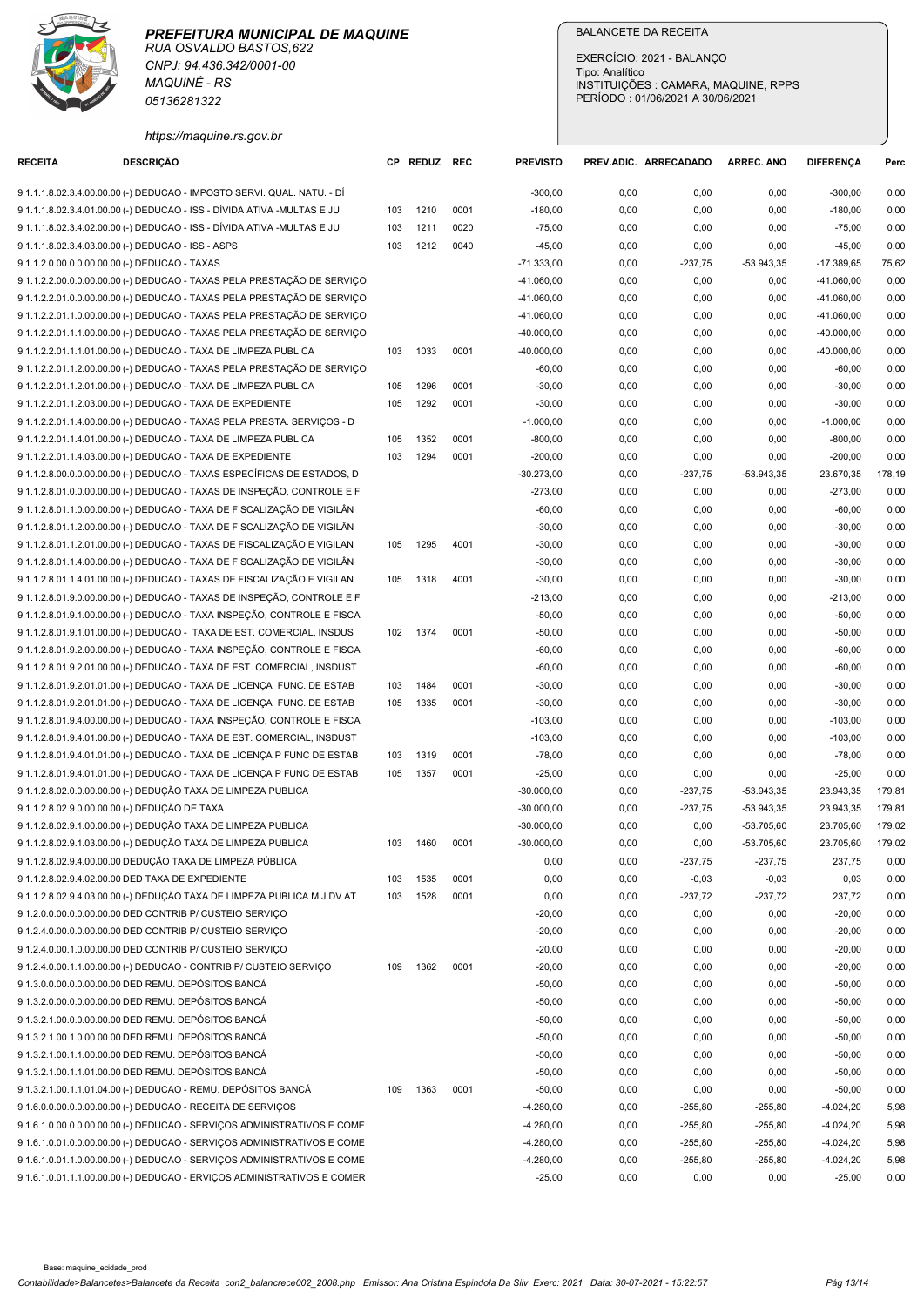|                                                    | <b>MAQUINÉ - RS</b><br>05136281322                                                                                                                 |            |              |              |                              | <b>BALANCETE DA RECEITA</b><br>EXERCÍCIO: 2021 - BALANCO<br>Tipo: Analítico<br>INSTITUIÇÕES : CAMARA, MAQUINE, RPPS<br>PERÍODO: 01/06/2021 A 30/06/2021 |                        |                              |                              |                  |  |  |
|----------------------------------------------------|----------------------------------------------------------------------------------------------------------------------------------------------------|------------|--------------|--------------|------------------------------|---------------------------------------------------------------------------------------------------------------------------------------------------------|------------------------|------------------------------|------------------------------|------------------|--|--|
|                                                    | https://maquine.rs.gov.br                                                                                                                          |            |              |              |                              |                                                                                                                                                         |                        |                              |                              |                  |  |  |
| <b>RECEITA</b>                                     | <b>DESCRIÇÃO</b>                                                                                                                                   |            | CP REDUZ REC |              | <b>PREVISTO</b>              | PREV.ADIC. ARRECADADO                                                                                                                                   |                        | <b>ARREC. ANO</b>            | <b>DIFERENCA</b>             | Perc             |  |  |
|                                                    | 9.1.1.1.8.02.3.4.00.00.00 (-) DEDUCAO - IMPOSTO SERVI. QUAL. NATU. - DÍ<br>9.1.1.1.8.02.3.4.01.00.00 (-) DEDUCAO - ISS - DÍVIDA ATIVA -MULTAS E JU | 103        | 1210         | 0001         | $-300,00$<br>$-180,00$       | 0,00<br>0,00                                                                                                                                            | 0,00<br>0,00           | 0,00<br>0,00                 | $-300,00$<br>$-180,00$       | 0,00<br>0,00     |  |  |
|                                                    | 9.1.1.1.8.02.3.4.02.00.00 (-) DEDUCAO - ISS - DÍVIDA ATIVA -MULTAS E JU                                                                            | 103        | 1211         | 0020         | $-75,00$                     | 0,00                                                                                                                                                    | 0,00                   | 0,00                         | $-75,00$                     | 0,00             |  |  |
| 9.1.1.1.8.02.3.4.03.00.00 (-) DEDUCAO - ISS - ASPS |                                                                                                                                                    | 103        | 1212         | 0040         | $-45,00$                     | 0,00                                                                                                                                                    | 0,00                   | 0,00                         | $-45,00$                     | 0,00             |  |  |
| 9.1.1.2.0.00.0.0.00.00.00 (-) DEDUCAO - TAXAS      |                                                                                                                                                    |            |              |              | $-71.333,00$                 | 0,00                                                                                                                                                    | $-237,75$              | $-53.943,35$                 | $-17.389,65$                 | 75,62            |  |  |
|                                                    | 9.1.1.2.2.00.0.0.00.00.00 (-) DEDUCAO - TAXAS PELA PRESTAÇÃO DE SERVIÇO<br>9.1.1.2.2.01.0.0.00.00.00 (-) DEDUCAO - TAXAS PELA PRESTAÇÃO DE SERVIÇO |            |              |              | $-41.060,00$<br>$-41.060,00$ | 0,00<br>0,00                                                                                                                                            | 0,00<br>0,00           | 0,00<br>0,00                 | $-41.060,00$<br>$-41.060,00$ | 0,00<br>0,00     |  |  |
|                                                    | 9.1.1.2.2.01.1.0.00.00.00 (-) DEDUCAO - TAXAS PELA PRESTAÇÃO DE SERVIÇO                                                                            |            |              |              | $-41.060,00$                 | 0,00                                                                                                                                                    | 0,00                   | 0,00                         | $-41.060,00$                 | 0,00             |  |  |
|                                                    | 9.1.1.2.2.01.1.1.00.00.00 (-) DEDUCAO - TAXAS PELA PRESTAÇÃO DE SERVIÇO                                                                            |            |              |              | $-40.000,00$                 | 0,00                                                                                                                                                    | 0,00                   | 0,00                         | $-40.000,00$                 | 0,00             |  |  |
|                                                    | 9.1.1.2.2.01.1.1.01.00.00 (-) DEDUCAO - TAXA DE LIMPEZA PUBLICA                                                                                    | 103        | 1033         | 0001         | -40.000,00                   | 0,00                                                                                                                                                    | 0,00                   | 0,00                         | $-40.000,00$                 | 0,00             |  |  |
|                                                    | 9.1.1.2.2.01.1.2.00.00.00 (-) DEDUCAO - TAXAS PELA PRESTAÇÃO DE SERVIÇO<br>9.1.1.2.2.01.1.2.01.00.00 (-) DEDUCAO - TAXA DE LIMPEZA PUBLICA         | 105        | 1296         | 0001         | $-60,00$<br>$-30,00$         | 0,00<br>0,00                                                                                                                                            | 0,00<br>0,00           | 0,00<br>0,00                 | $-60,00$<br>$-30,00$         | 0,00<br>0,00     |  |  |
|                                                    | 9.1.1.2.2.01.1.2.03.00.00 (-) DEDUCAO - TAXA DE EXPEDIENTE                                                                                         | 105        | 1292         | 0001         | $-30,00$                     | 0,00                                                                                                                                                    | 0,00                   | 0,00                         | $-30,00$                     | 0,00             |  |  |
|                                                    | 9.1.1.2.2.01.1.4.00.00.00 (-) DEDUCAO - TAXAS PELA PRESTA. SERVIÇOS - D                                                                            |            |              |              | $-1.000,00$                  | 0,00                                                                                                                                                    | 0,00                   | 0,00                         | $-1.000,00$                  | 0,00             |  |  |
|                                                    | 9.1.1.2.2.01.1.4.01.00.00 (-) DEDUCAO - TAXA DE LIMPEZA PUBLICA                                                                                    | 105        | 1352         | 0001         | $-800,00$                    | 0,00                                                                                                                                                    | 0,00                   | 0,00                         | $-800,00$                    | 0,00             |  |  |
|                                                    | 9.1.1.2.2.01.1.4.03.00.00 (-) DEDUCAO - TAXA DE EXPEDIENTE                                                                                         | 103        | 1294         | 0001         | $-200,00$                    | 0,00                                                                                                                                                    | 0,00                   | 0,00                         | $-200,00$                    | 0,00             |  |  |
|                                                    | 9.1.1.2.8.00.0.0.00.00.00 (-) DEDUCAO - TAXAS ESPECÍFICAS DE ESTADOS, D<br>9.1.1.2.8.01.0.0.00.00.00 (-) DEDUCAO - TAXAS DE INSPEÇÃO, CONTROLE E F |            |              |              | $-30.273,00$<br>$-273,00$    | 0,00<br>0,00                                                                                                                                            | $-237,75$<br>0,00      | $-53.943,35$<br>0,00         | 23.670,35<br>$-273,00$       | 178,19<br>0,00   |  |  |
|                                                    | 9.1.1.2.8.01.1.0.00.00.00 (-) DEDUCAO - TAXA DE FISCALIZAÇÃO DE VIGILÂN                                                                            |            |              |              | $-60,00$                     | 0,00                                                                                                                                                    | 0,00                   | 0,00                         | $-60,00$                     | 0,00             |  |  |
|                                                    | 9.1.1.2.8.01.1.2.00.00.00 (-) DEDUCAO - TAXA DE FISCALIZAÇÃO DE VIGILÂN                                                                            |            |              |              | $-30,00$                     | 0,00                                                                                                                                                    | 0,00                   | 0,00                         | $-30,00$                     | 0,00             |  |  |
|                                                    | 9.1.1.2.8.01.1.2.01.00.00 (-) DEDUCAO - TAXAS DE FISCALIZAÇÃO E VIGILAN                                                                            | 105        | 1295         | 4001         | $-30,00$                     | 0,00                                                                                                                                                    | 0,00                   | 0,00                         | $-30,00$                     | 0,00             |  |  |
|                                                    | 9.1.1.2.8.01.1.4.00.00.00 (-) DEDUCAO - TAXA DE FISCALIZAÇÃO DE VIGILÂN                                                                            |            |              |              | $-30,00$                     | 0,00                                                                                                                                                    | 0,00                   | 0,00                         | $-30,00$                     | 0,00             |  |  |
|                                                    | 9.1.1.2.8.01.1.4.01.00.00 (-) DEDUCAO - TAXAS DE FISCALIZAÇÃO E VIGILAN<br>9.1.1.2.8.01.9.0.00.00.00 (-) DEDUCAO - TAXAS DE INSPEÇÃO, CONTROLE E F | 105        | 1318         | 4001         | $-30,00$<br>$-213,00$        | 0,00<br>0,00                                                                                                                                            | 0,00<br>0,00           | 0,00<br>0,00                 | $-30,00$<br>$-213,00$        | 0,00<br>0,00     |  |  |
|                                                    | 9.1.1.2.8.01.9.1.00.00.00 (-) DEDUCAO - TAXA INSPEÇÃO, CONTROLE E FISCA                                                                            |            |              |              | $-50,00$                     | 0,00                                                                                                                                                    | 0,00                   | 0,00                         | $-50,00$                     | 0,00             |  |  |
|                                                    | 9.1.1.2.8.01.9.1.01.00.00 (-) DEDUCAO - TAXA DE EST. COMERCIAL, INSDUS                                                                             |            | 102 1374     | 0001         | $-50,00$                     | 0,00                                                                                                                                                    | 0,00                   | 0,00                         | $-50,00$                     | 0,00             |  |  |
|                                                    | 9.1.1.2.8.01.9.2.00.00.00 (-) DEDUCAO - TAXA INSPEÇÃO, CONTROLE E FISCA                                                                            |            |              |              | $-60,00$                     | 0,00                                                                                                                                                    | 0,00                   | 0,00                         | $-60,00$                     | 0,00             |  |  |
|                                                    | 9.1.1.2.8.01.9.2.01.00.00 (-) DEDUCAO - TAXA DE EST. COMERCIAL, INSDUST                                                                            |            |              |              | $-60,00$                     | 0,00                                                                                                                                                    | 0,00                   | 0,00                         | $-60,00$                     | 0,00             |  |  |
|                                                    | 9.1.1.2.8.01.9.2.01.01.00 (-) DEDUCAO - TAXA DE LICENÇA FUNC. DE ESTAB<br>9.1.1.2.8.01.9.2.01.01.00 (-) DEDUCAO - TAXA DE LICENÇA FUNC. DE ESTAB   | 103<br>105 | 1484<br>1335 | 0001<br>0001 | $-30,00$<br>$-30,00$         | 0,00<br>0,00                                                                                                                                            | 0,00<br>0,00           | 0,00<br>0,00                 | $-30,00$<br>$-30,00$         | 0,00<br>0,00     |  |  |
|                                                    | 9.1.1.2.8.01.9.4.00.00.00 (-) DEDUCAO - TAXA INSPEÇÃO, CONTROLE E FISCA                                                                            |            |              |              | $-103,00$                    | 0,00                                                                                                                                                    | 0,00                   | 0,00                         | $-103,00$                    | 0,00             |  |  |
|                                                    | 9.1.1.2.8.01.9.4.01.00.00 (-) DEDUCAO - TAXA DE EST. COMERCIAL, INSDUST                                                                            |            |              |              | $-103,00$                    | 0,00                                                                                                                                                    | 0,00                   | 0,00                         | $-103,00$                    | 0,00             |  |  |
|                                                    | 9.1.1.2.8.01.9.4.01.01.00 (-) DEDUCAO - TAXA DE LICENÇA P FUNC DE ESTAB                                                                            | 103        | 1319         | 0001         | $-78,00$                     | 0,00                                                                                                                                                    | 0,00                   | 0,00                         | $-78,00$                     | 0,00             |  |  |
|                                                    | 9.1.1.2.8.01.9.4.01.01.00 (-) DEDUCAO - TAXA DE LICENÇA P FUNC DE ESTAB                                                                            | 105        | 1357         | 0001         | $-25,00$                     | 0,00                                                                                                                                                    | 0,00                   | 0,00                         | $-25,00$                     | 0,00             |  |  |
| 9.1.1.2.8.02.9.0.00.00.00 (-) DEDUÇÃO DE TAXA      | 9.1.1.2.8.02.0.0.00.00.00 (-) DEDUÇÃO TAXA DE LIMPEZA PUBLICA                                                                                      |            |              |              | $-30.000,00$<br>$-30.000,00$ | 0,00<br>0,00                                                                                                                                            | $-237,75$<br>$-237,75$ | $-53.943,35$<br>$-53.943,35$ | 23.943,35<br>23.943,35       | 179,81<br>179,81 |  |  |
|                                                    | 9.1.1.2.8.02.9.1.00.00.00 (-) DEDUÇÃO TAXA DE LIMPEZA PUBLICA                                                                                      |            |              |              | $-30.000,00$                 | 0,00                                                                                                                                                    | 0,00                   | -53.705,60                   | 23.705,60                    | 179,02           |  |  |
|                                                    | 9.1.1.2.8.02.9.1.03.00.00 (-) DEDUÇÃO TAXA DE LIMPEZA PUBLICA                                                                                      | 103        | 1460         | 0001         | $-30.000,00$                 | 0,00                                                                                                                                                    | 0,00                   | $-53.705,60$                 | 23.705,60                    | 179,02           |  |  |
|                                                    | 9.1.1.2.8.02.9.4.00.00.00 DEDUÇÃO TAXA DE LIMPEZA PÚBLICA                                                                                          |            |              |              | 0,00                         | 0,00                                                                                                                                                    | $-237,75$              | $-237,75$                    | 237,75                       | 0,00             |  |  |
|                                                    | 9.1.1.2.8.02.9.4.02.00.00 DED TAXA DE EXPEDIENTE                                                                                                   | 103        | 1535         | 0001         | 0,00                         | 0,00                                                                                                                                                    | $-0,03$                | $-0,03$                      | 0,03                         | 0,00             |  |  |
|                                                    | 9.1.1.2.8.02.9.4.03.00.00 (-) DEDUÇÃO TAXA DE LIMPEZA PUBLICA M.J.DV AT                                                                            | 103        | 1528         | 0001         | 0,00                         | 0,00                                                                                                                                                    | $-237,72$              | $-237,72$                    | 237,72                       | 0,00             |  |  |
|                                                    | 9.1.2.0.0.00.0.0.00.00.00 DED CONTRIB P/ CUSTEIO SERVIÇO<br>9.1.2.4.0.00.0.0.00.00.00 DED CONTRIB P/ CUSTEIO SERVIÇO                               |            |              |              | $-20,00$<br>$-20,00$         | 0,00<br>0,00                                                                                                                                            | 0,00<br>0,00           | 0,00<br>0,00                 | $-20,00$<br>$-20,00$         | 0,00<br>0,00     |  |  |
|                                                    | 9.1.2.4.0.00.1.0.00.00.00 DED CONTRIB P/ CUSTEIO SERVIÇO                                                                                           |            |              |              | $-20,00$                     | 0,00                                                                                                                                                    | 0,00                   | 0,00                         | $-20,00$                     | 0,00             |  |  |
|                                                    | 9.1.2.4.0.00.1.1.00.00.00 (-) DEDUCAO - CONTRIB P/ CUSTEIO SERVIÇO                                                                                 | 109        | 1362         | 0001         | $-20,00$                     | 0,00                                                                                                                                                    | 0,00                   | 0,00                         | $-20,00$                     | 0,00             |  |  |
|                                                    | 9.1.3.0.0.00.0.0.00.00.00 DED REMU. DEPÓSITOS BANCÁ                                                                                                |            |              |              | $-50,00$                     | 0,00                                                                                                                                                    | 0,00                   | 0,00                         | $-50,00$                     | 0,00             |  |  |
|                                                    | 9.1.3.2.0.00.0.0.00.00.00 DED REMU. DEPÓSITOS BANCÁ                                                                                                |            |              |              | $-50,00$                     | 0,00                                                                                                                                                    | 0,00                   | 0,00                         | $-50,00$                     | 0,00             |  |  |
|                                                    | 9.1.3.2.1.00.0.0.00.00.00 DED REMU. DEPÓSITOS BANCÁ<br>9.1.3.2.1.00.1.0.00.00.00 DED REMU. DEPÓSITOS BANCÁ                                         |            |              |              | $-50,00$<br>$-50,00$         | 0,00<br>0,00                                                                                                                                            | 0,00<br>0,00           | 0,00<br>0,00                 | $-50,00$<br>$-50,00$         | 0,00<br>0,00     |  |  |
|                                                    | 9.1.3.2.1.00.1.1.00.00.00 DED REMU. DEPÓSITOS BANCÁ                                                                                                |            |              |              | $-50,00$                     | 0,00                                                                                                                                                    | 0,00                   | 0,00                         | $-50,00$                     | 0,00             |  |  |
|                                                    | 9.1.3.2.1.00.1.1.01.00.00 DED REMU. DEPÓSITOS BANCÁ                                                                                                |            |              |              | $-50,00$                     | 0,00                                                                                                                                                    | 0,00                   | 0,00                         | $-50,00$                     | 0,00             |  |  |
|                                                    | 9.1.3.2.1.00.1.1.01.04.00 (-) DEDUCAO - REMU. DEPÓSITOS BANCÁ                                                                                      | 109        | 1363         | 0001         | $-50,00$                     | 0,00                                                                                                                                                    | 0,00                   | 0,00                         | $-50,00$                     | 0,00             |  |  |
|                                                    | 9.1.6.0.0.00.0.00.00.00 (-) DEDUCAO - RECEITA DE SERVIÇOS                                                                                          |            |              |              | $-4.280,00$                  | 0,00                                                                                                                                                    | $-255,80$              | $-255,80$                    | $-4.024,20$                  | 5,98             |  |  |
|                                                    | 9.1.6.1.0.00.0.0.00.00.00 (-) DEDUCAO - SERVIÇOS ADMINISTRATIVOS E COME                                                                            |            |              |              | $-4.280,00$                  | 0,00                                                                                                                                                    | $-255,80$              | $-255,80$                    | $-4.024,20$                  | 5,98             |  |  |
|                                                    | 9.1.6.1.0.01.0.0.00.00.00 (-) DEDUCAO - SERVIÇOS ADMINISTRATIVOS E COME<br>9.1.6.1.0.01.1.0.00.00.00 (-) DEDUCAO - SERVIÇOS ADMINISTRATIVOS E COME |            |              |              | $-4.280,00$<br>-4.280,00     | 0,00<br>0,00                                                                                                                                            | $-255,80$<br>$-255,80$ | $-255,80$<br>$-255,80$       | $-4.024,20$<br>$-4.024,20$   | 5,98<br>5,98     |  |  |
|                                                    |                                                                                                                                                    |            |              |              |                              |                                                                                                                                                         |                        |                              |                              |                  |  |  |